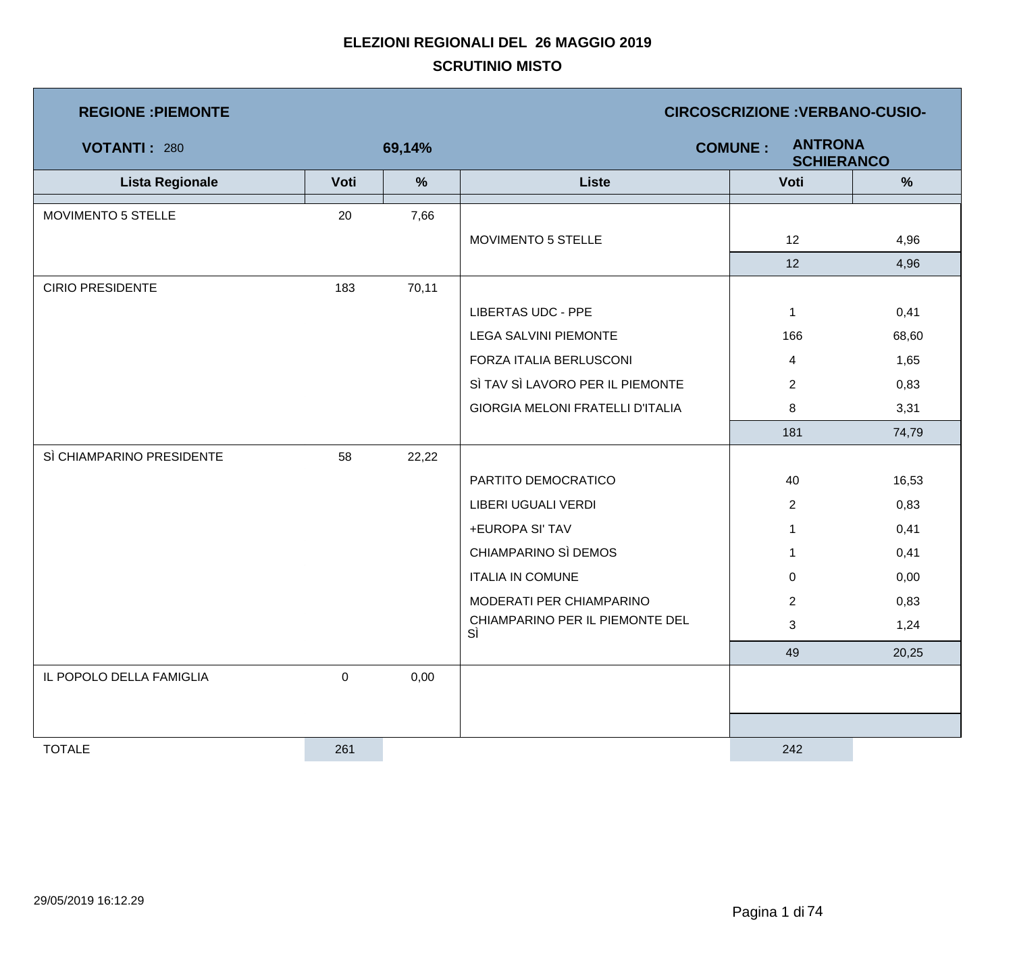| <b>REGIONE : PIEMONTE</b> |                  |        | <b>CIRCOSCRIZIONE : VERBANO-CUSIO-</b>                |                |       |  |  |
|---------------------------|------------------|--------|-------------------------------------------------------|----------------|-------|--|--|
| <b>VOTANTI: 280</b>       |                  | 69,14% | <b>ANTRONA</b><br><b>COMUNE:</b><br><b>SCHIERANCO</b> |                |       |  |  |
| <b>Lista Regionale</b>    | Voti             | %      | <b>Liste</b>                                          | Voti           | %     |  |  |
| MOVIMENTO 5 STELLE        | 20               | 7,66   |                                                       |                |       |  |  |
|                           |                  |        | MOVIMENTO 5 STELLE                                    | 12             | 4,96  |  |  |
|                           |                  |        |                                                       | 12             | 4,96  |  |  |
| <b>CIRIO PRESIDENTE</b>   | 183              | 70,11  |                                                       |                |       |  |  |
|                           |                  |        | <b>LIBERTAS UDC - PPE</b>                             | $\mathbf{1}$   | 0,41  |  |  |
|                           |                  |        | <b>LEGA SALVINI PIEMONTE</b>                          | 166            | 68,60 |  |  |
|                           |                  |        | FORZA ITALIA BERLUSCONI                               | $\overline{4}$ | 1,65  |  |  |
|                           |                  |        | SÌ TAV SÌ LAVORO PER IL PIEMONTE                      | $\overline{2}$ | 0,83  |  |  |
|                           |                  |        | <b>GIORGIA MELONI FRATELLI D'ITALIA</b>               | 8              | 3,31  |  |  |
|                           |                  |        |                                                       | 181            | 74,79 |  |  |
| SÌ CHIAMPARINO PRESIDENTE | 58               | 22,22  |                                                       |                |       |  |  |
|                           |                  |        | PARTITO DEMOCRATICO                                   | 40             | 16,53 |  |  |
|                           |                  |        | LIBERI UGUALI VERDI                                   | $\overline{2}$ | 0,83  |  |  |
|                           |                  |        | +EUROPA SI' TAV                                       | $\mathbf 1$    | 0,41  |  |  |
|                           |                  |        | CHIAMPARINO SÌ DEMOS                                  | $\mathbf 1$    | 0,41  |  |  |
|                           |                  |        | <b>ITALIA IN COMUNE</b>                               | $\overline{0}$ | 0,00  |  |  |
|                           |                  |        | MODERATI PER CHIAMPARINO                              | $\overline{2}$ | 0,83  |  |  |
|                           |                  |        | CHIAMPARINO PER IL PIEMONTE DEL<br>SÌ                 | 3              | 1,24  |  |  |
|                           |                  |        |                                                       | 49             | 20,25 |  |  |
| IL POPOLO DELLA FAMIGLIA  | $\boldsymbol{0}$ | 0,00   |                                                       |                |       |  |  |
|                           |                  |        |                                                       |                |       |  |  |
|                           |                  |        |                                                       |                |       |  |  |
| <b>TOTALE</b>             | 261              |        |                                                       | 242            |       |  |  |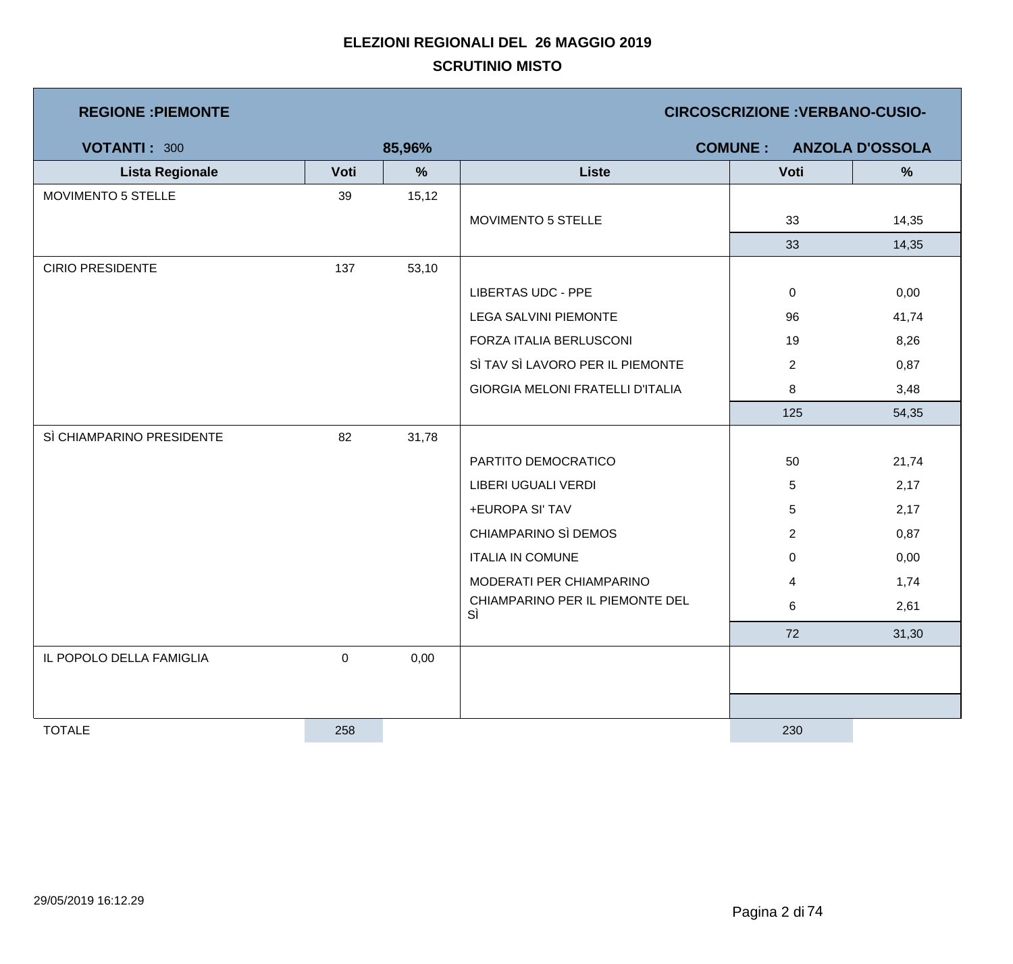| <b>REGIONE : PIEMONTE</b> |           |        | <b>CIRCOSCRIZIONE: VERBANO-CUSIO-</b>   |                |                |                        |  |
|---------------------------|-----------|--------|-----------------------------------------|----------------|----------------|------------------------|--|
| <b>VOTANTI: 300</b>       |           | 85,96% |                                         | <b>COMUNE:</b> |                | <b>ANZOLA D'OSSOLA</b> |  |
| <b>Lista Regionale</b>    | Voti      | %      | <b>Liste</b>                            |                | Voti           | %                      |  |
| <b>MOVIMENTO 5 STELLE</b> | 39        | 15,12  |                                         |                |                |                        |  |
|                           |           |        | MOVIMENTO 5 STELLE                      |                | 33             | 14,35                  |  |
|                           |           |        |                                         |                | 33             | 14,35                  |  |
| <b>CIRIO PRESIDENTE</b>   | 137       | 53,10  |                                         |                |                |                        |  |
|                           |           |        | <b>LIBERTAS UDC - PPE</b>               |                | $\mathbf 0$    | 0,00                   |  |
|                           |           |        | <b>LEGA SALVINI PIEMONTE</b>            |                | 96             | 41,74                  |  |
|                           |           |        | FORZA ITALIA BERLUSCONI                 |                | 19             | 8,26                   |  |
|                           |           |        | SÌ TAV SÌ LAVORO PER IL PIEMONTE        |                | $\overline{2}$ | 0,87                   |  |
|                           |           |        | <b>GIORGIA MELONI FRATELLI D'ITALIA</b> |                | 8              | 3,48                   |  |
|                           |           |        |                                         |                | 125            | 54,35                  |  |
| SÌ CHIAMPARINO PRESIDENTE | 82        | 31,78  |                                         |                |                |                        |  |
|                           |           |        | PARTITO DEMOCRATICO                     |                | 50             | 21,74                  |  |
|                           |           |        | LIBERI UGUALI VERDI                     |                | $\sqrt{5}$     | 2,17                   |  |
|                           |           |        | +EUROPA SI' TAV                         |                | $\overline{5}$ | 2,17                   |  |
|                           |           |        | CHIAMPARINO SÌ DEMOS                    |                | $\overline{2}$ | 0,87                   |  |
|                           |           |        | <b>ITALIA IN COMUNE</b>                 |                | $\mathbf 0$    | 0,00                   |  |
|                           |           |        | MODERATI PER CHIAMPARINO                |                | $\overline{4}$ | 1,74                   |  |
|                           |           |        | CHIAMPARINO PER IL PIEMONTE DEL<br>SÌ   |                | 6              | 2,61                   |  |
|                           |           |        |                                         |                | 72             | 31,30                  |  |
| IL POPOLO DELLA FAMIGLIA  | $\pmb{0}$ | 0,00   |                                         |                |                |                        |  |
|                           |           |        |                                         |                |                |                        |  |
|                           |           |        |                                         |                |                |                        |  |
| <b>TOTALE</b>             | 258       |        |                                         |                | 230            |                        |  |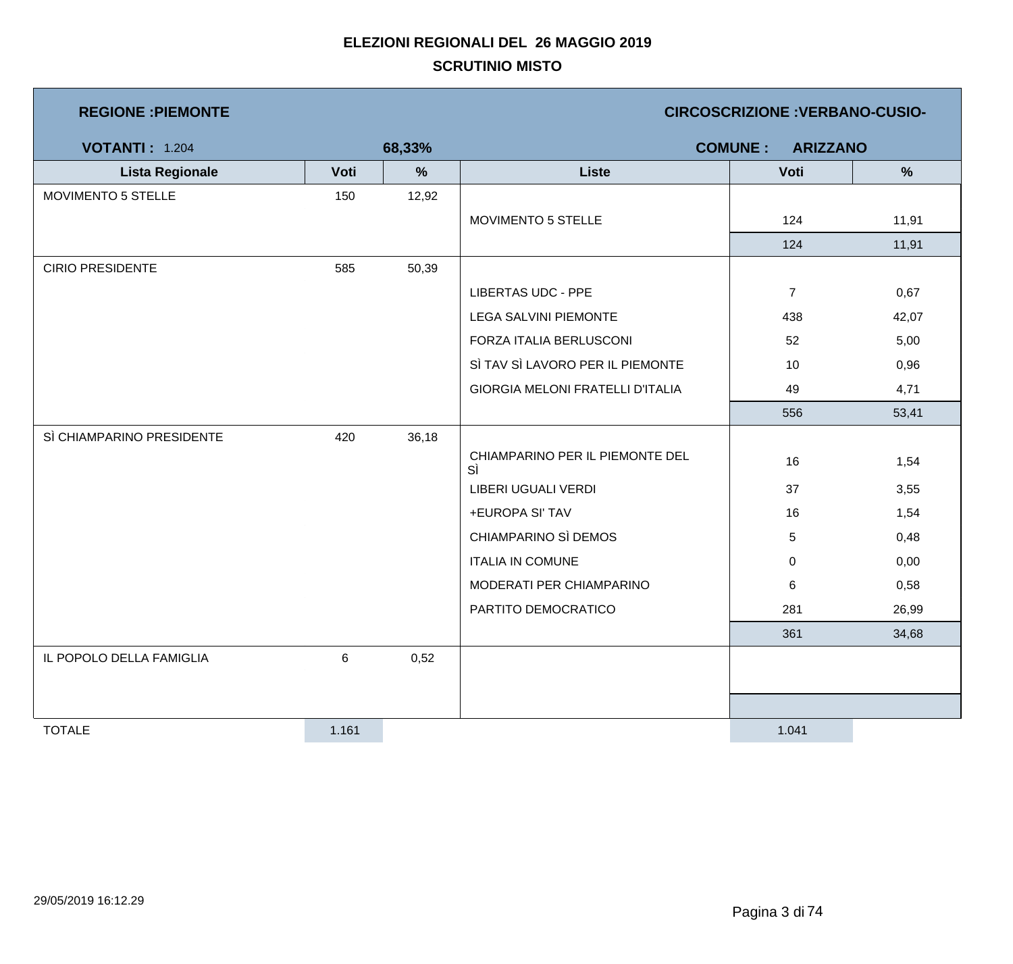| <b>REGIONE: PIEMONTE</b>  |       |        | <b>CIRCOSCRIZIONE: VERBANO-CUSIO-</b>   |                                   |               |  |  |
|---------------------------|-------|--------|-----------------------------------------|-----------------------------------|---------------|--|--|
| <b>VOTANTI: 1.204</b>     |       | 68,33% |                                         | <b>COMUNE:</b><br><b>ARIZZANO</b> |               |  |  |
| <b>Lista Regionale</b>    | Voti  | $\%$   | <b>Liste</b>                            | Voti                              | $\frac{0}{0}$ |  |  |
| MOVIMENTO 5 STELLE        | 150   | 12,92  |                                         |                                   |               |  |  |
|                           |       |        | MOVIMENTO 5 STELLE                      | 124                               | 11,91         |  |  |
|                           |       |        |                                         | 124                               | 11,91         |  |  |
| <b>CIRIO PRESIDENTE</b>   | 585   | 50,39  |                                         |                                   |               |  |  |
|                           |       |        | <b>LIBERTAS UDC - PPE</b>               | $\overline{7}$                    | 0,67          |  |  |
|                           |       |        | <b>LEGA SALVINI PIEMONTE</b>            | 438                               | 42,07         |  |  |
|                           |       |        | FORZA ITALIA BERLUSCONI                 | 52                                | 5,00          |  |  |
|                           |       |        | SÌ TAV SÌ LAVORO PER IL PIEMONTE        | 10                                | 0,96          |  |  |
|                           |       |        | <b>GIORGIA MELONI FRATELLI D'ITALIA</b> | 49                                | 4,71          |  |  |
|                           |       |        |                                         | 556                               | 53,41         |  |  |
| SÌ CHIAMPARINO PRESIDENTE | 420   | 36,18  |                                         |                                   |               |  |  |
|                           |       |        | CHIAMPARINO PER IL PIEMONTE DEL<br>SÌ   | 16                                | 1,54          |  |  |
|                           |       |        | LIBERI UGUALI VERDI                     | 37                                | 3,55          |  |  |
|                           |       |        | +EUROPA SI' TAV                         | 16                                | 1,54          |  |  |
|                           |       |        | CHIAMPARINO SÌ DEMOS                    | 5                                 | 0,48          |  |  |
|                           |       |        | <b>ITALIA IN COMUNE</b>                 | $\mathbf 0$                       | 0,00          |  |  |
|                           |       |        | MODERATI PER CHIAMPARINO                | 6                                 | 0,58          |  |  |
|                           |       |        | PARTITO DEMOCRATICO                     | 281                               | 26,99         |  |  |
|                           |       |        |                                         | 361                               | 34,68         |  |  |
| IL POPOLO DELLA FAMIGLIA  | 6     | 0,52   |                                         |                                   |               |  |  |
|                           |       |        |                                         |                                   |               |  |  |
|                           |       |        |                                         |                                   |               |  |  |
| <b>TOTALE</b>             | 1.161 |        |                                         | 1.041                             |               |  |  |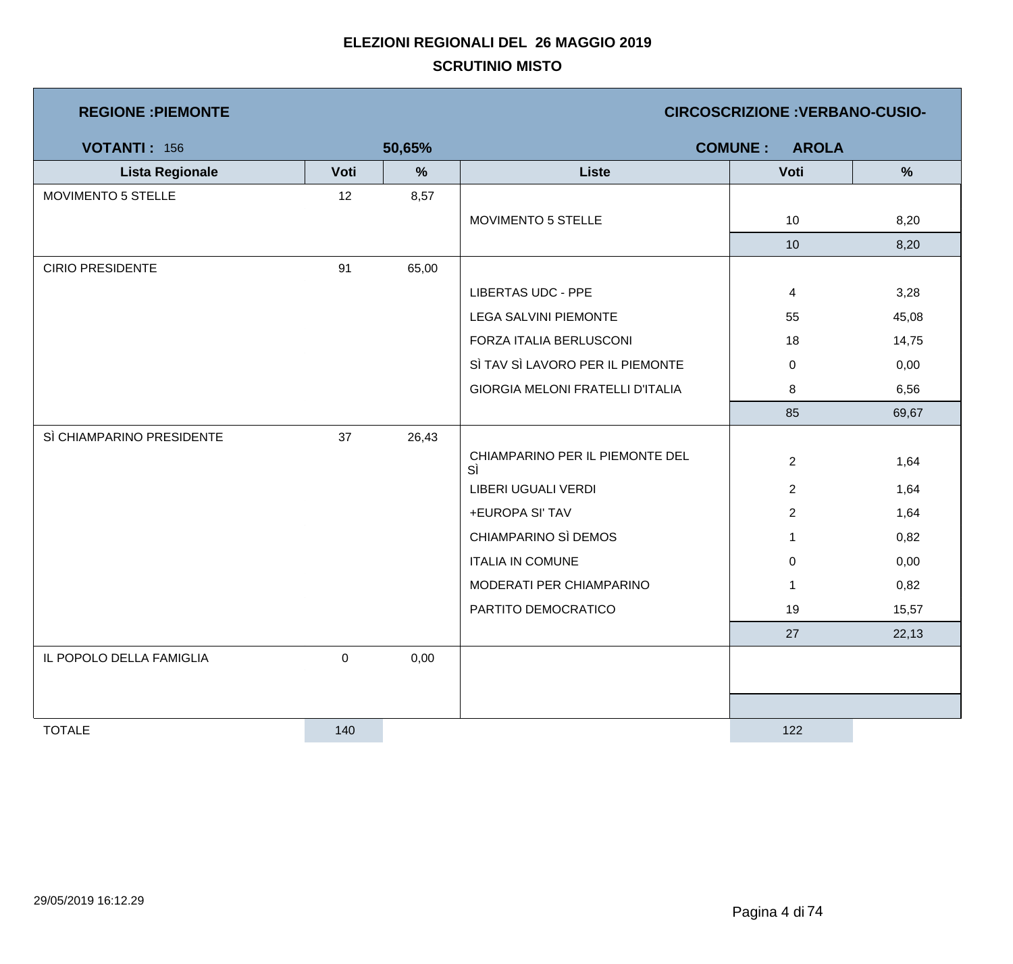**REGIONE :PIEMONTE CIRCOSCRIZIONE :VERBANO-CUSIO-**

| <b>VOTANTI: 156</b>       |             | 50,65% |                                         | <b>AROLA</b><br><b>COMUNE:</b> |               |
|---------------------------|-------------|--------|-----------------------------------------|--------------------------------|---------------|
| <b>Lista Regionale</b>    | Voti        | %      | <b>Liste</b>                            | Voti                           | $\frac{9}{6}$ |
| MOVIMENTO 5 STELLE        | 12          | 8,57   |                                         |                                |               |
|                           |             |        | MOVIMENTO 5 STELLE                      | 10                             | 8,20          |
|                           |             |        |                                         | 10                             | 8,20          |
| <b>CIRIO PRESIDENTE</b>   | 91          | 65,00  |                                         |                                |               |
|                           |             |        | <b>LIBERTAS UDC - PPE</b>               | $\overline{4}$                 | 3,28          |
|                           |             |        | <b>LEGA SALVINI PIEMONTE</b>            | 55                             | 45,08         |
|                           |             |        | FORZA ITALIA BERLUSCONI                 | 18                             | 14,75         |
|                           |             |        | SÌ TAV SÌ LAVORO PER IL PIEMONTE        | $\mathbf 0$                    | 0,00          |
|                           |             |        | <b>GIORGIA MELONI FRATELLI D'ITALIA</b> | 8                              | 6,56          |
|                           |             |        |                                         | 85                             | 69,67         |
| SÌ CHIAMPARINO PRESIDENTE | 37          | 26,43  |                                         |                                |               |
|                           |             |        | CHIAMPARINO PER IL PIEMONTE DEL<br>SÌ   | $\overline{2}$                 | 1,64          |
|                           |             |        | LIBERI UGUALI VERDI                     | $\overline{2}$                 | 1,64          |
|                           |             |        | +EUROPA SI' TAV                         | $\overline{2}$                 | 1,64          |
|                           |             |        | CHIAMPARINO SÌ DEMOS                    | $\mathbf 1$                    | 0,82          |
|                           |             |        | <b>ITALIA IN COMUNE</b>                 | $\mathbf 0$                    | 0,00          |
|                           |             |        | MODERATI PER CHIAMPARINO                | $\mathbf{1}$                   | 0,82          |
|                           |             |        | PARTITO DEMOCRATICO                     | 19                             | 15,57         |
|                           |             |        |                                         | 27                             | 22,13         |
| IL POPOLO DELLA FAMIGLIA  | $\mathbf 0$ | 0,00   |                                         |                                |               |
|                           |             |        |                                         |                                |               |
|                           |             |        |                                         |                                |               |
| <b>TOTALE</b>             | 140         |        |                                         | 122                            |               |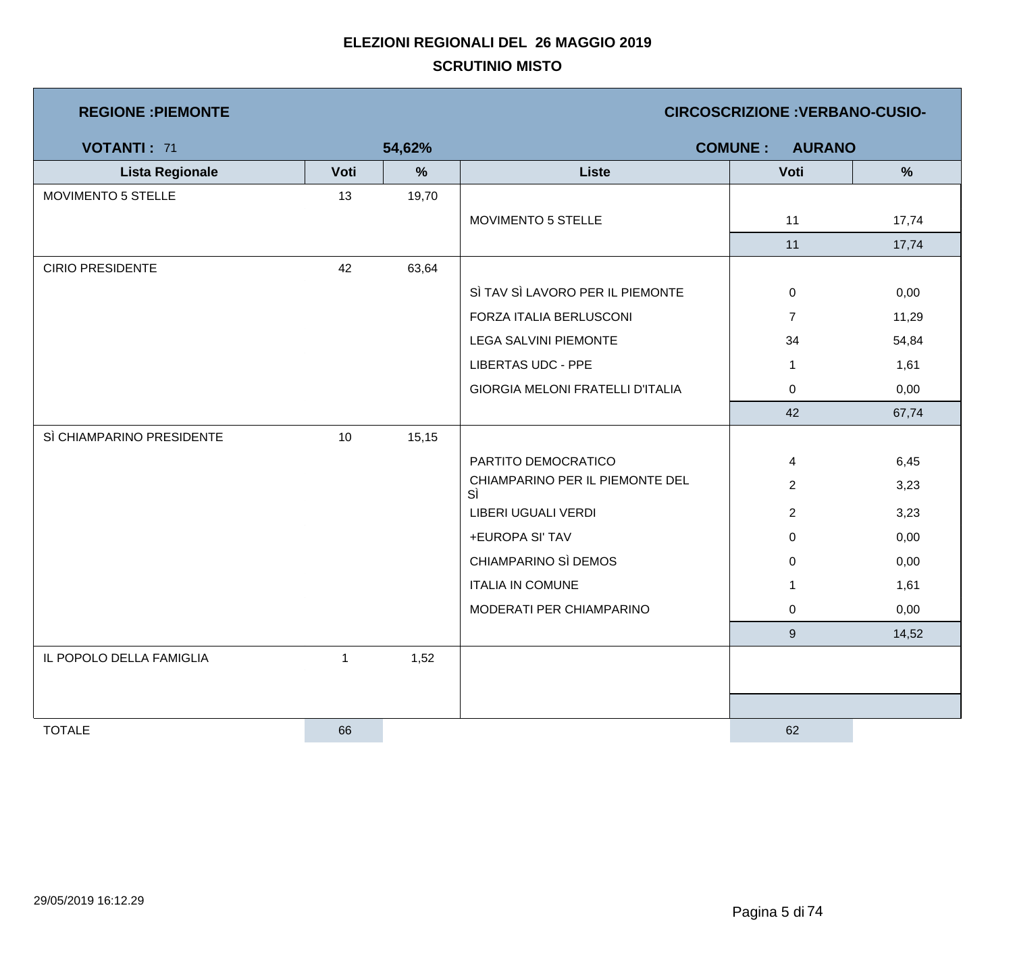| <b>REGIONE : PIEMONTE</b> |      |        | <b>CIRCOSCRIZIONE: VERBANO-CUSIO-</b>   |                                 |       |  |  |
|---------------------------|------|--------|-----------------------------------------|---------------------------------|-------|--|--|
| <b>VOTANTI: 71</b>        |      | 54,62% |                                         | <b>COMUNE:</b><br><b>AURANO</b> |       |  |  |
| <b>Lista Regionale</b>    | Voti | $\%$   | <b>Liste</b>                            | Voti                            | %     |  |  |
| MOVIMENTO 5 STELLE        | 13   | 19,70  |                                         |                                 |       |  |  |
|                           |      |        | MOVIMENTO 5 STELLE                      | 11                              | 17,74 |  |  |
|                           |      |        |                                         | 11                              | 17,74 |  |  |
| <b>CIRIO PRESIDENTE</b>   | 42   | 63,64  |                                         |                                 |       |  |  |
|                           |      |        | SÌ TAV SÌ LAVORO PER IL PIEMONTE        | $\overline{0}$                  | 0,00  |  |  |
|                           |      |        | FORZA ITALIA BERLUSCONI                 | $\overline{7}$                  | 11,29 |  |  |
|                           |      |        | <b>LEGA SALVINI PIEMONTE</b>            | 34                              | 54,84 |  |  |
|                           |      |        | <b>LIBERTAS UDC - PPE</b>               | $\mathbf{1}$                    | 1,61  |  |  |
|                           |      |        | <b>GIORGIA MELONI FRATELLI D'ITALIA</b> | $\mathbf 0$                     | 0,00  |  |  |
|                           |      |        |                                         | 42                              | 67,74 |  |  |
| SÌ CHIAMPARINO PRESIDENTE | 10   | 15,15  |                                         |                                 |       |  |  |
|                           |      |        | PARTITO DEMOCRATICO                     | $\overline{4}$                  | 6,45  |  |  |
|                           |      |        | CHIAMPARINO PER IL PIEMONTE DEL<br>SÌ   | $\overline{2}$                  | 3,23  |  |  |
|                           |      |        | LIBERI UGUALI VERDI                     | $\overline{2}$                  | 3,23  |  |  |
|                           |      |        | +EUROPA SI' TAV                         | $\mathbf 0$                     | 0,00  |  |  |
|                           |      |        | CHIAMPARINO SÌ DEMOS                    | $\mathbf 0$                     | 0,00  |  |  |
|                           |      |        | <b>ITALIA IN COMUNE</b>                 | $\mathbf 1$                     | 1,61  |  |  |
|                           |      |        | MODERATI PER CHIAMPARINO                | $\mathbf 0$                     | 0,00  |  |  |
|                           |      |        |                                         | $9\,$                           | 14,52 |  |  |
| IL POPOLO DELLA FAMIGLIA  | 1    | 1,52   |                                         |                                 |       |  |  |
|                           |      |        |                                         |                                 |       |  |  |
|                           |      |        |                                         |                                 |       |  |  |
| <b>TOTALE</b>             | 66   |        |                                         | 62                              |       |  |  |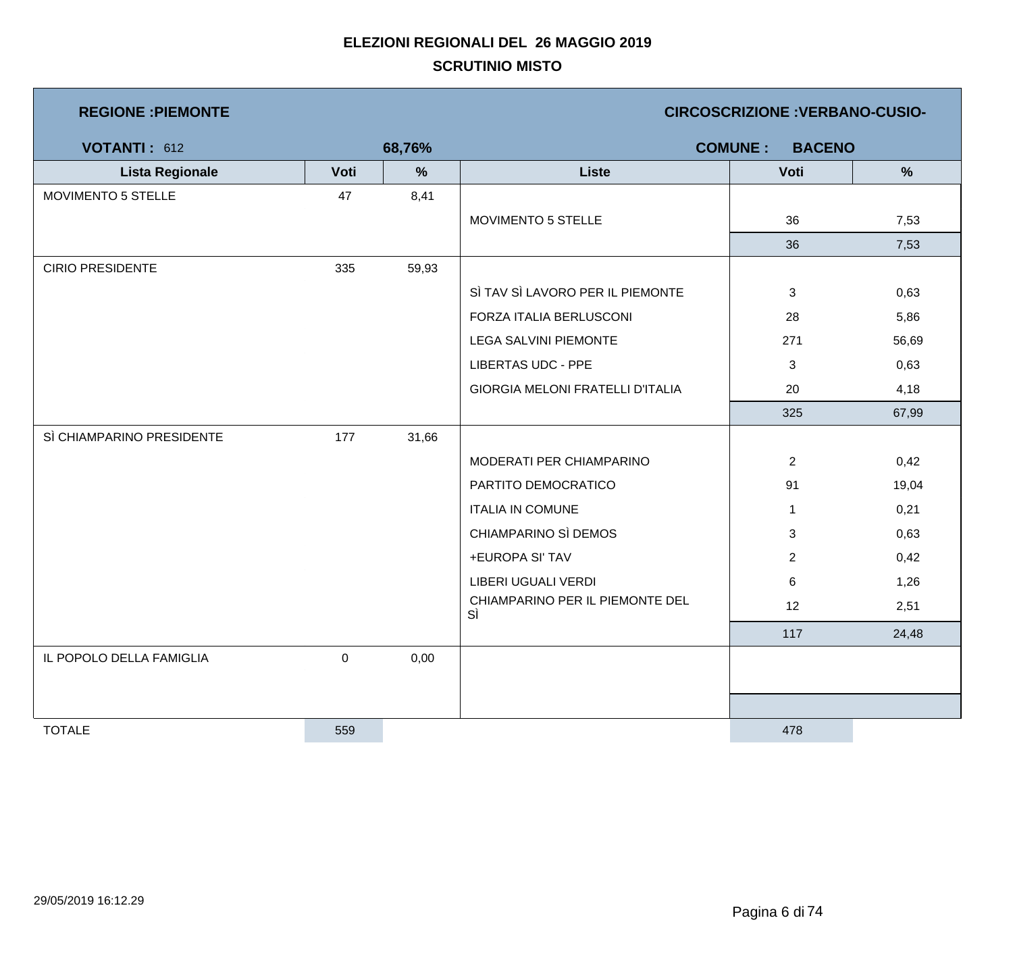| <b>REGIONE : PIEMONTE</b> |      | <b>CIRCOSCRIZIONE : VERBANO-CUSIO-</b> |                                       |                |       |  |  |
|---------------------------|------|----------------------------------------|---------------------------------------|----------------|-------|--|--|
| VOTANTI: 612              |      | 68,76%                                 | <b>COMUNE:</b><br><b>BACENO</b>       |                |       |  |  |
| <b>Lista Regionale</b>    | Voti | $\%$                                   | <b>Liste</b>                          | Voti           | $\%$  |  |  |
| MOVIMENTO 5 STELLE        | 47   | 8,41                                   |                                       |                |       |  |  |
|                           |      |                                        | MOVIMENTO 5 STELLE                    | 36             | 7,53  |  |  |
|                           |      |                                        |                                       | 36             | 7,53  |  |  |
| <b>CIRIO PRESIDENTE</b>   | 335  | 59,93                                  |                                       |                |       |  |  |
|                           |      |                                        | SÌ TAV SÌ LAVORO PER IL PIEMONTE      | 3              | 0,63  |  |  |
|                           |      |                                        | FORZA ITALIA BERLUSCONI               | 28             | 5,86  |  |  |
|                           |      |                                        | <b>LEGA SALVINI PIEMONTE</b>          | 271            | 56,69 |  |  |
|                           |      |                                        | <b>LIBERTAS UDC - PPE</b>             | 3              | 0,63  |  |  |
|                           |      |                                        | GIORGIA MELONI FRATELLI D'ITALIA      | 20             | 4,18  |  |  |
|                           |      |                                        |                                       | 325            | 67,99 |  |  |
| SÌ CHIAMPARINO PRESIDENTE | 177  | 31,66                                  |                                       |                |       |  |  |
|                           |      |                                        | MODERATI PER CHIAMPARINO              | $\overline{2}$ | 0,42  |  |  |
|                           |      |                                        | PARTITO DEMOCRATICO                   | 91             | 19,04 |  |  |
|                           |      |                                        | <b>ITALIA IN COMUNE</b>               | $\mathbf{1}$   | 0,21  |  |  |
|                           |      |                                        | CHIAMPARINO SÌ DEMOS                  | 3              | 0,63  |  |  |
|                           |      |                                        | +EUROPA SI' TAV                       | $\overline{2}$ | 0,42  |  |  |
|                           |      |                                        | LIBERI UGUALI VERDI                   | 6              | 1,26  |  |  |
|                           |      |                                        | CHIAMPARINO PER IL PIEMONTE DEL<br>SÌ | 12             | 2,51  |  |  |
|                           |      |                                        |                                       | 117            | 24,48 |  |  |
| IL POPOLO DELLA FAMIGLIA  | 0    | 0,00                                   |                                       |                |       |  |  |
|                           |      |                                        |                                       |                |       |  |  |
|                           |      |                                        |                                       |                |       |  |  |
| <b>TOTALE</b>             | 559  |                                        |                                       | 478            |       |  |  |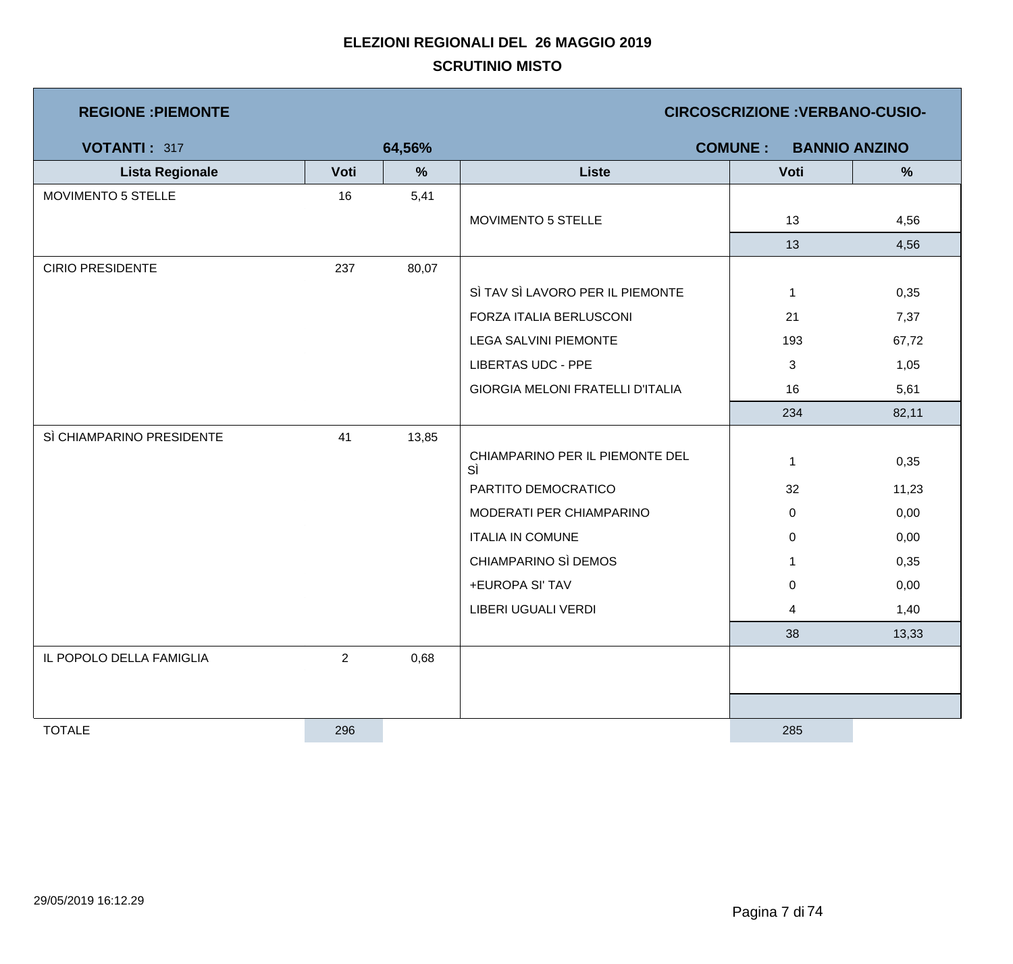| <b>REGIONE : PIEMONTE</b> |                |               | <b>CIRCOSCRIZIONE : VERBANO-CUSIO-</b>  |                |                      |  |  |
|---------------------------|----------------|---------------|-----------------------------------------|----------------|----------------------|--|--|
| VOTANTI: 317              |                | 64,56%        |                                         | <b>COMUNE:</b> | <b>BANNIO ANZINO</b> |  |  |
| <b>Lista Regionale</b>    | Voti           | $\frac{9}{6}$ | <b>Liste</b>                            | Voti           | $\frac{0}{0}$        |  |  |
| MOVIMENTO 5 STELLE        | 16             | 5,41          |                                         |                |                      |  |  |
|                           |                |               | MOVIMENTO 5 STELLE                      | 13             | 4,56                 |  |  |
|                           |                |               |                                         | 13             | 4,56                 |  |  |
| <b>CIRIO PRESIDENTE</b>   | 237            | 80,07         |                                         |                |                      |  |  |
|                           |                |               | SÌ TAV SÌ LAVORO PER IL PIEMONTE        | $\mathbf{1}$   | 0,35                 |  |  |
|                           |                |               | FORZA ITALIA BERLUSCONI                 | 21             | 7,37                 |  |  |
|                           |                |               | <b>LEGA SALVINI PIEMONTE</b>            | 193            | 67,72                |  |  |
|                           |                |               | <b>LIBERTAS UDC - PPE</b>               | $\mathbf{3}$   | 1,05                 |  |  |
|                           |                |               | <b>GIORGIA MELONI FRATELLI D'ITALIA</b> | 16             | 5,61                 |  |  |
|                           |                |               |                                         | 234            | 82,11                |  |  |
| SÌ CHIAMPARINO PRESIDENTE | 41             | 13,85         |                                         |                |                      |  |  |
|                           |                |               | CHIAMPARINO PER IL PIEMONTE DEL<br>SÌ   | $\mathbf{1}$   | 0,35                 |  |  |
|                           |                |               | PARTITO DEMOCRATICO                     | 32             | 11,23                |  |  |
|                           |                |               | MODERATI PER CHIAMPARINO                | $\overline{0}$ | 0,00                 |  |  |
|                           |                |               | <b>ITALIA IN COMUNE</b>                 | $\overline{0}$ | 0,00                 |  |  |
|                           |                |               | CHIAMPARINO SÌ DEMOS                    | $\mathbf{1}$   | 0,35                 |  |  |
|                           |                |               | +EUROPA SI' TAV                         | $\mathbf 0$    | 0,00                 |  |  |
|                           |                |               | LIBERI UGUALI VERDI                     | 4              | 1,40                 |  |  |
|                           |                |               |                                         | 38             | 13,33                |  |  |
| IL POPOLO DELLA FAMIGLIA  | $\overline{2}$ | 0,68          |                                         |                |                      |  |  |
|                           |                |               |                                         |                |                      |  |  |
|                           |                |               |                                         |                |                      |  |  |
| <b>TOTALE</b>             | 296            |               |                                         | 285            |                      |  |  |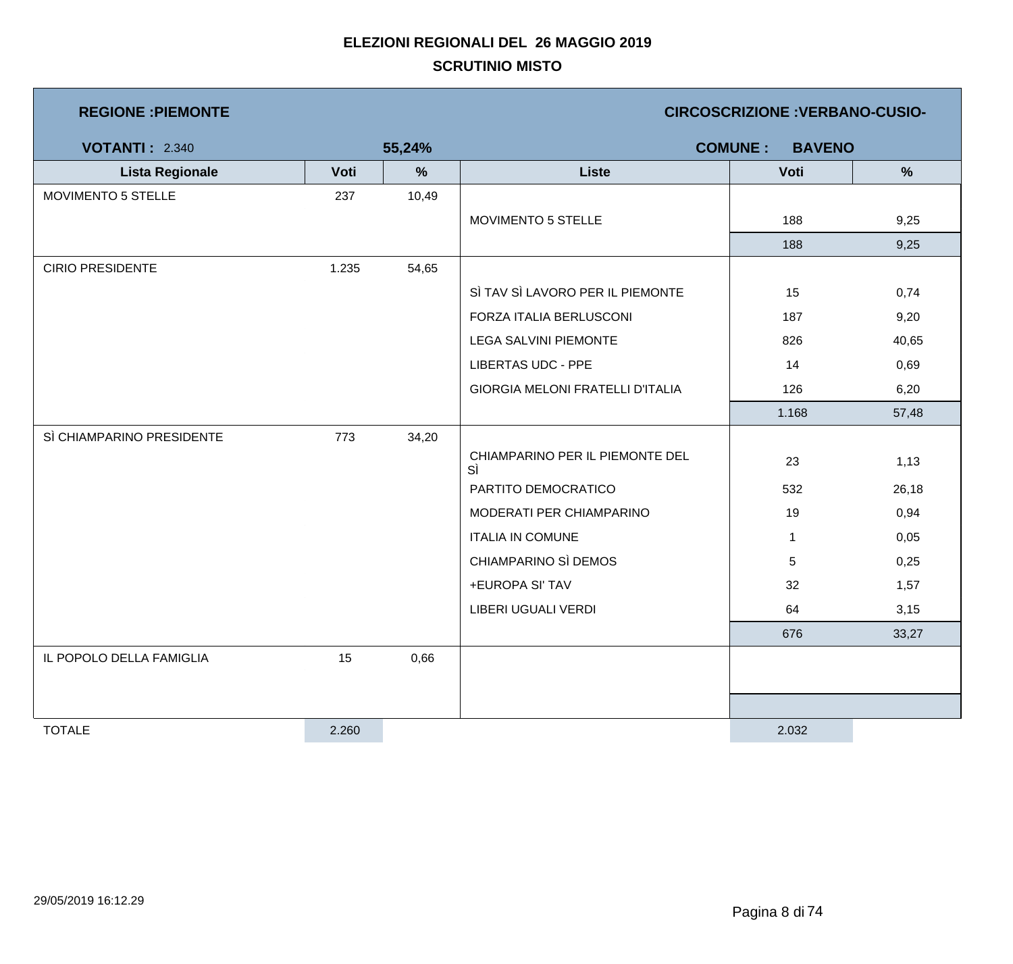| <b>REGIONE : PIEMONTE</b> |       |        | <b>CIRCOSCRIZIONE : VERBANO-CUSIO-</b>  |                                 |               |  |  |
|---------------------------|-------|--------|-----------------------------------------|---------------------------------|---------------|--|--|
| <b>VOTANTI: 2.340</b>     |       | 55,24% |                                         | <b>COMUNE:</b><br><b>BAVENO</b> |               |  |  |
| <b>Lista Regionale</b>    | Voti  | %      | <b>Liste</b>                            | Voti                            | $\frac{9}{6}$ |  |  |
| MOVIMENTO 5 STELLE        | 237   | 10,49  |                                         |                                 |               |  |  |
|                           |       |        | MOVIMENTO 5 STELLE                      | 188                             | 9,25          |  |  |
|                           |       |        |                                         | 188                             | 9,25          |  |  |
| <b>CIRIO PRESIDENTE</b>   | 1.235 | 54,65  |                                         |                                 |               |  |  |
|                           |       |        | SÌ TAV SÌ LAVORO PER IL PIEMONTE        | 15                              | 0,74          |  |  |
|                           |       |        | FORZA ITALIA BERLUSCONI                 | 187                             | 9,20          |  |  |
|                           |       |        | <b>LEGA SALVINI PIEMONTE</b>            | 826                             | 40,65         |  |  |
|                           |       |        | <b>LIBERTAS UDC - PPE</b>               | 14                              | 0,69          |  |  |
|                           |       |        | <b>GIORGIA MELONI FRATELLI D'ITALIA</b> | 126                             | 6,20          |  |  |
|                           |       |        |                                         | 1.168                           | 57,48         |  |  |
| SÌ CHIAMPARINO PRESIDENTE | 773   | 34,20  |                                         |                                 |               |  |  |
|                           |       |        | CHIAMPARINO PER IL PIEMONTE DEL<br>SÌ   | 23                              | 1,13          |  |  |
|                           |       |        | PARTITO DEMOCRATICO                     | 532                             | 26,18         |  |  |
|                           |       |        | MODERATI PER CHIAMPARINO                | 19                              | 0,94          |  |  |
|                           |       |        | <b>ITALIA IN COMUNE</b>                 | $\mathbf{1}$                    | 0,05          |  |  |
|                           |       |        | CHIAMPARINO SÌ DEMOS                    | $\sqrt{5}$                      | 0,25          |  |  |
|                           |       |        | +EUROPA SI' TAV                         | 32                              | 1,57          |  |  |
|                           |       |        | LIBERI UGUALI VERDI                     | 64                              | 3,15          |  |  |
|                           |       |        |                                         | 676                             | 33,27         |  |  |
| IL POPOLO DELLA FAMIGLIA  | 15    | 0,66   |                                         |                                 |               |  |  |
|                           |       |        |                                         |                                 |               |  |  |
|                           |       |        |                                         |                                 |               |  |  |
| <b>TOTALE</b>             | 2.260 |        |                                         | 2.032                           |               |  |  |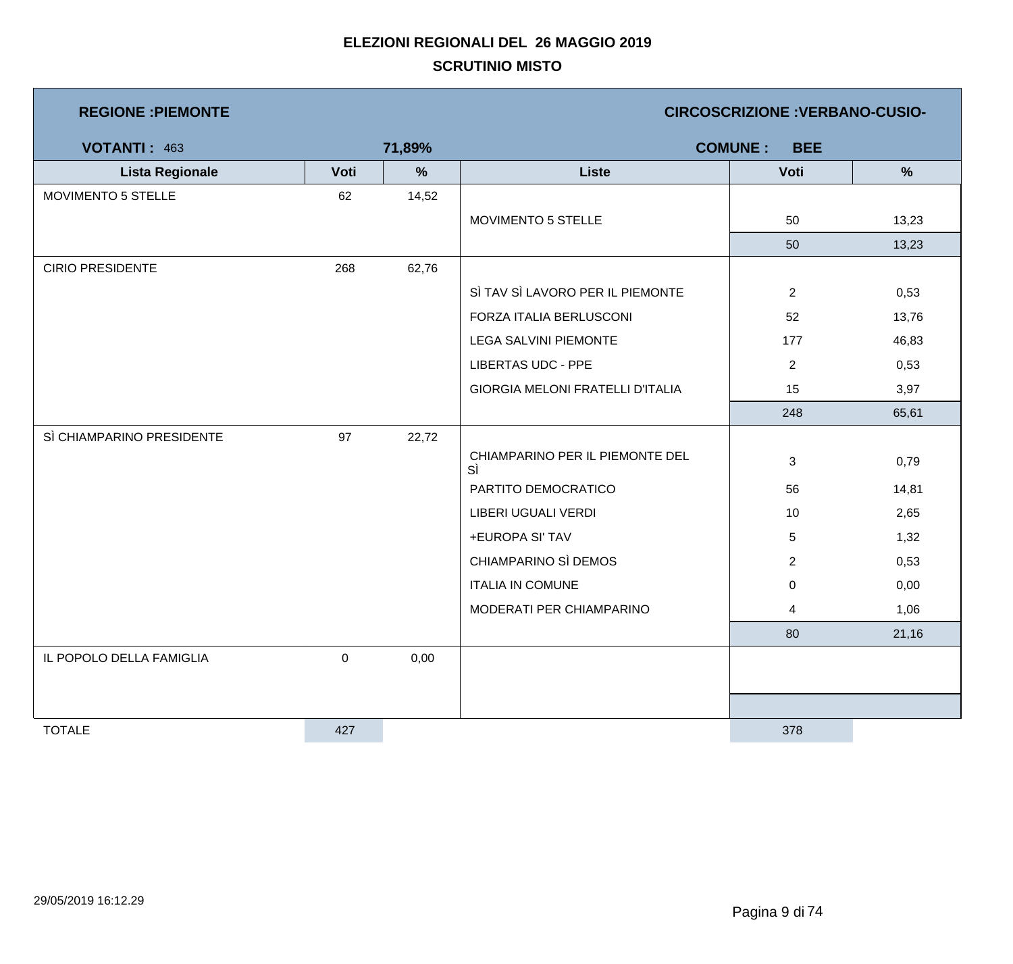| <b>REGIONE : PIEMONTE</b> |           |        | <b>CIRCOSCRIZIONE : VERBANO-CUSIO-</b>  |                              |               |  |  |
|---------------------------|-----------|--------|-----------------------------------------|------------------------------|---------------|--|--|
| <b>VOTANTI: 463</b>       |           | 71,89% |                                         | <b>COMUNE:</b><br><b>BEE</b> |               |  |  |
| <b>Lista Regionale</b>    | Voti      | %      | <b>Liste</b>                            | Voti                         | $\frac{9}{6}$ |  |  |
| MOVIMENTO 5 STELLE        | 62        | 14,52  |                                         |                              |               |  |  |
|                           |           |        | MOVIMENTO 5 STELLE                      | 50                           | 13,23         |  |  |
|                           |           |        |                                         | 50                           | 13,23         |  |  |
| <b>CIRIO PRESIDENTE</b>   | 268       | 62,76  |                                         |                              |               |  |  |
|                           |           |        | SÌ TAV SÌ LAVORO PER IL PIEMONTE        | $\overline{2}$               | 0,53          |  |  |
|                           |           |        | FORZA ITALIA BERLUSCONI                 | 52                           | 13,76         |  |  |
|                           |           |        | <b>LEGA SALVINI PIEMONTE</b>            | 177                          | 46,83         |  |  |
|                           |           |        | <b>LIBERTAS UDC - PPE</b>               | $\overline{2}$               | 0,53          |  |  |
|                           |           |        | <b>GIORGIA MELONI FRATELLI D'ITALIA</b> | 15                           | 3,97          |  |  |
|                           |           |        |                                         | 248                          | 65,61         |  |  |
| SÌ CHIAMPARINO PRESIDENTE | 97        | 22,72  |                                         |                              |               |  |  |
|                           |           |        | CHIAMPARINO PER IL PIEMONTE DEL<br>SÌ   | 3                            | 0,79          |  |  |
|                           |           |        | PARTITO DEMOCRATICO                     | 56                           | 14,81         |  |  |
|                           |           |        | LIBERI UGUALI VERDI                     | 10                           | 2,65          |  |  |
|                           |           |        | +EUROPA SI' TAV                         | 5                            | 1,32          |  |  |
|                           |           |        | CHIAMPARINO SÌ DEMOS                    | $\overline{c}$               | 0,53          |  |  |
|                           |           |        | <b>ITALIA IN COMUNE</b>                 | $\mathbf 0$                  | 0,00          |  |  |
|                           |           |        | MODERATI PER CHIAMPARINO                | 4                            | 1,06          |  |  |
|                           |           |        |                                         | 80                           | 21,16         |  |  |
| IL POPOLO DELLA FAMIGLIA  | $\pmb{0}$ | 0,00   |                                         |                              |               |  |  |
|                           |           |        |                                         |                              |               |  |  |
|                           |           |        |                                         |                              |               |  |  |
| <b>TOTALE</b>             | 427       |        |                                         | 378                          |               |  |  |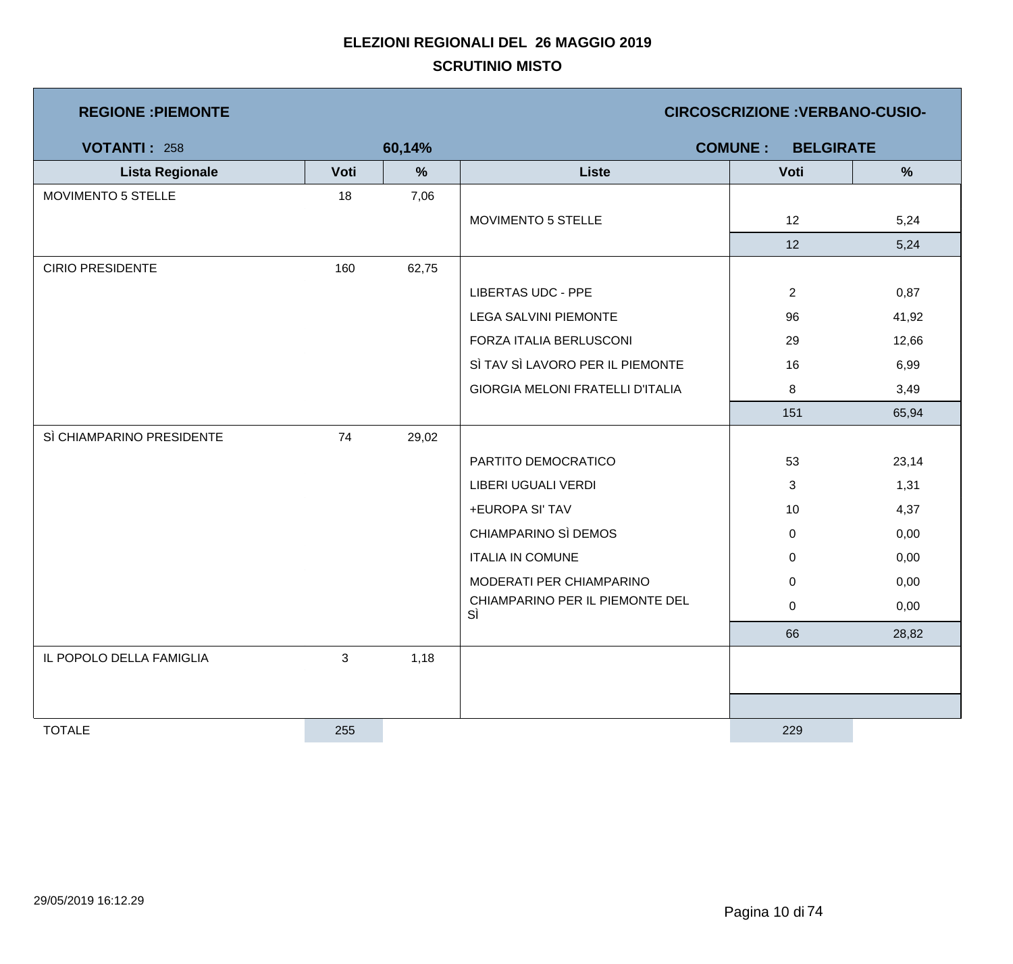| <b>REGIONE : PIEMONTE</b> |                           |        | <b>CIRCOSCRIZIONE : VERBANO-CUSIO-</b>  |                                    |       |  |  |
|---------------------------|---------------------------|--------|-----------------------------------------|------------------------------------|-------|--|--|
| <b>VOTANTI: 258</b>       |                           | 60,14% |                                         | <b>COMUNE:</b><br><b>BELGIRATE</b> |       |  |  |
| <b>Lista Regionale</b>    | Voti                      | $\%$   | <b>Liste</b>                            | Voti                               | %     |  |  |
| MOVIMENTO 5 STELLE        | 18                        | 7,06   |                                         |                                    |       |  |  |
|                           |                           |        | MOVIMENTO 5 STELLE                      | 12                                 | 5,24  |  |  |
|                           |                           |        |                                         | 12                                 | 5,24  |  |  |
| <b>CIRIO PRESIDENTE</b>   | 160                       | 62,75  |                                         |                                    |       |  |  |
|                           |                           |        | <b>LIBERTAS UDC - PPE</b>               | $\overline{2}$                     | 0,87  |  |  |
|                           |                           |        | <b>LEGA SALVINI PIEMONTE</b>            | 96                                 | 41,92 |  |  |
|                           |                           |        | FORZA ITALIA BERLUSCONI                 | 29                                 | 12,66 |  |  |
|                           |                           |        | SÌ TAV SÌ LAVORO PER IL PIEMONTE        | 16                                 | 6,99  |  |  |
|                           |                           |        | <b>GIORGIA MELONI FRATELLI D'ITALIA</b> | 8                                  | 3,49  |  |  |
|                           |                           |        |                                         | 151                                | 65,94 |  |  |
| SÌ CHIAMPARINO PRESIDENTE | 74                        | 29,02  |                                         |                                    |       |  |  |
|                           |                           |        | PARTITO DEMOCRATICO                     | 53                                 | 23,14 |  |  |
|                           |                           |        | LIBERI UGUALI VERDI                     | 3                                  | 1,31  |  |  |
|                           |                           |        | +EUROPA SI' TAV                         | 10                                 | 4,37  |  |  |
|                           |                           |        | CHIAMPARINO SÌ DEMOS                    | $\mathbf 0$                        | 0,00  |  |  |
|                           |                           |        | <b>ITALIA IN COMUNE</b>                 | $\mathbf 0$                        | 0,00  |  |  |
|                           |                           |        | MODERATI PER CHIAMPARINO                | $\mathbf 0$                        | 0,00  |  |  |
|                           |                           |        | CHIAMPARINO PER IL PIEMONTE DEL<br>SÌ   | 0                                  | 0,00  |  |  |
|                           |                           |        |                                         | 66                                 | 28,82 |  |  |
| IL POPOLO DELLA FAMIGLIA  | $\ensuremath{\mathsf{3}}$ | 1,18   |                                         |                                    |       |  |  |
|                           |                           |        |                                         |                                    |       |  |  |
|                           |                           |        |                                         |                                    |       |  |  |
| <b>TOTALE</b>             | 255                       |        |                                         | 229                                |       |  |  |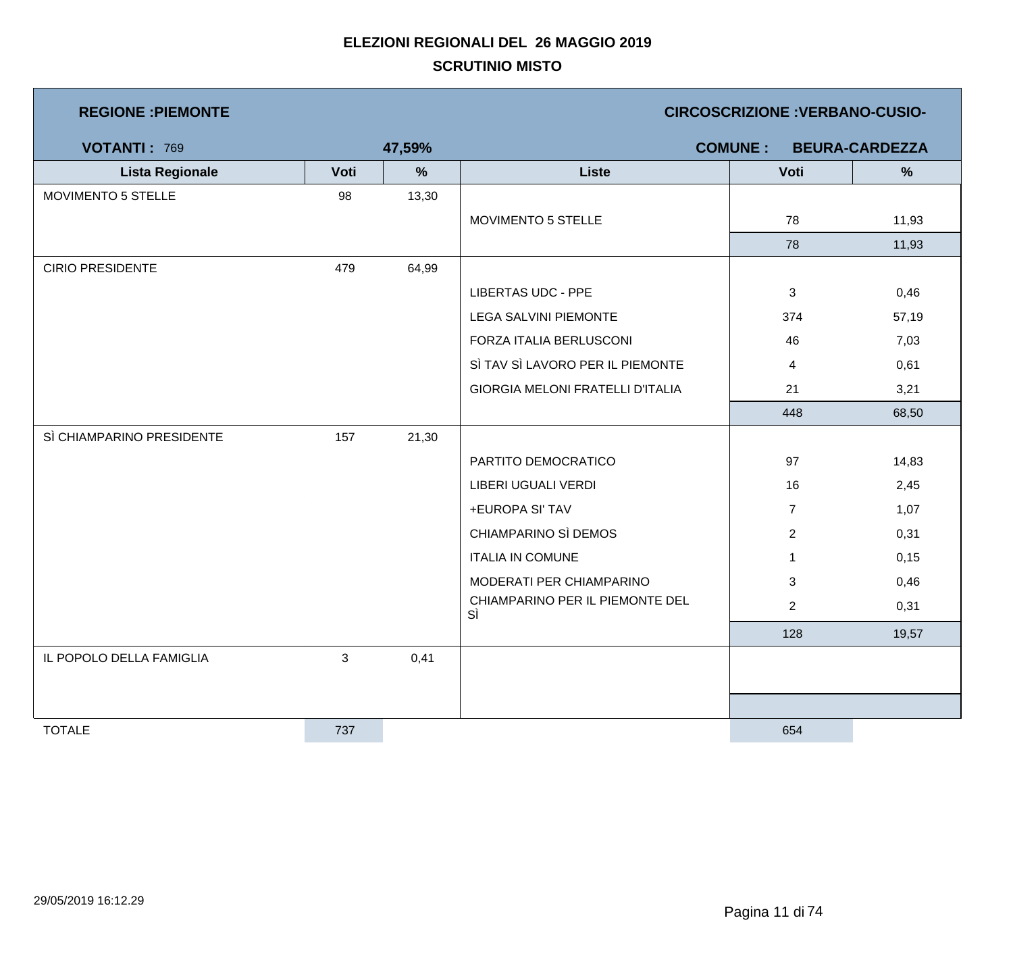| <b>REGIONE : PIEMONTE</b> |            |               | <b>CIRCOSCRIZIONE: VERBANO-CUSIO-</b>   |                |                       |  |
|---------------------------|------------|---------------|-----------------------------------------|----------------|-----------------------|--|
| <b>VOTANTI: 769</b>       |            | 47,59%        |                                         | <b>COMUNE:</b> | <b>BEURA-CARDEZZA</b> |  |
| <b>Lista Regionale</b>    | Voti       | $\frac{9}{6}$ | <b>Liste</b>                            | Voti           | %                     |  |
| <b>MOVIMENTO 5 STELLE</b> | 98         | 13,30         |                                         |                |                       |  |
|                           |            |               | MOVIMENTO 5 STELLE                      | 78             | 11,93                 |  |
|                           |            |               |                                         | 78             | 11,93                 |  |
| <b>CIRIO PRESIDENTE</b>   | 479        | 64,99         |                                         |                |                       |  |
|                           |            |               | <b>LIBERTAS UDC - PPE</b>               | 3              | 0,46                  |  |
|                           |            |               | <b>LEGA SALVINI PIEMONTE</b>            | 374            | 57,19                 |  |
|                           |            |               | FORZA ITALIA BERLUSCONI                 | 46             | 7,03                  |  |
|                           |            |               | SÌ TAV SÌ LAVORO PER IL PIEMONTE        | 4              | 0,61                  |  |
|                           |            |               | <b>GIORGIA MELONI FRATELLI D'ITALIA</b> | 21             | 3,21                  |  |
|                           |            |               |                                         | 448            | 68,50                 |  |
| SÌ CHIAMPARINO PRESIDENTE | 157        | 21,30         |                                         |                |                       |  |
|                           |            |               | PARTITO DEMOCRATICO                     | 97             | 14,83                 |  |
|                           |            |               | LIBERI UGUALI VERDI                     | 16             | 2,45                  |  |
|                           |            |               | +EUROPA SI' TAV                         | $\overline{7}$ | 1,07                  |  |
|                           |            |               | CHIAMPARINO SÌ DEMOS                    | $\overline{2}$ | 0,31                  |  |
|                           |            |               | <b>ITALIA IN COMUNE</b>                 | $\mathbf 1$    | 0,15                  |  |
|                           |            |               | MODERATI PER CHIAMPARINO                | 3              | 0,46                  |  |
|                           |            |               | CHIAMPARINO PER IL PIEMONTE DEL<br>SÌ   | $\overline{2}$ | 0,31                  |  |
|                           |            |               |                                         | 128            | 19,57                 |  |
| IL POPOLO DELLA FAMIGLIA  | $\sqrt{3}$ | 0,41          |                                         |                |                       |  |
|                           |            |               |                                         |                |                       |  |
|                           |            |               |                                         |                |                       |  |
| <b>TOTALE</b>             | 737        |               |                                         | 654            |                       |  |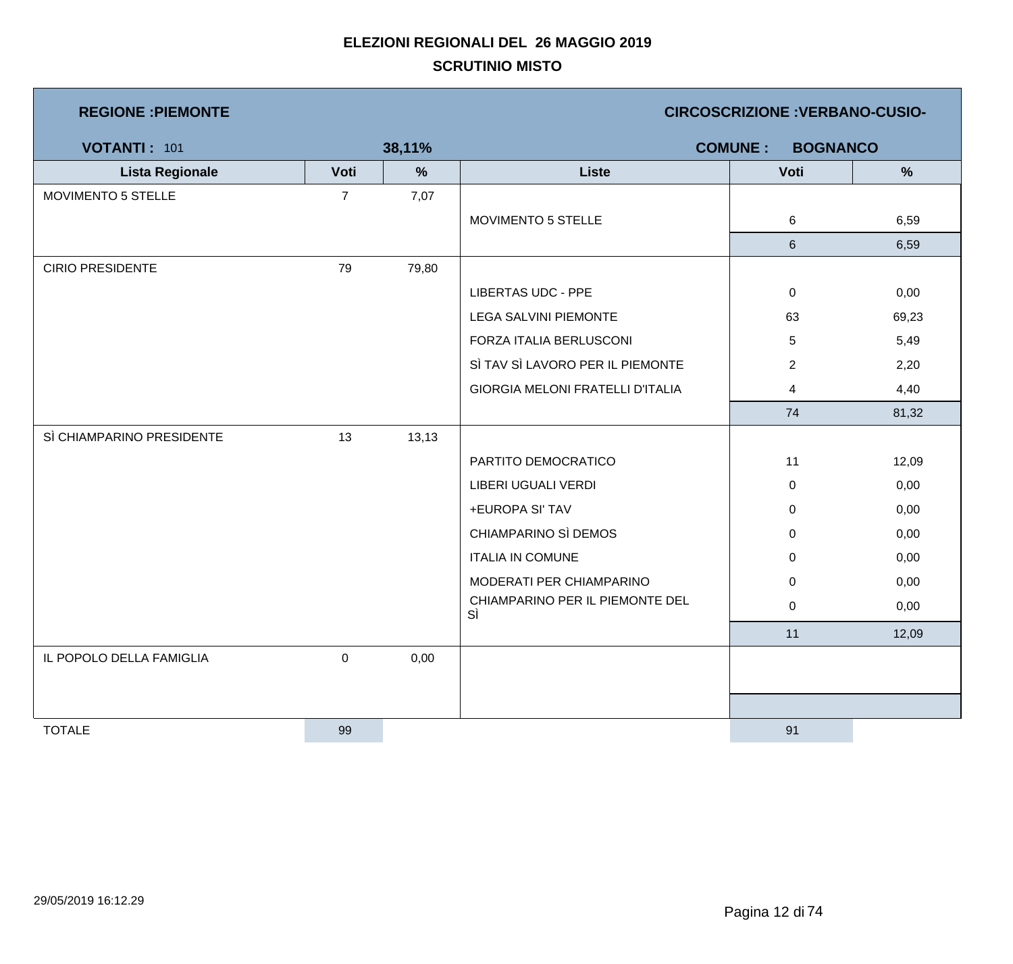| <b>REGIONE: PIEMONTE</b>  |                |        | <b>CIRCOSCRIZIONE : VERBANO-CUSIO-</b>  |                |               |  |
|---------------------------|----------------|--------|-----------------------------------------|----------------|---------------|--|
| VOTANTI: 101              |                | 38,11% | <b>COMUNE:</b><br><b>BOGNANCO</b>       |                |               |  |
| <b>Lista Regionale</b>    | Voti           | %      | <b>Liste</b>                            | Voti           | $\frac{9}{6}$ |  |
| MOVIMENTO 5 STELLE        | $\overline{7}$ | 7,07   |                                         |                |               |  |
|                           |                |        | MOVIMENTO 5 STELLE                      | 6              | 6,59          |  |
|                           |                |        |                                         | $\,6\,$        | 6,59          |  |
| <b>CIRIO PRESIDENTE</b>   | 79             | 79,80  |                                         |                |               |  |
|                           |                |        | <b>LIBERTAS UDC - PPE</b>               | $\mathbf 0$    | 0,00          |  |
|                           |                |        | <b>LEGA SALVINI PIEMONTE</b>            | 63             | 69,23         |  |
|                           |                |        | FORZA ITALIA BERLUSCONI                 | 5              | 5,49          |  |
|                           |                |        | SÌ TAV SÌ LAVORO PER IL PIEMONTE        | $\overline{2}$ | 2,20          |  |
|                           |                |        | <b>GIORGIA MELONI FRATELLI D'ITALIA</b> | 4              | 4,40          |  |
|                           |                |        |                                         | 74             | 81,32         |  |
| SÌ CHIAMPARINO PRESIDENTE | 13             | 13,13  |                                         |                |               |  |
|                           |                |        | PARTITO DEMOCRATICO                     | 11             | 12,09         |  |
|                           |                |        | LIBERI UGUALI VERDI                     | $\mathbf 0$    | 0,00          |  |
|                           |                |        | +EUROPA SI' TAV                         | $\mathbf 0$    | 0,00          |  |
|                           |                |        | CHIAMPARINO SÌ DEMOS                    | 0              | 0,00          |  |
|                           |                |        | <b>ITALIA IN COMUNE</b>                 | $\mathbf 0$    | 0,00          |  |
|                           |                |        | MODERATI PER CHIAMPARINO                | $\pmb{0}$      | 0,00          |  |
|                           |                |        | CHIAMPARINO PER IL PIEMONTE DEL<br>SÌ   | 0              | 0,00          |  |
|                           |                |        |                                         | 11             | 12,09         |  |
| IL POPOLO DELLA FAMIGLIA  | $\pmb{0}$      | 0,00   |                                         |                |               |  |
|                           |                |        |                                         |                |               |  |
|                           |                |        |                                         |                |               |  |
| <b>TOTALE</b>             | 99             |        |                                         | 91             |               |  |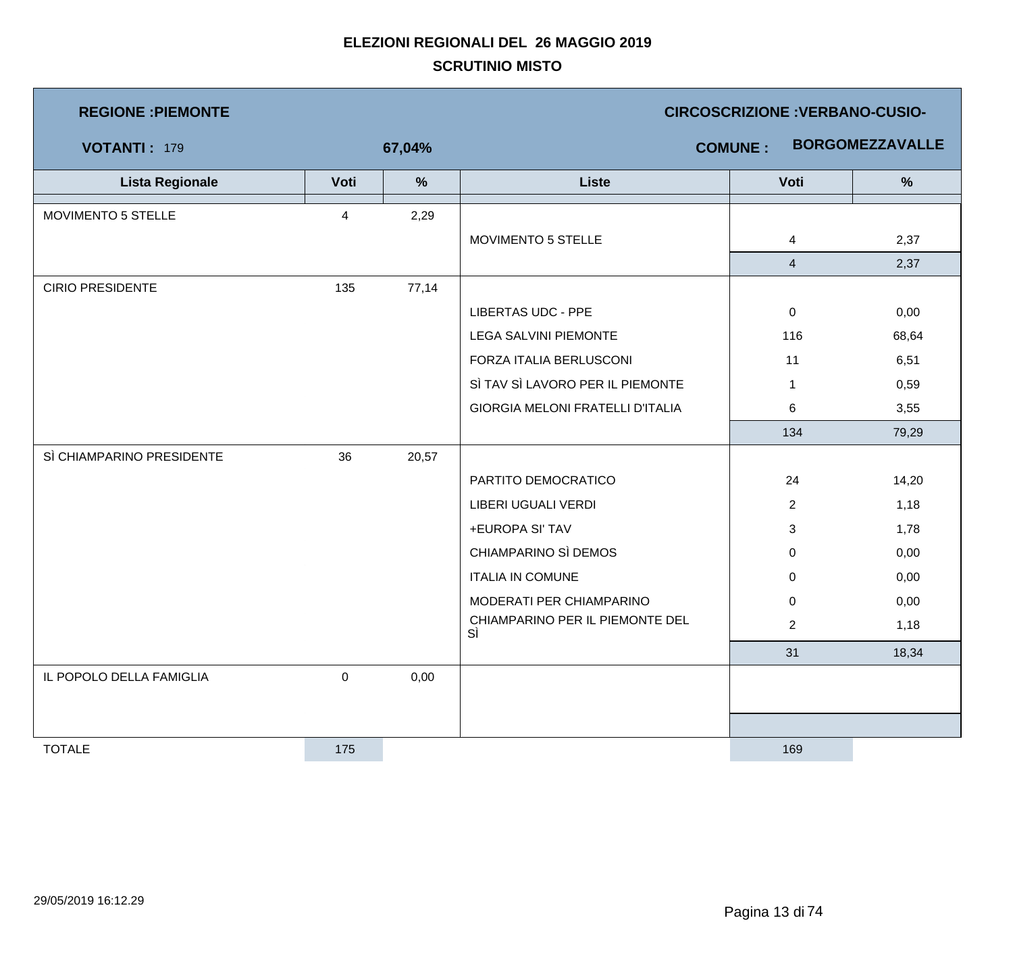| <b>REGIONE : PIEMONTE</b> |             |        | <b>CIRCOSCRIZIONE : VERBANO-CUSIO-</b>  |                |                        |  |  |
|---------------------------|-------------|--------|-----------------------------------------|----------------|------------------------|--|--|
| <b>VOTANTI: 179</b>       |             | 67,04% |                                         | <b>COMUNE:</b> | <b>BORGOMEZZAVALLE</b> |  |  |
| <b>Lista Regionale</b>    | Voti        | $\%$   | <b>Liste</b>                            | Voti           | $\%$                   |  |  |
| MOVIMENTO 5 STELLE        | 4           | 2,29   |                                         |                |                        |  |  |
|                           |             |        | MOVIMENTO 5 STELLE                      | $\overline{4}$ | 2,37                   |  |  |
|                           |             |        |                                         | $\overline{4}$ | 2,37                   |  |  |
| <b>CIRIO PRESIDENTE</b>   | 135         | 77,14  |                                         |                |                        |  |  |
|                           |             |        | <b>LIBERTAS UDC - PPE</b>               | $\mathbf 0$    | 0,00                   |  |  |
|                           |             |        | <b>LEGA SALVINI PIEMONTE</b>            | 116            | 68,64                  |  |  |
|                           |             |        | FORZA ITALIA BERLUSCONI                 | 11             | 6,51                   |  |  |
|                           |             |        | SÌ TAV SÌ LAVORO PER IL PIEMONTE        | $\mathbf 1$    | 0,59                   |  |  |
|                           |             |        | <b>GIORGIA MELONI FRATELLI D'ITALIA</b> | 6              | 3,55                   |  |  |
|                           |             |        |                                         | 134            | 79,29                  |  |  |
| SÌ CHIAMPARINO PRESIDENTE | 36          | 20,57  |                                         |                |                        |  |  |
|                           |             |        | PARTITO DEMOCRATICO                     | 24             | 14,20                  |  |  |
|                           |             |        | LIBERI UGUALI VERDI                     | $\overline{2}$ | 1,18                   |  |  |
|                           |             |        | +EUROPA SI' TAV                         | 3              | 1,78                   |  |  |
|                           |             |        | CHIAMPARINO SÌ DEMOS                    | $\mathbf 0$    | 0,00                   |  |  |
|                           |             |        | <b>ITALIA IN COMUNE</b>                 | 0              | 0,00                   |  |  |
|                           |             |        | MODERATI PER CHIAMPARINO                | $\mathbf 0$    | 0,00                   |  |  |
|                           |             |        | CHIAMPARINO PER IL PIEMONTE DEL<br>SÌ   | $\overline{2}$ | 1,18                   |  |  |
|                           |             |        |                                         | 31             | 18,34                  |  |  |
| IL POPOLO DELLA FAMIGLIA  | $\mathbf 0$ | 0,00   |                                         |                |                        |  |  |
|                           |             |        |                                         |                |                        |  |  |
|                           |             |        |                                         |                |                        |  |  |
| <b>TOTALE</b>             | 175         |        |                                         | 169            |                        |  |  |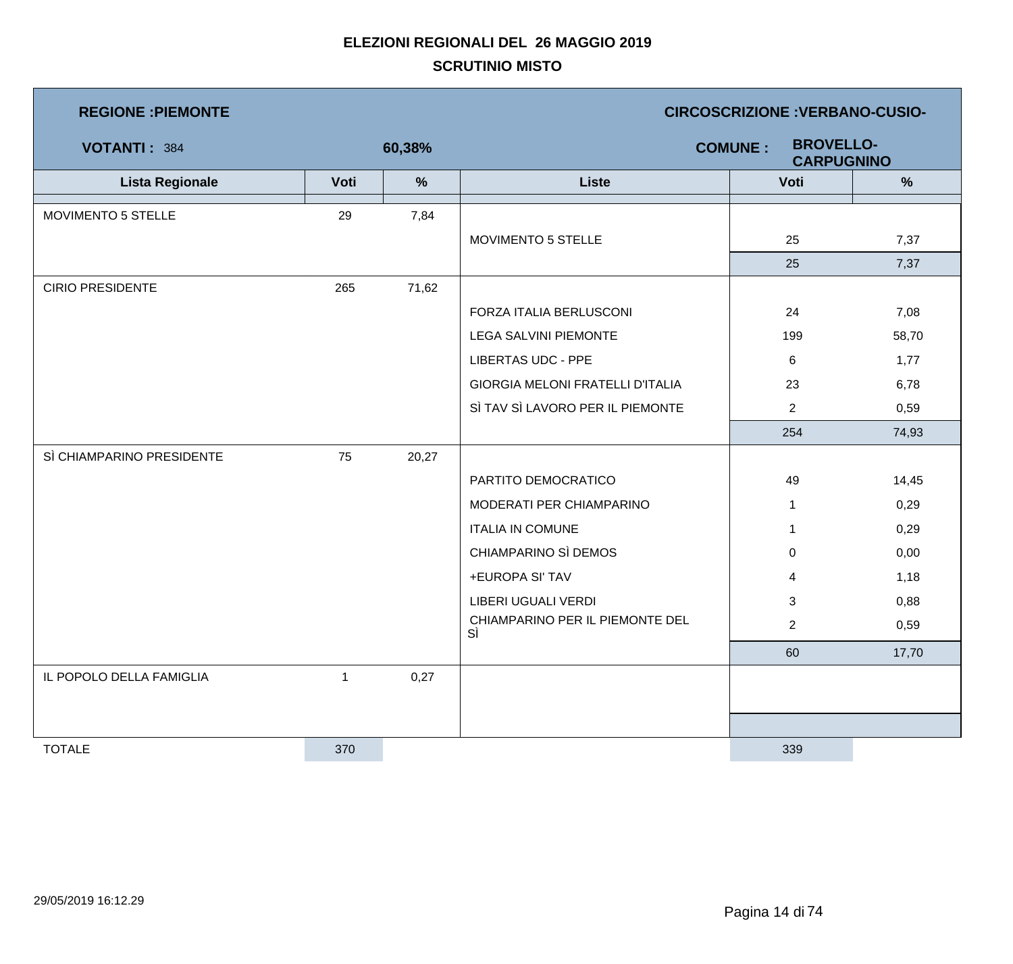| <b>REGIONE : PIEMONTE</b> |              |        | <b>CIRCOSCRIZIONE : VERBANO-CUSIO-</b>                  |                |               |  |  |
|---------------------------|--------------|--------|---------------------------------------------------------|----------------|---------------|--|--|
| VOTANTI: 384              |              | 60,38% | <b>BROVELLO-</b><br><b>COMUNE:</b><br><b>CARPUGNINO</b> |                |               |  |  |
| <b>Lista Regionale</b>    | Voti         | $\%$   | <b>Liste</b>                                            | Voti           | $\frac{9}{6}$ |  |  |
| MOVIMENTO 5 STELLE        | 29           | 7,84   |                                                         |                |               |  |  |
|                           |              |        | MOVIMENTO 5 STELLE                                      | 25             | 7,37          |  |  |
|                           |              |        |                                                         | 25             | 7,37          |  |  |
| <b>CIRIO PRESIDENTE</b>   | 265          | 71,62  |                                                         |                |               |  |  |
|                           |              |        | FORZA ITALIA BERLUSCONI                                 | 24             | 7,08          |  |  |
|                           |              |        | <b>LEGA SALVINI PIEMONTE</b>                            | 199            | 58,70         |  |  |
|                           |              |        | <b>LIBERTAS UDC - PPE</b>                               | 6              | 1,77          |  |  |
|                           |              |        | GIORGIA MELONI FRATELLI D'ITALIA                        | 23             | 6,78          |  |  |
|                           |              |        | SÌ TAV SÌ LAVORO PER IL PIEMONTE                        | $\overline{2}$ | 0,59          |  |  |
|                           |              |        |                                                         | 254            | 74,93         |  |  |
| SÌ CHIAMPARINO PRESIDENTE | 75           | 20,27  |                                                         |                |               |  |  |
|                           |              |        | PARTITO DEMOCRATICO                                     | 49             | 14,45         |  |  |
|                           |              |        | MODERATI PER CHIAMPARINO                                | $\mathbf{1}$   | 0,29          |  |  |
|                           |              |        | <b>ITALIA IN COMUNE</b>                                 | $\mathbf 1$    | 0,29          |  |  |
|                           |              |        | CHIAMPARINO SÌ DEMOS                                    | 0              | 0,00          |  |  |
|                           |              |        | +EUROPA SI' TAV                                         | 4              | 1,18          |  |  |
|                           |              |        | LIBERI UGUALI VERDI                                     | 3              | 0,88          |  |  |
|                           |              |        | CHIAMPARINO PER IL PIEMONTE DEL<br>SÌ                   | $\overline{2}$ | 0,59          |  |  |
|                           |              |        |                                                         | 60             | 17,70         |  |  |
| IL POPOLO DELLA FAMIGLIA  | $\mathbf{1}$ | 0,27   |                                                         |                |               |  |  |
|                           |              |        |                                                         |                |               |  |  |
|                           |              |        |                                                         |                |               |  |  |
| <b>TOTALE</b>             | 370          |        |                                                         | 339            |               |  |  |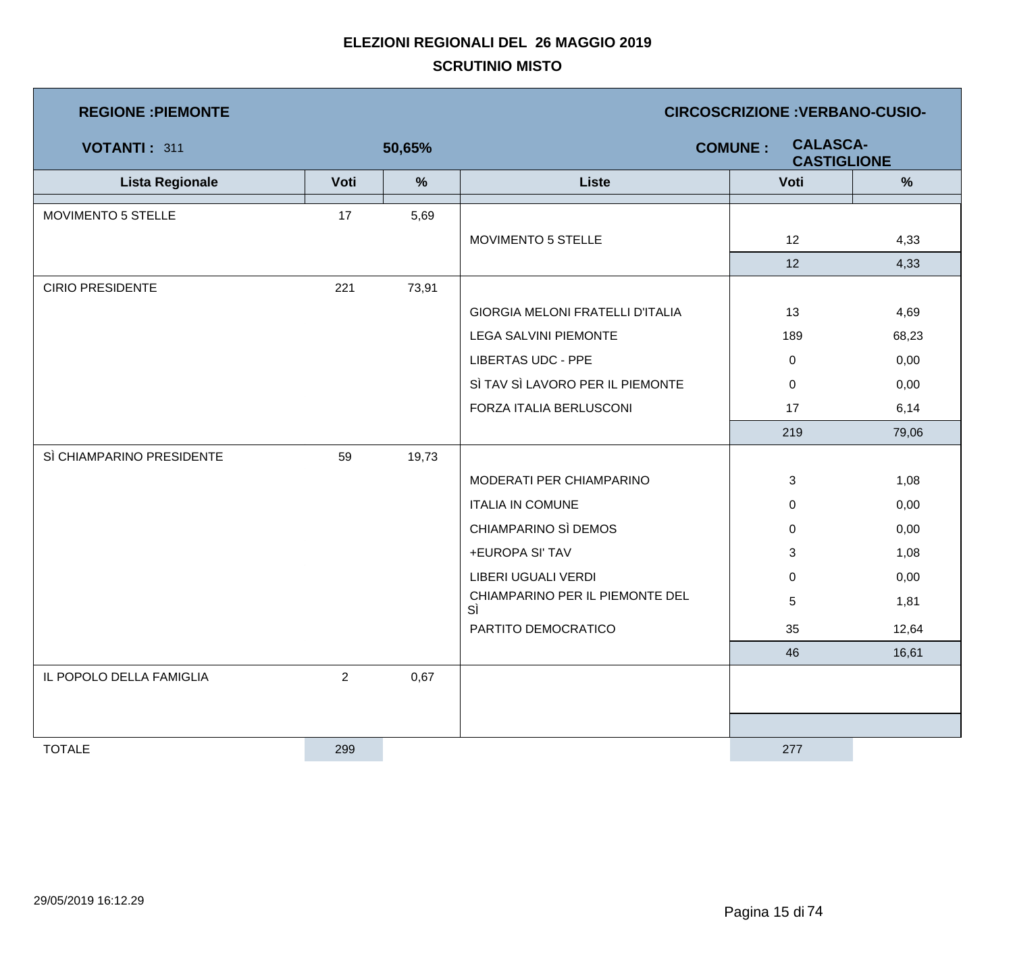| <b>REGIONE : PIEMONTE</b> |                |        | <b>CIRCOSCRIZIONE : VERBANO-CUSIO-</b>                  |             |       |  |  |
|---------------------------|----------------|--------|---------------------------------------------------------|-------------|-------|--|--|
| VOTANTI: 311              |                | 50,65% | <b>CALASCA-</b><br><b>COMUNE:</b><br><b>CASTIGLIONE</b> |             |       |  |  |
| <b>Lista Regionale</b>    | Voti           | $\%$   | <b>Liste</b>                                            | Voti        | %     |  |  |
| MOVIMENTO 5 STELLE        | 17             | 5,69   |                                                         |             |       |  |  |
|                           |                |        | MOVIMENTO 5 STELLE                                      | 12          | 4,33  |  |  |
|                           |                |        |                                                         | 12          | 4,33  |  |  |
| <b>CIRIO PRESIDENTE</b>   | 221            | 73,91  |                                                         |             |       |  |  |
|                           |                |        | <b>GIORGIA MELONI FRATELLI D'ITALIA</b>                 | 13          | 4,69  |  |  |
|                           |                |        | <b>LEGA SALVINI PIEMONTE</b>                            | 189         | 68,23 |  |  |
|                           |                |        | <b>LIBERTAS UDC - PPE</b>                               | $\mathbf 0$ | 0,00  |  |  |
|                           |                |        | SÌ TAV SÌ LAVORO PER IL PIEMONTE                        | 0           | 0,00  |  |  |
|                           |                |        | FORZA ITALIA BERLUSCONI                                 | 17          | 6,14  |  |  |
|                           |                |        |                                                         | 219         | 79,06 |  |  |
| SÌ CHIAMPARINO PRESIDENTE | 59             | 19,73  |                                                         |             |       |  |  |
|                           |                |        | MODERATI PER CHIAMPARINO                                | 3           | 1,08  |  |  |
|                           |                |        | <b>ITALIA IN COMUNE</b>                                 | 0           | 0,00  |  |  |
|                           |                |        | CHIAMPARINO SÌ DEMOS                                    | 0           | 0,00  |  |  |
|                           |                |        | +EUROPA SI' TAV                                         | 3           | 1,08  |  |  |
|                           |                |        | LIBERI UGUALI VERDI                                     | 0           | 0,00  |  |  |
|                           |                |        | CHIAMPARINO PER IL PIEMONTE DEL<br>SÌ                   | 5           | 1,81  |  |  |
|                           |                |        | PARTITO DEMOCRATICO                                     | 35          | 12,64 |  |  |
|                           |                |        |                                                         | 46          | 16,61 |  |  |
| IL POPOLO DELLA FAMIGLIA  | $\overline{2}$ | 0,67   |                                                         |             |       |  |  |
|                           |                |        |                                                         |             |       |  |  |
|                           |                |        |                                                         |             |       |  |  |
| <b>TOTALE</b>             | 299            |        |                                                         | 277         |       |  |  |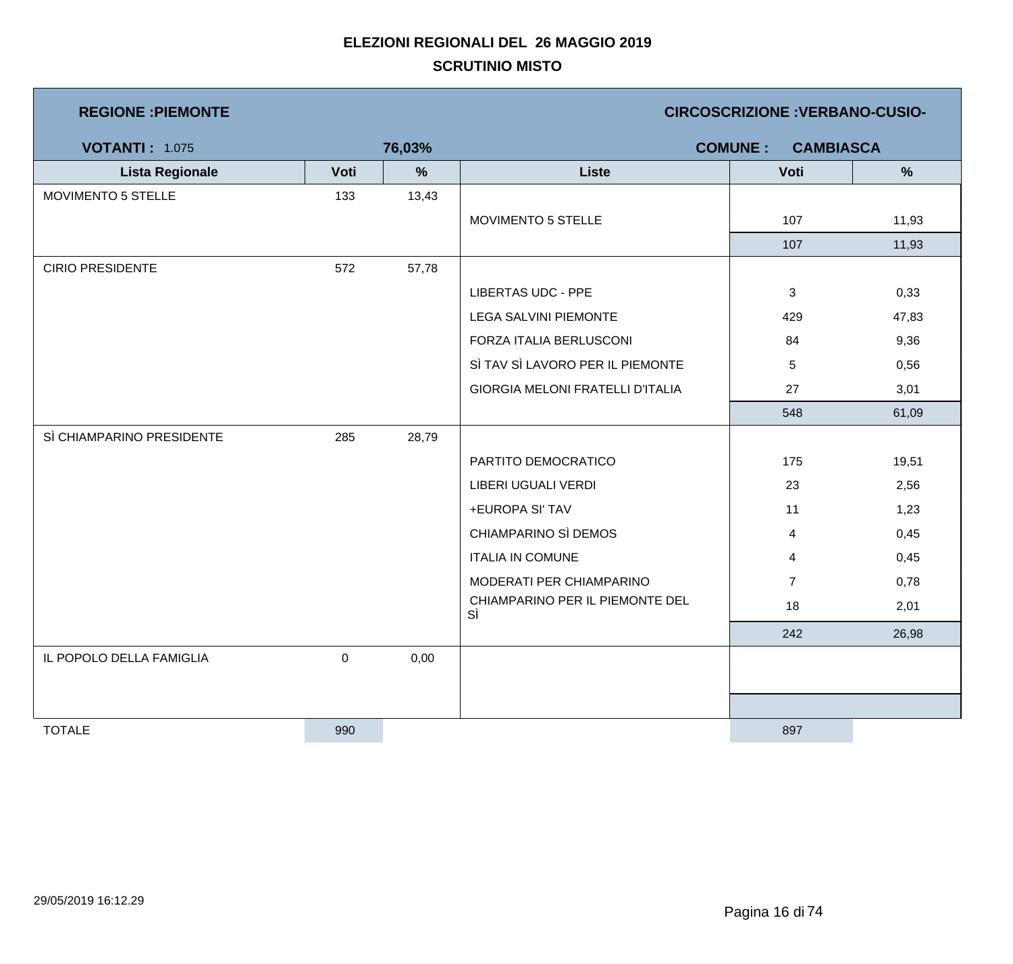| <b>REGIONE : PIEMONTE</b> |           |        | <b>CIRCOSCRIZIONE : VERBANO-CUSIO-</b>  |                                    |       |  |  |
|---------------------------|-----------|--------|-----------------------------------------|------------------------------------|-------|--|--|
| <b>VOTANTI: 1.075</b>     |           | 76,03% |                                         | <b>COMUNE:</b><br><b>CAMBIASCA</b> |       |  |  |
| <b>Lista Regionale</b>    | Voti      | %      | <b>Liste</b>                            | Voti                               | %     |  |  |
| MOVIMENTO 5 STELLE        | 133       | 13,43  |                                         |                                    |       |  |  |
|                           |           |        | MOVIMENTO 5 STELLE                      | 107                                | 11,93 |  |  |
|                           |           |        |                                         | 107                                | 11,93 |  |  |
| <b>CIRIO PRESIDENTE</b>   | 572       | 57,78  |                                         |                                    |       |  |  |
|                           |           |        | <b>LIBERTAS UDC - PPE</b>               | 3                                  | 0,33  |  |  |
|                           |           |        | <b>LEGA SALVINI PIEMONTE</b>            | 429                                | 47,83 |  |  |
|                           |           |        | FORZA ITALIA BERLUSCONI                 | 84                                 | 9,36  |  |  |
|                           |           |        | SÌ TAV SÌ LAVORO PER IL PIEMONTE        | 5                                  | 0,56  |  |  |
|                           |           |        | <b>GIORGIA MELONI FRATELLI D'ITALIA</b> | 27                                 | 3,01  |  |  |
|                           |           |        |                                         | 548                                | 61,09 |  |  |
| SÌ CHIAMPARINO PRESIDENTE | 285       | 28,79  |                                         |                                    |       |  |  |
|                           |           |        | PARTITO DEMOCRATICO                     | 175                                | 19,51 |  |  |
|                           |           |        | LIBERI UGUALI VERDI                     | 23                                 | 2,56  |  |  |
|                           |           |        | +EUROPA SI' TAV                         | 11                                 | 1,23  |  |  |
|                           |           |        | CHIAMPARINO SÌ DEMOS                    | 4                                  | 0,45  |  |  |
|                           |           |        | <b>ITALIA IN COMUNE</b>                 | 4                                  | 0,45  |  |  |
|                           |           |        | MODERATI PER CHIAMPARINO                | $\overline{7}$                     | 0,78  |  |  |
|                           |           |        | CHIAMPARINO PER IL PIEMONTE DEL<br>SÌ   | 18                                 | 2,01  |  |  |
|                           |           |        |                                         | 242                                | 26,98 |  |  |
| IL POPOLO DELLA FAMIGLIA  | $\pmb{0}$ | 0,00   |                                         |                                    |       |  |  |
|                           |           |        |                                         |                                    |       |  |  |
|                           |           |        |                                         |                                    |       |  |  |
| <b>TOTALE</b>             | 990       |        |                                         | 897                                |       |  |  |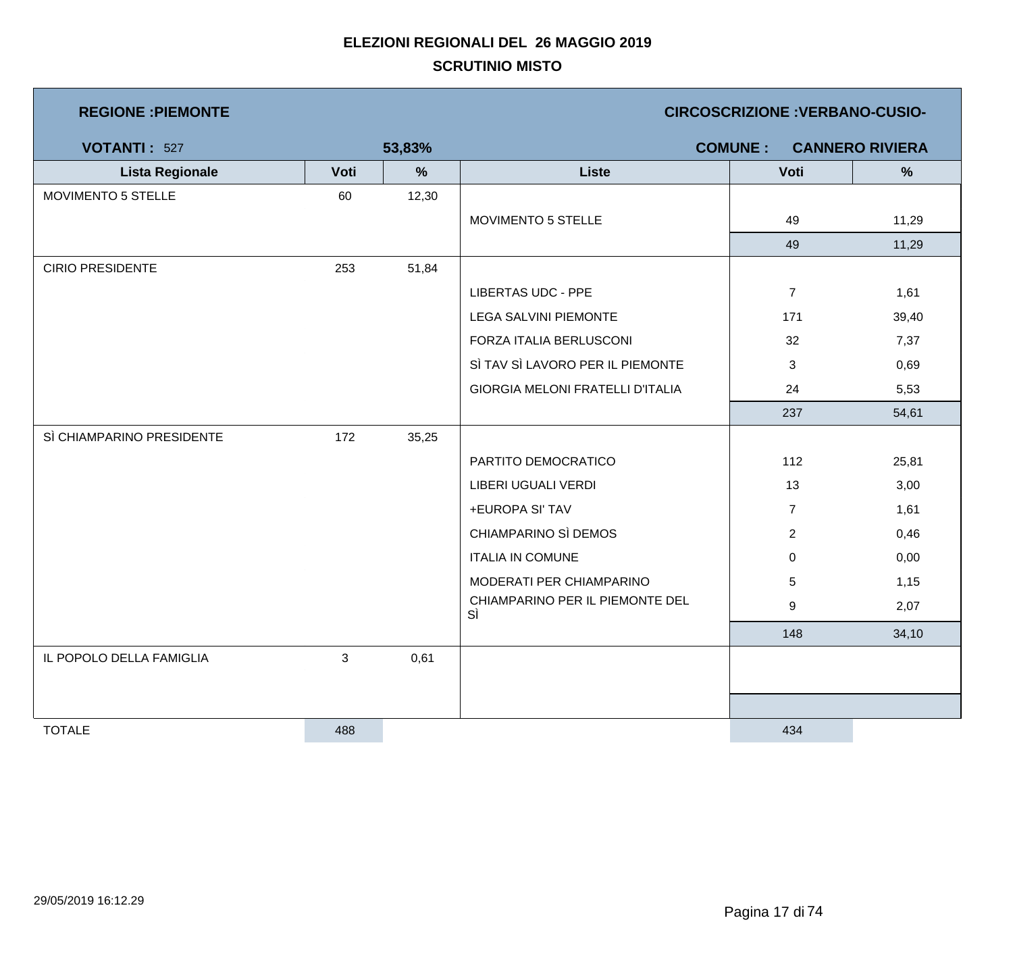| <b>REGIONE : PIEMONTE</b> |      |        | <b>CIRCOSCRIZIONE : VERBANO-CUSIO-</b>  |                |                        |  |  |
|---------------------------|------|--------|-----------------------------------------|----------------|------------------------|--|--|
| <b>VOTANTI: 527</b>       |      | 53,83% |                                         | <b>COMUNE:</b> | <b>CANNERO RIVIERA</b> |  |  |
| <b>Lista Regionale</b>    | Voti | %      | <b>Liste</b>                            | Voti           | %                      |  |  |
| MOVIMENTO 5 STELLE        | 60   | 12,30  |                                         |                |                        |  |  |
|                           |      |        | MOVIMENTO 5 STELLE                      | 49             | 11,29                  |  |  |
|                           |      |        |                                         | 49             | 11,29                  |  |  |
| <b>CIRIO PRESIDENTE</b>   | 253  | 51,84  |                                         |                |                        |  |  |
|                           |      |        | <b>LIBERTAS UDC - PPE</b>               | $\overline{7}$ | 1,61                   |  |  |
|                           |      |        | LEGA SALVINI PIEMONTE                   | 171            | 39,40                  |  |  |
|                           |      |        | FORZA ITALIA BERLUSCONI                 | 32             | 7,37                   |  |  |
|                           |      |        | SÌ TAV SÌ LAVORO PER IL PIEMONTE        | 3              | 0,69                   |  |  |
|                           |      |        | <b>GIORGIA MELONI FRATELLI D'ITALIA</b> | 24             | 5,53                   |  |  |
|                           |      |        |                                         | 237            | 54,61                  |  |  |
| SÌ CHIAMPARINO PRESIDENTE | 172  | 35,25  |                                         |                |                        |  |  |
|                           |      |        | PARTITO DEMOCRATICO                     | 112            | 25,81                  |  |  |
|                           |      |        | LIBERI UGUALI VERDI                     | 13             | 3,00                   |  |  |
|                           |      |        | +EUROPA SI' TAV                         | $\overline{7}$ | 1,61                   |  |  |
|                           |      |        | CHIAMPARINO SÌ DEMOS                    | $\overline{2}$ | 0,46                   |  |  |
|                           |      |        | <b>ITALIA IN COMUNE</b>                 | $\mathbf 0$    | 0,00                   |  |  |
|                           |      |        | MODERATI PER CHIAMPARINO                | 5              | 1,15                   |  |  |
|                           |      |        | CHIAMPARINO PER IL PIEMONTE DEL<br>SÌ   | 9              | 2,07                   |  |  |
|                           |      |        |                                         | 148            | 34,10                  |  |  |
| IL POPOLO DELLA FAMIGLIA  | 3    | 0,61   |                                         |                |                        |  |  |
|                           |      |        |                                         |                |                        |  |  |
|                           |      |        |                                         |                |                        |  |  |
| <b>TOTALE</b>             | 488  |        |                                         | 434            |                        |  |  |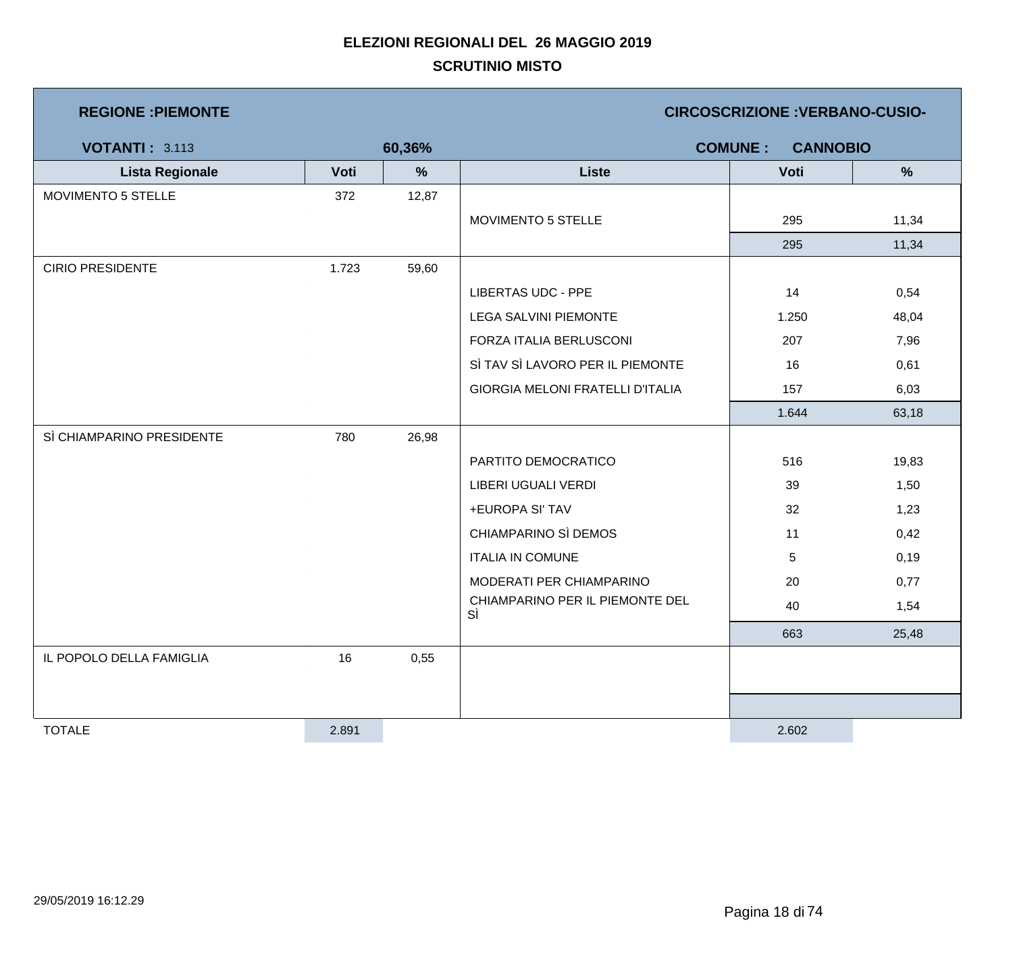| <b>REGIONE: PIEMONTE</b>  |       |        |                                         | <b>CIRCOSCRIZIONE : VERBANO-CUSIO-</b> |               |
|---------------------------|-------|--------|-----------------------------------------|----------------------------------------|---------------|
| <b>VOTANTI: 3.113</b>     |       | 60,36% |                                         | <b>COMUNE:</b><br><b>CANNOBIO</b>      |               |
| <b>Lista Regionale</b>    | Voti  | %      | <b>Liste</b>                            | Voti                                   | $\frac{9}{6}$ |
| MOVIMENTO 5 STELLE        | 372   | 12,87  |                                         |                                        |               |
|                           |       |        | MOVIMENTO 5 STELLE                      | 295                                    | 11,34         |
|                           |       |        |                                         | 295                                    | 11,34         |
| <b>CIRIO PRESIDENTE</b>   | 1.723 | 59,60  |                                         |                                        |               |
|                           |       |        | <b>LIBERTAS UDC - PPE</b>               | 14                                     | 0,54          |
|                           |       |        | <b>LEGA SALVINI PIEMONTE</b>            | 1.250                                  | 48,04         |
|                           |       |        | FORZA ITALIA BERLUSCONI                 | 207                                    | 7,96          |
|                           |       |        | SÌ TAV SÌ LAVORO PER IL PIEMONTE        | 16                                     | 0,61          |
|                           |       |        | <b>GIORGIA MELONI FRATELLI D'ITALIA</b> | 157                                    | 6,03          |
|                           |       |        |                                         | 1.644                                  | 63,18         |
| SÌ CHIAMPARINO PRESIDENTE | 780   | 26,98  |                                         |                                        |               |
|                           |       |        | PARTITO DEMOCRATICO                     | 516                                    | 19,83         |
|                           |       |        | LIBERI UGUALI VERDI                     | 39                                     | 1,50          |
|                           |       |        | +EUROPA SI' TAV                         | 32                                     | 1,23          |
|                           |       |        | CHIAMPARINO SÌ DEMOS                    | 11                                     | 0,42          |
|                           |       |        | <b>ITALIA IN COMUNE</b>                 | 5                                      | 0,19          |
|                           |       |        | MODERATI PER CHIAMPARINO                | 20                                     | 0,77          |
|                           |       |        | CHIAMPARINO PER IL PIEMONTE DEL<br>SÌ   | 40                                     | 1,54          |
|                           |       |        |                                         | 663                                    | 25,48         |
| IL POPOLO DELLA FAMIGLIA  | 16    | 0,55   |                                         |                                        |               |
|                           |       |        |                                         |                                        |               |
|                           |       |        |                                         |                                        |               |
| <b>TOTALE</b>             | 2.891 |        |                                         | 2.602                                  |               |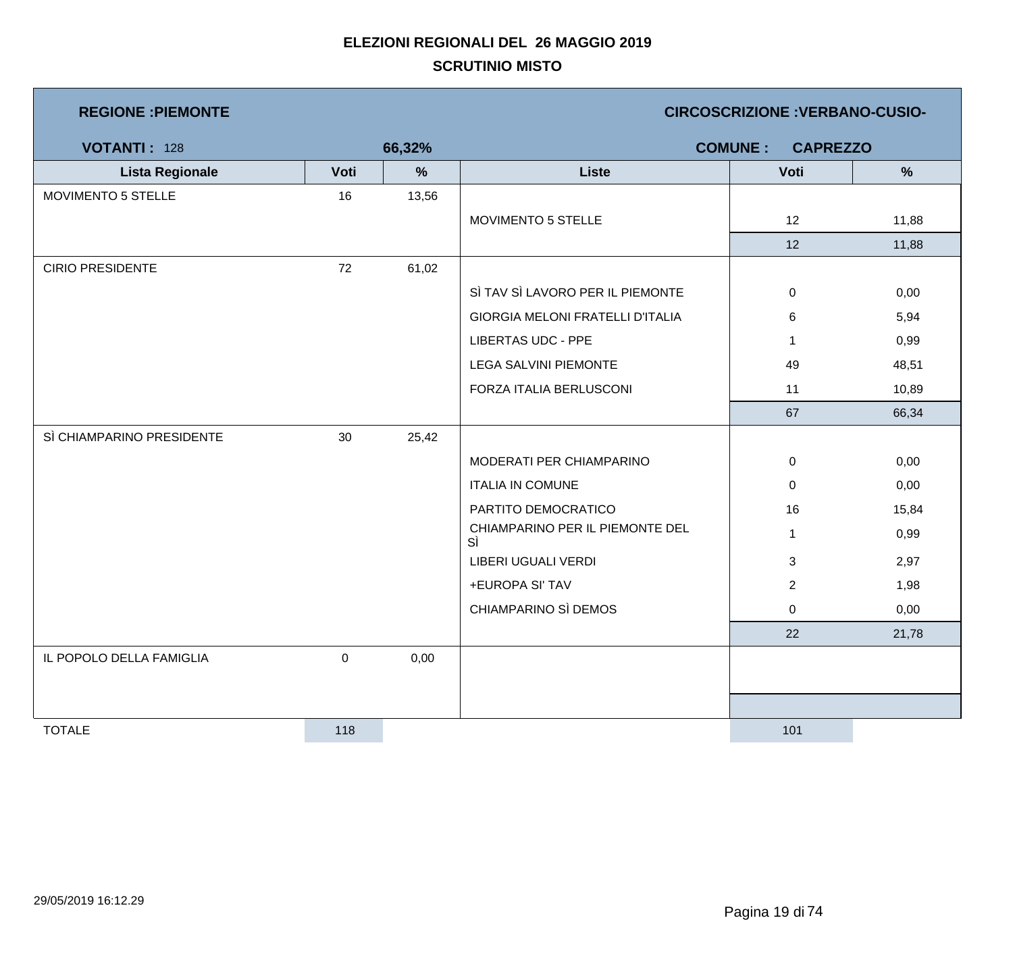| <b>REGIONE : PIEMONTE</b> |           |        |                                         | <b>CIRCOSCRIZIONE: VERBANO-CUSIO-</b> |               |
|---------------------------|-----------|--------|-----------------------------------------|---------------------------------------|---------------|
| <b>VOTANTI: 128</b>       |           | 66,32% |                                         | <b>COMUNE:</b><br><b>CAPREZZO</b>     |               |
| <b>Lista Regionale</b>    | Voti      | %      | <b>Liste</b>                            | Voti                                  | $\frac{9}{6}$ |
| MOVIMENTO 5 STELLE        | 16        | 13,56  |                                         |                                       |               |
|                           |           |        | MOVIMENTO 5 STELLE                      | 12                                    | 11,88         |
|                           |           |        |                                         | 12                                    | 11,88         |
| <b>CIRIO PRESIDENTE</b>   | 72        | 61,02  |                                         |                                       |               |
|                           |           |        | SÌ TAV SÌ LAVORO PER IL PIEMONTE        | $\mathbf 0$                           | 0,00          |
|                           |           |        | <b>GIORGIA MELONI FRATELLI D'ITALIA</b> | 6                                     | 5,94          |
|                           |           |        | <b>LIBERTAS UDC - PPE</b>               | $\mathbf{1}$                          | 0,99          |
|                           |           |        | <b>LEGA SALVINI PIEMONTE</b>            | 49                                    | 48,51         |
|                           |           |        | FORZA ITALIA BERLUSCONI                 | 11                                    | 10,89         |
|                           |           |        |                                         | 67                                    | 66,34         |
| SÌ CHIAMPARINO PRESIDENTE | 30        | 25,42  |                                         |                                       |               |
|                           |           |        | MODERATI PER CHIAMPARINO                | 0                                     | 0,00          |
|                           |           |        | <b>ITALIA IN COMUNE</b>                 | 0                                     | 0,00          |
|                           |           |        | PARTITO DEMOCRATICO                     | 16                                    | 15,84         |
|                           |           |        | CHIAMPARINO PER IL PIEMONTE DEL<br>SÌ   | $\mathbf{1}$                          | 0,99          |
|                           |           |        | LIBERI UGUALI VERDI                     | 3                                     | 2,97          |
|                           |           |        | +EUROPA SI' TAV                         | $\overline{2}$                        | 1,98          |
|                           |           |        | CHIAMPARINO SÌ DEMOS                    | 0                                     | 0,00          |
|                           |           |        |                                         | 22                                    | 21,78         |
| IL POPOLO DELLA FAMIGLIA  | $\pmb{0}$ | 0,00   |                                         |                                       |               |
|                           |           |        |                                         |                                       |               |
|                           |           |        |                                         |                                       |               |
| <b>TOTALE</b>             | 118       |        |                                         | 101                                   |               |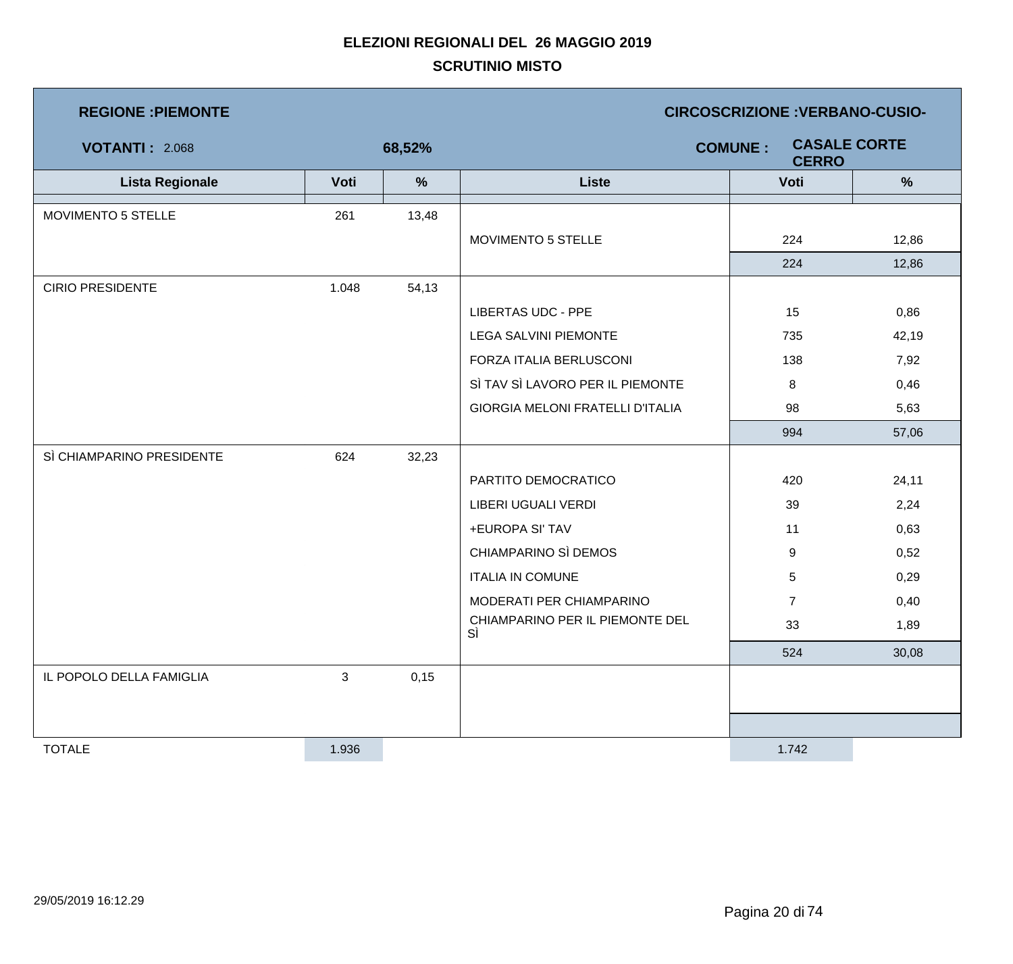| <b>REGIONE : PIEMONTE</b> |       |        | <b>CIRCOSCRIZIONE : VERBANO-CUSIO-</b>                |                |       |  |  |
|---------------------------|-------|--------|-------------------------------------------------------|----------------|-------|--|--|
| <b>VOTANTI: 2.068</b>     |       | 68,52% | <b>CASALE CORTE</b><br><b>COMUNE:</b><br><b>CERRO</b> |                |       |  |  |
| <b>Lista Regionale</b>    | Voti  | $\%$   | <b>Liste</b>                                          | Voti           | %     |  |  |
| MOVIMENTO 5 STELLE        | 261   | 13,48  |                                                       |                |       |  |  |
|                           |       |        | MOVIMENTO 5 STELLE                                    | 224            | 12,86 |  |  |
|                           |       |        |                                                       | 224            | 12,86 |  |  |
| <b>CIRIO PRESIDENTE</b>   | 1.048 | 54,13  |                                                       |                |       |  |  |
|                           |       |        | <b>LIBERTAS UDC - PPE</b>                             | 15             | 0,86  |  |  |
|                           |       |        | <b>LEGA SALVINI PIEMONTE</b>                          | 735            | 42,19 |  |  |
|                           |       |        | FORZA ITALIA BERLUSCONI                               | 138            | 7,92  |  |  |
|                           |       |        | SÌ TAV SÌ LAVORO PER IL PIEMONTE                      | 8              | 0,46  |  |  |
|                           |       |        | <b>GIORGIA MELONI FRATELLI D'ITALIA</b>               | 98             | 5,63  |  |  |
|                           |       |        |                                                       | 994            | 57,06 |  |  |
| SÌ CHIAMPARINO PRESIDENTE | 624   | 32,23  |                                                       |                |       |  |  |
|                           |       |        | PARTITO DEMOCRATICO                                   | 420            | 24,11 |  |  |
|                           |       |        | LIBERI UGUALI VERDI                                   | 39             | 2,24  |  |  |
|                           |       |        | +EUROPA SI' TAV                                       | 11             | 0,63  |  |  |
|                           |       |        | CHIAMPARINO SÌ DEMOS                                  | 9              | 0,52  |  |  |
|                           |       |        | <b>ITALIA IN COMUNE</b>                               | 5              | 0,29  |  |  |
|                           |       |        | MODERATI PER CHIAMPARINO                              | $\overline{7}$ | 0,40  |  |  |
|                           |       |        | CHIAMPARINO PER IL PIEMONTE DEL<br>SÌ                 | 33             | 1,89  |  |  |
|                           |       |        |                                                       | 524            | 30,08 |  |  |
| IL POPOLO DELLA FAMIGLIA  | 3     | 0,15   |                                                       |                |       |  |  |
|                           |       |        |                                                       |                |       |  |  |
|                           |       |        |                                                       |                |       |  |  |
| <b>TOTALE</b>             | 1.936 |        |                                                       | 1.742          |       |  |  |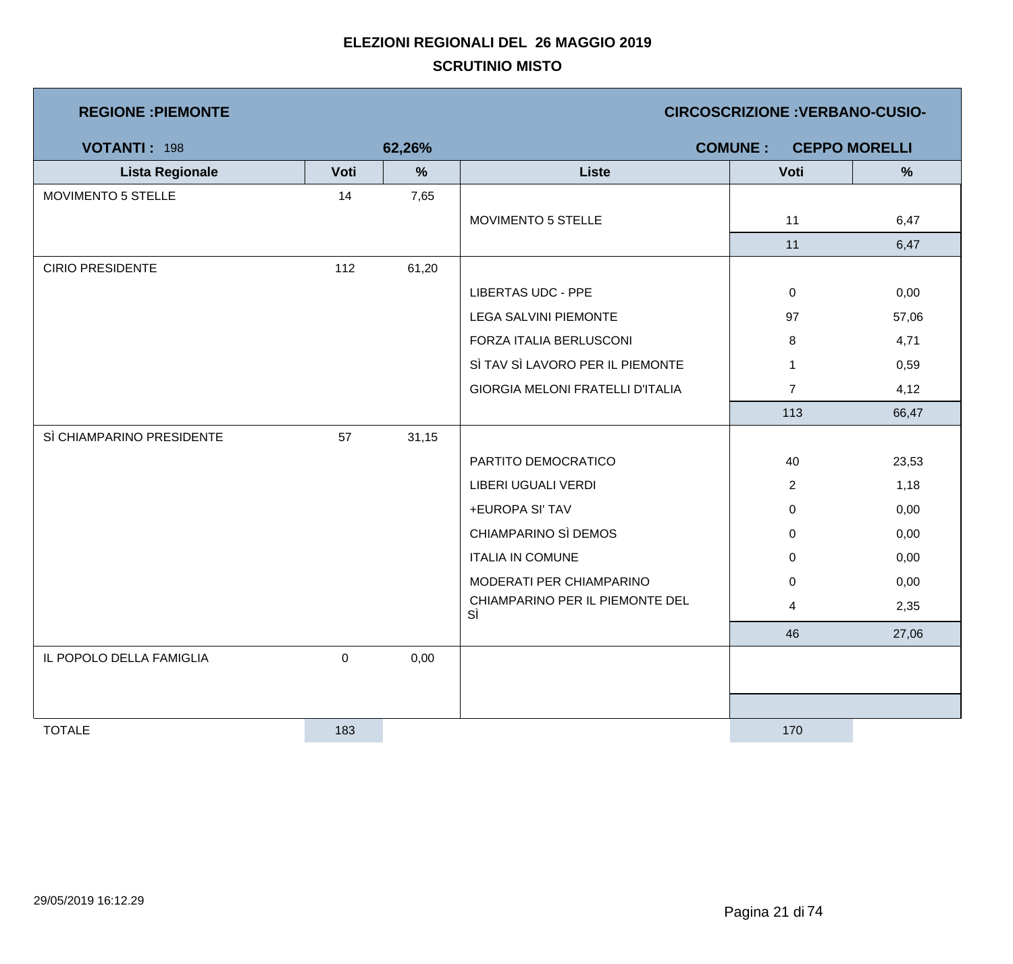| <b>REGIONE : PIEMONTE</b> |           |        |                                         | <b>CIRCOSCRIZIONE: VERBANO-CUSIO-</b> |                      |
|---------------------------|-----------|--------|-----------------------------------------|---------------------------------------|----------------------|
| <b>VOTANTI: 198</b>       |           | 62,26% |                                         | <b>COMUNE:</b>                        | <b>CEPPO MORELLI</b> |
| <b>Lista Regionale</b>    | Voti      | %      | <b>Liste</b>                            | Voti                                  | $\frac{9}{6}$        |
| MOVIMENTO 5 STELLE        | 14        | 7,65   |                                         |                                       |                      |
|                           |           |        | MOVIMENTO 5 STELLE                      | 11                                    | 6,47                 |
|                           |           |        |                                         | 11                                    | 6,47                 |
| <b>CIRIO PRESIDENTE</b>   | 112       | 61,20  |                                         |                                       |                      |
|                           |           |        | <b>LIBERTAS UDC - PPE</b>               | $\mathbf 0$                           | 0,00                 |
|                           |           |        | <b>LEGA SALVINI PIEMONTE</b>            | 97                                    | 57,06                |
|                           |           |        | FORZA ITALIA BERLUSCONI                 | 8                                     | 4,71                 |
|                           |           |        | SÌ TAV SÌ LAVORO PER IL PIEMONTE        | $\mathbf{1}$                          | 0,59                 |
|                           |           |        | <b>GIORGIA MELONI FRATELLI D'ITALIA</b> | $\overline{7}$                        | 4,12                 |
|                           |           |        |                                         | 113                                   | 66,47                |
| SÌ CHIAMPARINO PRESIDENTE | 57        | 31,15  |                                         |                                       |                      |
|                           |           |        | PARTITO DEMOCRATICO                     | 40                                    | 23,53                |
|                           |           |        | LIBERI UGUALI VERDI                     | $\overline{2}$                        | 1,18                 |
|                           |           |        | +EUROPA SI' TAV                         | $\mathbf 0$                           | 0,00                 |
|                           |           |        | CHIAMPARINO SÌ DEMOS                    | 0                                     | 0,00                 |
|                           |           |        | <b>ITALIA IN COMUNE</b>                 | 0                                     | 0,00                 |
|                           |           |        | MODERATI PER CHIAMPARINO                | $\mathbf 0$                           | 0,00                 |
|                           |           |        | CHIAMPARINO PER IL PIEMONTE DEL<br>SÌ   | 4                                     | 2,35                 |
|                           |           |        |                                         | 46                                    | 27,06                |
| IL POPOLO DELLA FAMIGLIA  | $\pmb{0}$ | 0,00   |                                         |                                       |                      |
|                           |           |        |                                         |                                       |                      |
|                           |           |        |                                         |                                       |                      |
| <b>TOTALE</b>             | 183       |        |                                         | 170                                   |                      |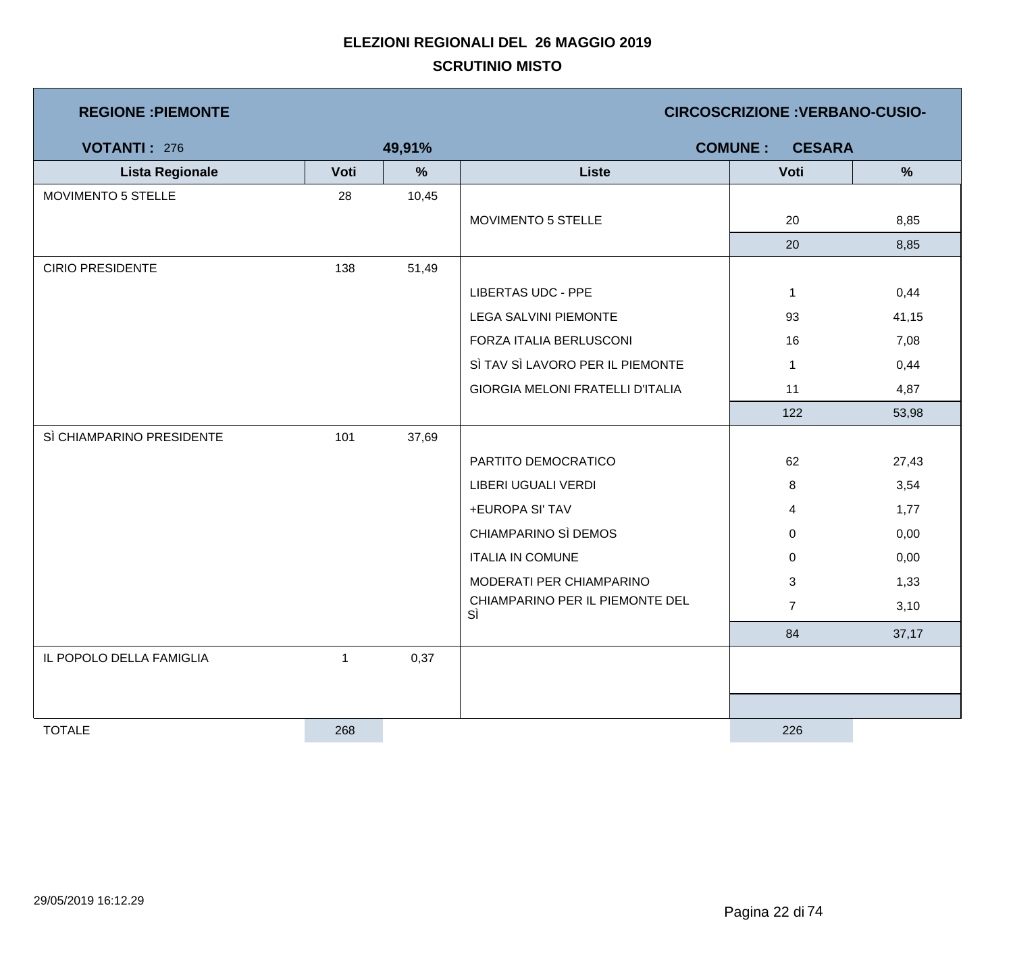| <b>REGIONE : PIEMONTE</b> |      |        |                                         | <b>CIRCOSCRIZIONE : VERBANO-CUSIO-</b> |               |
|---------------------------|------|--------|-----------------------------------------|----------------------------------------|---------------|
| <b>VOTANTI: 276</b>       |      | 49,91% |                                         | <b>COMUNE:</b><br><b>CESARA</b>        |               |
| <b>Lista Regionale</b>    | Voti | %      | <b>Liste</b>                            | Voti                                   | $\frac{9}{6}$ |
| MOVIMENTO 5 STELLE        | 28   | 10,45  |                                         |                                        |               |
|                           |      |        | MOVIMENTO 5 STELLE                      | 20                                     | 8,85          |
|                           |      |        |                                         | 20                                     | 8,85          |
| <b>CIRIO PRESIDENTE</b>   | 138  | 51,49  |                                         |                                        |               |
|                           |      |        | <b>LIBERTAS UDC - PPE</b>               | $\mathbf{1}$                           | 0,44          |
|                           |      |        | <b>LEGA SALVINI PIEMONTE</b>            | 93                                     | 41,15         |
|                           |      |        | FORZA ITALIA BERLUSCONI                 | 16                                     | 7,08          |
|                           |      |        | SÌ TAV SÌ LAVORO PER IL PIEMONTE        | $\mathbf{1}$                           | 0,44          |
|                           |      |        | <b>GIORGIA MELONI FRATELLI D'ITALIA</b> | 11                                     | 4,87          |
|                           |      |        |                                         | 122                                    | 53,98         |
| SÌ CHIAMPARINO PRESIDENTE | 101  | 37,69  |                                         |                                        |               |
|                           |      |        | PARTITO DEMOCRATICO                     | 62                                     | 27,43         |
|                           |      |        | LIBERI UGUALI VERDI                     | 8                                      | 3,54          |
|                           |      |        | +EUROPA SI' TAV                         | $\overline{4}$                         | 1,77          |
|                           |      |        | CHIAMPARINO SÌ DEMOS                    | 0                                      | 0,00          |
|                           |      |        | <b>ITALIA IN COMUNE</b>                 | 0                                      | 0,00          |
|                           |      |        | MODERATI PER CHIAMPARINO                | $\mathfrak{S}$                         | 1,33          |
|                           |      |        | CHIAMPARINO PER IL PIEMONTE DEL<br>SÌ   | $\overline{7}$                         | 3,10          |
|                           |      |        |                                         | 84                                     | 37,17         |
| IL POPOLO DELLA FAMIGLIA  | 1    | 0,37   |                                         |                                        |               |
|                           |      |        |                                         |                                        |               |
|                           |      |        |                                         |                                        |               |
| <b>TOTALE</b>             | 268  |        |                                         | 226                                    |               |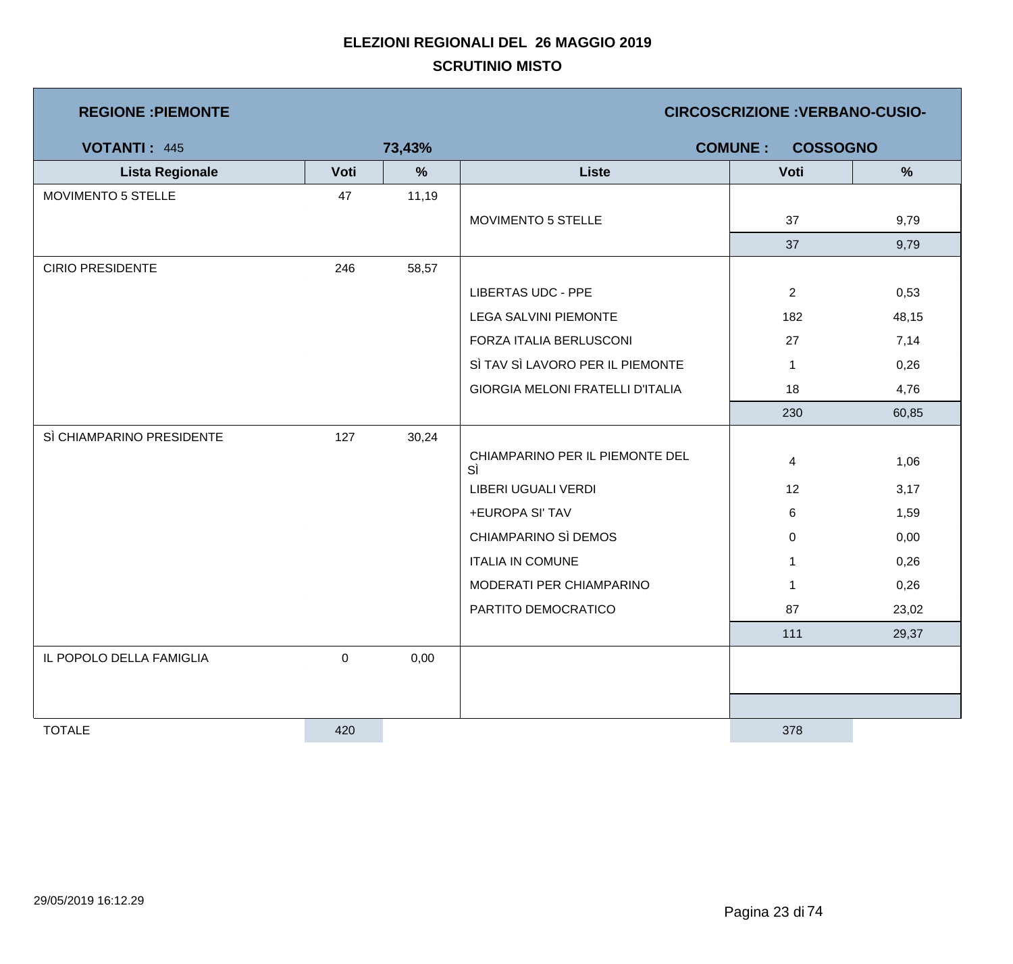| <b>REGIONE : PIEMONTE</b> |           |        |                                         | <b>CIRCOSCRIZIONE: VERBANO-CUSIO-</b> |               |
|---------------------------|-----------|--------|-----------------------------------------|---------------------------------------|---------------|
| <b>VOTANTI: 445</b>       |           | 73,43% |                                         | <b>COSSOGNO</b><br><b>COMUNE:</b>     |               |
| <b>Lista Regionale</b>    | Voti      | %      | <b>Liste</b>                            | Voti                                  | $\frac{9}{6}$ |
| MOVIMENTO 5 STELLE        | 47        | 11,19  |                                         |                                       |               |
|                           |           |        | MOVIMENTO 5 STELLE                      | 37                                    | 9,79          |
|                           |           |        |                                         | 37                                    | 9,79          |
| <b>CIRIO PRESIDENTE</b>   | 246       | 58,57  |                                         |                                       |               |
|                           |           |        | <b>LIBERTAS UDC - PPE</b>               | $\overline{2}$                        | 0,53          |
|                           |           |        | <b>LEGA SALVINI PIEMONTE</b>            | 182                                   | 48,15         |
|                           |           |        | FORZA ITALIA BERLUSCONI                 | 27                                    | 7,14          |
|                           |           |        | SÌ TAV SÌ LAVORO PER IL PIEMONTE        | $\mathbf 1$                           | 0,26          |
|                           |           |        | <b>GIORGIA MELONI FRATELLI D'ITALIA</b> | 18                                    | 4,76          |
|                           |           |        |                                         | 230                                   | 60,85         |
| SÌ CHIAMPARINO PRESIDENTE | 127       | 30,24  |                                         |                                       |               |
|                           |           |        | CHIAMPARINO PER IL PIEMONTE DEL<br>SÌ   | 4                                     | 1,06          |
|                           |           |        | LIBERI UGUALI VERDI                     | 12                                    | 3,17          |
|                           |           |        | +EUROPA SI' TAV                         | 6                                     | 1,59          |
|                           |           |        | CHIAMPARINO SÌ DEMOS                    | 0                                     | 0,00          |
|                           |           |        | <b>ITALIA IN COMUNE</b>                 | 1                                     | 0,26          |
|                           |           |        | MODERATI PER CHIAMPARINO                | $\mathbf{1}$                          | 0,26          |
|                           |           |        | PARTITO DEMOCRATICO                     | 87                                    | 23,02         |
|                           |           |        |                                         | 111                                   | 29,37         |
| IL POPOLO DELLA FAMIGLIA  | $\pmb{0}$ | 0,00   |                                         |                                       |               |
|                           |           |        |                                         |                                       |               |
|                           |           |        |                                         |                                       |               |
| <b>TOTALE</b>             | 420       |        |                                         | 378                                   |               |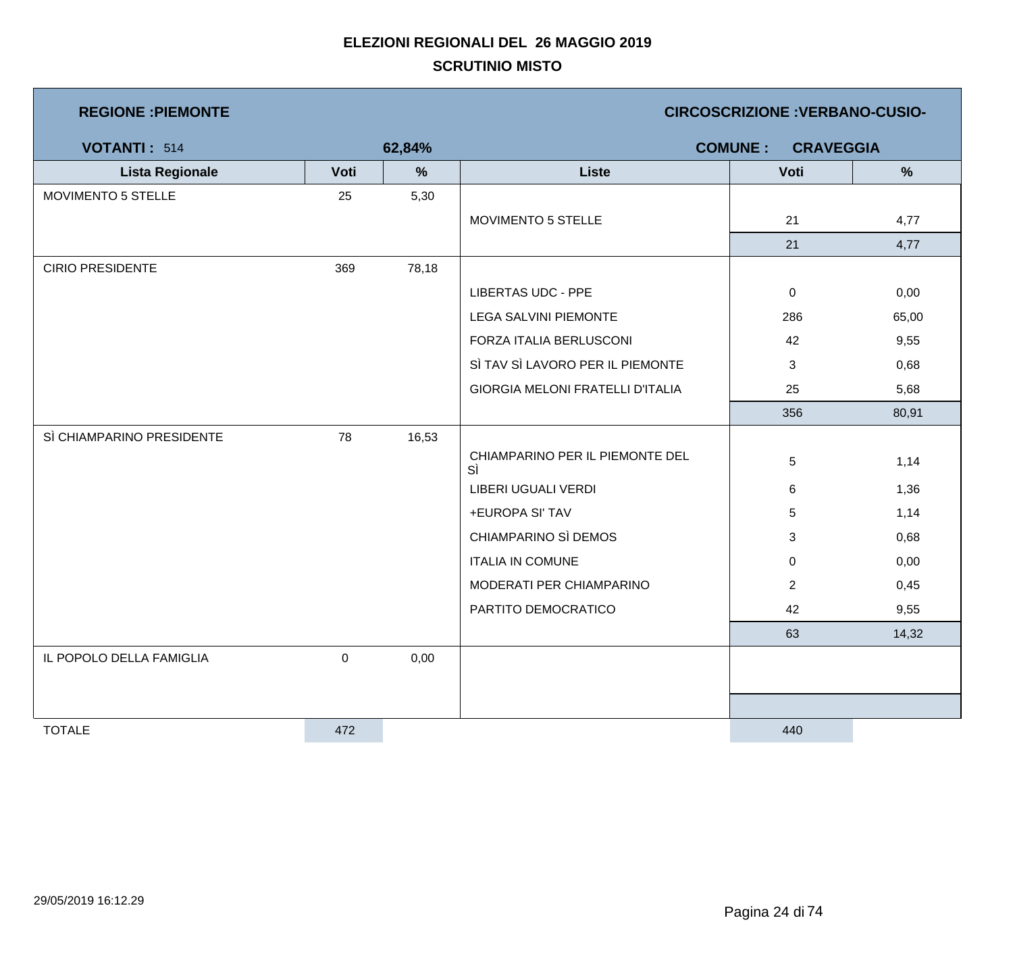| <b>REGIONE : PIEMONTE</b> |           |        | <b>CIRCOSCRIZIONE : VERBANO-CUSIO-</b>  |                                    |       |  |
|---------------------------|-----------|--------|-----------------------------------------|------------------------------------|-------|--|
| <b>VOTANTI: 514</b>       |           | 62,84% |                                         | <b>COMUNE:</b><br><b>CRAVEGGIA</b> |       |  |
| <b>Lista Regionale</b>    | Voti      | $\%$   | <b>Liste</b>                            | Voti                               | %     |  |
| MOVIMENTO 5 STELLE        | 25        | 5,30   |                                         |                                    |       |  |
|                           |           |        | MOVIMENTO 5 STELLE                      | 21                                 | 4,77  |  |
|                           |           |        |                                         | 21                                 | 4,77  |  |
| <b>CIRIO PRESIDENTE</b>   | 369       | 78,18  |                                         |                                    |       |  |
|                           |           |        | <b>LIBERTAS UDC - PPE</b>               | $\overline{0}$                     | 0,00  |  |
|                           |           |        | LEGA SALVINI PIEMONTE                   | 286                                | 65,00 |  |
|                           |           |        | FORZA ITALIA BERLUSCONI                 | 42                                 | 9,55  |  |
|                           |           |        | SÌ TAV SÌ LAVORO PER IL PIEMONTE        | 3                                  | 0,68  |  |
|                           |           |        | <b>GIORGIA MELONI FRATELLI D'ITALIA</b> | 25                                 | 5,68  |  |
|                           |           |        |                                         | 356                                | 80,91 |  |
| SÌ CHIAMPARINO PRESIDENTE | 78        | 16,53  |                                         |                                    |       |  |
|                           |           |        | CHIAMPARINO PER IL PIEMONTE DEL<br>SÌ   | 5                                  | 1,14  |  |
|                           |           |        | LIBERI UGUALI VERDI                     | 6                                  | 1,36  |  |
|                           |           |        | +EUROPA SI' TAV                         | 5                                  | 1,14  |  |
|                           |           |        | CHIAMPARINO SÌ DEMOS                    | 3                                  | 0,68  |  |
|                           |           |        | <b>ITALIA IN COMUNE</b>                 | $\mathbf 0$                        | 0,00  |  |
|                           |           |        | MODERATI PER CHIAMPARINO                | $\overline{2}$                     | 0,45  |  |
|                           |           |        | PARTITO DEMOCRATICO                     | 42                                 | 9,55  |  |
|                           |           |        |                                         | 63                                 | 14,32 |  |
| IL POPOLO DELLA FAMIGLIA  | $\pmb{0}$ | 0,00   |                                         |                                    |       |  |
|                           |           |        |                                         |                                    |       |  |
|                           |           |        |                                         |                                    |       |  |
| <b>TOTALE</b>             | 472       |        |                                         | 440                                |       |  |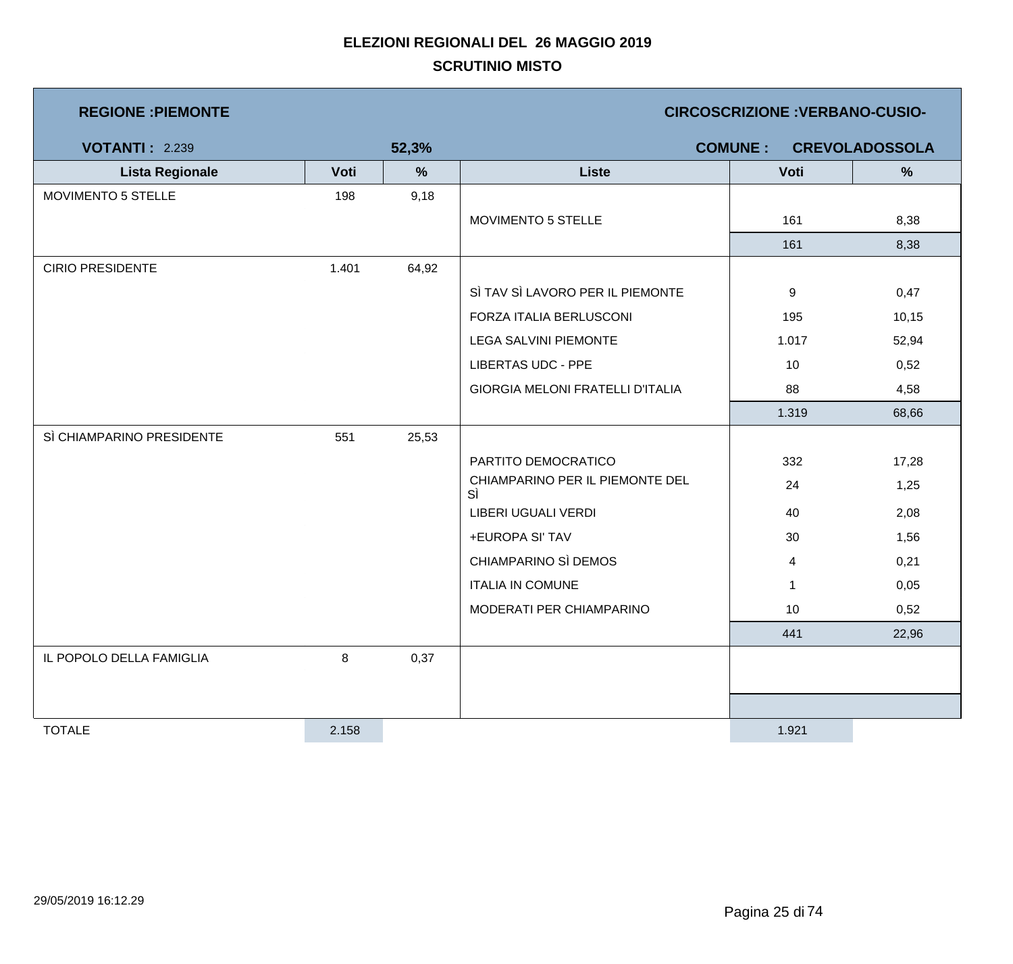| <b>REGIONE : PIEMONTE</b> |         |               | <b>CIRCOSCRIZIONE: VERBANO-CUSIO-</b>   |                |                       |  |  |
|---------------------------|---------|---------------|-----------------------------------------|----------------|-----------------------|--|--|
| <b>VOTANTI: 2.239</b>     |         | 52,3%         |                                         | <b>COMUNE:</b> | <b>CREVOLADOSSOLA</b> |  |  |
| <b>Lista Regionale</b>    | Voti    | $\frac{9}{6}$ | <b>Liste</b>                            | Voti           | %                     |  |  |
| MOVIMENTO 5 STELLE        | 198     | 9,18          |                                         |                |                       |  |  |
|                           |         |               | MOVIMENTO 5 STELLE                      | 161            | 8,38                  |  |  |
|                           |         |               |                                         | 161            | 8,38                  |  |  |
| <b>CIRIO PRESIDENTE</b>   | 1.401   | 64,92         |                                         |                |                       |  |  |
|                           |         |               | SÌ TAV SÌ LAVORO PER IL PIEMONTE        | 9              | 0,47                  |  |  |
|                           |         |               | FORZA ITALIA BERLUSCONI                 | 195            | 10, 15                |  |  |
|                           |         |               | <b>LEGA SALVINI PIEMONTE</b>            | 1.017          | 52,94                 |  |  |
|                           |         |               | <b>LIBERTAS UDC - PPE</b>               | 10             | 0,52                  |  |  |
|                           |         |               | <b>GIORGIA MELONI FRATELLI D'ITALIA</b> | 88             | 4,58                  |  |  |
|                           |         |               |                                         | 1.319          | 68,66                 |  |  |
| SÌ CHIAMPARINO PRESIDENTE | 551     | 25,53         |                                         |                |                       |  |  |
|                           |         |               | PARTITO DEMOCRATICO                     | 332            | 17,28                 |  |  |
|                           |         |               | CHIAMPARINO PER IL PIEMONTE DEL<br>SÌ   | 24             | 1,25                  |  |  |
|                           |         |               | LIBERI UGUALI VERDI                     | 40             | 2,08                  |  |  |
|                           |         |               | +EUROPA SI' TAV                         | 30             | 1,56                  |  |  |
|                           |         |               | CHIAMPARINO SÌ DEMOS                    | 4              | 0,21                  |  |  |
|                           |         |               | <b>ITALIA IN COMUNE</b>                 | $\mathbf{1}$   | 0,05                  |  |  |
|                           |         |               | MODERATI PER CHIAMPARINO                | 10             | 0,52                  |  |  |
|                           |         |               |                                         | 441            | 22,96                 |  |  |
| IL POPOLO DELLA FAMIGLIA  | $\bf 8$ | 0,37          |                                         |                |                       |  |  |
|                           |         |               |                                         |                |                       |  |  |
|                           |         |               |                                         |                |                       |  |  |
| <b>TOTALE</b>             | 2.158   |               |                                         | 1.921          |                       |  |  |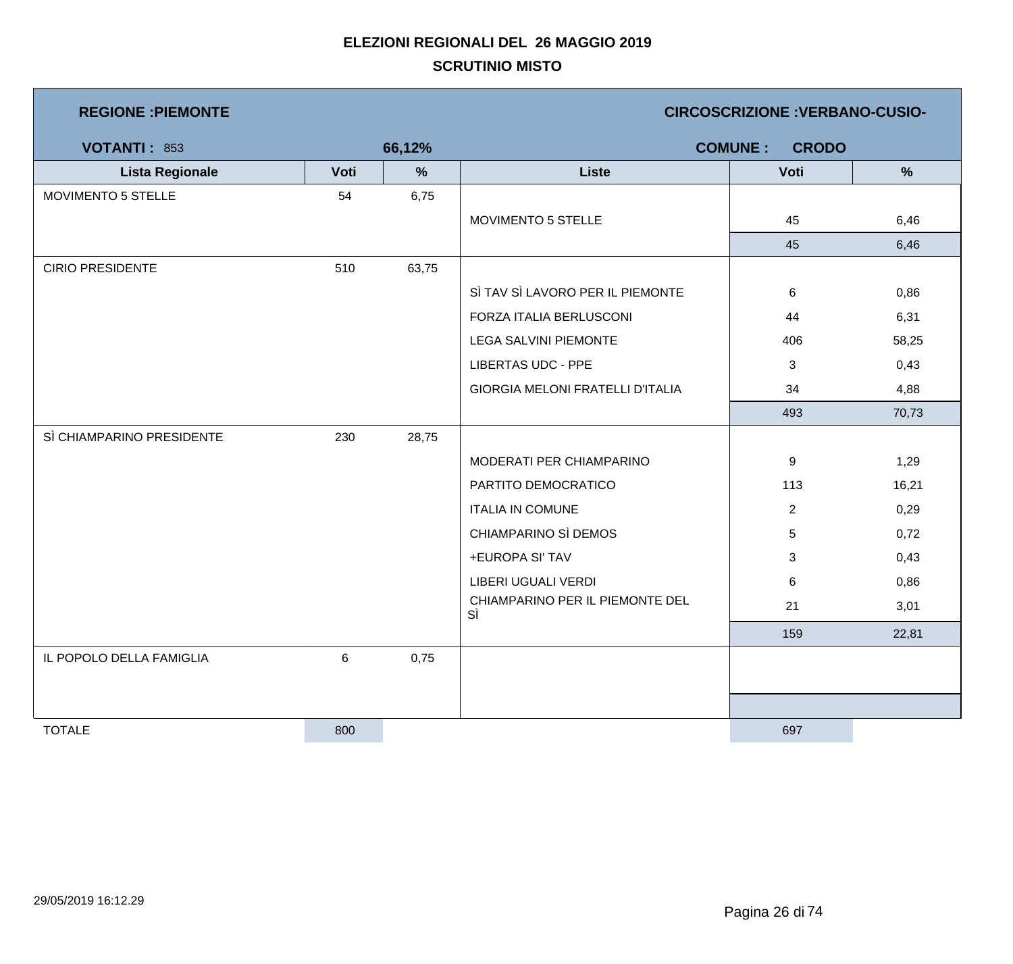| <b>REGIONE : PIEMONTE</b> |      |        |                                         | <b>CIRCOSCRIZIONE : VERBANO-CUSIO-</b> |               |
|---------------------------|------|--------|-----------------------------------------|----------------------------------------|---------------|
| <b>VOTANTI: 853</b>       |      | 66,12% |                                         | <b>COMUNE:</b><br><b>CRODO</b>         |               |
| <b>Lista Regionale</b>    | Voti | $\%$   | <b>Liste</b>                            | Voti                                   | $\frac{9}{6}$ |
| MOVIMENTO 5 STELLE        | 54   | 6,75   |                                         |                                        |               |
|                           |      |        | MOVIMENTO 5 STELLE                      | 45                                     | 6,46          |
|                           |      |        |                                         | 45                                     | 6,46          |
| <b>CIRIO PRESIDENTE</b>   | 510  | 63,75  |                                         |                                        |               |
|                           |      |        | SÌ TAV SÌ LAVORO PER IL PIEMONTE        | 6                                      | 0,86          |
|                           |      |        | FORZA ITALIA BERLUSCONI                 | 44                                     | 6,31          |
|                           |      |        | <b>LEGA SALVINI PIEMONTE</b>            | 406                                    | 58,25         |
|                           |      |        | <b>LIBERTAS UDC - PPE</b>               | 3                                      | 0,43          |
|                           |      |        | <b>GIORGIA MELONI FRATELLI D'ITALIA</b> | 34                                     | 4,88          |
|                           |      |        |                                         | 493                                    | 70,73         |
| SÌ CHIAMPARINO PRESIDENTE | 230  | 28,75  |                                         |                                        |               |
|                           |      |        | MODERATI PER CHIAMPARINO                | 9                                      | 1,29          |
|                           |      |        | PARTITO DEMOCRATICO                     | 113                                    | 16,21         |
|                           |      |        | <b>ITALIA IN COMUNE</b>                 | $\overline{2}$                         | 0,29          |
|                           |      |        | CHIAMPARINO SÌ DEMOS                    | $\sqrt{5}$                             | 0,72          |
|                           |      |        | +EUROPA SI' TAV                         | 3                                      | 0,43          |
|                           |      |        | LIBERI UGUALI VERDI                     | 6                                      | 0,86          |
|                           |      |        | CHIAMPARINO PER IL PIEMONTE DEL<br>SÌ   | 21                                     | 3,01          |
|                           |      |        |                                         | 159                                    | 22,81         |
| IL POPOLO DELLA FAMIGLIA  | 6    | 0,75   |                                         |                                        |               |
|                           |      |        |                                         |                                        |               |
|                           |      |        |                                         |                                        |               |
| <b>TOTALE</b>             | 800  |        |                                         | 697                                    |               |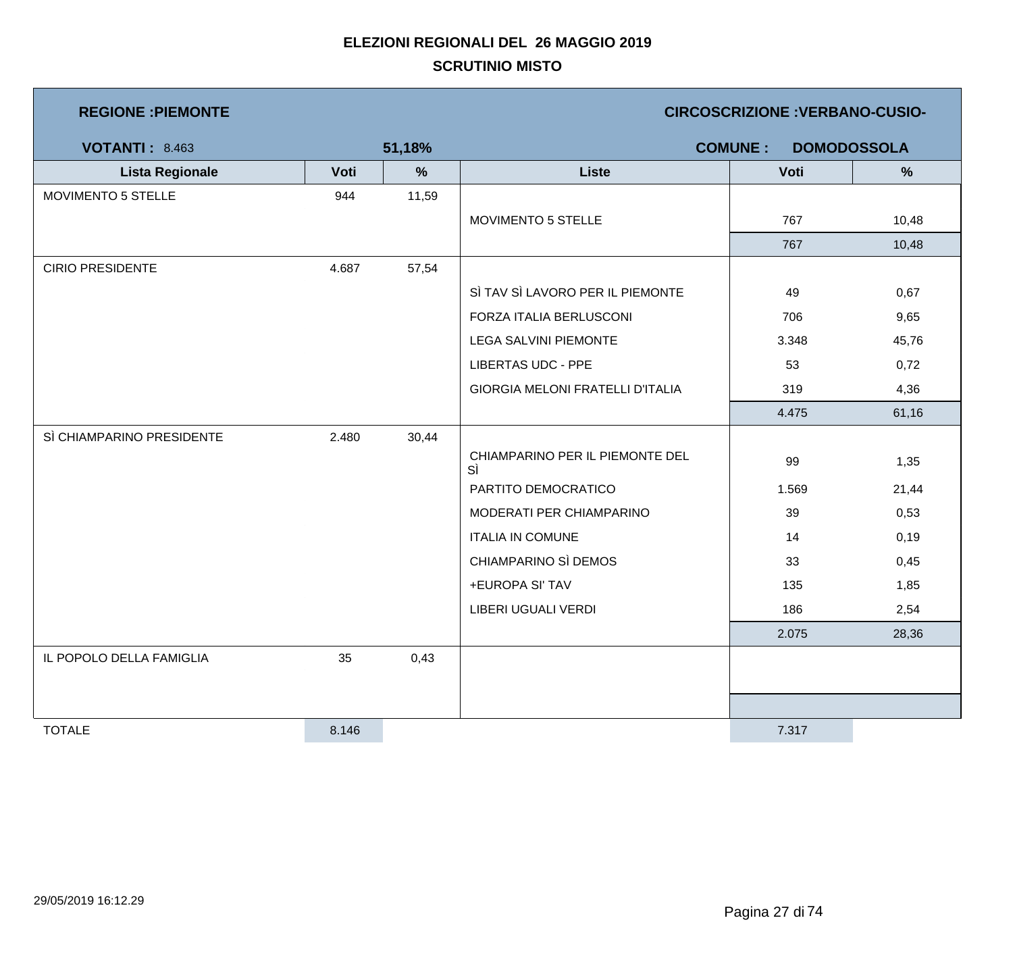| <b>REGIONE : PIEMONTE</b> |       |        | <b>CIRCOSCRIZIONE : VERBANO-CUSIO-</b>  |                                      |       |  |
|---------------------------|-------|--------|-----------------------------------------|--------------------------------------|-------|--|
| <b>VOTANTI: 8.463</b>     |       | 51,18% |                                         | <b>COMUNE:</b><br><b>DOMODOSSOLA</b> |       |  |
| <b>Lista Regionale</b>    | Voti  | $\%$   | <b>Liste</b>                            | Voti                                 | %     |  |
| MOVIMENTO 5 STELLE        | 944   | 11,59  |                                         |                                      |       |  |
|                           |       |        | MOVIMENTO 5 STELLE                      | 767                                  | 10,48 |  |
|                           |       |        |                                         | 767                                  | 10,48 |  |
| <b>CIRIO PRESIDENTE</b>   | 4.687 | 57,54  |                                         |                                      |       |  |
|                           |       |        | SÌ TAV SÌ LAVORO PER IL PIEMONTE        | 49                                   | 0,67  |  |
|                           |       |        | FORZA ITALIA BERLUSCONI                 | 706                                  | 9,65  |  |
|                           |       |        | <b>LEGA SALVINI PIEMONTE</b>            | 3.348                                | 45,76 |  |
|                           |       |        | <b>LIBERTAS UDC - PPE</b>               | 53                                   | 0,72  |  |
|                           |       |        | <b>GIORGIA MELONI FRATELLI D'ITALIA</b> | 319                                  | 4,36  |  |
|                           |       |        |                                         | 4.475                                | 61,16 |  |
| SÌ CHIAMPARINO PRESIDENTE | 2.480 | 30,44  |                                         |                                      |       |  |
|                           |       |        | CHIAMPARINO PER IL PIEMONTE DEL<br>SÌ   | 99                                   | 1,35  |  |
|                           |       |        | PARTITO DEMOCRATICO                     | 1.569                                | 21,44 |  |
|                           |       |        | MODERATI PER CHIAMPARINO                | 39                                   | 0,53  |  |
|                           |       |        | <b>ITALIA IN COMUNE</b>                 | 14                                   | 0,19  |  |
|                           |       |        | CHIAMPARINO SÌ DEMOS                    | 33                                   | 0,45  |  |
|                           |       |        | +EUROPA SI' TAV                         | 135                                  | 1,85  |  |
|                           |       |        | LIBERI UGUALI VERDI                     | 186                                  | 2,54  |  |
|                           |       |        |                                         | 2.075                                | 28,36 |  |
| IL POPOLO DELLA FAMIGLIA  | 35    | 0,43   |                                         |                                      |       |  |
|                           |       |        |                                         |                                      |       |  |
|                           |       |        |                                         |                                      |       |  |
| <b>TOTALE</b>             | 8.146 |        |                                         | 7.317                                |       |  |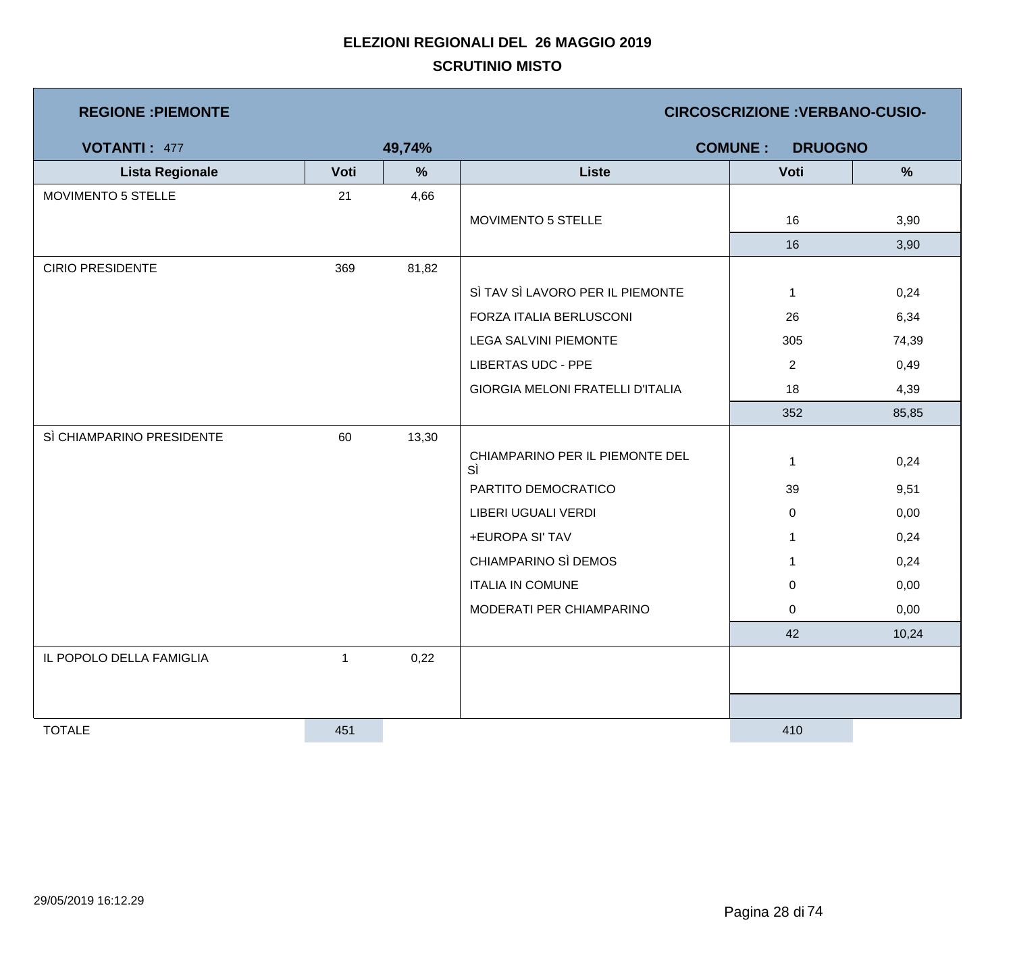| <b>REGIONE: PIEMONTE</b>  |              |        | <b>CIRCOSCRIZIONE : VERBANO-CUSIO-</b>  |                                  |       |  |  |
|---------------------------|--------------|--------|-----------------------------------------|----------------------------------|-------|--|--|
| <b>VOTANTI: 477</b>       |              | 49,74% |                                         | <b>COMUNE:</b><br><b>DRUOGNO</b> |       |  |  |
| <b>Lista Regionale</b>    | Voti         | %      | <b>Liste</b>                            | Voti                             | $\%$  |  |  |
| <b>MOVIMENTO 5 STELLE</b> | 21           | 4,66   |                                         |                                  |       |  |  |
|                           |              |        | MOVIMENTO 5 STELLE                      | 16                               | 3,90  |  |  |
|                           |              |        |                                         | 16                               | 3,90  |  |  |
| <b>CIRIO PRESIDENTE</b>   | 369          | 81,82  |                                         |                                  |       |  |  |
|                           |              |        | SÌ TAV SÌ LAVORO PER IL PIEMONTE        | $\mathbf{1}$                     | 0,24  |  |  |
|                           |              |        | FORZA ITALIA BERLUSCONI                 | 26                               | 6,34  |  |  |
|                           |              |        | LEGA SALVINI PIEMONTE                   | 305                              | 74,39 |  |  |
|                           |              |        | <b>LIBERTAS UDC - PPE</b>               | $\overline{2}$                   | 0,49  |  |  |
|                           |              |        | <b>GIORGIA MELONI FRATELLI D'ITALIA</b> | 18                               | 4,39  |  |  |
|                           |              |        |                                         | 352                              | 85,85 |  |  |
| SÌ CHIAMPARINO PRESIDENTE | 60           | 13,30  |                                         |                                  |       |  |  |
|                           |              |        | CHIAMPARINO PER IL PIEMONTE DEL<br>SÌ   | 1                                | 0,24  |  |  |
|                           |              |        | PARTITO DEMOCRATICO                     | 39                               | 9,51  |  |  |
|                           |              |        | LIBERI UGUALI VERDI                     | 0                                | 0,00  |  |  |
|                           |              |        | +EUROPA SI' TAV                         | $\mathbf{1}$                     | 0,24  |  |  |
|                           |              |        | CHIAMPARINO SÌ DEMOS                    | $\mathbf 1$                      | 0,24  |  |  |
|                           |              |        | <b>ITALIA IN COMUNE</b>                 | 0                                | 0,00  |  |  |
|                           |              |        | MODERATI PER CHIAMPARINO                | 0                                | 0,00  |  |  |
|                           |              |        |                                         | 42                               | 10,24 |  |  |
| IL POPOLO DELLA FAMIGLIA  | $\mathbf{1}$ | 0,22   |                                         |                                  |       |  |  |
|                           |              |        |                                         |                                  |       |  |  |
|                           |              |        |                                         |                                  |       |  |  |
| <b>TOTALE</b>             | 451          |        |                                         | 410                              |       |  |  |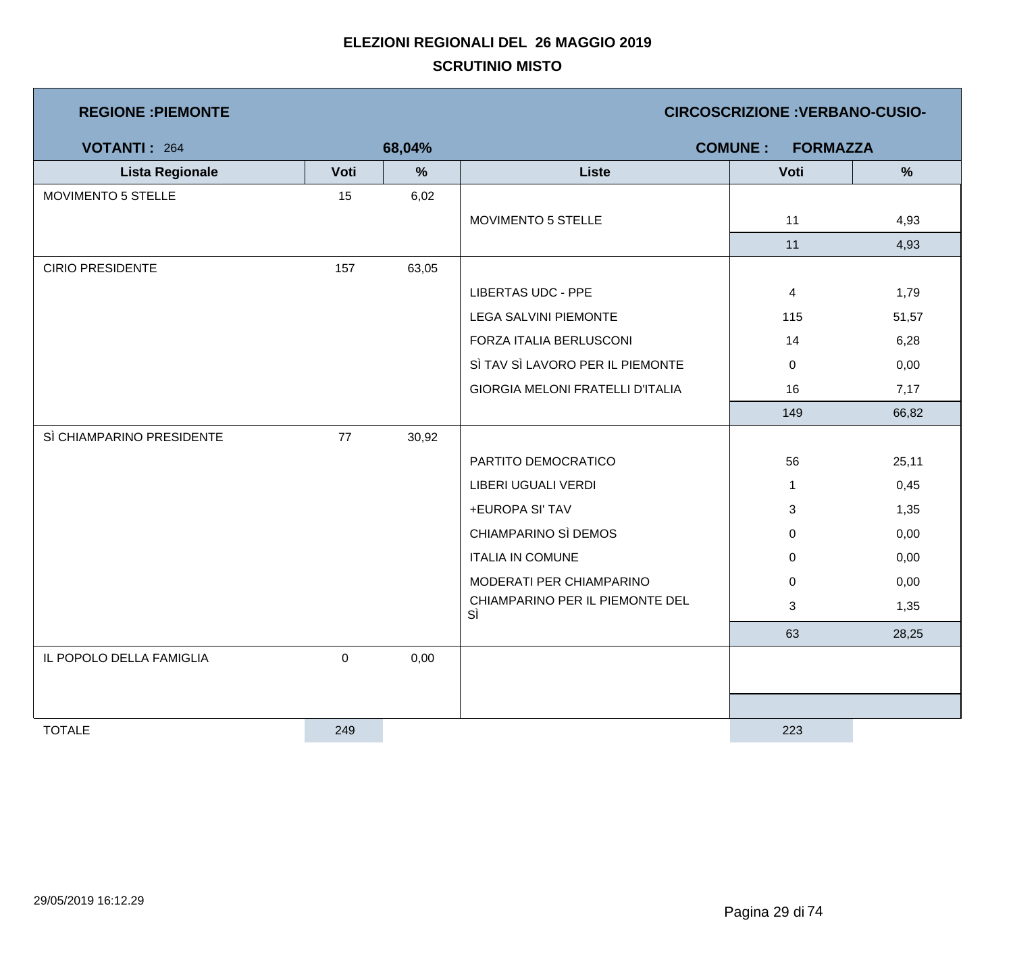| <b>REGIONE : PIEMONTE</b> |           |               |                                         | <b>CIRCOSCRIZIONE : VERBANO-CUSIO-</b> |               |
|---------------------------|-----------|---------------|-----------------------------------------|----------------------------------------|---------------|
| <b>VOTANTI: 264</b>       |           | 68,04%        |                                         | <b>COMUNE:</b><br><b>FORMAZZA</b>      |               |
| <b>Lista Regionale</b>    | Voti      | $\frac{9}{6}$ | <b>Liste</b>                            | Voti                                   | $\frac{9}{6}$ |
| MOVIMENTO 5 STELLE        | 15        | 6,02          |                                         |                                        |               |
|                           |           |               | MOVIMENTO 5 STELLE                      | 11                                     | 4,93          |
|                           |           |               |                                         | 11                                     | 4,93          |
| <b>CIRIO PRESIDENTE</b>   | 157       | 63,05         |                                         |                                        |               |
|                           |           |               | <b>LIBERTAS UDC - PPE</b>               | $\overline{4}$                         | 1,79          |
|                           |           |               | LEGA SALVINI PIEMONTE                   | 115                                    | 51,57         |
|                           |           |               | FORZA ITALIA BERLUSCONI                 | 14                                     | 6,28          |
|                           |           |               | SÌ TAV SÌ LAVORO PER IL PIEMONTE        | $\mathbf 0$                            | 0,00          |
|                           |           |               | <b>GIORGIA MELONI FRATELLI D'ITALIA</b> | 16                                     | 7,17          |
|                           |           |               |                                         | 149                                    | 66,82         |
| SÌ CHIAMPARINO PRESIDENTE | 77        | 30,92         |                                         |                                        |               |
|                           |           |               | PARTITO DEMOCRATICO                     | 56                                     | 25,11         |
|                           |           |               | LIBERI UGUALI VERDI                     | $\mathbf{1}$                           | 0,45          |
|                           |           |               | +EUROPA SI' TAV                         | 3                                      | 1,35          |
|                           |           |               | CHIAMPARINO SÌ DEMOS                    | $\mathbf 0$                            | 0,00          |
|                           |           |               | <b>ITALIA IN COMUNE</b>                 | $\mathbf 0$                            | 0,00          |
|                           |           |               | MODERATI PER CHIAMPARINO                | $\mathbf 0$                            | 0,00          |
|                           |           |               | CHIAMPARINO PER IL PIEMONTE DEL<br>SÌ   | 3                                      | 1,35          |
|                           |           |               |                                         | 63                                     | 28,25         |
| IL POPOLO DELLA FAMIGLIA  | $\pmb{0}$ | 0,00          |                                         |                                        |               |
|                           |           |               |                                         |                                        |               |
|                           |           |               |                                         |                                        |               |
| <b>TOTALE</b>             | 249       |               |                                         | 223                                    |               |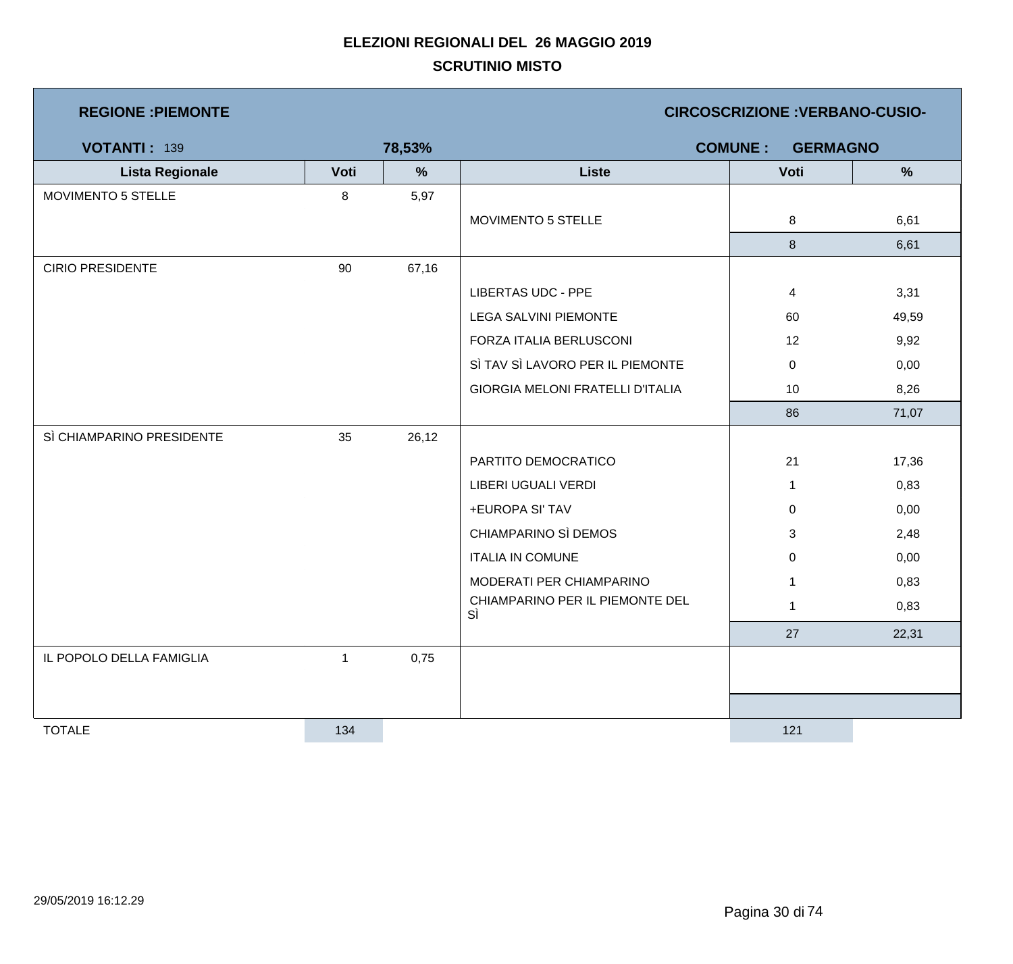| <b>REGIONE : PIEMONTE</b> |              |               | <b>CIRCOSCRIZIONE: VERBANO-CUSIO-</b>   |                                   |       |  |  |
|---------------------------|--------------|---------------|-----------------------------------------|-----------------------------------|-------|--|--|
| <b>VOTANTI: 139</b>       |              | 78,53%        |                                         | <b>COMUNE:</b><br><b>GERMAGNO</b> |       |  |  |
| <b>Lista Regionale</b>    | Voti         | $\frac{9}{6}$ | <b>Liste</b>                            | Voti                              | %     |  |  |
| MOVIMENTO 5 STELLE        | 8            | 5,97          |                                         |                                   |       |  |  |
|                           |              |               | MOVIMENTO 5 STELLE                      | 8                                 | 6,61  |  |  |
|                           |              |               |                                         | 8                                 | 6,61  |  |  |
| <b>CIRIO PRESIDENTE</b>   | 90           | 67,16         |                                         |                                   |       |  |  |
|                           |              |               | <b>LIBERTAS UDC - PPE</b>               | 4                                 | 3,31  |  |  |
|                           |              |               | <b>LEGA SALVINI PIEMONTE</b>            | 60                                | 49,59 |  |  |
|                           |              |               | FORZA ITALIA BERLUSCONI                 | 12                                | 9,92  |  |  |
|                           |              |               | SÌ TAV SÌ LAVORO PER IL PIEMONTE        | $\overline{0}$                    | 0,00  |  |  |
|                           |              |               | <b>GIORGIA MELONI FRATELLI D'ITALIA</b> | 10                                | 8,26  |  |  |
|                           |              |               |                                         | 86                                | 71,07 |  |  |
| SÌ CHIAMPARINO PRESIDENTE | 35           | 26,12         |                                         |                                   |       |  |  |
|                           |              |               | PARTITO DEMOCRATICO                     | 21                                | 17,36 |  |  |
|                           |              |               | LIBERI UGUALI VERDI                     | $\mathbf{1}$                      | 0,83  |  |  |
|                           |              |               | +EUROPA SI' TAV                         | $\overline{0}$                    | 0,00  |  |  |
|                           |              |               | CHIAMPARINO SÌ DEMOS                    | 3                                 | 2,48  |  |  |
|                           |              |               | <b>ITALIA IN COMUNE</b>                 | $\mathbf 0$                       | 0,00  |  |  |
|                           |              |               | MODERATI PER CHIAMPARINO                | 1                                 | 0,83  |  |  |
|                           |              |               | CHIAMPARINO PER IL PIEMONTE DEL<br>SÌ   | $\mathbf{1}$                      | 0,83  |  |  |
|                           |              |               |                                         | 27                                | 22,31 |  |  |
| IL POPOLO DELLA FAMIGLIA  | $\mathbf{1}$ | 0,75          |                                         |                                   |       |  |  |
|                           |              |               |                                         |                                   |       |  |  |
|                           |              |               |                                         |                                   |       |  |  |
| <b>TOTALE</b>             | 134          |               |                                         | 121                               |       |  |  |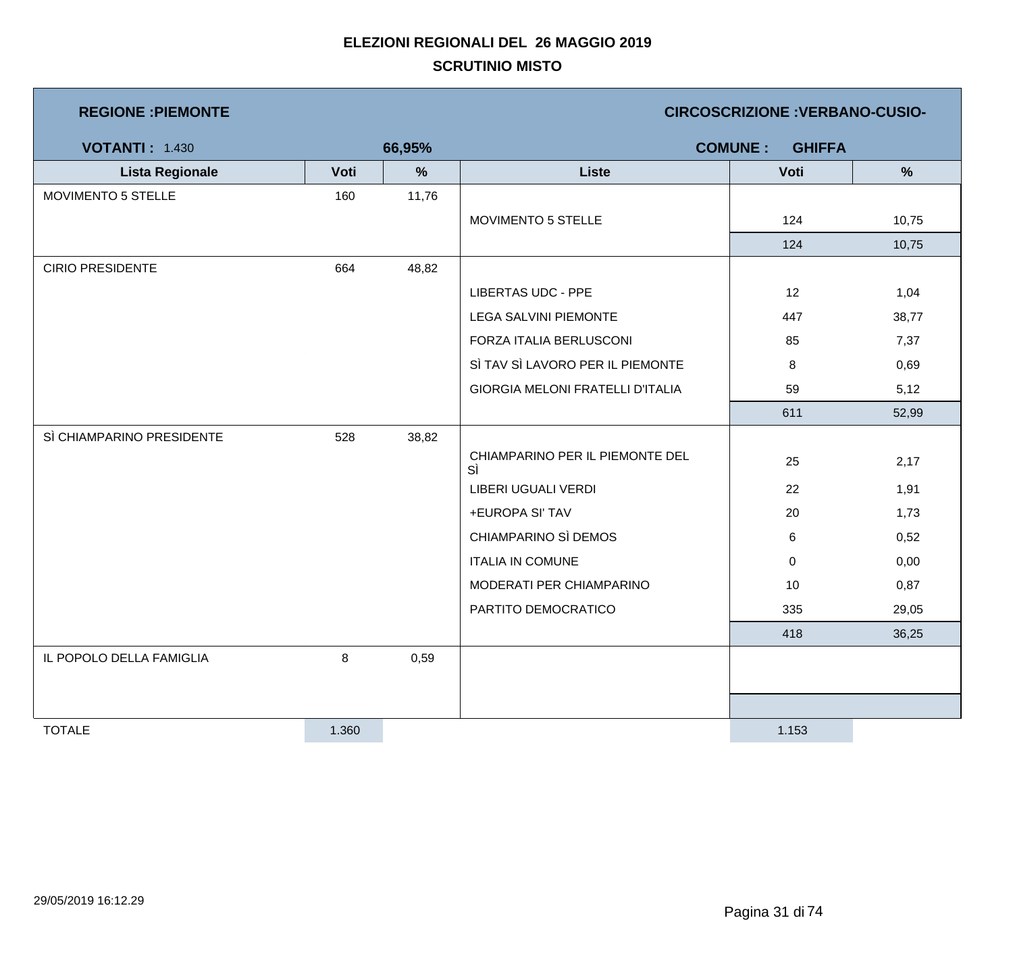| <b>REGIONE : PIEMONTE</b> |       |        |                                         | <b>CIRCOSCRIZIONE : VERBANO-CUSIO-</b> |               |
|---------------------------|-------|--------|-----------------------------------------|----------------------------------------|---------------|
| <b>VOTANTI: 1.430</b>     |       | 66,95% |                                         | <b>COMUNE:</b><br><b>GHIFFA</b>        |               |
| <b>Lista Regionale</b>    | Voti  | $\%$   | <b>Liste</b>                            | Voti                                   | $\frac{9}{6}$ |
| MOVIMENTO 5 STELLE        | 160   | 11,76  |                                         |                                        |               |
|                           |       |        | MOVIMENTO 5 STELLE                      | 124                                    | 10,75         |
|                           |       |        |                                         | 124                                    | 10,75         |
| <b>CIRIO PRESIDENTE</b>   | 664   | 48,82  |                                         |                                        |               |
|                           |       |        | <b>LIBERTAS UDC - PPE</b>               | 12                                     | 1,04          |
|                           |       |        | <b>LEGA SALVINI PIEMONTE</b>            | 447                                    | 38,77         |
|                           |       |        | FORZA ITALIA BERLUSCONI                 | 85                                     | 7,37          |
|                           |       |        | SÌ TAV SÌ LAVORO PER IL PIEMONTE        | 8                                      | 0,69          |
|                           |       |        | <b>GIORGIA MELONI FRATELLI D'ITALIA</b> | 59                                     | 5,12          |
|                           |       |        |                                         | 611                                    | 52,99         |
| SÌ CHIAMPARINO PRESIDENTE | 528   | 38,82  |                                         |                                        |               |
|                           |       |        | CHIAMPARINO PER IL PIEMONTE DEL<br>sì   | 25                                     | 2,17          |
|                           |       |        | LIBERI UGUALI VERDI                     | 22                                     | 1,91          |
|                           |       |        | +EUROPA SI' TAV                         | 20                                     | 1,73          |
|                           |       |        | CHIAMPARINO SÌ DEMOS                    | 6                                      | 0,52          |
|                           |       |        | <b>ITALIA IN COMUNE</b>                 | $\overline{0}$                         | 0,00          |
|                           |       |        | MODERATI PER CHIAMPARINO                | 10                                     | 0,87          |
|                           |       |        | PARTITO DEMOCRATICO                     | 335                                    | 29,05         |
|                           |       |        |                                         | 418                                    | 36,25         |
| IL POPOLO DELLA FAMIGLIA  | 8     | 0,59   |                                         |                                        |               |
|                           |       |        |                                         |                                        |               |
|                           |       |        |                                         |                                        |               |
| <b>TOTALE</b>             | 1.360 |        |                                         | 1.153                                  |               |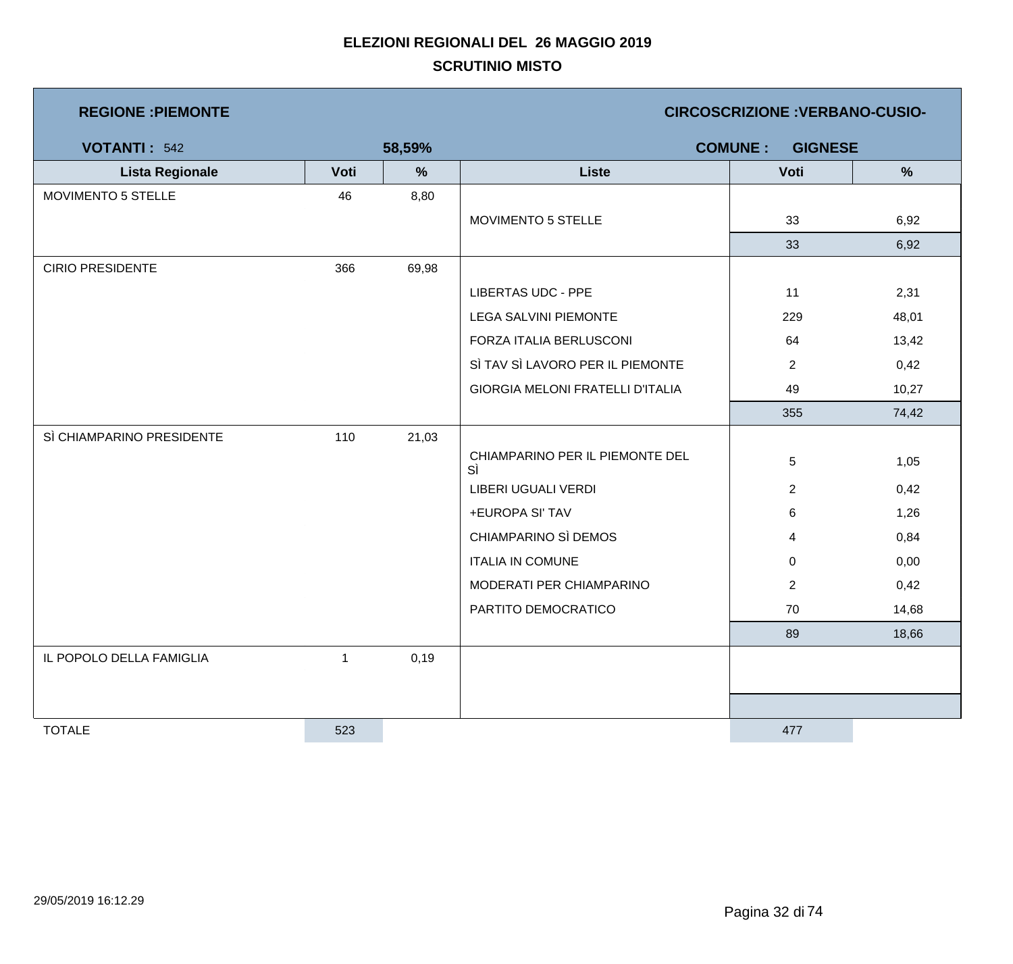| <b>REGIONE : PIEMONTE</b> |      |               |                                         | <b>CIRCOSCRIZIONE : VERBANO-CUSIO-</b> |               |
|---------------------------|------|---------------|-----------------------------------------|----------------------------------------|---------------|
| <b>VOTANTI: 542</b>       |      | 58,59%        |                                         | <b>COMUNE:</b><br><b>GIGNESE</b>       |               |
| <b>Lista Regionale</b>    | Voti | $\frac{9}{6}$ | Liste                                   | Voti                                   | $\frac{9}{6}$ |
| MOVIMENTO 5 STELLE        | 46   | 8,80          |                                         |                                        |               |
|                           |      |               | MOVIMENTO 5 STELLE                      | 33                                     | 6,92          |
|                           |      |               |                                         | 33                                     | 6,92          |
| <b>CIRIO PRESIDENTE</b>   | 366  | 69,98         |                                         |                                        |               |
|                           |      |               | <b>LIBERTAS UDC - PPE</b>               | 11                                     | 2,31          |
|                           |      |               | <b>LEGA SALVINI PIEMONTE</b>            | 229                                    | 48,01         |
|                           |      |               | FORZA ITALIA BERLUSCONI                 | 64                                     | 13,42         |
|                           |      |               | SÌ TAV SÌ LAVORO PER IL PIEMONTE        | $\overline{2}$                         | 0,42          |
|                           |      |               | <b>GIORGIA MELONI FRATELLI D'ITALIA</b> | 49                                     | 10,27         |
|                           |      |               |                                         | 355                                    | 74,42         |
| SÌ CHIAMPARINO PRESIDENTE | 110  | 21,03         |                                         |                                        |               |
|                           |      |               | CHIAMPARINO PER IL PIEMONTE DEL<br>SÌ   | 5                                      | 1,05          |
|                           |      |               | LIBERI UGUALI VERDI                     | $\overline{2}$                         | 0,42          |
|                           |      |               | +EUROPA SI' TAV                         | 6                                      | 1,26          |
|                           |      |               | CHIAMPARINO SÌ DEMOS                    | 4                                      | 0,84          |
|                           |      |               | <b>ITALIA IN COMUNE</b>                 | $\mathbf 0$                            | 0,00          |
|                           |      |               | MODERATI PER CHIAMPARINO                | $\overline{2}$                         | 0,42          |
|                           |      |               | PARTITO DEMOCRATICO                     | 70                                     | 14,68         |
|                           |      |               |                                         | 89                                     | 18,66         |
| IL POPOLO DELLA FAMIGLIA  | 1    | 0,19          |                                         |                                        |               |
|                           |      |               |                                         |                                        |               |
|                           |      |               |                                         |                                        |               |
| <b>TOTALE</b>             | 523  |               |                                         | 477                                    |               |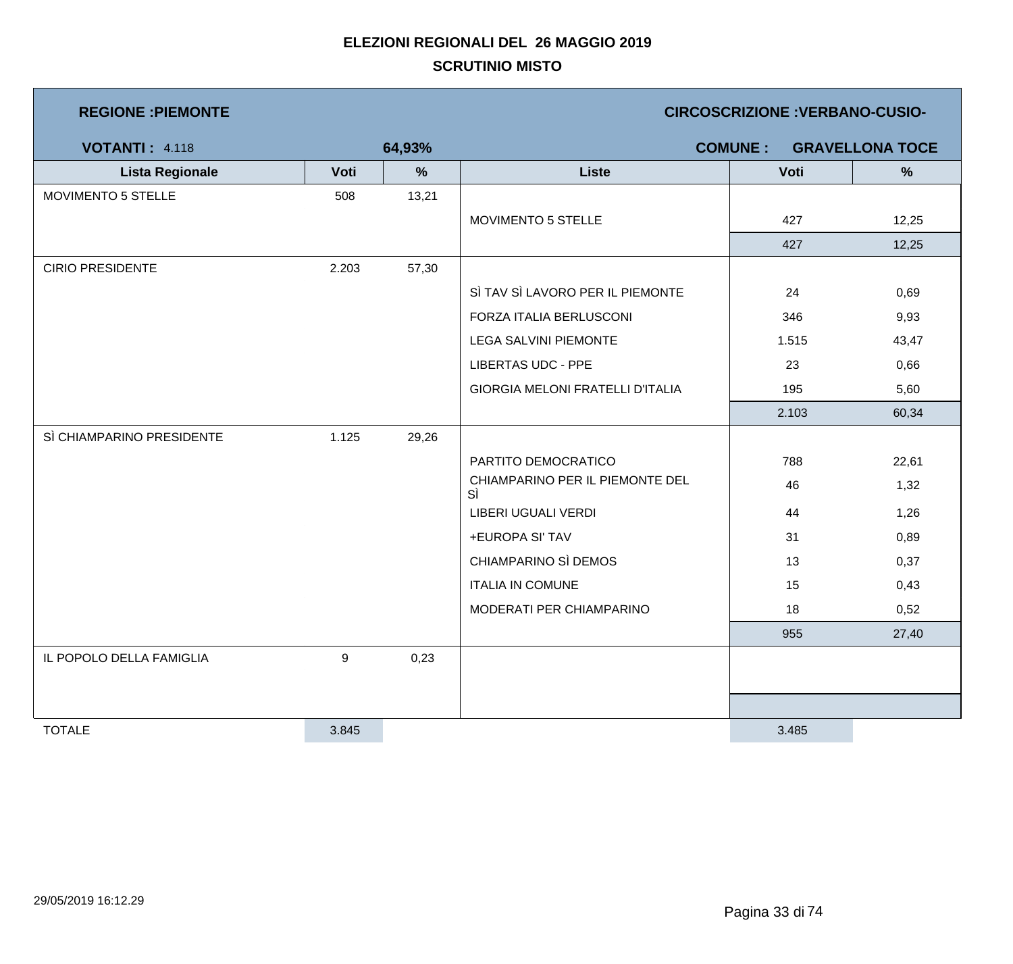| <b>REGIONE : PIEMONTE</b> |       |        |                                         |                | <b>CIRCOSCRIZIONE: VERBANO-CUSIO-</b> |
|---------------------------|-------|--------|-----------------------------------------|----------------|---------------------------------------|
| <b>VOTANTI: 4.118</b>     |       | 64,93% |                                         | <b>COMUNE:</b> | <b>GRAVELLONA TOCE</b>                |
| <b>Lista Regionale</b>    | Voti  | %      | <b>Liste</b>                            | Voti           | $\frac{9}{6}$                         |
| MOVIMENTO 5 STELLE        | 508   | 13,21  |                                         |                |                                       |
|                           |       |        | MOVIMENTO 5 STELLE                      | 427            | 12,25                                 |
|                           |       |        |                                         | 427            | 12,25                                 |
| <b>CIRIO PRESIDENTE</b>   | 2.203 | 57,30  |                                         |                |                                       |
|                           |       |        | SÌ TAV SÌ LAVORO PER IL PIEMONTE        | 24             | 0,69                                  |
|                           |       |        | FORZA ITALIA BERLUSCONI                 | 346            | 9,93                                  |
|                           |       |        | <b>LEGA SALVINI PIEMONTE</b>            | 1.515          | 43,47                                 |
|                           |       |        | <b>LIBERTAS UDC - PPE</b>               | 23             | 0,66                                  |
|                           |       |        | <b>GIORGIA MELONI FRATELLI D'ITALIA</b> | 195            | 5,60                                  |
|                           |       |        |                                         | 2.103          | 60,34                                 |
| SÌ CHIAMPARINO PRESIDENTE | 1.125 | 29,26  |                                         |                |                                       |
|                           |       |        | PARTITO DEMOCRATICO                     | 788            | 22,61                                 |
|                           |       |        | CHIAMPARINO PER IL PIEMONTE DEL<br>SÌ   | 46             | 1,32                                  |
|                           |       |        | LIBERI UGUALI VERDI                     | 44             | 1,26                                  |
|                           |       |        | +EUROPA SI' TAV                         | 31             | 0,89                                  |
|                           |       |        | CHIAMPARINO SÌ DEMOS                    | 13             | 0,37                                  |
|                           |       |        | <b>ITALIA IN COMUNE</b>                 | 15             | 0,43                                  |
|                           |       |        | MODERATI PER CHIAMPARINO                | 18             | 0,52                                  |
|                           |       |        |                                         | 955            | 27,40                                 |
| IL POPOLO DELLA FAMIGLIA  | 9     | 0,23   |                                         |                |                                       |
|                           |       |        |                                         |                |                                       |
|                           |       |        |                                         |                |                                       |
| <b>TOTALE</b>             | 3.845 |        |                                         | 3.485          |                                       |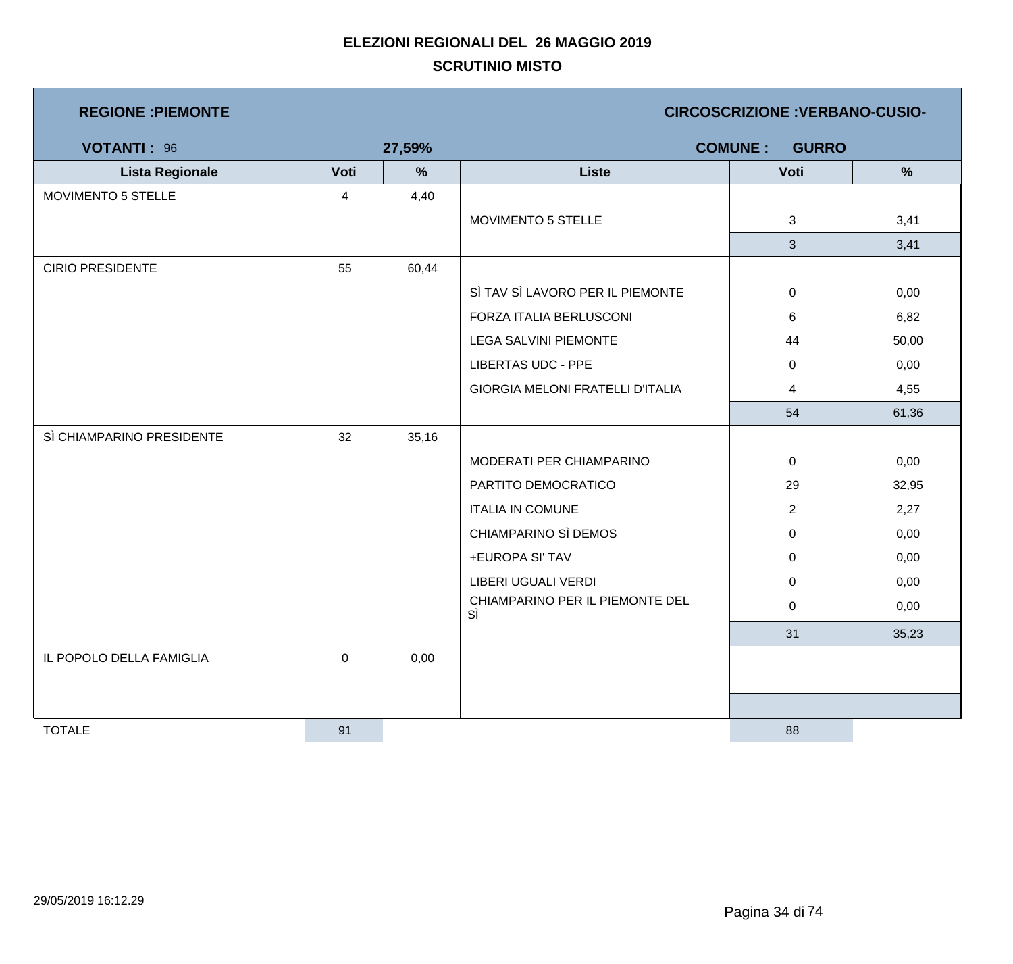| <b>REGIONE : PIEMONTE</b> |                  |        | <b>CIRCOSCRIZIONE: VERBANO-CUSIO-</b>   |                                |       |  |  |
|---------------------------|------------------|--------|-----------------------------------------|--------------------------------|-------|--|--|
| <b>VOTANTI: 96</b>        |                  | 27,59% |                                         | <b>COMUNE:</b><br><b>GURRO</b> |       |  |  |
| <b>Lista Regionale</b>    | Voti             | $\%$   | <b>Liste</b>                            | Voti                           | %     |  |  |
| MOVIMENTO 5 STELLE        | $\overline{4}$   | 4,40   |                                         |                                |       |  |  |
|                           |                  |        | MOVIMENTO 5 STELLE                      | 3                              | 3,41  |  |  |
|                           |                  |        |                                         | 3                              | 3,41  |  |  |
| <b>CIRIO PRESIDENTE</b>   | 55               | 60,44  |                                         |                                |       |  |  |
|                           |                  |        | SÌ TAV SÌ LAVORO PER IL PIEMONTE        | 0                              | 0,00  |  |  |
|                           |                  |        | FORZA ITALIA BERLUSCONI                 | 6                              | 6,82  |  |  |
|                           |                  |        | LEGA SALVINI PIEMONTE                   | 44                             | 50,00 |  |  |
|                           |                  |        | <b>LIBERTAS UDC - PPE</b>               | 0                              | 0,00  |  |  |
|                           |                  |        | <b>GIORGIA MELONI FRATELLI D'ITALIA</b> | 4                              | 4,55  |  |  |
|                           |                  |        |                                         | 54                             | 61,36 |  |  |
| SÌ CHIAMPARINO PRESIDENTE | 32               | 35,16  |                                         |                                |       |  |  |
|                           |                  |        | MODERATI PER CHIAMPARINO                | $\mathbf 0$                    | 0,00  |  |  |
|                           |                  |        | PARTITO DEMOCRATICO                     | 29                             | 32,95 |  |  |
|                           |                  |        | <b>ITALIA IN COMUNE</b>                 | $\overline{2}$                 | 2,27  |  |  |
|                           |                  |        | CHIAMPARINO SÌ DEMOS                    | $\mathbf 0$                    | 0,00  |  |  |
|                           |                  |        | +EUROPA SI' TAV                         | 0                              | 0,00  |  |  |
|                           |                  |        | <b>LIBERI UGUALI VERDI</b>              | 0                              | 0,00  |  |  |
|                           |                  |        | CHIAMPARINO PER IL PIEMONTE DEL<br>SÌ   | $\mathbf 0$                    | 0,00  |  |  |
|                           |                  |        |                                         | 31                             | 35,23 |  |  |
| IL POPOLO DELLA FAMIGLIA  | $\boldsymbol{0}$ | 0,00   |                                         |                                |       |  |  |
|                           |                  |        |                                         |                                |       |  |  |
|                           |                  |        |                                         |                                |       |  |  |
| <b>TOTALE</b>             | 91               |        |                                         | 88                             |       |  |  |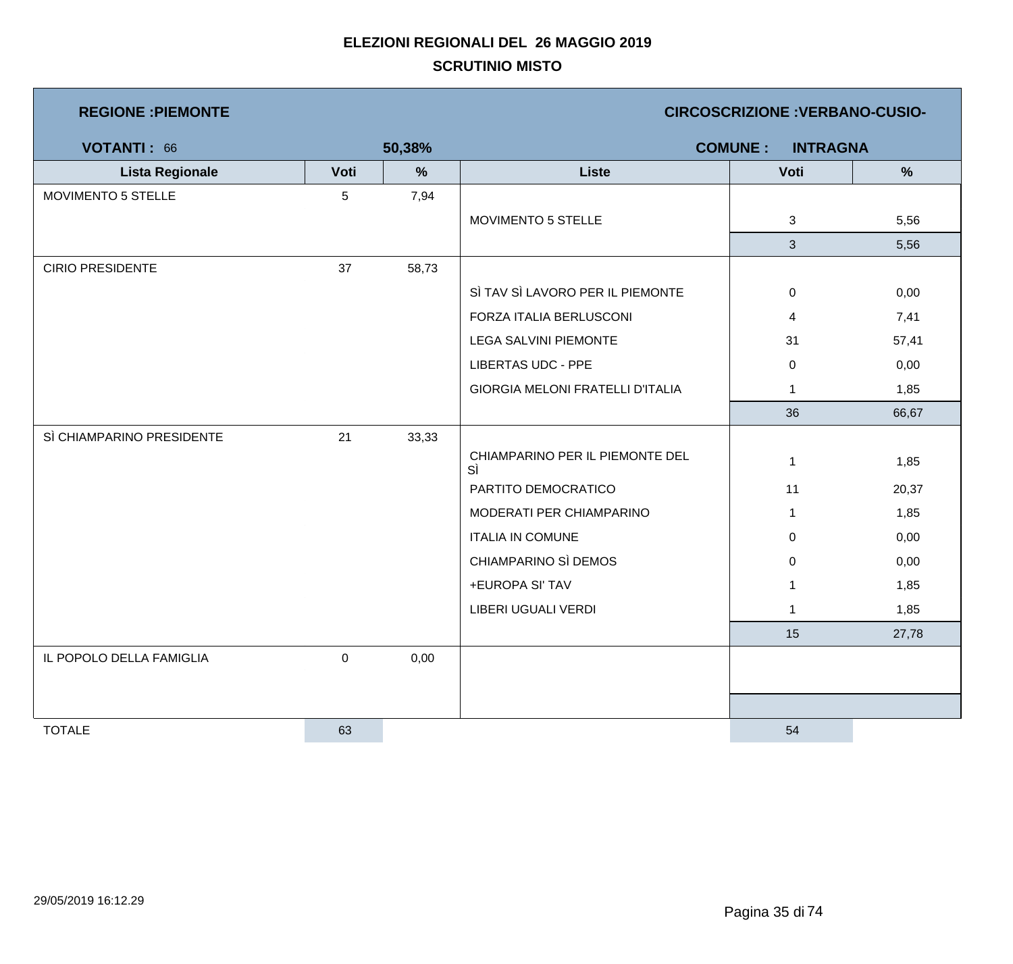| <b>REGIONE : PIEMONTE</b> |           |        |                                         | <b>CIRCOSCRIZIONE : VERBANO-CUSIO-</b> |               |
|---------------------------|-----------|--------|-----------------------------------------|----------------------------------------|---------------|
| <b>VOTANTI: 66</b>        |           | 50,38% |                                         | <b>COMUNE:</b><br><b>INTRAGNA</b>      |               |
| <b>Lista Regionale</b>    | Voti      | %      | <b>Liste</b>                            | Voti                                   | $\frac{9}{6}$ |
| MOVIMENTO 5 STELLE        | 5         | 7,94   |                                         |                                        |               |
|                           |           |        | MOVIMENTO 5 STELLE                      | 3                                      | 5,56          |
|                           |           |        |                                         | $\mathbf{3}$                           | 5,56          |
| <b>CIRIO PRESIDENTE</b>   | 37        | 58,73  |                                         |                                        |               |
|                           |           |        | SÌ TAV SÌ LAVORO PER IL PIEMONTE        | $\pmb{0}$                              | 0,00          |
|                           |           |        | FORZA ITALIA BERLUSCONI                 | 4                                      | 7,41          |
|                           |           |        | <b>LEGA SALVINI PIEMONTE</b>            | 31                                     | 57,41         |
|                           |           |        | LIBERTAS UDC - PPE                      | $\mathbf 0$                            | 0,00          |
|                           |           |        | <b>GIORGIA MELONI FRATELLI D'ITALIA</b> | $\mathbf{1}$                           | 1,85          |
|                           |           |        |                                         | 36                                     | 66,67         |
| SÌ CHIAMPARINO PRESIDENTE | 21        | 33,33  |                                         |                                        |               |
|                           |           |        | CHIAMPARINO PER IL PIEMONTE DEL<br>SÌ   | $\mathbf{1}$                           | 1,85          |
|                           |           |        | PARTITO DEMOCRATICO                     | 11                                     | 20,37         |
|                           |           |        | MODERATI PER CHIAMPARINO                | $\mathbf{1}$                           | 1,85          |
|                           |           |        | <b>ITALIA IN COMUNE</b>                 | $\overline{0}$                         | 0,00          |
|                           |           |        | CHIAMPARINO SÌ DEMOS                    | 0                                      | 0,00          |
|                           |           |        | +EUROPA SI' TAV                         | $\mathbf 1$                            | 1,85          |
|                           |           |        | LIBERI UGUALI VERDI                     | $\mathbf{1}$                           | 1,85          |
|                           |           |        |                                         | 15                                     | 27,78         |
| IL POPOLO DELLA FAMIGLIA  | $\pmb{0}$ | 0,00   |                                         |                                        |               |
|                           |           |        |                                         |                                        |               |
|                           |           |        |                                         |                                        |               |
| <b>TOTALE</b>             | 63        |        |                                         | 54                                     |               |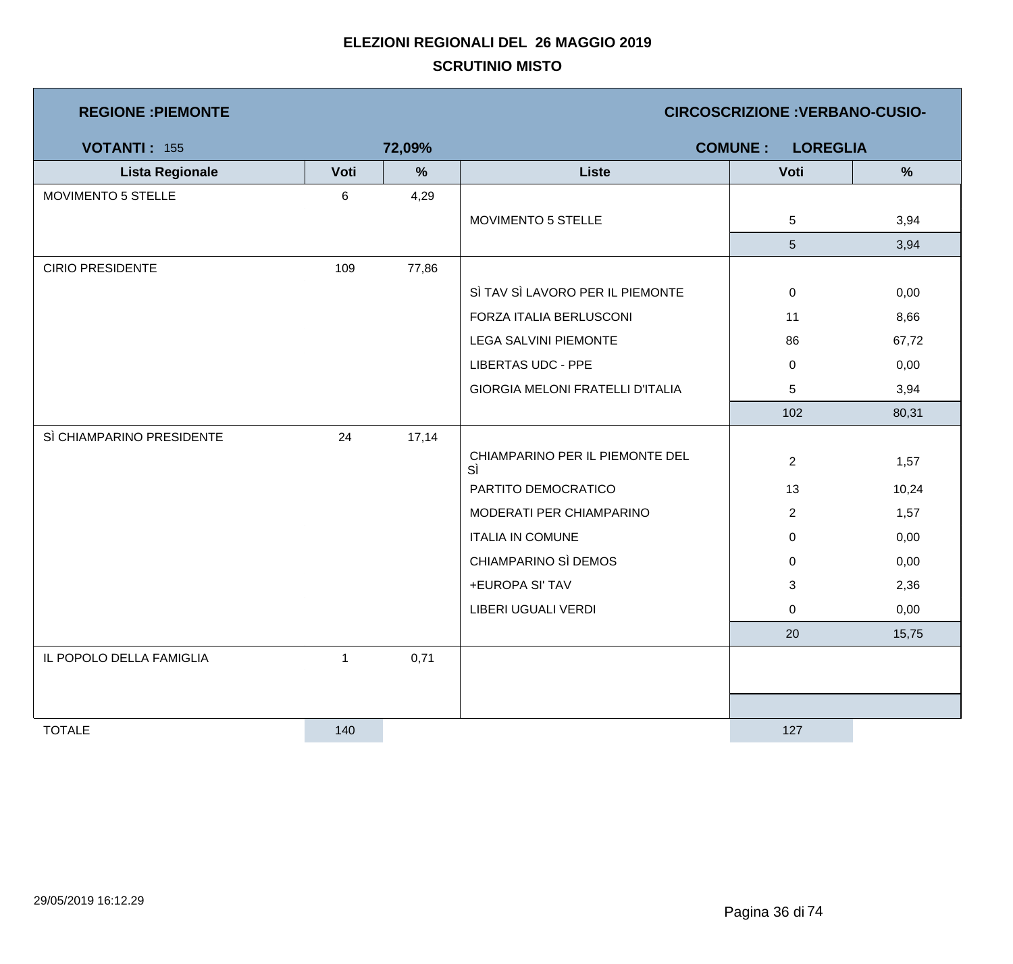| <b>REGIONE : PIEMONTE</b> |      |        | <b>CIRCOSCRIZIONE : VERBANO-CUSIO-</b>  |                                   |               |  |
|---------------------------|------|--------|-----------------------------------------|-----------------------------------|---------------|--|
| <b>VOTANTI: 155</b>       |      | 72,09% |                                         | <b>COMUNE:</b><br><b>LOREGLIA</b> |               |  |
| <b>Lista Regionale</b>    | Voti | %      | <b>Liste</b>                            | Voti                              | $\frac{9}{6}$ |  |
| <b>MOVIMENTO 5 STELLE</b> | 6    | 4,29   |                                         |                                   |               |  |
|                           |      |        | MOVIMENTO 5 STELLE                      | 5                                 | 3,94          |  |
|                           |      |        |                                         | $5\phantom{.0}$                   | 3,94          |  |
| <b>CIRIO PRESIDENTE</b>   | 109  | 77,86  |                                         |                                   |               |  |
|                           |      |        | SÌ TAV SÌ LAVORO PER IL PIEMONTE        | $\pmb{0}$                         | 0,00          |  |
|                           |      |        | FORZA ITALIA BERLUSCONI                 | 11                                | 8,66          |  |
|                           |      |        | <b>LEGA SALVINI PIEMONTE</b>            | 86                                | 67,72         |  |
|                           |      |        | <b>LIBERTAS UDC - PPE</b>               | $\mathbf 0$                       | 0,00          |  |
|                           |      |        | <b>GIORGIA MELONI FRATELLI D'ITALIA</b> | 5                                 | 3,94          |  |
|                           |      |        |                                         | 102                               | 80,31         |  |
| SÌ CHIAMPARINO PRESIDENTE | 24   | 17,14  |                                         |                                   |               |  |
|                           |      |        | CHIAMPARINO PER IL PIEMONTE DEL<br>SÌ   | $\overline{2}$                    | 1,57          |  |
|                           |      |        | PARTITO DEMOCRATICO                     | 13                                | 10,24         |  |
|                           |      |        | MODERATI PER CHIAMPARINO                | $\overline{2}$                    | 1,57          |  |
|                           |      |        | <b>ITALIA IN COMUNE</b>                 | $\mathbf 0$                       | 0,00          |  |
|                           |      |        | CHIAMPARINO SÌ DEMOS                    | 0                                 | 0,00          |  |
|                           |      |        | +EUROPA SI' TAV                         | 3                                 | 2,36          |  |
|                           |      |        | LIBERI UGUALI VERDI                     | 0                                 | 0,00          |  |
|                           |      |        |                                         | 20                                | 15,75         |  |
| IL POPOLO DELLA FAMIGLIA  | 1    | 0,71   |                                         |                                   |               |  |
|                           |      |        |                                         |                                   |               |  |
|                           |      |        |                                         |                                   |               |  |
| <b>TOTALE</b>             | 140  |        |                                         | 127                               |               |  |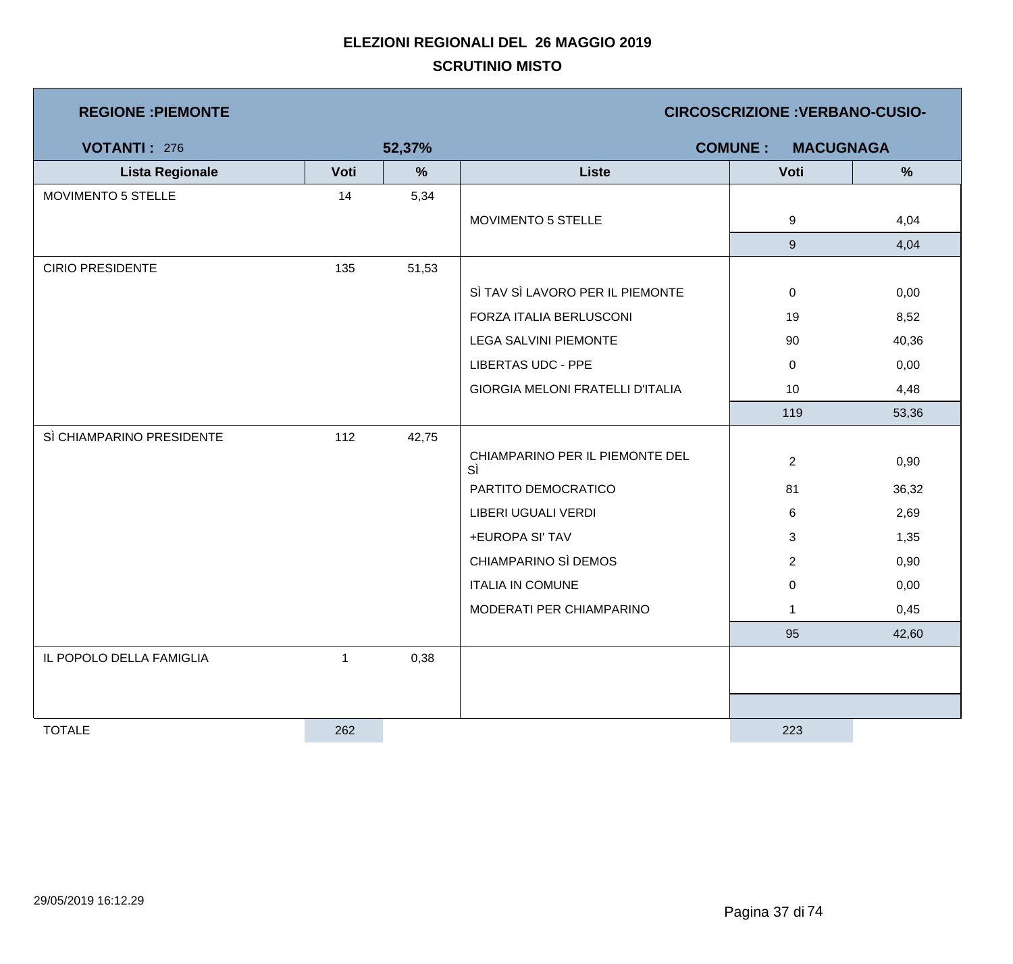| <b>REGIONE : PIEMONTE</b> |      |        |                                         | <b>CIRCOSCRIZIONE: VERBANO-CUSIO-</b> |       |
|---------------------------|------|--------|-----------------------------------------|---------------------------------------|-------|
| <b>VOTANTI: 276</b>       |      | 52,37% |                                         | <b>COMUNE:</b><br><b>MACUGNAGA</b>    |       |
| <b>Lista Regionale</b>    | Voti | %      | <b>Liste</b>                            | Voti                                  | %     |
| MOVIMENTO 5 STELLE        | 14   | 5,34   |                                         |                                       |       |
|                           |      |        | MOVIMENTO 5 STELLE                      | 9                                     | 4,04  |
|                           |      |        |                                         | 9                                     | 4,04  |
| <b>CIRIO PRESIDENTE</b>   | 135  | 51,53  |                                         |                                       |       |
|                           |      |        | SÌ TAV SÌ LAVORO PER IL PIEMONTE        | $\mathbf 0$                           | 0,00  |
|                           |      |        | FORZA ITALIA BERLUSCONI                 | 19                                    | 8,52  |
|                           |      |        | <b>LEGA SALVINI PIEMONTE</b>            | 90                                    | 40,36 |
|                           |      |        | <b>LIBERTAS UDC - PPE</b>               | $\mathbf 0$                           | 0,00  |
|                           |      |        | <b>GIORGIA MELONI FRATELLI D'ITALIA</b> | 10                                    | 4,48  |
|                           |      |        |                                         | 119                                   | 53,36 |
| SÌ CHIAMPARINO PRESIDENTE | 112  | 42,75  |                                         |                                       |       |
|                           |      |        | CHIAMPARINO PER IL PIEMONTE DEL<br>SÌ   | $\overline{2}$                        | 0,90  |
|                           |      |        | PARTITO DEMOCRATICO                     | 81                                    | 36,32 |
|                           |      |        | LIBERI UGUALI VERDI                     | 6                                     | 2,69  |
|                           |      |        | +EUROPA SI' TAV                         | 3                                     | 1,35  |
|                           |      |        | CHIAMPARINO SÌ DEMOS                    | $\overline{c}$                        | 0,90  |
|                           |      |        | <b>ITALIA IN COMUNE</b>                 | $\mathbf 0$                           | 0,00  |
|                           |      |        | MODERATI PER CHIAMPARINO                | $\mathbf{1}$                          | 0,45  |
|                           |      |        |                                         | 95                                    | 42,60 |
| IL POPOLO DELLA FAMIGLIA  | 1    | 0,38   |                                         |                                       |       |
|                           |      |        |                                         |                                       |       |
|                           |      |        |                                         |                                       |       |
| <b>TOTALE</b>             | 262  |        |                                         | 223                                   |       |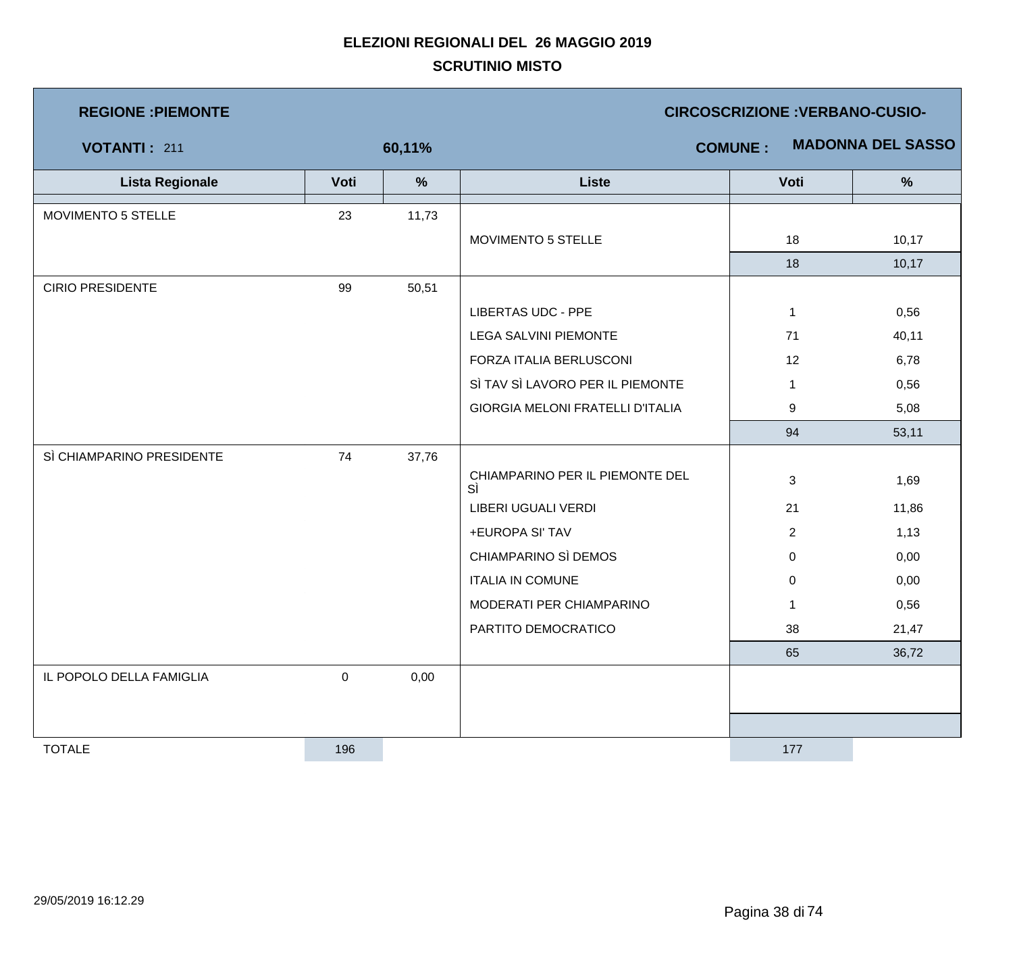| <b>REGIONE : PIEMONTE</b> |           |        | <b>CIRCOSCRIZIONE: VERBANO-CUSIO-</b>      |                |       |  |  |
|---------------------------|-----------|--------|--------------------------------------------|----------------|-------|--|--|
| <b>VOTANTI: 211</b>       |           | 60,11% | <b>MADONNA DEL SASSO</b><br><b>COMUNE:</b> |                |       |  |  |
| <b>Lista Regionale</b>    | Voti      | %      | <b>Liste</b>                               | Voti           | %     |  |  |
| MOVIMENTO 5 STELLE        | 23        | 11,73  |                                            |                |       |  |  |
|                           |           |        | MOVIMENTO 5 STELLE                         | 18             | 10,17 |  |  |
|                           |           |        |                                            | 18             | 10,17 |  |  |
| <b>CIRIO PRESIDENTE</b>   | 99        | 50,51  |                                            |                |       |  |  |
|                           |           |        | <b>LIBERTAS UDC - PPE</b>                  | $\mathbf{1}$   | 0,56  |  |  |
|                           |           |        | <b>LEGA SALVINI PIEMONTE</b>               | 71             | 40,11 |  |  |
|                           |           |        | FORZA ITALIA BERLUSCONI                    | 12             | 6,78  |  |  |
|                           |           |        | SÌ TAV SÌ LAVORO PER IL PIEMONTE           | $\overline{1}$ | 0,56  |  |  |
|                           |           |        | GIORGIA MELONI FRATELLI D'ITALIA           | 9              | 5,08  |  |  |
|                           |           |        |                                            | 94             | 53,11 |  |  |
| SÌ CHIAMPARINO PRESIDENTE | 74        | 37,76  |                                            |                |       |  |  |
|                           |           |        | CHIAMPARINO PER IL PIEMONTE DEL<br>SÌ      | $\sqrt{3}$     | 1,69  |  |  |
|                           |           |        | <b>LIBERI UGUALI VERDI</b>                 | 21             | 11,86 |  |  |
|                           |           |        | +EUROPA SI' TAV                            | $\overline{2}$ | 1,13  |  |  |
|                           |           |        | CHIAMPARINO SÌ DEMOS                       | $\mathbf 0$    | 0,00  |  |  |
|                           |           |        | <b>ITALIA IN COMUNE</b>                    | $\pmb{0}$      | 0,00  |  |  |
|                           |           |        | MODERATI PER CHIAMPARINO                   | $\overline{1}$ | 0,56  |  |  |
|                           |           |        | PARTITO DEMOCRATICO                        | 38             | 21,47 |  |  |
|                           |           |        |                                            | 65             | 36,72 |  |  |
| IL POPOLO DELLA FAMIGLIA  | $\pmb{0}$ | 0,00   |                                            |                |       |  |  |
|                           |           |        |                                            |                |       |  |  |
| <b>TOTALE</b>             | 196       |        |                                            | 177            |       |  |  |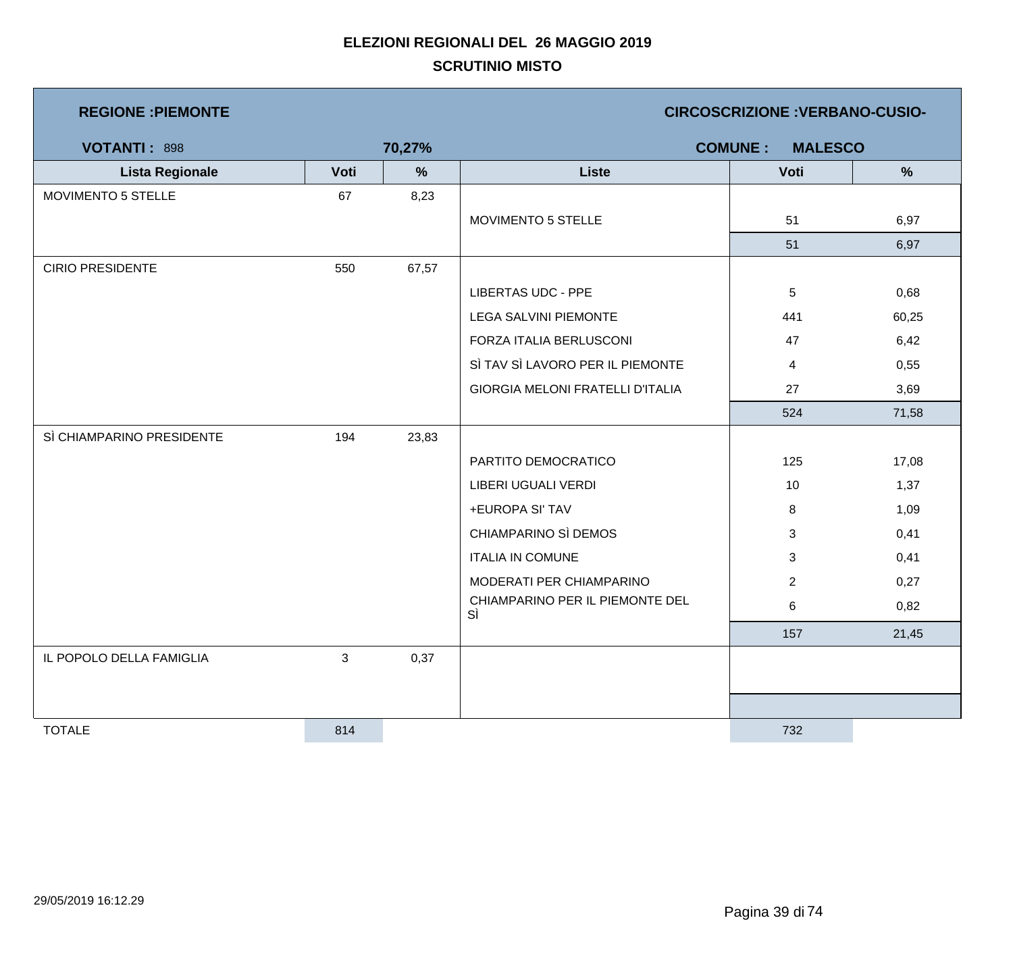| <b>REGIONE : PIEMONTE</b> |      |        |                                         | <b>CIRCOSCRIZIONE : VERBANO-CUSIO-</b> |               |
|---------------------------|------|--------|-----------------------------------------|----------------------------------------|---------------|
| <b>VOTANTI: 898</b>       |      | 70,27% |                                         | <b>COMUNE:</b><br><b>MALESCO</b>       |               |
| <b>Lista Regionale</b>    | Voti | %      | <b>Liste</b>                            | Voti                                   | $\frac{9}{6}$ |
| MOVIMENTO 5 STELLE        | 67   | 8,23   |                                         |                                        |               |
|                           |      |        | MOVIMENTO 5 STELLE                      | 51                                     | 6,97          |
|                           |      |        |                                         | 51                                     | 6,97          |
| <b>CIRIO PRESIDENTE</b>   | 550  | 67,57  |                                         |                                        |               |
|                           |      |        | <b>LIBERTAS UDC - PPE</b>               | $\overline{5}$                         | 0,68          |
|                           |      |        | <b>LEGA SALVINI PIEMONTE</b>            | 441                                    | 60,25         |
|                           |      |        | FORZA ITALIA BERLUSCONI                 | 47                                     | 6,42          |
|                           |      |        | SÌ TAV SÌ LAVORO PER IL PIEMONTE        | 4                                      | 0,55          |
|                           |      |        | <b>GIORGIA MELONI FRATELLI D'ITALIA</b> | 27                                     | 3,69          |
|                           |      |        |                                         | 524                                    | 71,58         |
| SÌ CHIAMPARINO PRESIDENTE | 194  | 23,83  |                                         |                                        |               |
|                           |      |        | PARTITO DEMOCRATICO                     | 125                                    | 17,08         |
|                           |      |        | LIBERI UGUALI VERDI                     | 10                                     | 1,37          |
|                           |      |        | +EUROPA SI' TAV                         | 8                                      | 1,09          |
|                           |      |        | CHIAMPARINO SÌ DEMOS                    | 3                                      | 0,41          |
|                           |      |        | <b>ITALIA IN COMUNE</b>                 | $\mathbf{3}$                           | 0,41          |
|                           |      |        | MODERATI PER CHIAMPARINO                | $\overline{2}$                         | 0,27          |
|                           |      |        | CHIAMPARINO PER IL PIEMONTE DEL<br>SÌ   | 6                                      | 0,82          |
|                           |      |        |                                         | 157                                    | 21,45         |
| IL POPOLO DELLA FAMIGLIA  | 3    | 0,37   |                                         |                                        |               |
|                           |      |        |                                         |                                        |               |
|                           |      |        |                                         |                                        |               |
| <b>TOTALE</b>             | 814  |        |                                         | 732                                    |               |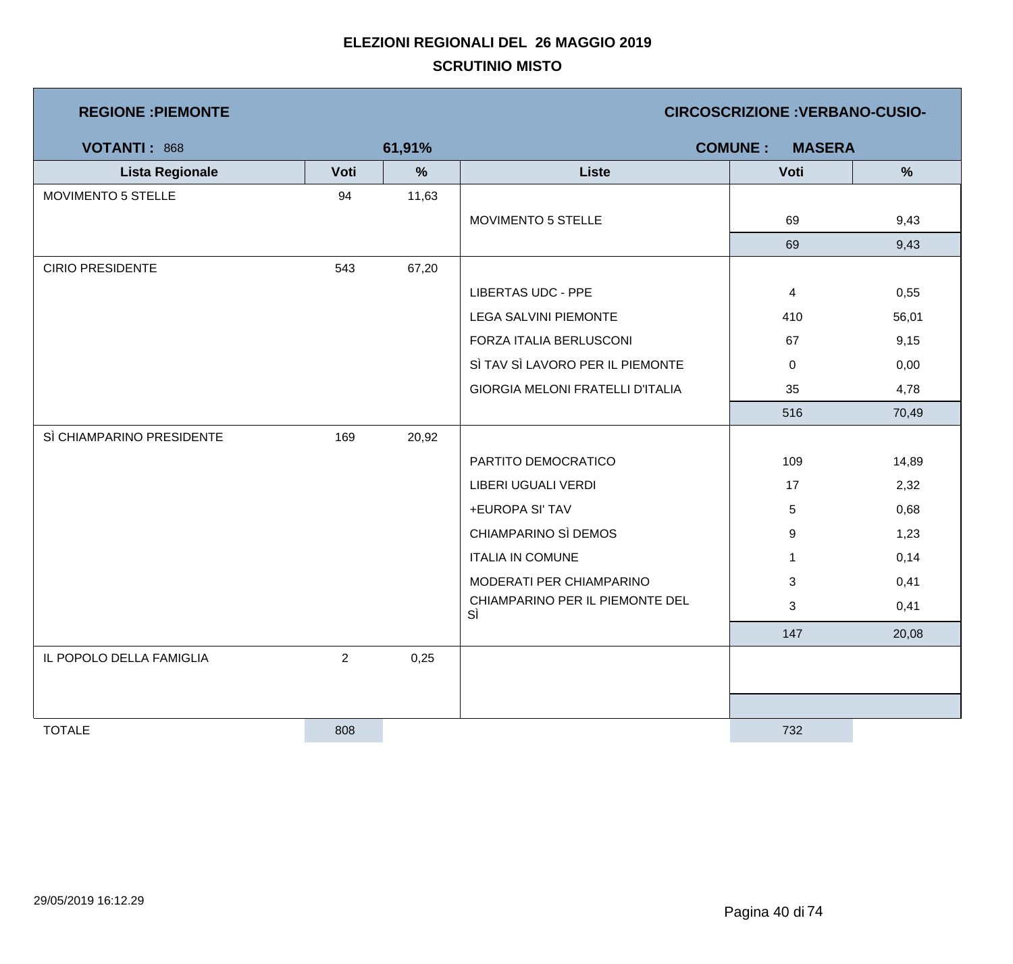| <b>REGIONE : PIEMONTE</b> |                |               |                                         | <b>CIRCOSCRIZIONE : VERBANO-CUSIO-</b> |               |
|---------------------------|----------------|---------------|-----------------------------------------|----------------------------------------|---------------|
| <b>VOTANTI: 868</b>       |                | 61,91%        |                                         | <b>COMUNE:</b><br><b>MASERA</b>        |               |
| <b>Lista Regionale</b>    | Voti           | $\frac{9}{6}$ | <b>Liste</b>                            | Voti                                   | $\frac{9}{6}$ |
| <b>MOVIMENTO 5 STELLE</b> | 94             | 11,63         |                                         |                                        |               |
|                           |                |               | MOVIMENTO 5 STELLE                      | 69                                     | 9,43          |
|                           |                |               |                                         | 69                                     | 9,43          |
| <b>CIRIO PRESIDENTE</b>   | 543            | 67,20         |                                         |                                        |               |
|                           |                |               | <b>LIBERTAS UDC - PPE</b>               | $\overline{4}$                         | 0,55          |
|                           |                |               | <b>LEGA SALVINI PIEMONTE</b>            | 410                                    | 56,01         |
|                           |                |               | FORZA ITALIA BERLUSCONI                 | 67                                     | 9,15          |
|                           |                |               | SÌ TAV SÌ LAVORO PER IL PIEMONTE        | $\mathbf 0$                            | 0,00          |
|                           |                |               | <b>GIORGIA MELONI FRATELLI D'ITALIA</b> | 35                                     | 4,78          |
|                           |                |               |                                         | 516                                    | 70,49         |
| SÌ CHIAMPARINO PRESIDENTE | 169            | 20,92         |                                         |                                        |               |
|                           |                |               | PARTITO DEMOCRATICO                     | 109                                    | 14,89         |
|                           |                |               | LIBERI UGUALI VERDI                     | 17                                     | 2,32          |
|                           |                |               | +EUROPA SI' TAV                         | 5                                      | 0,68          |
|                           |                |               | CHIAMPARINO SÌ DEMOS                    | 9                                      | 1,23          |
|                           |                |               | <b>ITALIA IN COMUNE</b>                 | $\mathbf{1}$                           | 0,14          |
|                           |                |               | MODERATI PER CHIAMPARINO                | 3                                      | 0,41          |
|                           |                |               | CHIAMPARINO PER IL PIEMONTE DEL<br>SÌ   | 3                                      | 0,41          |
|                           |                |               |                                         | 147                                    | 20,08         |
| IL POPOLO DELLA FAMIGLIA  | $\overline{c}$ | 0,25          |                                         |                                        |               |
|                           |                |               |                                         |                                        |               |
|                           |                |               |                                         |                                        |               |
| <b>TOTALE</b>             | 808            |               |                                         | 732                                    |               |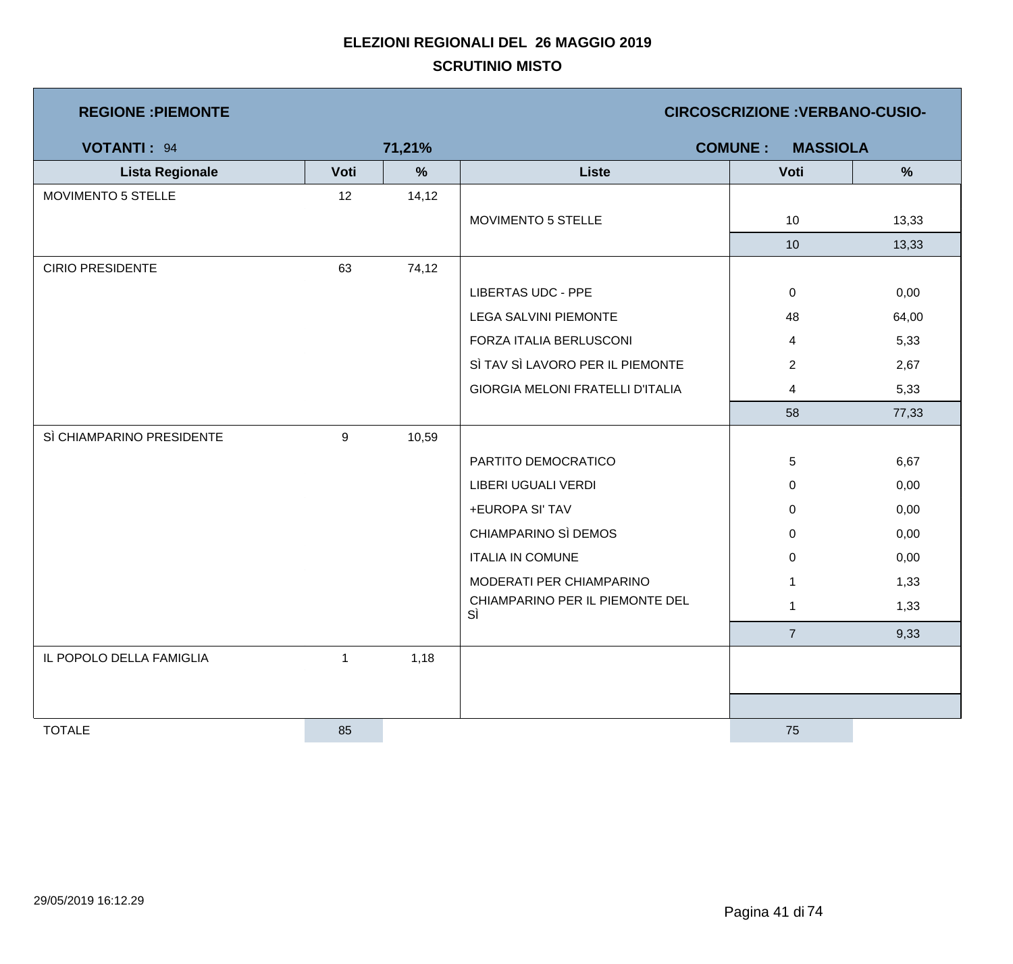| <b>REGIONE : PIEMONTE</b> |      |        |                                         | <b>CIRCOSCRIZIONE : VERBANO-CUSIO-</b> |       |
|---------------------------|------|--------|-----------------------------------------|----------------------------------------|-------|
| <b>VOTANTI: 94</b>        |      | 71,21% |                                         | <b>COMUNE:</b><br><b>MASSIOLA</b>      |       |
| <b>Lista Regionale</b>    | Voti | %      | <b>Liste</b>                            | Voti                                   | %     |
| MOVIMENTO 5 STELLE        | 12   | 14, 12 |                                         |                                        |       |
|                           |      |        | MOVIMENTO 5 STELLE                      | 10                                     | 13,33 |
|                           |      |        |                                         | 10                                     | 13,33 |
| <b>CIRIO PRESIDENTE</b>   | 63   | 74,12  |                                         |                                        |       |
|                           |      |        | <b>LIBERTAS UDC - PPE</b>               | $\mathbf 0$                            | 0,00  |
|                           |      |        | <b>LEGA SALVINI PIEMONTE</b>            | 48                                     | 64,00 |
|                           |      |        | FORZA ITALIA BERLUSCONI                 | 4                                      | 5,33  |
|                           |      |        | SÌ TAV SÌ LAVORO PER IL PIEMONTE        | $\overline{2}$                         | 2,67  |
|                           |      |        | <b>GIORGIA MELONI FRATELLI D'ITALIA</b> | $\overline{4}$                         | 5,33  |
|                           |      |        |                                         | 58                                     | 77,33 |
| SÌ CHIAMPARINO PRESIDENTE | 9    | 10,59  |                                         |                                        |       |
|                           |      |        | PARTITO DEMOCRATICO                     | 5                                      | 6,67  |
|                           |      |        | LIBERI UGUALI VERDI                     | $\mathbf 0$                            | 0,00  |
|                           |      |        | +EUROPA SI' TAV                         | $\mathbf 0$                            | 0,00  |
|                           |      |        | CHIAMPARINO SÌ DEMOS                    | $\mathbf 0$                            | 0,00  |
|                           |      |        | <b>ITALIA IN COMUNE</b>                 | $\mathsf 0$                            | 0,00  |
|                           |      |        | MODERATI PER CHIAMPARINO                | $\mathbf{1}$                           | 1,33  |
|                           |      |        | CHIAMPARINO PER IL PIEMONTE DEL<br>SÌ   | $\mathbf{1}$                           | 1,33  |
|                           |      |        |                                         | $\overline{7}$                         | 9,33  |
| IL POPOLO DELLA FAMIGLIA  | 1    | 1,18   |                                         |                                        |       |
|                           |      |        |                                         |                                        |       |
|                           |      |        |                                         |                                        |       |
| <b>TOTALE</b>             | 85   |        |                                         | 75                                     |       |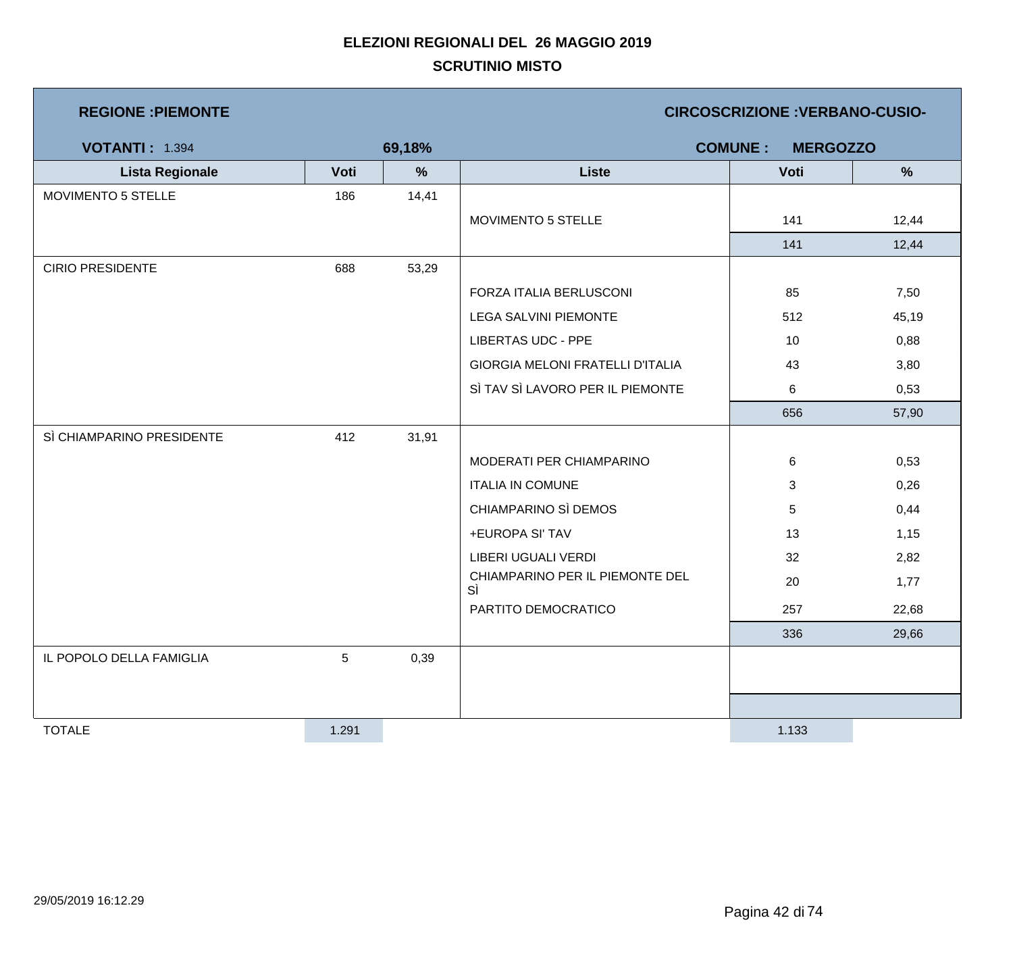| <b>REGIONE : PIEMONTE</b> |       |        |                                         | <b>CIRCOSCRIZIONE: VERBANO-CUSIO-</b> |       |
|---------------------------|-------|--------|-----------------------------------------|---------------------------------------|-------|
| <b>VOTANTI: 1.394</b>     |       | 69,18% |                                         | <b>COMUNE:</b><br><b>MERGOZZO</b>     |       |
| <b>Lista Regionale</b>    | Voti  | %      | <b>Liste</b>                            | Voti                                  | %     |
| <b>MOVIMENTO 5 STELLE</b> | 186   | 14,41  |                                         |                                       |       |
|                           |       |        | MOVIMENTO 5 STELLE                      | 141                                   | 12,44 |
|                           |       |        |                                         | 141                                   | 12,44 |
| <b>CIRIO PRESIDENTE</b>   | 688   | 53,29  |                                         |                                       |       |
|                           |       |        | FORZA ITALIA BERLUSCONI                 | 85                                    | 7,50  |
|                           |       |        | <b>LEGA SALVINI PIEMONTE</b>            | 512                                   | 45,19 |
|                           |       |        | <b>LIBERTAS UDC - PPE</b>               | 10                                    | 0,88  |
|                           |       |        | <b>GIORGIA MELONI FRATELLI D'ITALIA</b> | 43                                    | 3,80  |
|                           |       |        | SÌ TAV SÌ LAVORO PER IL PIEMONTE        | 6                                     | 0,53  |
|                           |       |        |                                         | 656                                   | 57,90 |
| SÌ CHIAMPARINO PRESIDENTE | 412   | 31,91  |                                         |                                       |       |
|                           |       |        | MODERATI PER CHIAMPARINO                | 6                                     | 0,53  |
|                           |       |        | <b>ITALIA IN COMUNE</b>                 | 3                                     | 0,26  |
|                           |       |        | CHIAMPARINO SÌ DEMOS                    | 5                                     | 0,44  |
|                           |       |        | +EUROPA SI' TAV                         | 13                                    | 1,15  |
|                           |       |        | LIBERI UGUALI VERDI                     | 32                                    | 2,82  |
|                           |       |        | CHIAMPARINO PER IL PIEMONTE DEL<br>SÌ   | 20                                    | 1,77  |
|                           |       |        | PARTITO DEMOCRATICO                     | 257                                   | 22,68 |
|                           |       |        |                                         | 336                                   | 29,66 |
| IL POPOLO DELLA FAMIGLIA  | 5     | 0,39   |                                         |                                       |       |
|                           |       |        |                                         |                                       |       |
|                           |       |        |                                         |                                       |       |
| <b>TOTALE</b>             | 1.291 |        |                                         | 1.133                                 |       |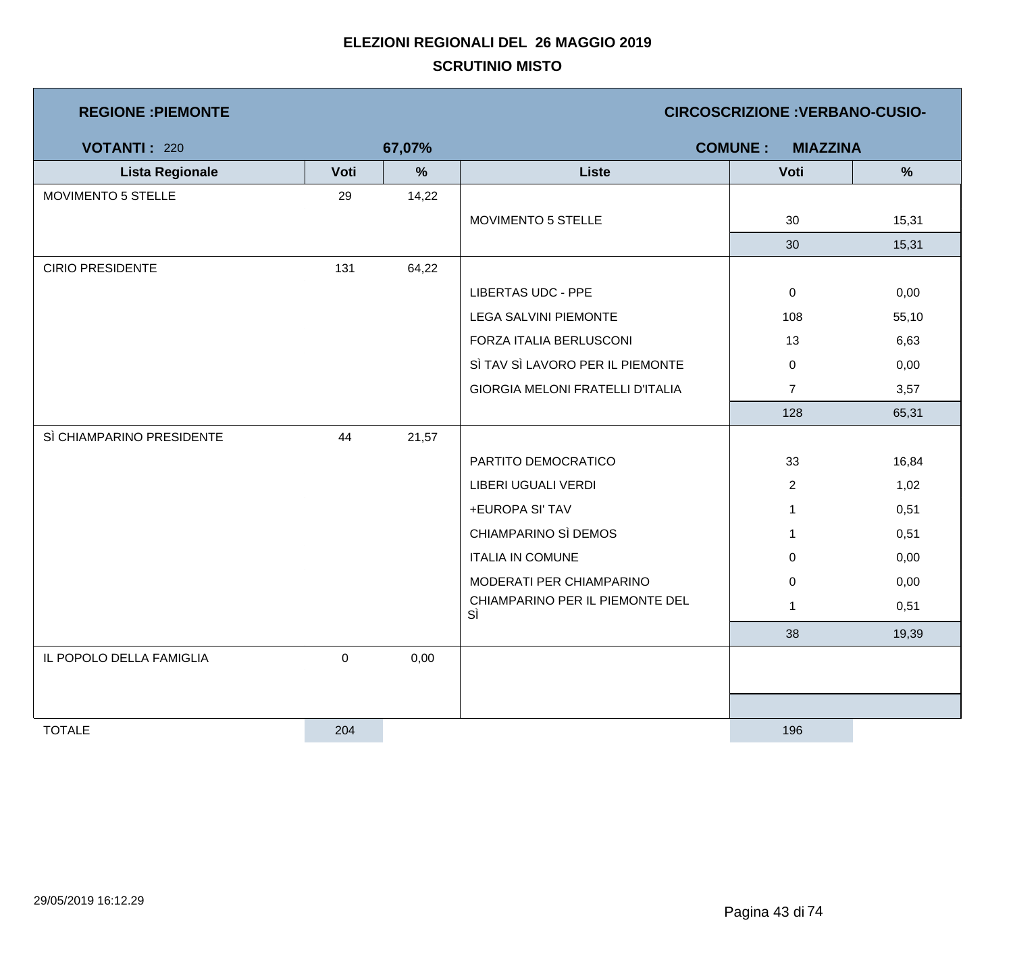| <b>REGIONE : PIEMONTE</b> |           |        |                                       | <b>CIRCOSCRIZIONE : VERBANO-CUSIO-</b> |               |
|---------------------------|-----------|--------|---------------------------------------|----------------------------------------|---------------|
| <b>VOTANTI: 220</b>       |           | 67,07% |                                       | <b>COMUNE:</b><br><b>MIAZZINA</b>      |               |
| <b>Lista Regionale</b>    | Voti      | %      | <b>Liste</b>                          | Voti                                   | $\frac{9}{6}$ |
| MOVIMENTO 5 STELLE        | 29        | 14,22  |                                       |                                        |               |
|                           |           |        | MOVIMENTO 5 STELLE                    | 30                                     | 15,31         |
|                           |           |        |                                       | 30                                     | 15,31         |
| <b>CIRIO PRESIDENTE</b>   | 131       | 64,22  |                                       |                                        |               |
|                           |           |        | <b>LIBERTAS UDC - PPE</b>             | $\mathbf 0$                            | 0,00          |
|                           |           |        | <b>LEGA SALVINI PIEMONTE</b>          | 108                                    | 55,10         |
|                           |           |        | FORZA ITALIA BERLUSCONI               | 13                                     | 6,63          |
|                           |           |        | SÌ TAV SÌ LAVORO PER IL PIEMONTE      | $\mathbf 0$                            | 0,00          |
|                           |           |        | GIORGIA MELONI FRATELLI D'ITALIA      | $\overline{7}$                         | 3,57          |
|                           |           |        |                                       | 128                                    | 65,31         |
| SÌ CHIAMPARINO PRESIDENTE | 44        | 21,57  |                                       |                                        |               |
|                           |           |        | PARTITO DEMOCRATICO                   | 33                                     | 16,84         |
|                           |           |        | LIBERI UGUALI VERDI                   | $\overline{2}$                         | 1,02          |
|                           |           |        | +EUROPA SI' TAV                       | $\mathbf 1$                            | 0,51          |
|                           |           |        | CHIAMPARINO SÌ DEMOS                  | 1                                      | 0,51          |
|                           |           |        | <b>ITALIA IN COMUNE</b>               | 0                                      | 0,00          |
|                           |           |        | MODERATI PER CHIAMPARINO              | $\pmb{0}$                              | 0,00          |
|                           |           |        | CHIAMPARINO PER IL PIEMONTE DEL<br>SÌ | $\mathbf{1}$                           | 0,51          |
|                           |           |        |                                       | 38                                     | 19,39         |
| IL POPOLO DELLA FAMIGLIA  | $\pmb{0}$ | 0,00   |                                       |                                        |               |
|                           |           |        |                                       |                                        |               |
|                           |           |        |                                       |                                        |               |
| <b>TOTALE</b>             | 204       |        |                                       | 196                                    |               |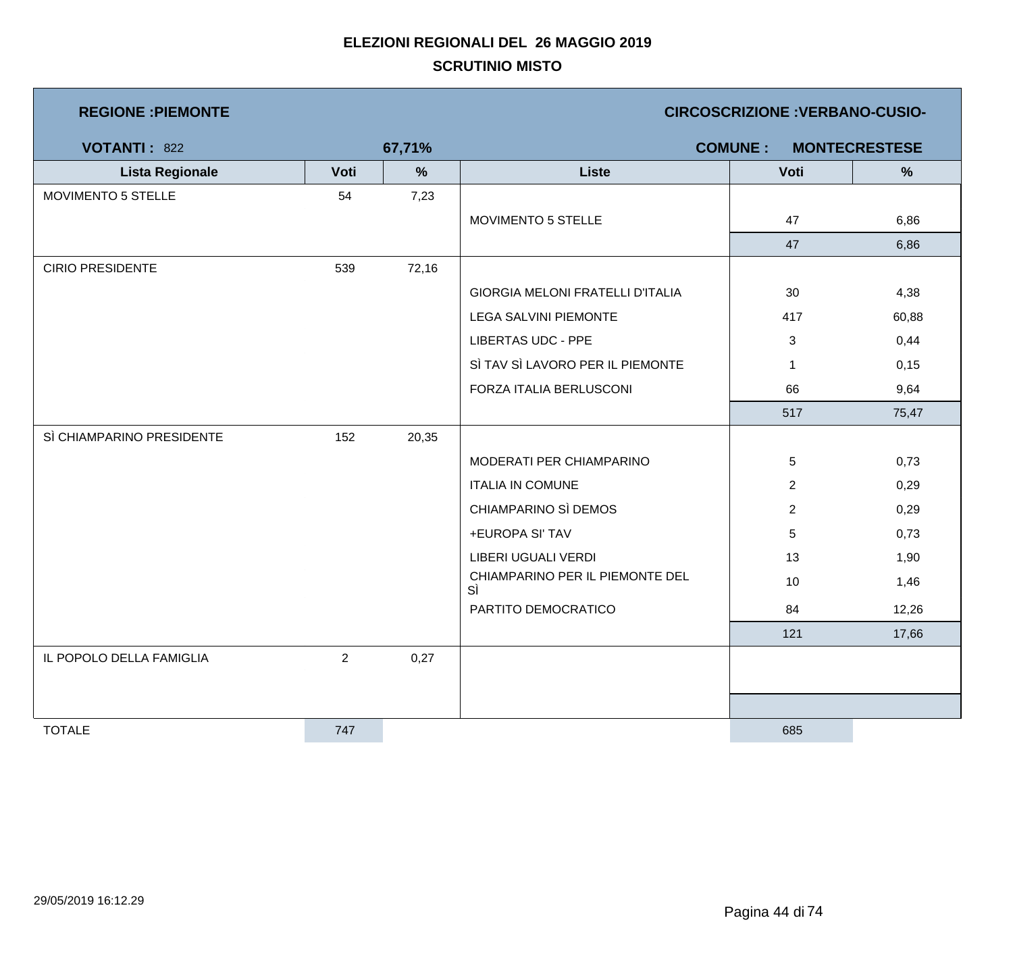| <b>REGIONE : PIEMONTE</b> |                |               | <b>CIRCOSCRIZIONE : VERBANO-CUSIO-</b>  |                |                      |  |  |
|---------------------------|----------------|---------------|-----------------------------------------|----------------|----------------------|--|--|
| <b>VOTANTI: 822</b>       |                | 67,71%        |                                         | <b>COMUNE:</b> | <b>MONTECRESTESE</b> |  |  |
| <b>Lista Regionale</b>    | Voti           | $\frac{9}{6}$ | <b>Liste</b>                            | Voti           | %                    |  |  |
| MOVIMENTO 5 STELLE        | 54             | 7,23          |                                         |                |                      |  |  |
|                           |                |               | MOVIMENTO 5 STELLE                      | 47             | 6,86                 |  |  |
|                           |                |               |                                         | 47             | 6,86                 |  |  |
| <b>CIRIO PRESIDENTE</b>   | 539            | 72,16         |                                         |                |                      |  |  |
|                           |                |               | <b>GIORGIA MELONI FRATELLI D'ITALIA</b> | 30             | 4,38                 |  |  |
|                           |                |               | <b>LEGA SALVINI PIEMONTE</b>            | 417            | 60,88                |  |  |
|                           |                |               | <b>LIBERTAS UDC - PPE</b>               | 3              | 0,44                 |  |  |
|                           |                |               | SÌ TAV SÌ LAVORO PER IL PIEMONTE        | $\mathbf{1}$   | 0,15                 |  |  |
|                           |                |               | FORZA ITALIA BERLUSCONI                 | 66             | 9,64                 |  |  |
|                           |                |               |                                         | 517            | 75,47                |  |  |
| SÌ CHIAMPARINO PRESIDENTE | 152            | 20,35         |                                         |                |                      |  |  |
|                           |                |               | MODERATI PER CHIAMPARINO                | 5              | 0,73                 |  |  |
|                           |                |               | <b>ITALIA IN COMUNE</b>                 | $\overline{2}$ | 0,29                 |  |  |
|                           |                |               | CHIAMPARINO SÌ DEMOS                    | $\overline{2}$ | 0,29                 |  |  |
|                           |                |               | +EUROPA SI' TAV                         | 5              | 0,73                 |  |  |
|                           |                |               | LIBERI UGUALI VERDI                     | 13             | 1,90                 |  |  |
|                           |                |               | CHIAMPARINO PER IL PIEMONTE DEL<br>SÌ   | 10             | 1,46                 |  |  |
|                           |                |               | PARTITO DEMOCRATICO                     | 84             | 12,26                |  |  |
|                           |                |               |                                         | 121            | 17,66                |  |  |
| IL POPOLO DELLA FAMIGLIA  | $\overline{2}$ | 0,27          |                                         |                |                      |  |  |
|                           |                |               |                                         |                |                      |  |  |
|                           |                |               |                                         |                |                      |  |  |
| <b>TOTALE</b>             | 747            |               |                                         | 685            |                      |  |  |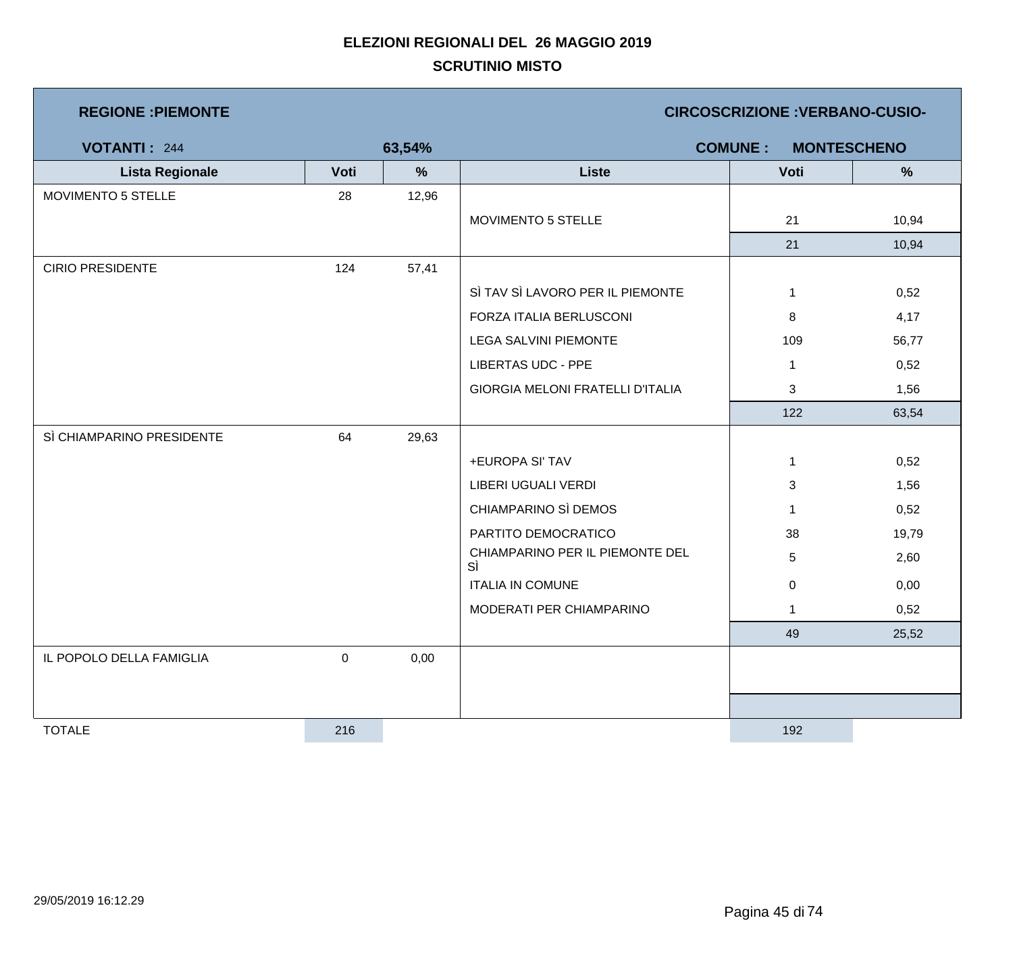| <b>REGIONE : PIEMONTE</b> |      |        |                                         | <b>CIRCOSCRIZIONE : VERBANO-CUSIO-</b> |                    |
|---------------------------|------|--------|-----------------------------------------|----------------------------------------|--------------------|
| <b>VOTANTI: 244</b>       |      | 63,54% |                                         | <b>COMUNE:</b>                         | <b>MONTESCHENO</b> |
| <b>Lista Regionale</b>    | Voti | %      | <b>Liste</b>                            | Voti                                   | %                  |
| <b>MOVIMENTO 5 STELLE</b> | 28   | 12,96  |                                         |                                        |                    |
|                           |      |        | MOVIMENTO 5 STELLE                      | 21                                     | 10,94              |
|                           |      |        |                                         | 21                                     | 10,94              |
| <b>CIRIO PRESIDENTE</b>   | 124  | 57,41  |                                         |                                        |                    |
|                           |      |        | SÌ TAV SÌ LAVORO PER IL PIEMONTE        | $\mathbf{1}$                           | 0,52               |
|                           |      |        | FORZA ITALIA BERLUSCONI                 | 8                                      | 4,17               |
|                           |      |        | <b>LEGA SALVINI PIEMONTE</b>            | 109                                    | 56,77              |
|                           |      |        | <b>LIBERTAS UDC - PPE</b>               | $\mathbf{1}$                           | 0,52               |
|                           |      |        | <b>GIORGIA MELONI FRATELLI D'ITALIA</b> | 3                                      | 1,56               |
|                           |      |        |                                         | 122                                    | 63,54              |
| SÌ CHIAMPARINO PRESIDENTE | 64   | 29,63  |                                         |                                        |                    |
|                           |      |        | +EUROPA SI' TAV                         | $\mathbf 1$                            | 0,52               |
|                           |      |        | LIBERI UGUALI VERDI                     | 3                                      | 1,56               |
|                           |      |        | CHIAMPARINO SÌ DEMOS                    | $\mathbf{1}$                           | 0,52               |
|                           |      |        | PARTITO DEMOCRATICO                     | 38                                     | 19,79              |
|                           |      |        | CHIAMPARINO PER IL PIEMONTE DEL<br>SÌ   | 5                                      | 2,60               |
|                           |      |        | <b>ITALIA IN COMUNE</b>                 | $\mathbf 0$                            | 0,00               |
|                           |      |        | MODERATI PER CHIAMPARINO                | $\mathbf{1}$                           | 0,52               |
|                           |      |        |                                         | 49                                     | 25,52              |
| IL POPOLO DELLA FAMIGLIA  | 0    | 0,00   |                                         |                                        |                    |
|                           |      |        |                                         |                                        |                    |
|                           |      |        |                                         |                                        |                    |
| <b>TOTALE</b>             | 216  |        |                                         | 192                                    |                    |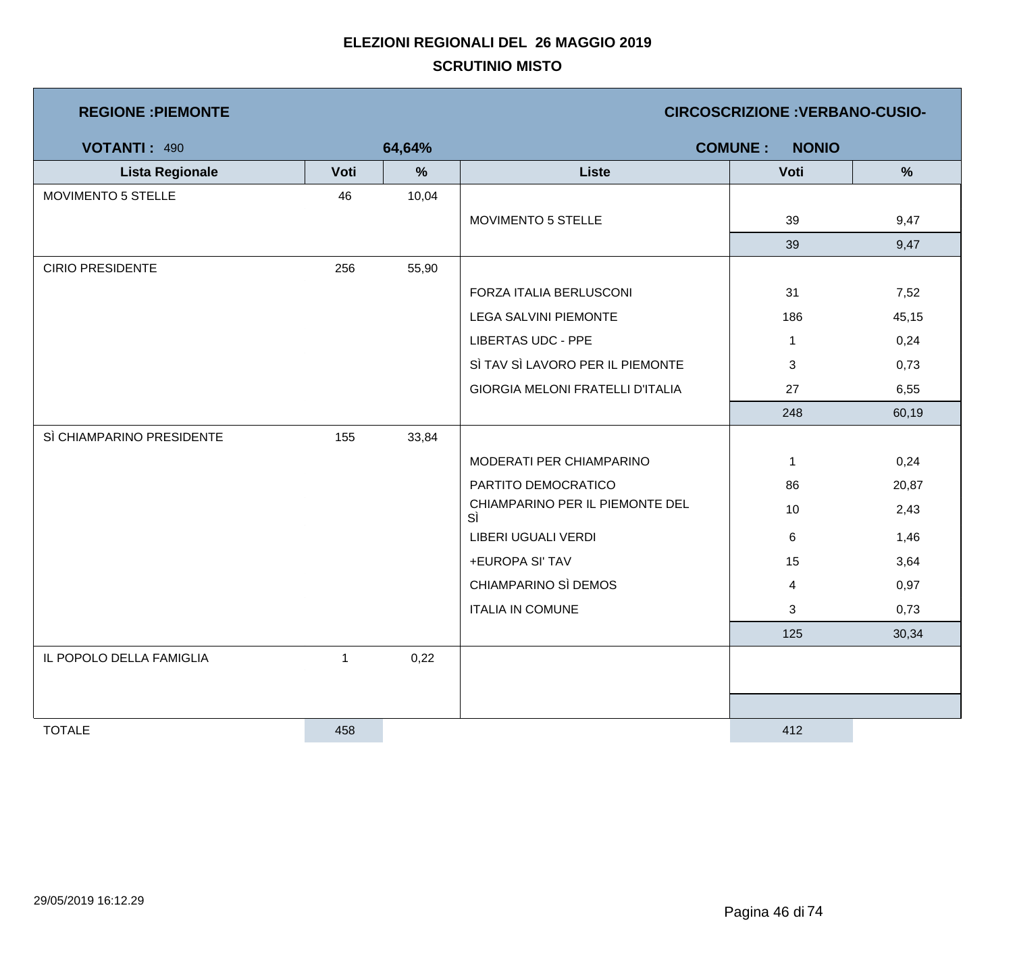| <b>REGIONE : PIEMONTE</b> |              |               | <b>CIRCOSCRIZIONE : VERBANO-CUSIO-</b> |                                |       |  |  |
|---------------------------|--------------|---------------|----------------------------------------|--------------------------------|-------|--|--|
| <b>VOTANTI: 490</b>       |              | 64,64%        |                                        | <b>COMUNE:</b><br><b>NONIO</b> |       |  |  |
| <b>Lista Regionale</b>    | Voti         | $\frac{9}{6}$ | <b>Liste</b>                           | Voti                           | $\%$  |  |  |
| <b>MOVIMENTO 5 STELLE</b> | 46           | 10,04         |                                        |                                |       |  |  |
|                           |              |               | MOVIMENTO 5 STELLE                     | 39                             | 9,47  |  |  |
|                           |              |               |                                        | 39                             | 9,47  |  |  |
| <b>CIRIO PRESIDENTE</b>   | 256          | 55,90         |                                        |                                |       |  |  |
|                           |              |               | FORZA ITALIA BERLUSCONI                | 31                             | 7,52  |  |  |
|                           |              |               | <b>LEGA SALVINI PIEMONTE</b>           | 186                            | 45,15 |  |  |
|                           |              |               | <b>LIBERTAS UDC - PPE</b>              | $\mathbf{1}$                   | 0,24  |  |  |
|                           |              |               | SÌ TAV SÌ LAVORO PER IL PIEMONTE       | 3                              | 0,73  |  |  |
|                           |              |               | GIORGIA MELONI FRATELLI D'ITALIA       | 27                             | 6,55  |  |  |
|                           |              |               |                                        | 248                            | 60,19 |  |  |
| SÌ CHIAMPARINO PRESIDENTE | 155          | 33,84         |                                        |                                |       |  |  |
|                           |              |               | MODERATI PER CHIAMPARINO               | $\mathbf 1$                    | 0,24  |  |  |
|                           |              |               | PARTITO DEMOCRATICO                    | 86                             | 20,87 |  |  |
|                           |              |               | CHIAMPARINO PER IL PIEMONTE DEL<br>SÌ  | 10                             | 2,43  |  |  |
|                           |              |               | <b>LIBERI UGUALI VERDI</b>             | 6                              | 1,46  |  |  |
|                           |              |               | +EUROPA SI' TAV                        | 15                             | 3,64  |  |  |
|                           |              |               | CHIAMPARINO SÌ DEMOS                   | $\overline{4}$                 | 0,97  |  |  |
|                           |              |               | <b>ITALIA IN COMUNE</b>                | 3                              | 0,73  |  |  |
|                           |              |               |                                        | 125                            | 30,34 |  |  |
| IL POPOLO DELLA FAMIGLIA  | $\mathbf{1}$ | 0,22          |                                        |                                |       |  |  |
|                           |              |               |                                        |                                |       |  |  |
|                           |              |               |                                        |                                |       |  |  |
| <b>TOTALE</b>             | 458          |               |                                        | 412                            |       |  |  |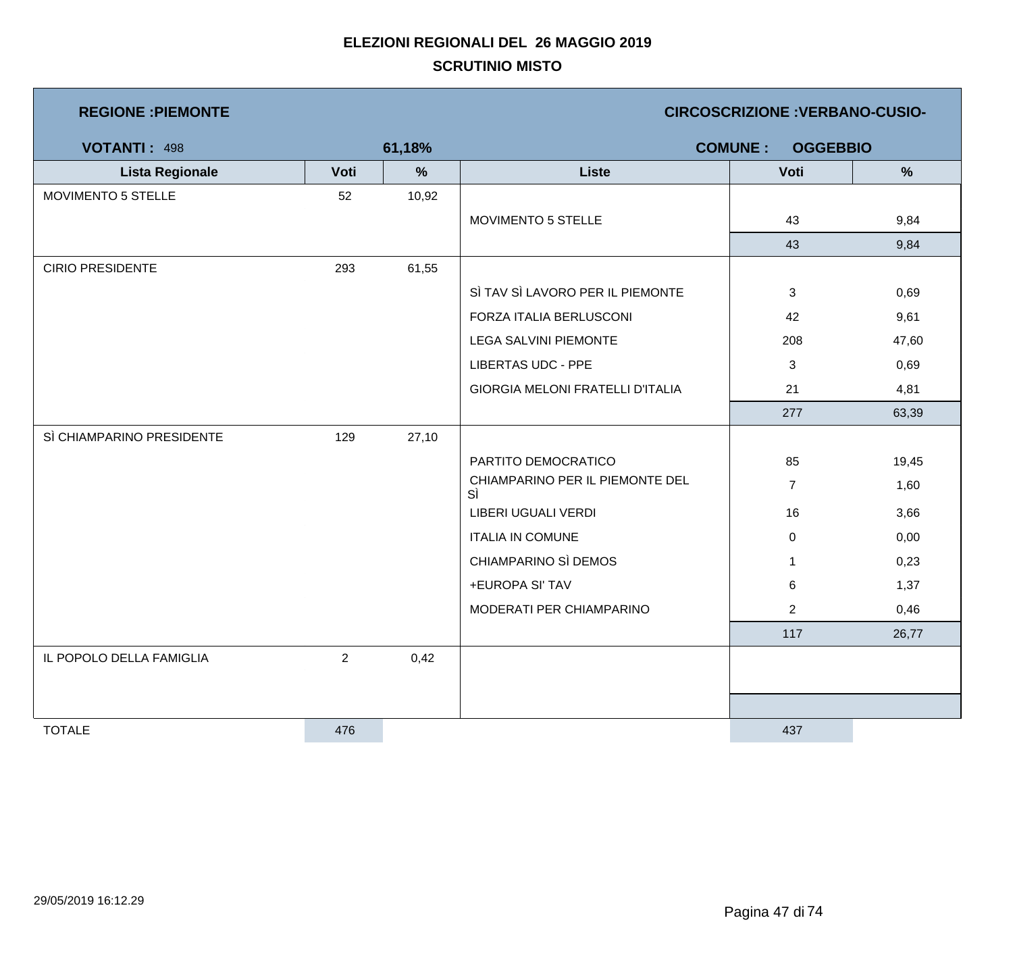| <b>REGIONE : PIEMONTE</b> |                |               |                                         | <b>CIRCOSCRIZIONE : VERBANO-CUSIO-</b> |               |
|---------------------------|----------------|---------------|-----------------------------------------|----------------------------------------|---------------|
| VOTANTI: 498              |                | 61,18%        |                                         | <b>COMUNE:</b><br><b>OGGEBBIO</b>      |               |
| <b>Lista Regionale</b>    | Voti           | $\frac{9}{6}$ | <b>Liste</b>                            | Voti                                   | $\frac{9}{6}$ |
| MOVIMENTO 5 STELLE        | 52             | 10,92         |                                         |                                        |               |
|                           |                |               | MOVIMENTO 5 STELLE                      | 43                                     | 9,84          |
|                           |                |               |                                         | 43                                     | 9,84          |
| <b>CIRIO PRESIDENTE</b>   | 293            | 61,55         |                                         |                                        |               |
|                           |                |               | SÌ TAV SÌ LAVORO PER IL PIEMONTE        | $\mathbf{3}$                           | 0,69          |
|                           |                |               | FORZA ITALIA BERLUSCONI                 | 42                                     | 9,61          |
|                           |                |               | LEGA SALVINI PIEMONTE                   | 208                                    | 47,60         |
|                           |                |               | <b>LIBERTAS UDC - PPE</b>               | 3                                      | 0,69          |
|                           |                |               | <b>GIORGIA MELONI FRATELLI D'ITALIA</b> | 21                                     | 4,81          |
|                           |                |               |                                         | 277                                    | 63,39         |
| SÌ CHIAMPARINO PRESIDENTE | 129            | 27,10         |                                         |                                        |               |
|                           |                |               | PARTITO DEMOCRATICO                     | 85                                     | 19,45         |
|                           |                |               | CHIAMPARINO PER IL PIEMONTE DEL<br>SÌ   | $\overline{7}$                         | 1,60          |
|                           |                |               | LIBERI UGUALI VERDI                     | 16                                     | 3,66          |
|                           |                |               | <b>ITALIA IN COMUNE</b>                 | $\pmb{0}$                              | 0,00          |
|                           |                |               | CHIAMPARINO SÌ DEMOS                    | $\mathbf 1$                            | 0,23          |
|                           |                |               | +EUROPA SI' TAV                         | 6                                      | 1,37          |
|                           |                |               | MODERATI PER CHIAMPARINO                | $\overline{c}$                         | 0,46          |
|                           |                |               |                                         | 117                                    | 26,77         |
| IL POPOLO DELLA FAMIGLIA  | $\overline{2}$ | 0,42          |                                         |                                        |               |
|                           |                |               |                                         |                                        |               |
|                           |                |               |                                         |                                        |               |
| <b>TOTALE</b>             | 476            |               |                                         | 437                                    |               |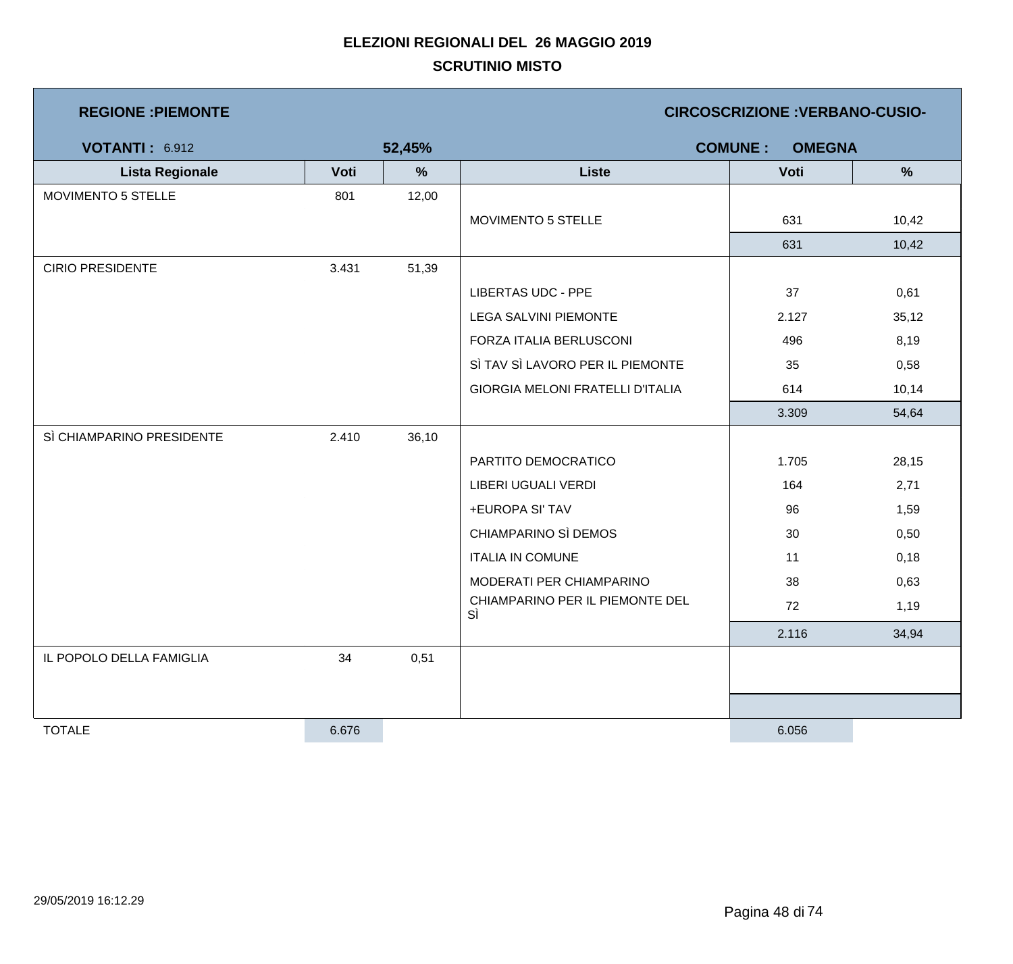| <b>REGIONE: PIEMONTE</b>  |       | <b>CIRCOSCRIZIONE: VERBANO-CUSIO-</b> |                                         |                                 |       |
|---------------------------|-------|---------------------------------------|-----------------------------------------|---------------------------------|-------|
| <b>VOTANTI: 6.912</b>     |       | 52,45%                                |                                         | <b>COMUNE:</b><br><b>OMEGNA</b> |       |
| <b>Lista Regionale</b>    | Voti  | %                                     | <b>Liste</b>                            | Voti                            | %     |
| MOVIMENTO 5 STELLE        | 801   | 12,00                                 |                                         |                                 |       |
|                           |       |                                       | MOVIMENTO 5 STELLE                      | 631                             | 10,42 |
|                           |       |                                       |                                         | 631                             | 10,42 |
| <b>CIRIO PRESIDENTE</b>   | 3.431 | 51,39                                 |                                         |                                 |       |
|                           |       |                                       | <b>LIBERTAS UDC - PPE</b>               | 37                              | 0,61  |
|                           |       |                                       | <b>LEGA SALVINI PIEMONTE</b>            | 2.127                           | 35,12 |
|                           |       |                                       | FORZA ITALIA BERLUSCONI                 | 496                             | 8,19  |
|                           |       |                                       | SÌ TAV SÌ LAVORO PER IL PIEMONTE        | 35                              | 0,58  |
|                           |       |                                       | <b>GIORGIA MELONI FRATELLI D'ITALIA</b> | 614                             | 10,14 |
|                           |       |                                       |                                         | 3.309                           | 54,64 |
| SÌ CHIAMPARINO PRESIDENTE | 2.410 | 36,10                                 |                                         |                                 |       |
|                           |       |                                       | PARTITO DEMOCRATICO                     | 1.705                           | 28,15 |
|                           |       |                                       | LIBERI UGUALI VERDI                     | 164                             | 2,71  |
|                           |       |                                       | +EUROPA SI' TAV                         | 96                              | 1,59  |
|                           |       |                                       | CHIAMPARINO SÌ DEMOS                    | 30                              | 0,50  |
|                           |       |                                       | <b>ITALIA IN COMUNE</b>                 | 11                              | 0,18  |
|                           |       |                                       | MODERATI PER CHIAMPARINO                | 38                              | 0,63  |
|                           |       |                                       | CHIAMPARINO PER IL PIEMONTE DEL<br>SÌ   | 72                              | 1,19  |
|                           |       |                                       |                                         | 2.116                           | 34,94 |
| IL POPOLO DELLA FAMIGLIA  | 34    | 0,51                                  |                                         |                                 |       |
|                           |       |                                       |                                         |                                 |       |
|                           |       |                                       |                                         |                                 |       |
| <b>TOTALE</b>             | 6.676 |                                       |                                         | 6.056                           |       |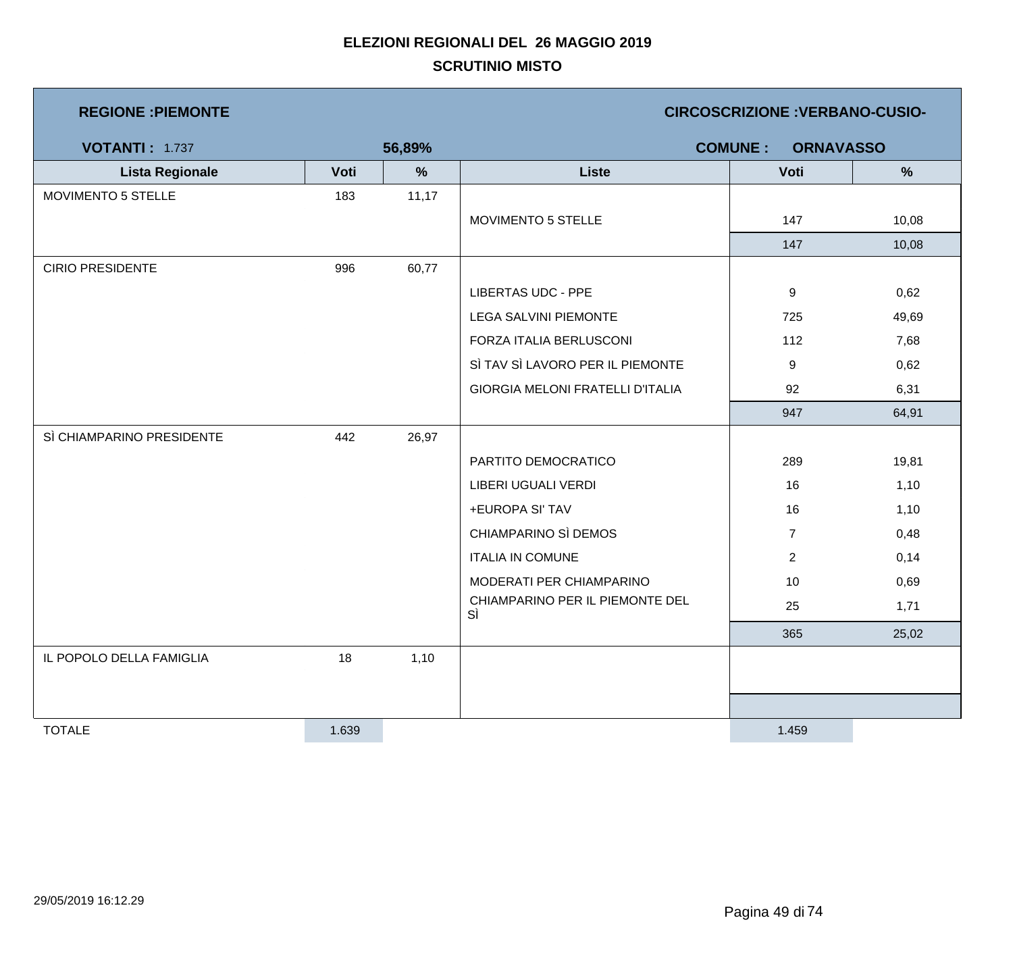| <b>REGIONE: PIEMONTE</b> |      |               | <b>CIRCOSCRIZIONE : VERBANO-CUSIO-</b>  |                                    |       |  |
|--------------------------|------|---------------|-----------------------------------------|------------------------------------|-------|--|
| <b>VOTANTI: 1.737</b>    |      | 56,89%        |                                         | <b>COMUNE:</b><br><b>ORNAVASSO</b> |       |  |
| <b>Lista Regionale</b>   | Voti | $\frac{9}{6}$ | <b>Liste</b>                            | Voti                               | $\%$  |  |
| MOVIMENTO 5 STELLE       | 183  | 11,17         |                                         |                                    |       |  |
|                          |      |               | <b>MOVIMENTO 5 STELLE</b>               | 147                                | 10,08 |  |
|                          |      |               |                                         | 147                                | 10,08 |  |
| <b>CIRIO PRESIDENTE</b>  | 996  | 60,77         |                                         |                                    |       |  |
|                          |      |               | <b>LIBERTAS UDC - PPE</b>               | 9                                  | 0,62  |  |
|                          |      |               | <b>LEGA SALVINI PIEMONTE</b>            | 725                                | 49,69 |  |
|                          |      |               | FORZA ITALIA BERLUSCONI                 | 112                                | 7,68  |  |
|                          |      |               | SÌ TAV SÌ LAVORO PER IL PIEMONTE        | 9                                  | 0,62  |  |
|                          |      |               | <b>GIORGIA MELONI FRATELLI D'ITALIA</b> | 92                                 | 6,31  |  |

|                           |       |       | LIBERTAS UDC - PPE                      | 9              | 0,62  |
|---------------------------|-------|-------|-----------------------------------------|----------------|-------|
|                           |       |       | <b>LEGA SALVINI PIEMONTE</b>            | 725            | 49,69 |
|                           |       |       | FORZA ITALIA BERLUSCONI                 | 112            | 7,68  |
|                           |       |       | SÌ TAV SÌ LAVORO PER IL PIEMONTE        | 9              | 0,62  |
|                           |       |       | <b>GIORGIA MELONI FRATELLI D'ITALIA</b> | 92             | 6,31  |
|                           |       |       |                                         | 947            | 64,91 |
| SÌ CHIAMPARINO PRESIDENTE | 442   | 26,97 |                                         |                |       |
|                           |       |       | PARTITO DEMOCRATICO                     | 289            | 19,81 |
|                           |       |       | LIBERI UGUALI VERDI                     | 16             | 1,10  |
|                           |       |       | +EUROPA SI' TAV                         | 16             | 1,10  |
|                           |       |       | CHIAMPARINO SÌ DEMOS                    | $\overline{7}$ | 0,48  |
|                           |       |       | <b>ITALIA IN COMUNE</b>                 | $\overline{2}$ | 0,14  |
|                           |       |       | MODERATI PER CHIAMPARINO                | 10             | 0,69  |
|                           |       |       | CHIAMPARINO PER IL PIEMONTE DEL<br>SÌ   | 25             | 1,71  |
|                           |       |       |                                         | 365            | 25,02 |
| IL POPOLO DELLA FAMIGLIA  | 18    | 1,10  |                                         |                |       |
|                           |       |       |                                         |                |       |
|                           |       |       |                                         |                |       |
| <b>TOTALE</b>             | 1.639 |       |                                         | 1.459          |       |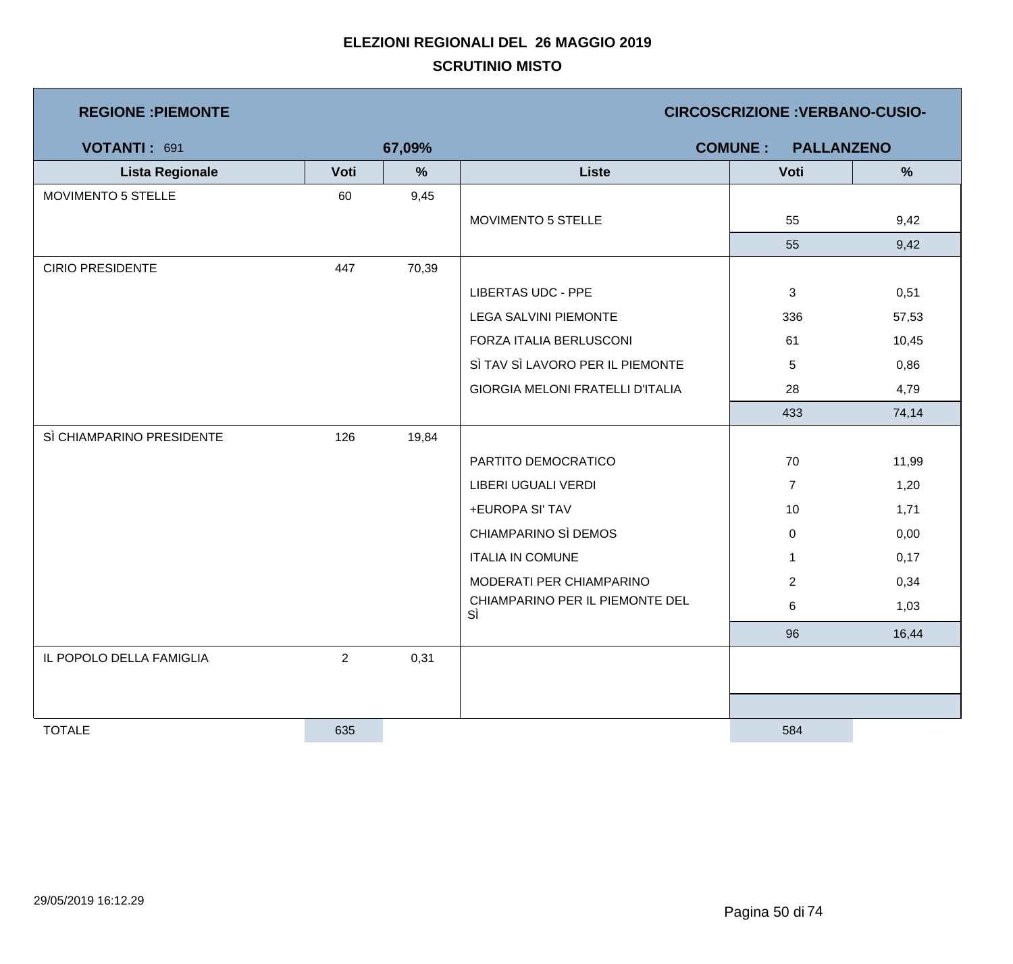|  |  | <b>REGIONE: PIEMONTE</b> |
|--|--|--------------------------|
|  |  |                          |

**REGIONE :PIEMONTE CIRCOSCRIZIONE :VERBANO-CUSIO-**

| VOTANTI: 691              |                | 67,09% |                                       | <b>COMUNE:</b><br><b>PALLANZENO</b> |       |
|---------------------------|----------------|--------|---------------------------------------|-------------------------------------|-------|
| <b>Lista Regionale</b>    | Voti           | $\%$   | <b>Liste</b>                          | Voti                                | $\%$  |
| MOVIMENTO 5 STELLE        | 60             | 9,45   |                                       |                                     |       |
|                           |                |        | <b>MOVIMENTO 5 STELLE</b>             | 55                                  | 9,42  |
|                           |                |        |                                       | 55                                  | 9,42  |
| <b>CIRIO PRESIDENTE</b>   | 447            | 70,39  |                                       |                                     |       |
|                           |                |        | <b>LIBERTAS UDC - PPE</b>             | 3                                   | 0,51  |
|                           |                |        | <b>LEGA SALVINI PIEMONTE</b>          | 336                                 | 57,53 |
|                           |                |        | FORZA ITALIA BERLUSCONI               | 61                                  | 10,45 |
|                           |                |        | SÌ TAV SÌ LAVORO PER IL PIEMONTE      | 5                                   | 0,86  |
|                           |                |        | GIORGIA MELONI FRATELLI D'ITALIA      | 28                                  | 4,79  |
|                           |                |        |                                       | 433                                 | 74,14 |
| SÌ CHIAMPARINO PRESIDENTE | 126            | 19,84  |                                       |                                     |       |
|                           |                |        | PARTITO DEMOCRATICO                   | 70                                  | 11,99 |
|                           |                |        | <b>LIBERI UGUALI VERDI</b>            | $\overline{7}$                      | 1,20  |
|                           |                |        | +EUROPA SI' TAV                       | 10                                  | 1,71  |
|                           |                |        | CHIAMPARINO SÌ DEMOS                  | $\mathbf 0$                         | 0,00  |
|                           |                |        | <b>ITALIA IN COMUNE</b>               | $\mathbf{1}$                        | 0,17  |
|                           |                |        | MODERATI PER CHIAMPARINO              | $\overline{2}$                      | 0,34  |
|                           |                |        | CHIAMPARINO PER IL PIEMONTE DEL<br>SÌ | 6                                   | 1,03  |
|                           |                |        |                                       | 96                                  | 16,44 |
| IL POPOLO DELLA FAMIGLIA  | $\overline{2}$ | 0,31   |                                       |                                     |       |
|                           |                |        |                                       |                                     |       |
|                           |                |        |                                       |                                     |       |
| <b>TOTALE</b>             | 635            |        |                                       | 584                                 |       |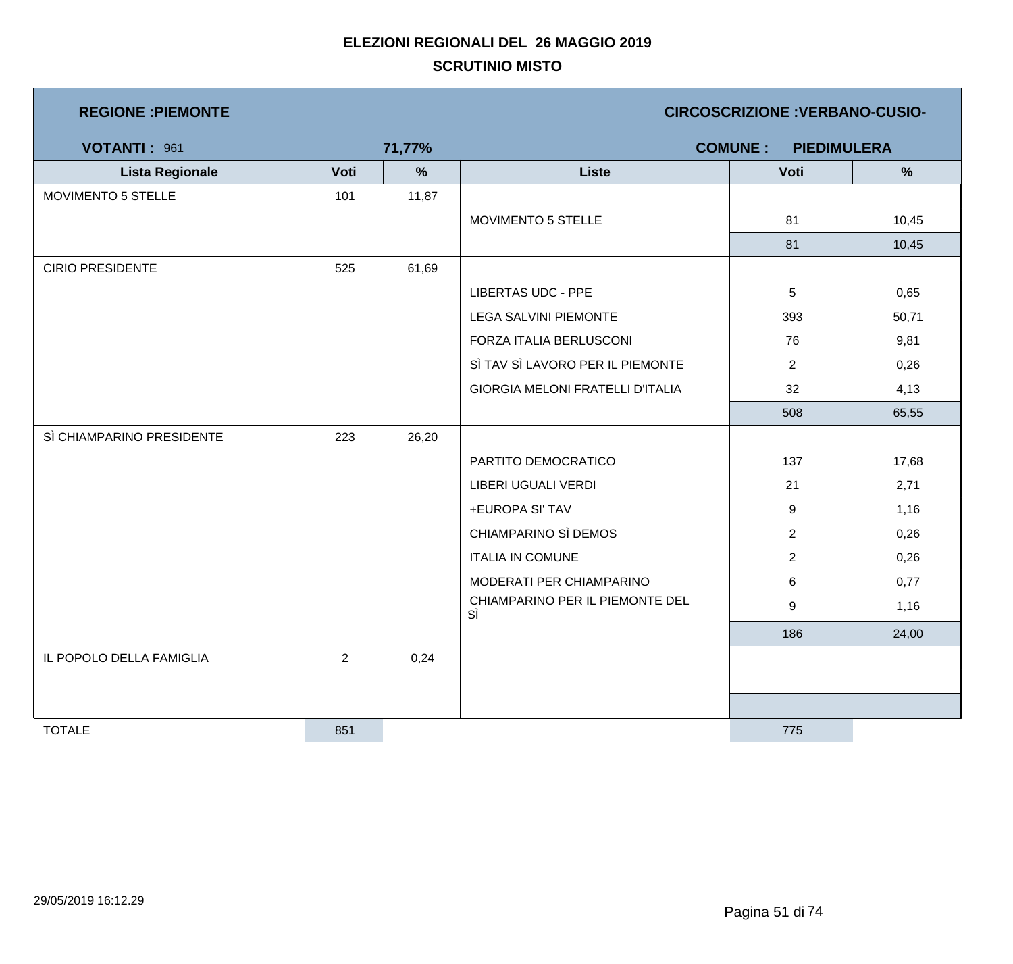| <b>REGIONE : PIEMONTE</b> |                |        | <b>CIRCOSCRIZIONE : VERBANO-CUSIO-</b> |                                      |               |  |
|---------------------------|----------------|--------|----------------------------------------|--------------------------------------|---------------|--|
| VOTANTI: 961              |                | 71,77% |                                        | <b>COMUNE:</b><br><b>PIEDIMULERA</b> |               |  |
| <b>Lista Regionale</b>    | Voti           | $\%$   | <b>Liste</b>                           | Voti                                 | $\frac{9}{6}$ |  |
| MOVIMENTO 5 STELLE        | 101            | 11,87  |                                        |                                      |               |  |
|                           |                |        | MOVIMENTO 5 STELLE                     | 81                                   | 10,45         |  |
|                           |                |        |                                        | 81                                   | 10,45         |  |
| <b>CIRIO PRESIDENTE</b>   | 525            | 61,69  |                                        |                                      |               |  |
|                           |                |        | <b>LIBERTAS UDC - PPE</b>              | 5                                    | 0,65          |  |
|                           |                |        | <b>LEGA SALVINI PIEMONTE</b>           | 393                                  | 50,71         |  |
|                           |                |        | FORZA ITALIA BERLUSCONI                | 76                                   | 9,81          |  |
|                           |                |        | SÌ TAV SÌ LAVORO PER IL PIEMONTE       | $\overline{2}$                       | 0,26          |  |
|                           |                |        | GIORGIA MELONI FRATELLI D'ITALIA       | 32                                   | 4,13          |  |
|                           |                |        |                                        | 508                                  | 65,55         |  |
| SÌ CHIAMPARINO PRESIDENTE | 223            | 26,20  |                                        |                                      |               |  |
|                           |                |        | PARTITO DEMOCRATICO                    | 137                                  | 17,68         |  |
|                           |                |        | LIBERI UGUALI VERDI                    | 21                                   | 2,71          |  |
|                           |                |        | +EUROPA SI' TAV                        | 9                                    | 1,16          |  |
|                           |                |        | CHIAMPARINO SÌ DEMOS                   | $\overline{2}$                       | 0,26          |  |
|                           |                |        | <b>ITALIA IN COMUNE</b>                | $\overline{2}$                       | 0,26          |  |
|                           |                |        | MODERATI PER CHIAMPARINO               | 6                                    | 0,77          |  |
|                           |                |        | CHIAMPARINO PER IL PIEMONTE DEL<br>SÌ  | 9                                    | 1,16          |  |
|                           |                |        |                                        | 186                                  | 24,00         |  |
| IL POPOLO DELLA FAMIGLIA  | $\overline{2}$ | 0,24   |                                        |                                      |               |  |
|                           |                |        |                                        |                                      |               |  |
|                           |                |        |                                        |                                      |               |  |
| <b>TOTALE</b>             | 851            |        |                                        | 775                                  |               |  |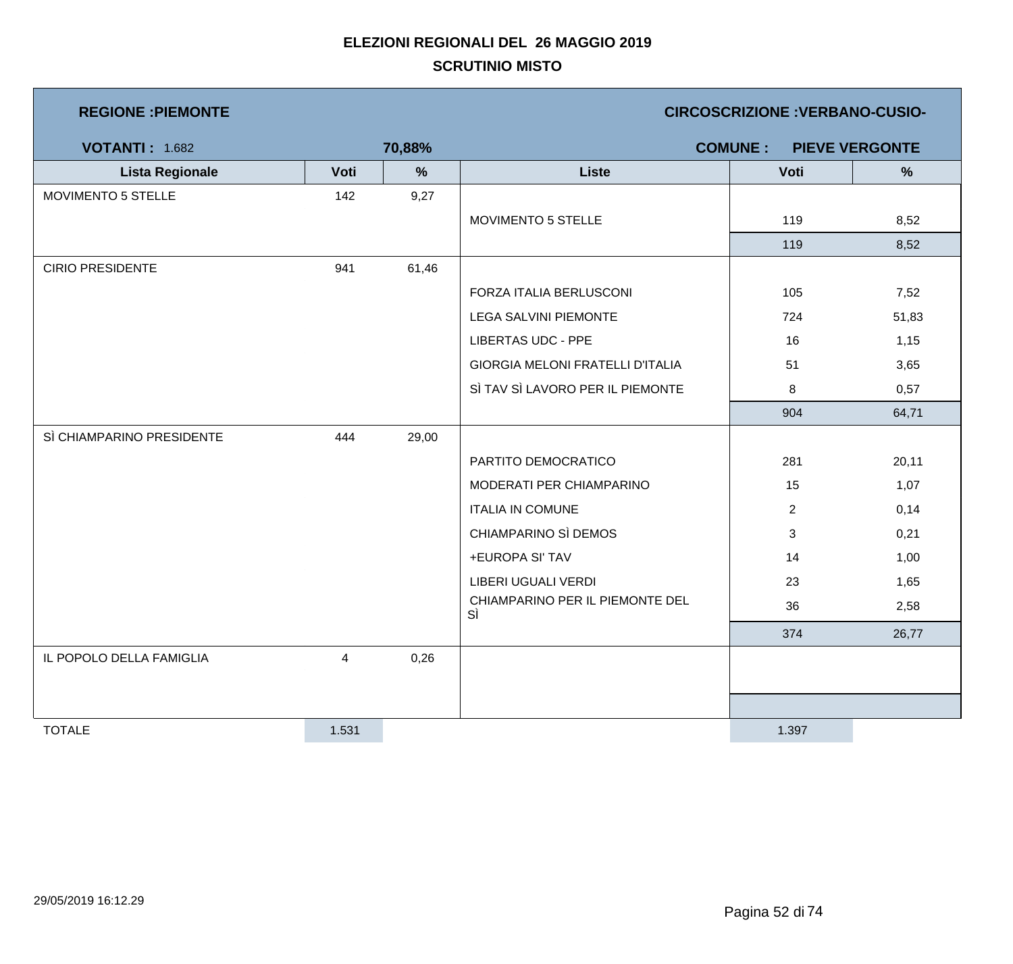| <b>REGIONE : PIEMONTE</b> |       |               |                                         | <b>CIRCOSCRIZIONE: VERBANO-CUSIO-</b> |                       |
|---------------------------|-------|---------------|-----------------------------------------|---------------------------------------|-----------------------|
| <b>VOTANTI: 1.682</b>     |       | 70,88%        |                                         | <b>COMUNE:</b>                        | <b>PIEVE VERGONTE</b> |
| <b>Lista Regionale</b>    | Voti  | $\frac{9}{6}$ | <b>Liste</b>                            | Voti                                  | %                     |
| MOVIMENTO 5 STELLE        | 142   | 9,27          |                                         |                                       |                       |
|                           |       |               | MOVIMENTO 5 STELLE                      | 119                                   | 8,52                  |
|                           |       |               |                                         | 119                                   | 8,52                  |
| <b>CIRIO PRESIDENTE</b>   | 941   | 61,46         |                                         |                                       |                       |
|                           |       |               | FORZA ITALIA BERLUSCONI                 | 105                                   | 7,52                  |
|                           |       |               | <b>LEGA SALVINI PIEMONTE</b>            | 724                                   | 51,83                 |
|                           |       |               | <b>LIBERTAS UDC - PPE</b>               | 16                                    | 1,15                  |
|                           |       |               | <b>GIORGIA MELONI FRATELLI D'ITALIA</b> | 51                                    | 3,65                  |
|                           |       |               | SÌ TAV SÌ LAVORO PER IL PIEMONTE        | 8                                     | 0,57                  |
|                           |       |               |                                         | 904                                   | 64,71                 |
| SÌ CHIAMPARINO PRESIDENTE | 444   | 29,00         |                                         |                                       |                       |
|                           |       |               | PARTITO DEMOCRATICO                     | 281                                   | 20,11                 |
|                           |       |               | MODERATI PER CHIAMPARINO                | 15                                    | 1,07                  |
|                           |       |               | <b>ITALIA IN COMUNE</b>                 | $\overline{2}$                        | 0,14                  |
|                           |       |               | CHIAMPARINO SÌ DEMOS                    | 3                                     | 0,21                  |
|                           |       |               | +EUROPA SI' TAV                         | 14                                    | 1,00                  |
|                           |       |               | LIBERI UGUALI VERDI                     | 23                                    | 1,65                  |
|                           |       |               | CHIAMPARINO PER IL PIEMONTE DEL<br>SÌ   | 36                                    | 2,58                  |
|                           |       |               |                                         | 374                                   | 26,77                 |
| IL POPOLO DELLA FAMIGLIA  | 4     | 0,26          |                                         |                                       |                       |
|                           |       |               |                                         |                                       |                       |
|                           |       |               |                                         |                                       |                       |
| <b>TOTALE</b>             | 1.531 |               |                                         | 1.397                                 |                       |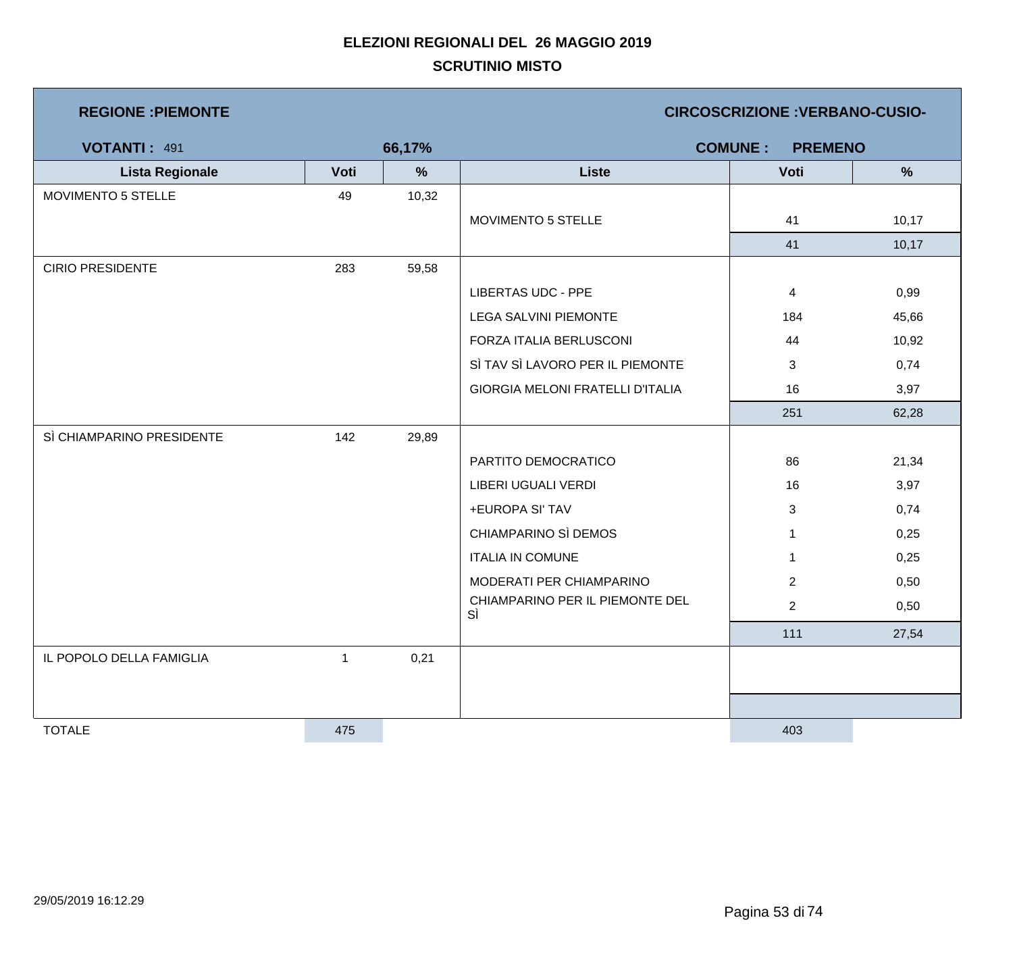| <b>REGIONE : PIEMONTE</b> |      |        |                                         | <b>CIRCOSCRIZIONE : VERBANO-CUSIO-</b> |               |
|---------------------------|------|--------|-----------------------------------------|----------------------------------------|---------------|
| <b>VOTANTI: 491</b>       |      | 66,17% |                                         | <b>COMUNE:</b><br><b>PREMENO</b>       |               |
| <b>Lista Regionale</b>    | Voti | %      | <b>Liste</b>                            | Voti                                   | $\frac{9}{6}$ |
| MOVIMENTO 5 STELLE        | 49   | 10,32  |                                         |                                        |               |
|                           |      |        | MOVIMENTO 5 STELLE                      | 41                                     | 10,17         |
|                           |      |        |                                         | 41                                     | 10,17         |
| <b>CIRIO PRESIDENTE</b>   | 283  | 59,58  |                                         |                                        |               |
|                           |      |        | <b>LIBERTAS UDC - PPE</b>               | 4                                      | 0,99          |
|                           |      |        | <b>LEGA SALVINI PIEMONTE</b>            | 184                                    | 45,66         |
|                           |      |        | FORZA ITALIA BERLUSCONI                 | 44                                     | 10,92         |
|                           |      |        | SÌ TAV SÌ LAVORO PER IL PIEMONTE        | 3                                      | 0,74          |
|                           |      |        | <b>GIORGIA MELONI FRATELLI D'ITALIA</b> | 16                                     | 3,97          |
|                           |      |        |                                         | 251                                    | 62,28         |
| SÌ CHIAMPARINO PRESIDENTE | 142  | 29,89  |                                         |                                        |               |
|                           |      |        | PARTITO DEMOCRATICO                     | 86                                     | 21,34         |
|                           |      |        | LIBERI UGUALI VERDI                     | 16                                     | 3,97          |
|                           |      |        | +EUROPA SI' TAV                         | 3                                      | 0,74          |
|                           |      |        | CHIAMPARINO SÌ DEMOS                    | $\mathbf 1$                            | 0,25          |
|                           |      |        | <b>ITALIA IN COMUNE</b>                 | $\mathbf{1}$                           | 0,25          |
|                           |      |        | MODERATI PER CHIAMPARINO                | $\overline{2}$                         | 0,50          |
|                           |      |        | CHIAMPARINO PER IL PIEMONTE DEL<br>SÌ   | $\overline{c}$                         | 0,50          |
|                           |      |        |                                         | 111                                    | 27,54         |
| IL POPOLO DELLA FAMIGLIA  | 1    | 0,21   |                                         |                                        |               |
|                           |      |        |                                         |                                        |               |
|                           |      |        |                                         |                                        |               |
| <b>TOTALE</b>             | 475  |        |                                         | 403                                    |               |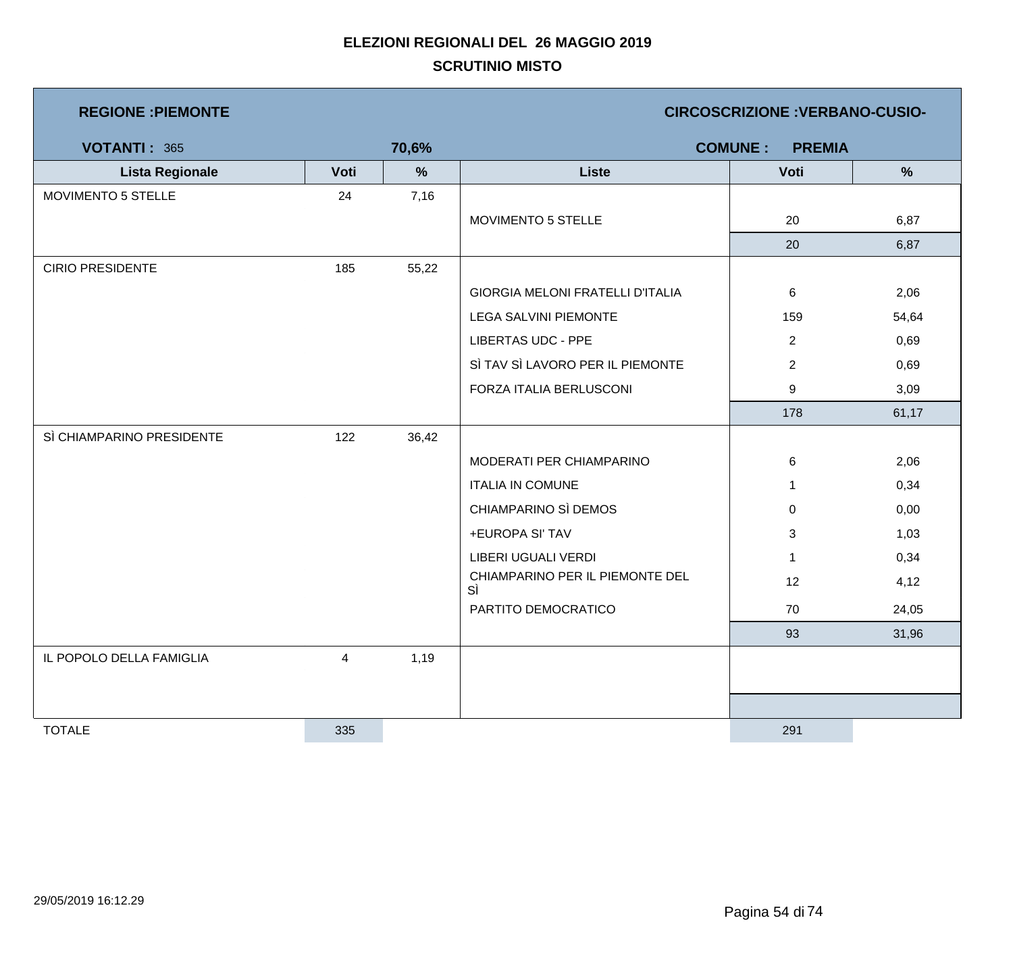| <b>REGIONE : PIEMONTE</b> |      |       | <b>CIRCOSCRIZIONE : VERBANO-CUSIO-</b>  |                                 |       |  |  |
|---------------------------|------|-------|-----------------------------------------|---------------------------------|-------|--|--|
| <b>VOTANTI: 365</b>       |      | 70,6% |                                         | <b>COMUNE:</b><br><b>PREMIA</b> |       |  |  |
| <b>Lista Regionale</b>    | Voti | $\%$  | <b>Liste</b>                            | Voti                            | $\%$  |  |  |
| MOVIMENTO 5 STELLE        | 24   | 7,16  |                                         |                                 |       |  |  |
|                           |      |       | MOVIMENTO 5 STELLE                      | 20                              | 6,87  |  |  |
|                           |      |       |                                         | 20                              | 6,87  |  |  |
| <b>CIRIO PRESIDENTE</b>   | 185  | 55,22 |                                         |                                 |       |  |  |
|                           |      |       | <b>GIORGIA MELONI FRATELLI D'ITALIA</b> | 6                               | 2,06  |  |  |
|                           |      |       | <b>LEGA SALVINI PIEMONTE</b>            | 159                             | 54,64 |  |  |
|                           |      |       | <b>LIBERTAS UDC - PPE</b>               | $\overline{2}$                  | 0,69  |  |  |
|                           |      |       | SÌ TAV SÌ LAVORO PER IL PIEMONTE        | $\overline{2}$                  | 0,69  |  |  |
|                           |      |       | FORZA ITALIA BERLUSCONI                 | 9                               | 3,09  |  |  |
|                           |      |       |                                         | 178                             | 61,17 |  |  |
| SÌ CHIAMPARINO PRESIDENTE | 122  | 36,42 |                                         |                                 |       |  |  |
|                           |      |       | MODERATI PER CHIAMPARINO                | 6                               | 2,06  |  |  |
|                           |      |       | <b>ITALIA IN COMUNE</b>                 | $\mathbf{1}$                    | 0,34  |  |  |
|                           |      |       | CHIAMPARINO SÌ DEMOS                    | 0                               | 0,00  |  |  |
|                           |      |       | +EUROPA SI' TAV                         | 3                               | 1,03  |  |  |
|                           |      |       | LIBERI UGUALI VERDI                     | $\mathbf{1}$                    | 0,34  |  |  |
|                           |      |       | CHIAMPARINO PER IL PIEMONTE DEL<br>SÌ   | 12                              | 4,12  |  |  |
|                           |      |       | PARTITO DEMOCRATICO                     | 70                              | 24,05 |  |  |
|                           |      |       |                                         | 93                              | 31,96 |  |  |
| IL POPOLO DELLA FAMIGLIA  | 4    | 1,19  |                                         |                                 |       |  |  |
|                           |      |       |                                         |                                 |       |  |  |
|                           |      |       |                                         |                                 |       |  |  |
| <b>TOTALE</b>             | 335  |       |                                         | 291                             |       |  |  |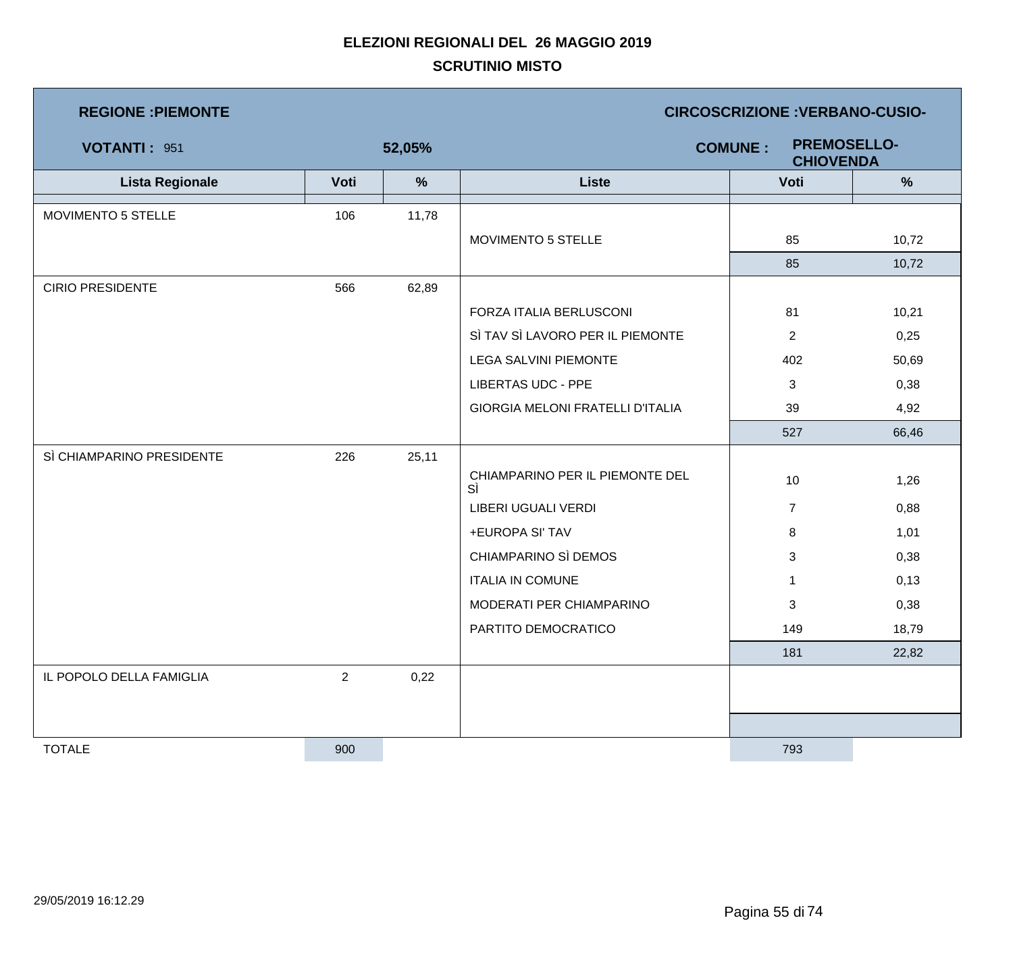| <b>REGIONE : PIEMONTE</b> |                |        | <b>CIRCOSCRIZIONE : VERBANO-CUSIO-</b>                   |                |       |  |  |
|---------------------------|----------------|--------|----------------------------------------------------------|----------------|-------|--|--|
| <b>VOTANTI: 951</b>       |                | 52,05% | <b>PREMOSELLO-</b><br><b>COMUNE:</b><br><b>CHIOVENDA</b> |                |       |  |  |
| <b>Lista Regionale</b>    | Voti           | $\%$   | <b>Liste</b>                                             | Voti           | $\%$  |  |  |
| MOVIMENTO 5 STELLE        | 106            | 11,78  |                                                          |                |       |  |  |
|                           |                |        | MOVIMENTO 5 STELLE                                       | 85             | 10,72 |  |  |
|                           |                |        |                                                          | 85             | 10,72 |  |  |
| <b>CIRIO PRESIDENTE</b>   | 566            | 62,89  |                                                          |                |       |  |  |
|                           |                |        | FORZA ITALIA BERLUSCONI                                  | 81             | 10,21 |  |  |
|                           |                |        | SÌ TAV SÌ LAVORO PER IL PIEMONTE                         | $\overline{2}$ | 0,25  |  |  |
|                           |                |        | <b>LEGA SALVINI PIEMONTE</b>                             | 402            | 50,69 |  |  |
|                           |                |        | <b>LIBERTAS UDC - PPE</b>                                | 3              | 0,38  |  |  |
|                           |                |        | <b>GIORGIA MELONI FRATELLI D'ITALIA</b>                  | 39             | 4,92  |  |  |
|                           |                |        |                                                          | 527            | 66,46 |  |  |
| SÌ CHIAMPARINO PRESIDENTE | 226            | 25,11  |                                                          |                |       |  |  |
|                           |                |        | CHIAMPARINO PER IL PIEMONTE DEL<br>SÌ                    | 10             | 1,26  |  |  |
|                           |                |        | LIBERI UGUALI VERDI                                      | $\overline{7}$ | 0,88  |  |  |
|                           |                |        | +EUROPA SI' TAV                                          | 8              | 1,01  |  |  |
|                           |                |        | CHIAMPARINO SÌ DEMOS                                     | 3              | 0,38  |  |  |
|                           |                |        | <b>ITALIA IN COMUNE</b>                                  | $\mathbf{1}$   | 0,13  |  |  |
|                           |                |        | MODERATI PER CHIAMPARINO                                 | 3              | 0,38  |  |  |
|                           |                |        | PARTITO DEMOCRATICO                                      | 149            | 18,79 |  |  |
|                           |                |        |                                                          | 181            | 22,82 |  |  |
| IL POPOLO DELLA FAMIGLIA  | $\overline{2}$ | 0,22   |                                                          |                |       |  |  |
|                           |                |        |                                                          |                |       |  |  |
|                           |                |        |                                                          |                |       |  |  |
| <b>TOTALE</b>             | 900            |        |                                                          | 793            |       |  |  |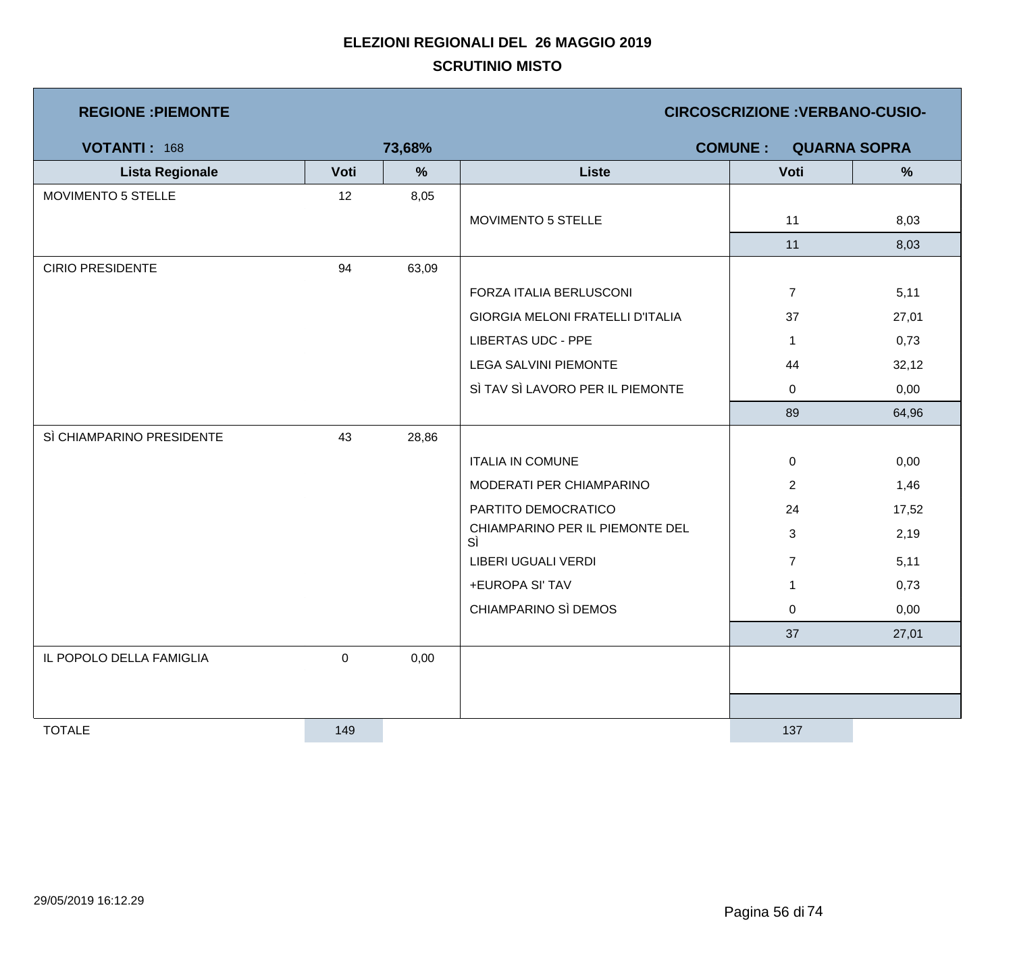| <b>REGIONE : PIEMONTE</b> |           |               |                                         | <b>CIRCOSCRIZIONE : VERBANO-CUSIO-</b> |                     |
|---------------------------|-----------|---------------|-----------------------------------------|----------------------------------------|---------------------|
| <b>VOTANTI: 168</b>       |           | 73,68%        |                                         | <b>COMUNE:</b>                         | <b>QUARNA SOPRA</b> |
| <b>Lista Regionale</b>    | Voti      | $\frac{9}{6}$ | <b>Liste</b>                            | Voti                                   | $\frac{9}{6}$       |
| MOVIMENTO 5 STELLE        | 12        | 8,05          |                                         |                                        |                     |
|                           |           |               | MOVIMENTO 5 STELLE                      | 11                                     | 8,03                |
|                           |           |               |                                         | 11                                     | 8,03                |
| <b>CIRIO PRESIDENTE</b>   | 94        | 63,09         |                                         |                                        |                     |
|                           |           |               | FORZA ITALIA BERLUSCONI                 | $\overline{7}$                         | 5,11                |
|                           |           |               | <b>GIORGIA MELONI FRATELLI D'ITALIA</b> | 37                                     | 27,01               |
|                           |           |               | <b>LIBERTAS UDC - PPE</b>               | $\mathbf{1}$                           | 0,73                |
|                           |           |               | LEGA SALVINI PIEMONTE                   | 44                                     | 32,12               |
|                           |           |               | SÌ TAV SÌ LAVORO PER IL PIEMONTE        | 0                                      | 0,00                |
|                           |           |               |                                         | 89                                     | 64,96               |
| SÌ CHIAMPARINO PRESIDENTE | 43        | 28,86         |                                         |                                        |                     |
|                           |           |               | <b>ITALIA IN COMUNE</b>                 | $\mathbf 0$                            | 0,00                |
|                           |           |               | MODERATI PER CHIAMPARINO                | $\overline{2}$                         | 1,46                |
|                           |           |               | PARTITO DEMOCRATICO                     | 24                                     | 17,52               |
|                           |           |               | CHIAMPARINO PER IL PIEMONTE DEL<br>SÌ   | $\mathbf{3}$                           | 2,19                |
|                           |           |               | LIBERI UGUALI VERDI                     | $\overline{7}$                         | 5,11                |
|                           |           |               | +EUROPA SI' TAV                         | $\mathbf{1}$                           | 0,73                |
|                           |           |               | CHIAMPARINO SÌ DEMOS                    | $\mathbf 0$                            | 0,00                |
|                           |           |               |                                         | 37                                     | 27,01               |
| IL POPOLO DELLA FAMIGLIA  | $\pmb{0}$ | 0,00          |                                         |                                        |                     |
|                           |           |               |                                         |                                        |                     |
|                           |           |               |                                         |                                        |                     |
| <b>TOTALE</b>             | 149       |               |                                         | 137                                    |                     |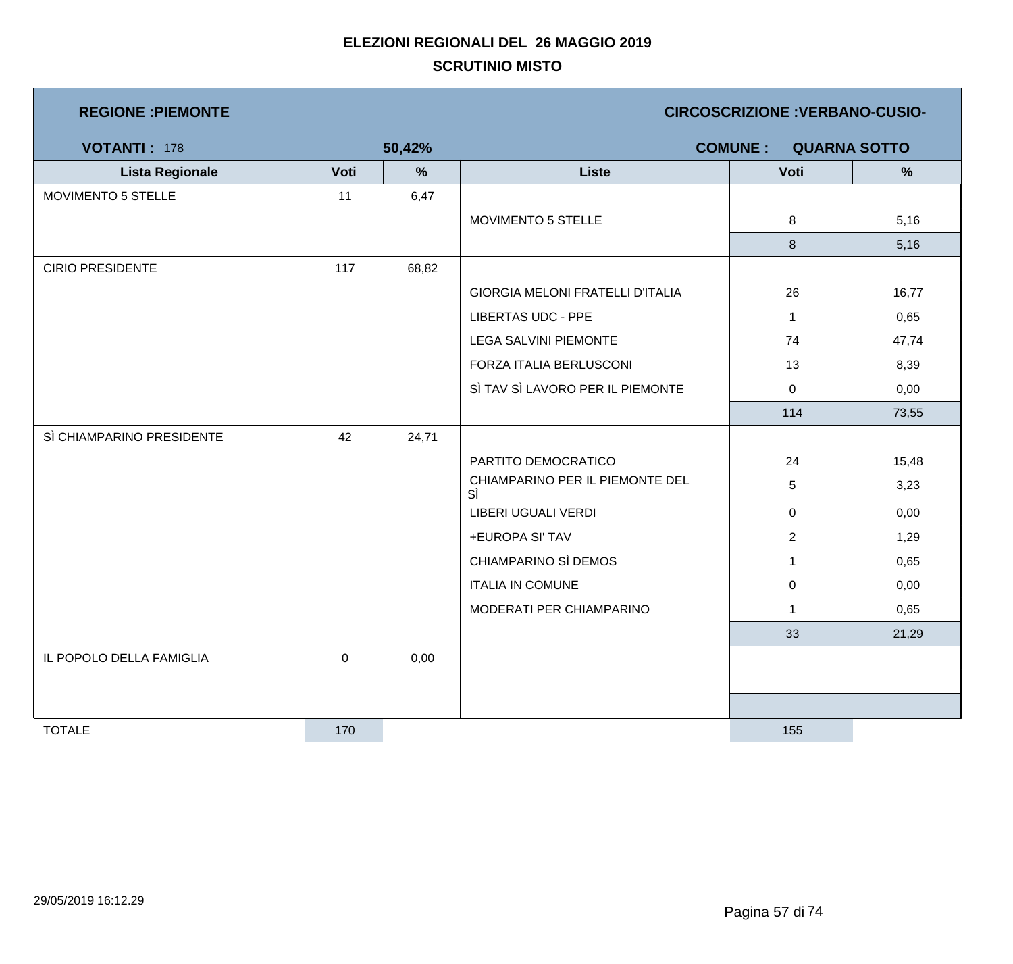| <b>REGIONE : PIEMONTE</b> |           |        |                                         | <b>CIRCOSCRIZIONE : VERBANO-CUSIO-</b> |                     |
|---------------------------|-----------|--------|-----------------------------------------|----------------------------------------|---------------------|
| <b>VOTANTI: 178</b>       |           | 50,42% |                                         | <b>COMUNE:</b>                         | <b>QUARNA SOTTO</b> |
| <b>Lista Regionale</b>    | Voti      | %      | <b>Liste</b>                            | Voti                                   | $\frac{9}{6}$       |
| MOVIMENTO 5 STELLE        | 11        | 6,47   |                                         |                                        |                     |
|                           |           |        | MOVIMENTO 5 STELLE                      | 8                                      | 5,16                |
|                           |           |        |                                         | 8                                      | 5,16                |
| <b>CIRIO PRESIDENTE</b>   | 117       | 68,82  |                                         |                                        |                     |
|                           |           |        | <b>GIORGIA MELONI FRATELLI D'ITALIA</b> | 26                                     | 16,77               |
|                           |           |        | <b>LIBERTAS UDC - PPE</b>               | $\mathbf 1$                            | 0,65                |
|                           |           |        | <b>LEGA SALVINI PIEMONTE</b>            | 74                                     | 47,74               |
|                           |           |        | FORZA ITALIA BERLUSCONI                 | 13                                     | 8,39                |
|                           |           |        | SÌ TAV SÌ LAVORO PER IL PIEMONTE        | $\mathbf 0$                            | 0,00                |
|                           |           |        |                                         | 114                                    | 73,55               |
| SÌ CHIAMPARINO PRESIDENTE | 42        | 24,71  |                                         |                                        |                     |
|                           |           |        | PARTITO DEMOCRATICO                     | 24                                     | 15,48               |
|                           |           |        | CHIAMPARINO PER IL PIEMONTE DEL<br>SÌ   | 5                                      | 3,23                |
|                           |           |        | LIBERI UGUALI VERDI                     | 0                                      | 0,00                |
|                           |           |        | +EUROPA SI' TAV                         | $\overline{2}$                         | 1,29                |
|                           |           |        | CHIAMPARINO SÌ DEMOS                    | 1                                      | 0,65                |
|                           |           |        | <b>ITALIA IN COMUNE</b>                 | 0                                      | 0,00                |
|                           |           |        | MODERATI PER CHIAMPARINO                | $\mathbf{1}$                           | 0,65                |
|                           |           |        |                                         | 33                                     | 21,29               |
| IL POPOLO DELLA FAMIGLIA  | $\pmb{0}$ | 0,00   |                                         |                                        |                     |
|                           |           |        |                                         |                                        |                     |
|                           |           |        |                                         |                                        |                     |
| <b>TOTALE</b>             | 170       |        |                                         | 155                                    |                     |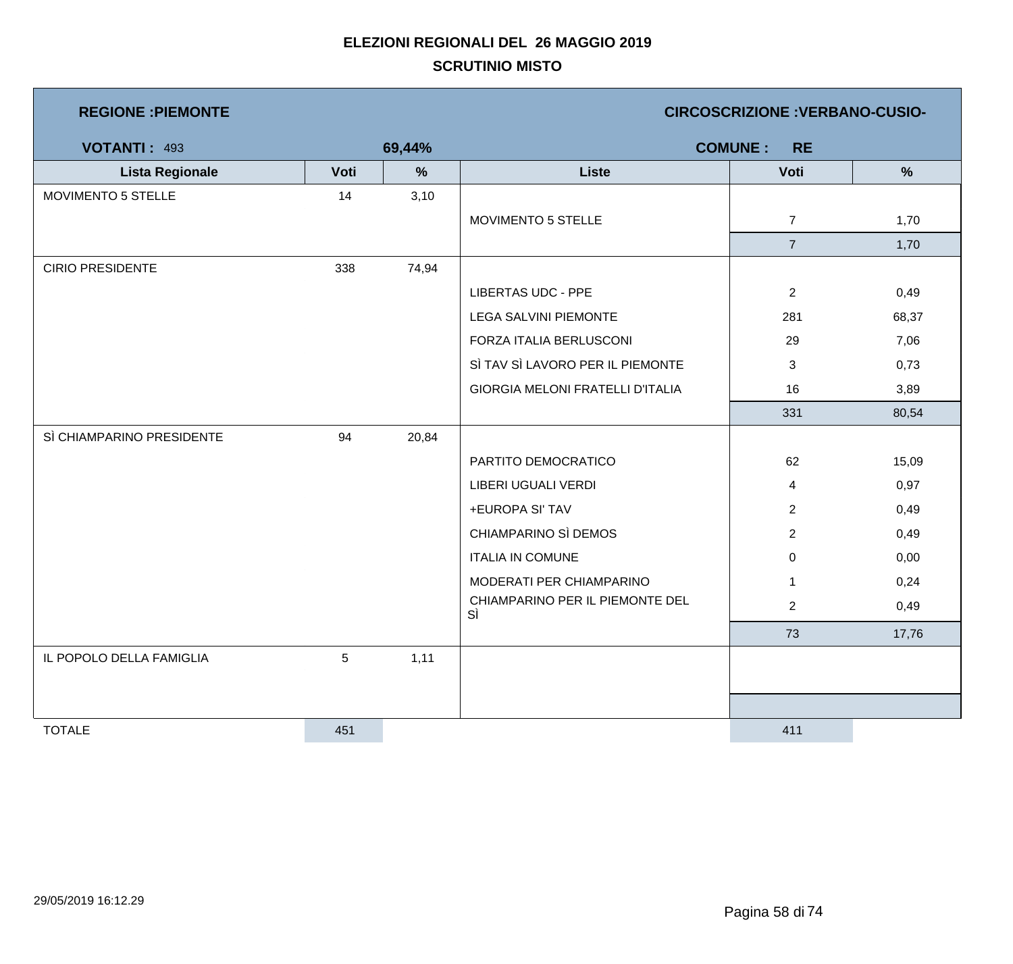| <b>REGIONE : PIEMONTE</b> |      |        | <b>CIRCOSCRIZIONE : VERBANO-CUSIO-</b>  |                             |               |  |
|---------------------------|------|--------|-----------------------------------------|-----------------------------|---------------|--|
| <b>VOTANTI: 493</b>       |      | 69,44% |                                         | <b>COMUNE:</b><br><b>RE</b> |               |  |
| <b>Lista Regionale</b>    | Voti | %      | <b>Liste</b>                            | Voti                        | $\frac{9}{6}$ |  |
| MOVIMENTO 5 STELLE        | 14   | 3,10   |                                         |                             |               |  |
|                           |      |        | MOVIMENTO 5 STELLE                      | $\overline{7}$              | 1,70          |  |
|                           |      |        |                                         | $\overline{7}$              | 1,70          |  |
| <b>CIRIO PRESIDENTE</b>   | 338  | 74,94  |                                         |                             |               |  |
|                           |      |        | <b>LIBERTAS UDC - PPE</b>               | $\overline{2}$              | 0,49          |  |
|                           |      |        | <b>LEGA SALVINI PIEMONTE</b>            | 281                         | 68,37         |  |
|                           |      |        | FORZA ITALIA BERLUSCONI                 | 29                          | 7,06          |  |
|                           |      |        | SÌ TAV SÌ LAVORO PER IL PIEMONTE        | 3                           | 0,73          |  |
|                           |      |        | <b>GIORGIA MELONI FRATELLI D'ITALIA</b> | 16                          | 3,89          |  |
|                           |      |        |                                         | 331                         | 80,54         |  |
| SÌ CHIAMPARINO PRESIDENTE | 94   | 20,84  |                                         |                             |               |  |
|                           |      |        | PARTITO DEMOCRATICO                     | 62                          | 15,09         |  |
|                           |      |        | LIBERI UGUALI VERDI                     | 4                           | 0,97          |  |
|                           |      |        | +EUROPA SI' TAV                         | $\overline{2}$              | 0,49          |  |
|                           |      |        | CHIAMPARINO SÌ DEMOS                    | $\overline{c}$              | 0,49          |  |
|                           |      |        | <b>ITALIA IN COMUNE</b>                 | $\mathbf 0$                 | 0,00          |  |
|                           |      |        | MODERATI PER CHIAMPARINO                | $\mathbf{1}$                | 0,24          |  |
|                           |      |        | CHIAMPARINO PER IL PIEMONTE DEL<br>SÌ   | $\overline{2}$              | 0,49          |  |
|                           |      |        |                                         | 73                          | 17,76         |  |
| IL POPOLO DELLA FAMIGLIA  | 5    | 1,11   |                                         |                             |               |  |
|                           |      |        |                                         |                             |               |  |
|                           |      |        |                                         |                             |               |  |
| <b>TOTALE</b>             | 451  |        |                                         | 411                         |               |  |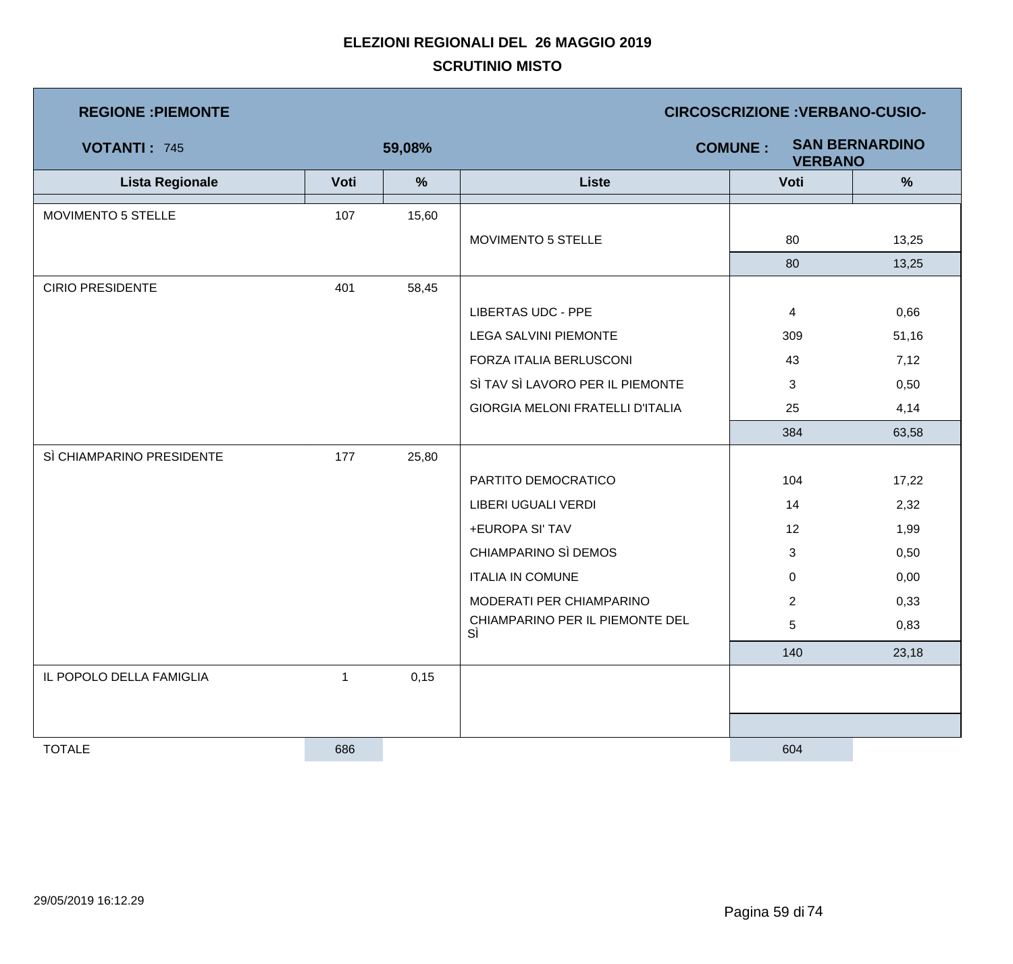| <b>REGIONE : PIEMONTE</b> |              |        | <b>CIRCOSCRIZIONE : VERBANO-CUSIO-</b>                    |                |       |  |  |
|---------------------------|--------------|--------|-----------------------------------------------------------|----------------|-------|--|--|
| <b>VOTANTI: 745</b>       |              | 59,08% | <b>SAN BERNARDINO</b><br><b>COMUNE:</b><br><b>VERBANO</b> |                |       |  |  |
| <b>Lista Regionale</b>    | Voti         | $\%$   | <b>Liste</b>                                              | Voti           | %     |  |  |
| MOVIMENTO 5 STELLE        | 107          | 15,60  |                                                           |                |       |  |  |
|                           |              |        | MOVIMENTO 5 STELLE                                        | 80             | 13,25 |  |  |
|                           |              |        |                                                           | 80             | 13,25 |  |  |
| <b>CIRIO PRESIDENTE</b>   | 401          | 58,45  |                                                           |                |       |  |  |
|                           |              |        | <b>LIBERTAS UDC - PPE</b>                                 | $\overline{4}$ | 0,66  |  |  |
|                           |              |        | LEGA SALVINI PIEMONTE                                     | 309            | 51,16 |  |  |
|                           |              |        | FORZA ITALIA BERLUSCONI                                   | 43             | 7,12  |  |  |
|                           |              |        | SÌ TAV SÌ LAVORO PER IL PIEMONTE                          | 3              | 0,50  |  |  |
|                           |              |        | <b>GIORGIA MELONI FRATELLI D'ITALIA</b>                   | 25             | 4,14  |  |  |
|                           |              |        |                                                           | 384            | 63,58 |  |  |
| SÌ CHIAMPARINO PRESIDENTE | 177          | 25,80  |                                                           |                |       |  |  |
|                           |              |        | PARTITO DEMOCRATICO                                       | 104            | 17,22 |  |  |
|                           |              |        | LIBERI UGUALI VERDI                                       | 14             | 2,32  |  |  |
|                           |              |        | +EUROPA SI' TAV                                           | 12             | 1,99  |  |  |
|                           |              |        | CHIAMPARINO SÌ DEMOS                                      | 3              | 0,50  |  |  |
|                           |              |        | <b>ITALIA IN COMUNE</b>                                   | 0              | 0,00  |  |  |
|                           |              |        | MODERATI PER CHIAMPARINO                                  | $\overline{2}$ | 0,33  |  |  |
|                           |              |        | CHIAMPARINO PER IL PIEMONTE DEL<br>SÌ                     | $\sqrt{5}$     | 0,83  |  |  |
|                           |              |        |                                                           | 140            | 23,18 |  |  |
| IL POPOLO DELLA FAMIGLIA  | $\mathbf{1}$ | 0,15   |                                                           |                |       |  |  |
|                           |              |        |                                                           |                |       |  |  |
|                           |              |        |                                                           |                |       |  |  |
| <b>TOTALE</b>             | 686          |        |                                                           | 604            |       |  |  |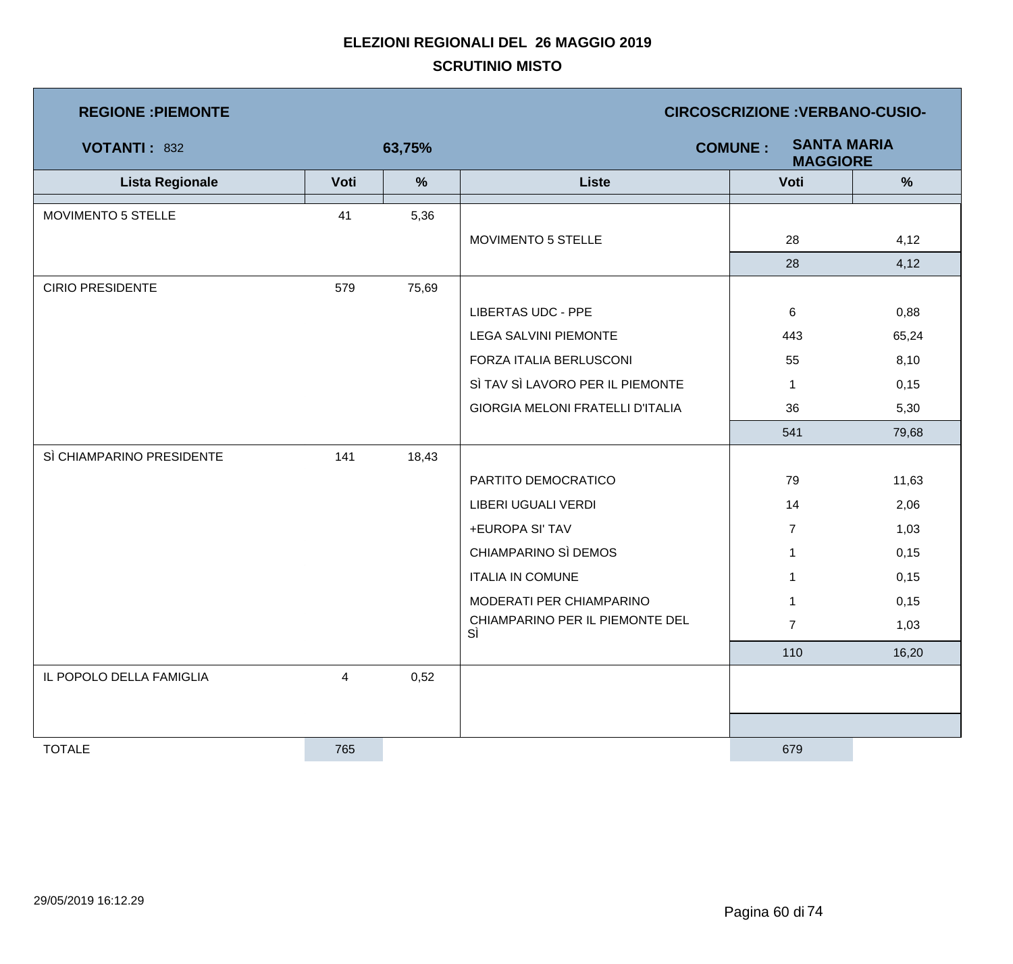| <b>REGIONE : PIEMONTE</b> |                |               | <b>CIRCOSCRIZIONE : VERBANO-CUSIO-</b>                  |                |       |  |  |
|---------------------------|----------------|---------------|---------------------------------------------------------|----------------|-------|--|--|
| <b>VOTANTI: 832</b>       |                | 63,75%        | <b>SANTA MARIA</b><br><b>COMUNE:</b><br><b>MAGGIORE</b> |                |       |  |  |
| <b>Lista Regionale</b>    | Voti           | $\frac{9}{6}$ | <b>Liste</b>                                            | Voti           | %     |  |  |
| MOVIMENTO 5 STELLE        | 41             | 5,36          |                                                         |                |       |  |  |
|                           |                |               | MOVIMENTO 5 STELLE                                      | 28             | 4,12  |  |  |
|                           |                |               |                                                         | 28             | 4,12  |  |  |
| <b>CIRIO PRESIDENTE</b>   | 579            | 75,69         |                                                         |                |       |  |  |
|                           |                |               | <b>LIBERTAS UDC - PPE</b>                               | 6              | 0,88  |  |  |
|                           |                |               | <b>LEGA SALVINI PIEMONTE</b>                            | 443            | 65,24 |  |  |
|                           |                |               | FORZA ITALIA BERLUSCONI                                 | 55             | 8,10  |  |  |
|                           |                |               | SÌ TAV SÌ LAVORO PER IL PIEMONTE                        | 1              | 0,15  |  |  |
|                           |                |               | <b>GIORGIA MELONI FRATELLI D'ITALIA</b>                 | 36             | 5,30  |  |  |
|                           |                |               |                                                         | 541            | 79,68 |  |  |
| SÌ CHIAMPARINO PRESIDENTE | 141            | 18,43         |                                                         |                |       |  |  |
|                           |                |               | PARTITO DEMOCRATICO                                     | 79             | 11,63 |  |  |
|                           |                |               | LIBERI UGUALI VERDI                                     | 14             | 2,06  |  |  |
|                           |                |               | +EUROPA SI' TAV                                         | $\overline{7}$ | 1,03  |  |  |
|                           |                |               | CHIAMPARINO SÌ DEMOS                                    | 1              | 0,15  |  |  |
|                           |                |               | <b>ITALIA IN COMUNE</b>                                 | $\mathbf 1$    | 0,15  |  |  |
|                           |                |               | MODERATI PER CHIAMPARINO                                | 1              | 0,15  |  |  |
|                           |                |               | CHIAMPARINO PER IL PIEMONTE DEL<br>SÌ                   | $\overline{7}$ | 1,03  |  |  |
|                           |                |               |                                                         | 110            | 16,20 |  |  |
| IL POPOLO DELLA FAMIGLIA  | $\overline{4}$ | 0,52          |                                                         |                |       |  |  |
|                           |                |               |                                                         |                |       |  |  |
|                           |                |               |                                                         |                |       |  |  |
| <b>TOTALE</b>             | 765            |               |                                                         | 679            |       |  |  |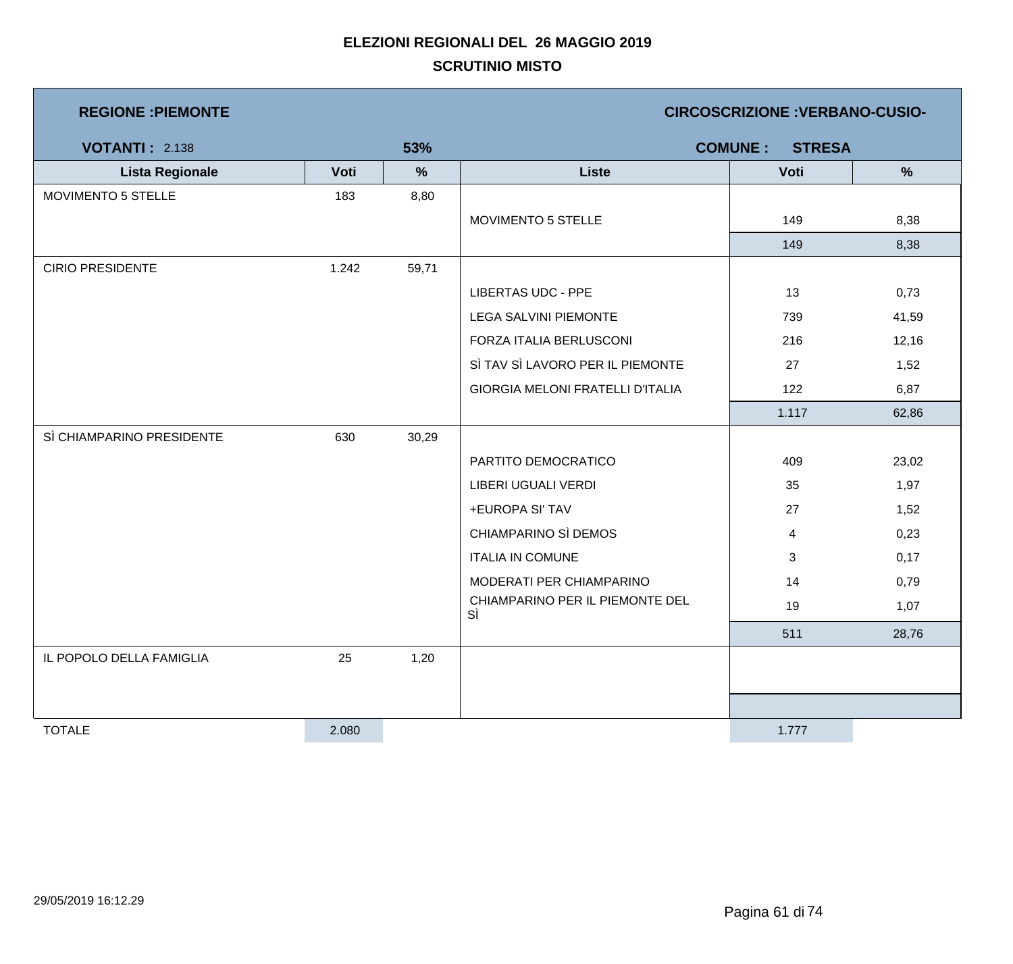| <b>REGIONE : PIEMONTE</b> |       |               | <b>CIRCOSCRIZIONE : VERBANO-CUSIO-</b>  |                                 |               |  |  |
|---------------------------|-------|---------------|-----------------------------------------|---------------------------------|---------------|--|--|
| <b>VOTANTI: 2.138</b>     |       | 53%           |                                         | <b>COMUNE:</b><br><b>STRESA</b> |               |  |  |
| <b>Lista Regionale</b>    | Voti  | $\frac{9}{6}$ | <b>Liste</b>                            | Voti                            | $\frac{9}{6}$ |  |  |
| MOVIMENTO 5 STELLE        | 183   | 8,80          |                                         |                                 |               |  |  |
|                           |       |               | MOVIMENTO 5 STELLE                      | 149                             | 8,38          |  |  |
|                           |       |               |                                         | 149                             | 8,38          |  |  |
| <b>CIRIO PRESIDENTE</b>   | 1.242 | 59,71         |                                         |                                 |               |  |  |
|                           |       |               | <b>LIBERTAS UDC - PPE</b>               | 13                              | 0,73          |  |  |
|                           |       |               | <b>LEGA SALVINI PIEMONTE</b>            | 739                             | 41,59         |  |  |
|                           |       |               | FORZA ITALIA BERLUSCONI                 | 216                             | 12,16         |  |  |
|                           |       |               | SÌ TAV SÌ LAVORO PER IL PIEMONTE        | 27                              | 1,52          |  |  |
|                           |       |               | <b>GIORGIA MELONI FRATELLI D'ITALIA</b> | 122                             | 6,87          |  |  |
|                           |       |               |                                         | 1.117                           | 62,86         |  |  |
| SÌ CHIAMPARINO PRESIDENTE | 630   | 30,29         |                                         |                                 |               |  |  |
|                           |       |               | PARTITO DEMOCRATICO                     | 409                             | 23,02         |  |  |
|                           |       |               | LIBERI UGUALI VERDI                     | 35                              | 1,97          |  |  |
|                           |       |               | +EUROPA SI' TAV                         | 27                              | 1,52          |  |  |
|                           |       |               | CHIAMPARINO SÌ DEMOS                    | 4                               | 0,23          |  |  |
|                           |       |               | <b>ITALIA IN COMUNE</b>                 | 3                               | 0,17          |  |  |
|                           |       |               | MODERATI PER CHIAMPARINO                | 14                              | 0,79          |  |  |
|                           |       |               | CHIAMPARINO PER IL PIEMONTE DEL<br>SÌ   | 19                              | 1,07          |  |  |
|                           |       |               |                                         | 511                             | 28,76         |  |  |
| IL POPOLO DELLA FAMIGLIA  | 25    | 1,20          |                                         |                                 |               |  |  |
|                           |       |               |                                         |                                 |               |  |  |
|                           |       |               |                                         |                                 |               |  |  |
| <b>TOTALE</b>             | 2.080 |               |                                         | 1.777                           |               |  |  |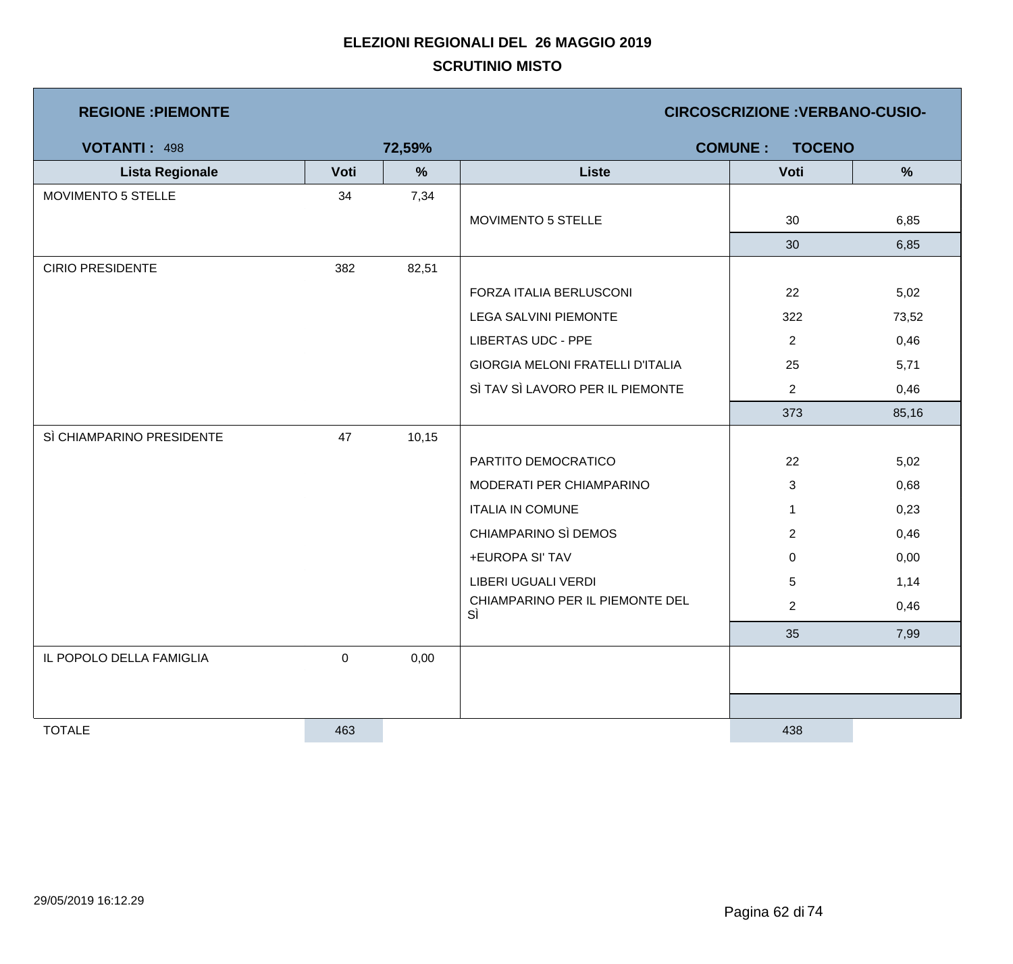| <b>REGIONE : PIEMONTE</b> |      |        | <b>CIRCOSCRIZIONE : VERBANO-CUSIO-</b>  |                                 |               |  |  |
|---------------------------|------|--------|-----------------------------------------|---------------------------------|---------------|--|--|
| <b>VOTANTI: 498</b>       |      | 72,59% |                                         | <b>COMUNE:</b><br><b>TOCENO</b> |               |  |  |
| <b>Lista Regionale</b>    | Voti | $\%$   | <b>Liste</b>                            | Voti                            | $\frac{9}{6}$ |  |  |
| MOVIMENTO 5 STELLE        | 34   | 7,34   |                                         |                                 |               |  |  |
|                           |      |        | MOVIMENTO 5 STELLE                      | 30                              | 6,85          |  |  |
|                           |      |        |                                         | 30                              | 6,85          |  |  |
| <b>CIRIO PRESIDENTE</b>   | 382  | 82,51  |                                         |                                 |               |  |  |
|                           |      |        | FORZA ITALIA BERLUSCONI                 | 22                              | 5,02          |  |  |
|                           |      |        | <b>LEGA SALVINI PIEMONTE</b>            | 322                             | 73,52         |  |  |
|                           |      |        | <b>LIBERTAS UDC - PPE</b>               | $\overline{c}$                  | 0,46          |  |  |
|                           |      |        | <b>GIORGIA MELONI FRATELLI D'ITALIA</b> | 25                              | 5,71          |  |  |
|                           |      |        | SÌ TAV SÌ LAVORO PER IL PIEMONTE        | $\overline{2}$                  | 0,46          |  |  |
|                           |      |        |                                         | 373                             | 85,16         |  |  |
| SÌ CHIAMPARINO PRESIDENTE | 47   | 10,15  |                                         |                                 |               |  |  |
|                           |      |        | PARTITO DEMOCRATICO                     | 22                              | 5,02          |  |  |
|                           |      |        | MODERATI PER CHIAMPARINO                | 3                               | 0,68          |  |  |
|                           |      |        | <b>ITALIA IN COMUNE</b>                 | $\mathbf{1}$                    | 0,23          |  |  |
|                           |      |        | CHIAMPARINO SÌ DEMOS                    | $\overline{2}$                  | 0,46          |  |  |
|                           |      |        | +EUROPA SI' TAV                         | $\mathbf 0$                     | 0,00          |  |  |
|                           |      |        | LIBERI UGUALI VERDI                     | 5                               | 1,14          |  |  |
|                           |      |        | CHIAMPARINO PER IL PIEMONTE DEL<br>SÌ   | $\overline{2}$                  | 0,46          |  |  |
|                           |      |        |                                         | 35                              | 7,99          |  |  |
| IL POPOLO DELLA FAMIGLIA  | 0    | 0,00   |                                         |                                 |               |  |  |
|                           |      |        |                                         |                                 |               |  |  |
|                           |      |        |                                         |                                 |               |  |  |
| <b>TOTALE</b>             | 463  |        |                                         | 438                             |               |  |  |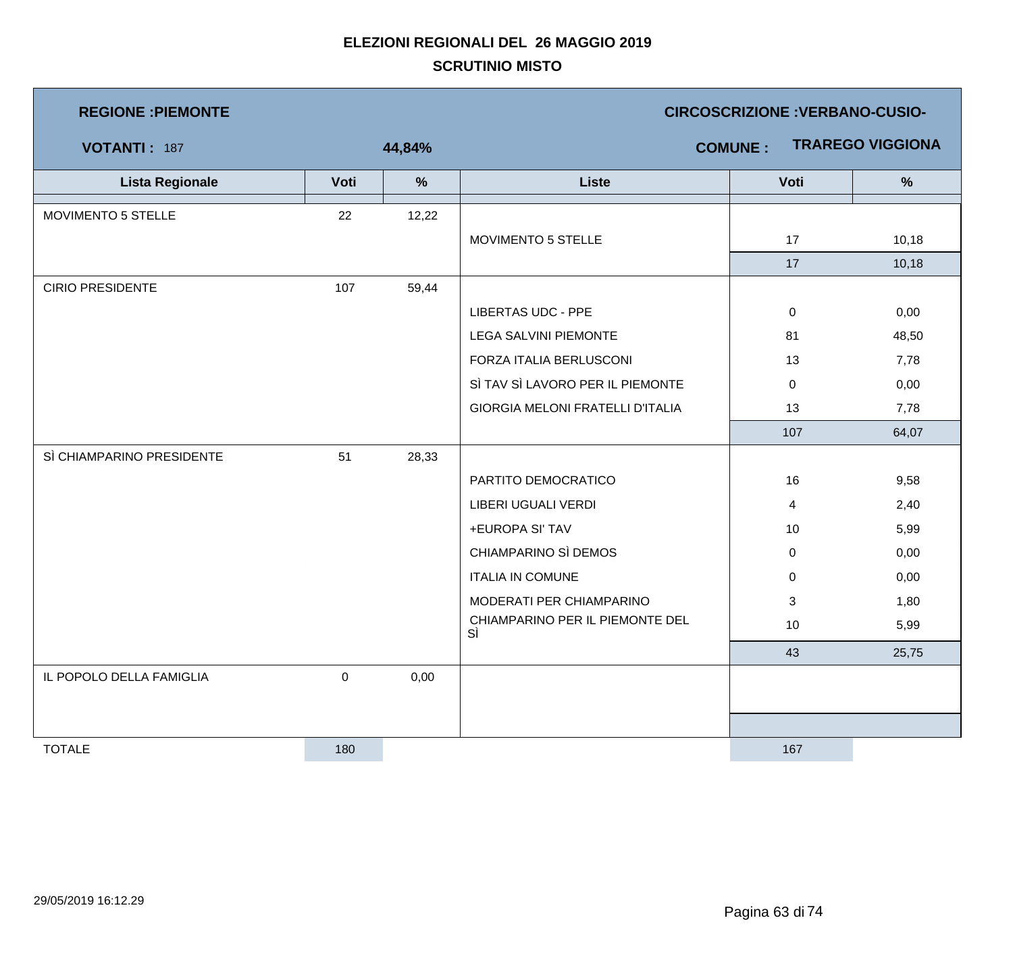| <b>REGIONE : PIEMONTE</b> |              |               | <b>CIRCOSCRIZIONE : VERBANO-CUSIO-</b>  |                |                         |  |  |
|---------------------------|--------------|---------------|-----------------------------------------|----------------|-------------------------|--|--|
| <b>VOTANTI: 187</b>       |              | 44,84%        |                                         | <b>COMUNE:</b> | <b>TRAREGO VIGGIONA</b> |  |  |
| <b>Lista Regionale</b>    | Voti         | $\frac{9}{6}$ | <b>Liste</b>                            | Voti           | $\frac{9}{6}$           |  |  |
| MOVIMENTO 5 STELLE        | 22           | 12,22         |                                         |                |                         |  |  |
|                           |              |               | MOVIMENTO 5 STELLE                      | 17             | 10,18                   |  |  |
|                           |              |               |                                         | 17             | 10,18                   |  |  |
| <b>CIRIO PRESIDENTE</b>   | 107          | 59,44         |                                         |                |                         |  |  |
|                           |              |               | <b>LIBERTAS UDC - PPE</b>               | $\mathbf 0$    | 0,00                    |  |  |
|                           |              |               | <b>LEGA SALVINI PIEMONTE</b>            | 81             | 48,50                   |  |  |
|                           |              |               | FORZA ITALIA BERLUSCONI                 | 13             | 7,78                    |  |  |
|                           |              |               | SÌ TAV SÌ LAVORO PER IL PIEMONTE        | $\mathbf 0$    | 0,00                    |  |  |
|                           |              |               | <b>GIORGIA MELONI FRATELLI D'ITALIA</b> | 13             | 7,78                    |  |  |
|                           |              |               |                                         | 107            | 64,07                   |  |  |
| SÌ CHIAMPARINO PRESIDENTE | 51           | 28,33         |                                         |                |                         |  |  |
|                           |              |               | PARTITO DEMOCRATICO                     | 16             | 9,58                    |  |  |
|                           |              |               | LIBERI UGUALI VERDI                     | 4              | 2,40                    |  |  |
|                           |              |               | +EUROPA SI' TAV                         | 10             | 5,99                    |  |  |
|                           |              |               | CHIAMPARINO SÌ DEMOS                    | 0              | 0,00                    |  |  |
|                           |              |               | <b>ITALIA IN COMUNE</b>                 | 0              | 0,00                    |  |  |
|                           |              |               | MODERATI PER CHIAMPARINO                | 3              | 1,80                    |  |  |
|                           |              |               | CHIAMPARINO PER IL PIEMONTE DEL<br>SÌ   | 10             | 5,99                    |  |  |
|                           |              |               |                                         | 43             | 25,75                   |  |  |
| IL POPOLO DELLA FAMIGLIA  | $\mathsf{O}$ | 0,00          |                                         |                |                         |  |  |
|                           |              |               |                                         |                |                         |  |  |
|                           |              |               |                                         |                |                         |  |  |
| <b>TOTALE</b>             | 180          |               |                                         | 167            |                         |  |  |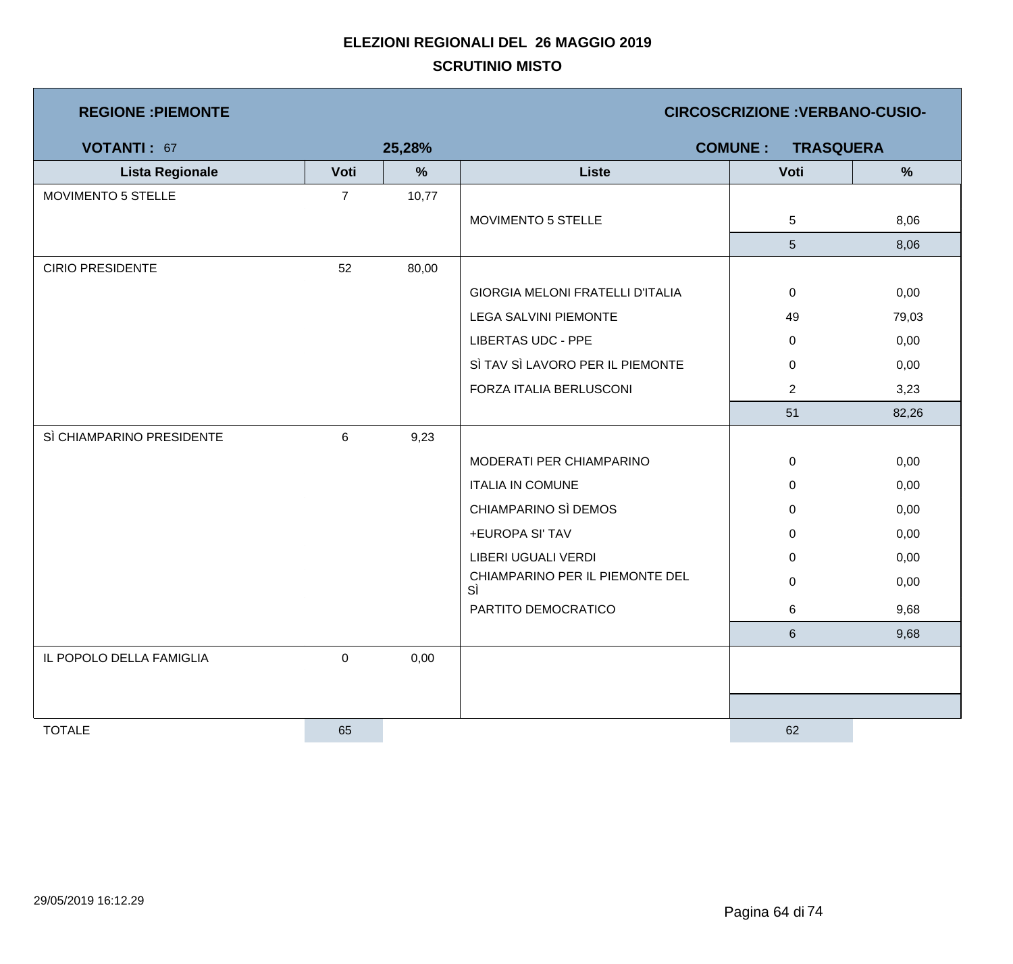| <b>REGIONE : PIEMONTE</b> |                |        | <b>CIRCOSCRIZIONE : VERBANO-CUSIO-</b>  |                                    |       |  |  |
|---------------------------|----------------|--------|-----------------------------------------|------------------------------------|-------|--|--|
| <b>VOTANTI: 67</b>        |                | 25,28% |                                         | <b>COMUNE:</b><br><b>TRASQUERA</b> |       |  |  |
| <b>Lista Regionale</b>    | Voti           | %      | <b>Liste</b>                            | Voti                               | %     |  |  |
| MOVIMENTO 5 STELLE        | $\overline{7}$ | 10,77  |                                         |                                    |       |  |  |
|                           |                |        | MOVIMENTO 5 STELLE                      | 5                                  | 8,06  |  |  |
|                           |                |        |                                         | 5 <sup>5</sup>                     | 8,06  |  |  |
| <b>CIRIO PRESIDENTE</b>   | 52             | 80,00  |                                         |                                    |       |  |  |
|                           |                |        | <b>GIORGIA MELONI FRATELLI D'ITALIA</b> | $\mathbf 0$                        | 0,00  |  |  |
|                           |                |        | <b>LEGA SALVINI PIEMONTE</b>            | 49                                 | 79,03 |  |  |
|                           |                |        | <b>LIBERTAS UDC - PPE</b>               | $\mathbf 0$                        | 0,00  |  |  |
|                           |                |        | SÌ TAV SÌ LAVORO PER IL PIEMONTE        | $\pmb{0}$                          | 0,00  |  |  |
|                           |                |        | FORZA ITALIA BERLUSCONI                 | $\overline{2}$                     | 3,23  |  |  |
|                           |                |        |                                         | 51                                 | 82,26 |  |  |
| SÌ CHIAMPARINO PRESIDENTE | 6              | 9,23   |                                         |                                    |       |  |  |
|                           |                |        | MODERATI PER CHIAMPARINO                | $\mathbf 0$                        | 0,00  |  |  |
|                           |                |        | <b>ITALIA IN COMUNE</b>                 | $\mathbf 0$                        | 0,00  |  |  |
|                           |                |        | CHIAMPARINO SÌ DEMOS                    | $\pmb{0}$                          | 0,00  |  |  |
|                           |                |        | +EUROPA SI' TAV                         | 0                                  | 0,00  |  |  |
|                           |                |        | LIBERI UGUALI VERDI                     | $\mathbf 0$                        | 0,00  |  |  |
|                           |                |        | CHIAMPARINO PER IL PIEMONTE DEL<br>SÌ   | $\pmb{0}$                          | 0,00  |  |  |
|                           |                |        | PARTITO DEMOCRATICO                     | 6                                  | 9,68  |  |  |
|                           |                |        |                                         | 6                                  | 9,68  |  |  |
| IL POPOLO DELLA FAMIGLIA  | $\pmb{0}$      | 0,00   |                                         |                                    |       |  |  |
|                           |                |        |                                         |                                    |       |  |  |
|                           |                |        |                                         |                                    |       |  |  |
| <b>TOTALE</b>             | 65             |        |                                         | 62                                 |       |  |  |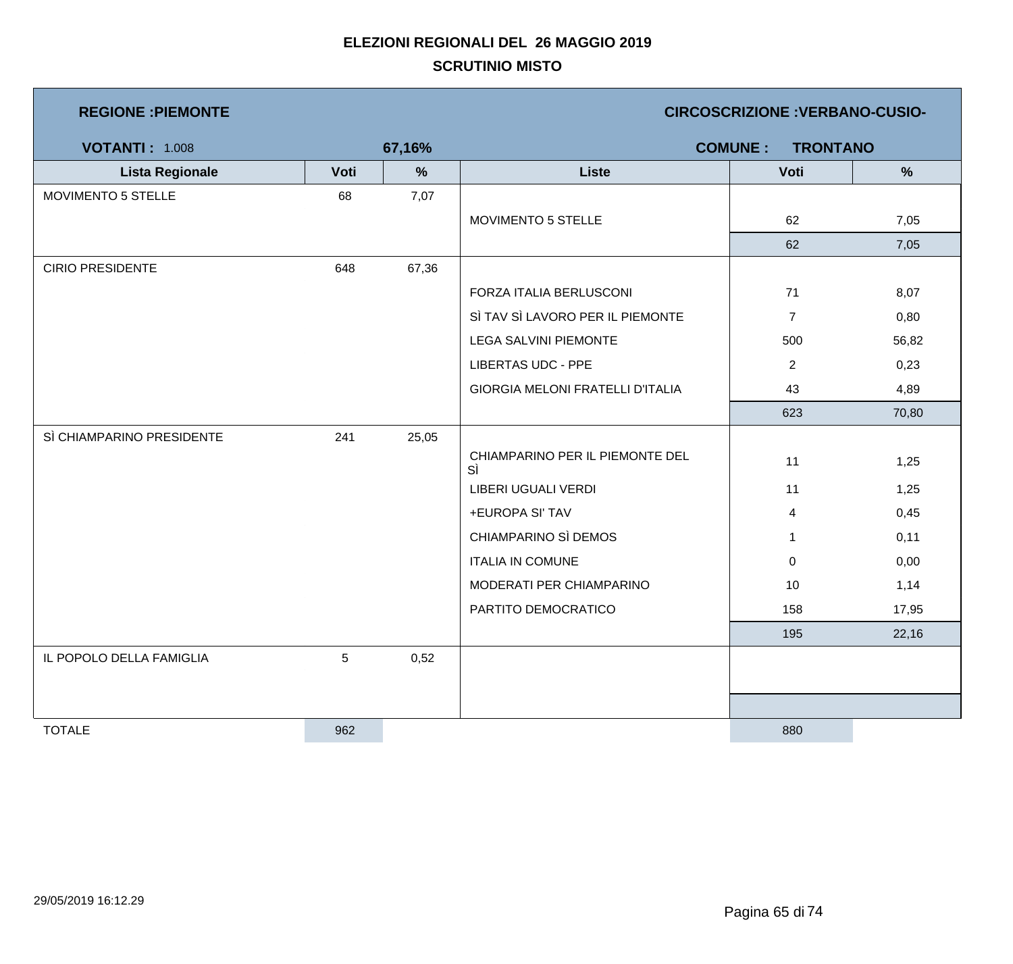| <b>REGIONE : PIEMONTE</b> |             |        | <b>CIRCOSCRIZIONE: VERBANO-CUSIO-</b>   |                                   |               |  |  |
|---------------------------|-------------|--------|-----------------------------------------|-----------------------------------|---------------|--|--|
| <b>VOTANTI: 1.008</b>     |             | 67,16% |                                         | <b>COMUNE:</b><br><b>TRONTANO</b> |               |  |  |
| <b>Lista Regionale</b>    | Voti        | %      | <b>Liste</b>                            | Voti                              | $\frac{9}{6}$ |  |  |
| MOVIMENTO 5 STELLE        | 68          | 7,07   |                                         |                                   |               |  |  |
|                           |             |        | MOVIMENTO 5 STELLE                      | 62                                | 7,05          |  |  |
|                           |             |        |                                         | 62                                | 7,05          |  |  |
| <b>CIRIO PRESIDENTE</b>   | 648         | 67,36  |                                         |                                   |               |  |  |
|                           |             |        | FORZA ITALIA BERLUSCONI                 | 71                                | 8,07          |  |  |
|                           |             |        | SÌ TAV SÌ LAVORO PER IL PIEMONTE        | $\overline{7}$                    | 0,80          |  |  |
|                           |             |        | <b>LEGA SALVINI PIEMONTE</b>            | 500                               | 56,82         |  |  |
|                           |             |        | <b>LIBERTAS UDC - PPE</b>               | $\overline{2}$                    | 0,23          |  |  |
|                           |             |        | <b>GIORGIA MELONI FRATELLI D'ITALIA</b> | 43                                | 4,89          |  |  |
|                           |             |        |                                         | 623                               | 70,80         |  |  |
| SÌ CHIAMPARINO PRESIDENTE | 241         | 25,05  |                                         |                                   |               |  |  |
|                           |             |        | CHIAMPARINO PER IL PIEMONTE DEL<br>SÌ   | 11                                | 1,25          |  |  |
|                           |             |        | LIBERI UGUALI VERDI                     | 11                                | 1,25          |  |  |
|                           |             |        | +EUROPA SI' TAV                         | 4                                 | 0,45          |  |  |
|                           |             |        | CHIAMPARINO SÌ DEMOS                    | $\mathbf{1}$                      | 0,11          |  |  |
|                           |             |        | <b>ITALIA IN COMUNE</b>                 | 0                                 | 0,00          |  |  |
|                           |             |        | MODERATI PER CHIAMPARINO                | 10                                | 1,14          |  |  |
|                           |             |        | PARTITO DEMOCRATICO                     | 158                               | 17,95         |  |  |
|                           |             |        |                                         | 195                               | 22,16         |  |  |
| IL POPOLO DELLA FAMIGLIA  | $\,$ 5 $\,$ | 0,52   |                                         |                                   |               |  |  |
|                           |             |        |                                         |                                   |               |  |  |
|                           |             |        |                                         |                                   |               |  |  |
| <b>TOTALE</b>             | 962         |        |                                         | 880                               |               |  |  |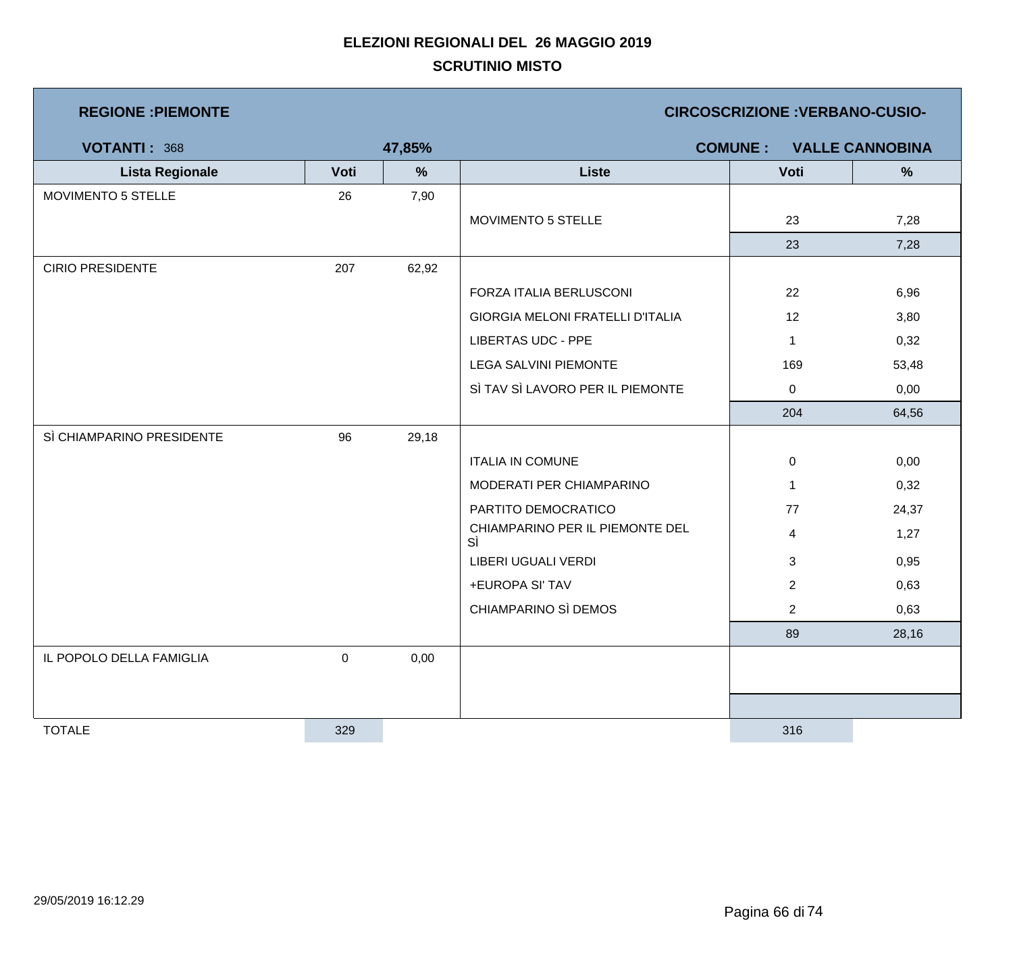| <b>REGIONE : PIEMONTE</b> |                  |        | <b>CIRCOSCRIZIONE: VERBANO-CUSIO-</b> |                |                        |  |
|---------------------------|------------------|--------|---------------------------------------|----------------|------------------------|--|
| VOTANTI: 368              |                  | 47,85% |                                       | <b>COMUNE:</b> | <b>VALLE CANNOBINA</b> |  |
| <b>Lista Regionale</b>    | Voti             | %      | <b>Liste</b>                          | Voti           | $\frac{9}{6}$          |  |
| MOVIMENTO 5 STELLE        | 26               | 7,90   |                                       |                |                        |  |
|                           |                  |        | MOVIMENTO 5 STELLE                    | 23             | 7,28                   |  |
|                           |                  |        |                                       | 23             | 7,28                   |  |
| <b>CIRIO PRESIDENTE</b>   | 207              | 62,92  |                                       |                |                        |  |
|                           |                  |        | FORZA ITALIA BERLUSCONI               | 22             | 6,96                   |  |
|                           |                  |        | GIORGIA MELONI FRATELLI D'ITALIA      | 12             | 3,80                   |  |
|                           |                  |        | <b>LIBERTAS UDC - PPE</b>             | $\mathbf{1}$   | 0,32                   |  |
|                           |                  |        | <b>LEGA SALVINI PIEMONTE</b>          | 169            | 53,48                  |  |
|                           |                  |        | SÌ TAV SÌ LAVORO PER IL PIEMONTE      | $\mathbf 0$    | 0,00                   |  |
|                           |                  |        |                                       | 204            | 64,56                  |  |
| SÌ CHIAMPARINO PRESIDENTE | 96               | 29,18  |                                       |                |                        |  |
|                           |                  |        | <b>ITALIA IN COMUNE</b>               | 0              | 0,00                   |  |
|                           |                  |        | MODERATI PER CHIAMPARINO              | $\mathbf{1}$   | 0,32                   |  |
|                           |                  |        | PARTITO DEMOCRATICO                   | 77             | 24,37                  |  |
|                           |                  |        | CHIAMPARINO PER IL PIEMONTE DEL<br>SÌ | $\overline{4}$ | 1,27                   |  |
|                           |                  |        | LIBERI UGUALI VERDI                   | 3              | 0,95                   |  |
|                           |                  |        | +EUROPA SI' TAV                       | $\overline{2}$ | 0,63                   |  |
|                           |                  |        | CHIAMPARINO SÌ DEMOS                  | $\overline{2}$ | 0,63                   |  |
|                           |                  |        |                                       | 89             | 28,16                  |  |
| IL POPOLO DELLA FAMIGLIA  | $\boldsymbol{0}$ | 0,00   |                                       |                |                        |  |
|                           |                  |        |                                       |                |                        |  |
|                           |                  |        |                                       |                |                        |  |
| <b>TOTALE</b>             | 329              |        |                                       | 316            |                        |  |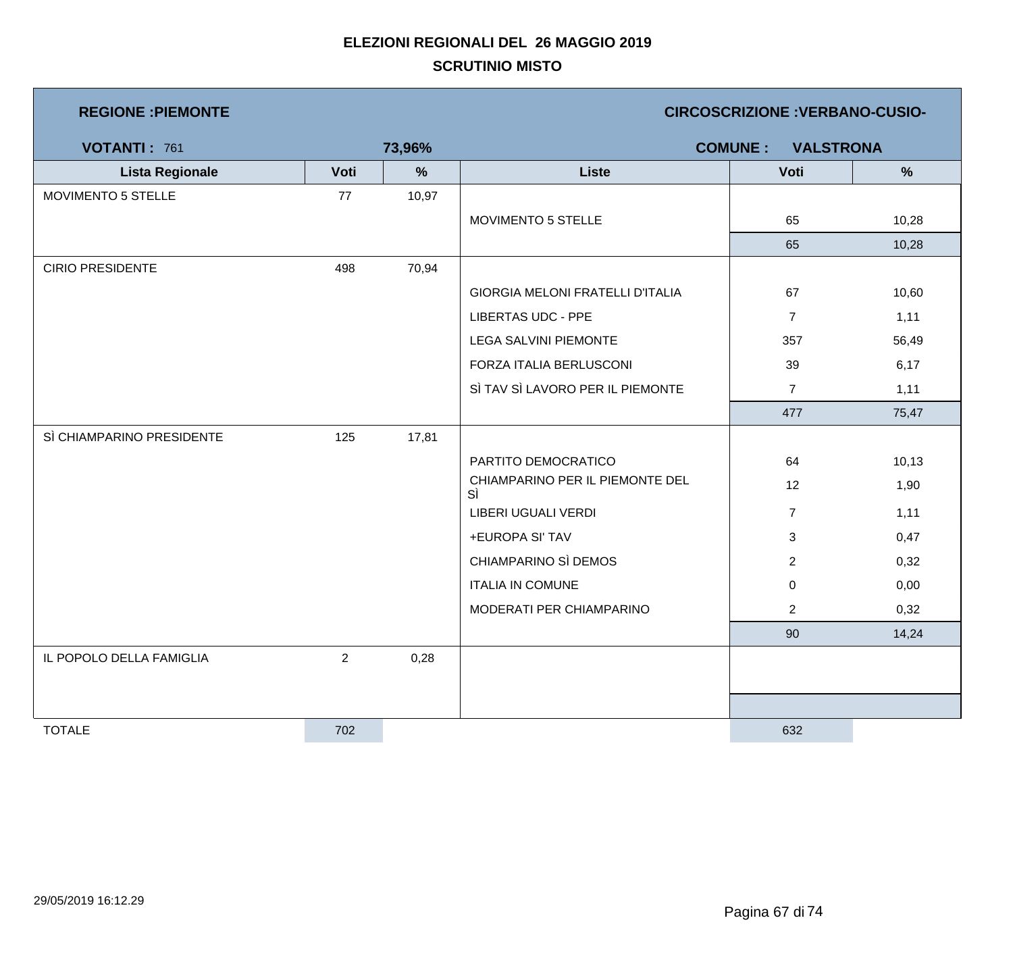| <b>REGIONE: PIEMONTE</b> |  |
|--------------------------|--|
|--------------------------|--|

**REGIONE :PIEMONTE CIRCOSCRIZIONE :VERBANO-CUSIO-**

| <b>VOTANTI: 761</b>       |                | 73,96% |                                       | <b>COMUNE:</b><br><b>VALSTRONA</b> |        |
|---------------------------|----------------|--------|---------------------------------------|------------------------------------|--------|
| <b>Lista Regionale</b>    | Voti           | $\%$   | <b>Liste</b>                          | Voti                               | $\%$   |
| MOVIMENTO 5 STELLE        | 77             | 10,97  |                                       |                                    |        |
|                           |                |        | MOVIMENTO 5 STELLE                    | 65                                 | 10,28  |
|                           |                |        |                                       | 65                                 | 10,28  |
| <b>CIRIO PRESIDENTE</b>   | 498            | 70,94  |                                       |                                    |        |
|                           |                |        | GIORGIA MELONI FRATELLI D'ITALIA      | 67                                 | 10,60  |
|                           |                |        | <b>LIBERTAS UDC - PPE</b>             | $\overline{7}$                     | 1,11   |
|                           |                |        | <b>LEGA SALVINI PIEMONTE</b>          | 357                                | 56,49  |
|                           |                |        | FORZA ITALIA BERLUSCONI               | 39                                 | 6,17   |
|                           |                |        | SÌ TAV SÌ LAVORO PER IL PIEMONTE      | $\overline{7}$                     | 1,11   |
|                           |                |        |                                       | 477                                | 75,47  |
| SÌ CHIAMPARINO PRESIDENTE | 125            | 17,81  |                                       |                                    |        |
|                           |                |        | PARTITO DEMOCRATICO                   | 64                                 | 10, 13 |
|                           |                |        | CHIAMPARINO PER IL PIEMONTE DEL<br>SÌ | 12                                 | 1,90   |
|                           |                |        | LIBERI UGUALI VERDI                   | $\overline{7}$                     | 1,11   |
|                           |                |        | +EUROPA SI' TAV                       | $\mathbf{3}$                       | 0,47   |
|                           |                |        | CHIAMPARINO SÌ DEMOS                  | $\overline{2}$                     | 0,32   |
|                           |                |        | <b>ITALIA IN COMUNE</b>               | $\mathbf 0$                        | 0,00   |
|                           |                |        | MODERATI PER CHIAMPARINO              | $\overline{2}$                     | 0,32   |
|                           |                |        |                                       | 90                                 | 14,24  |
| IL POPOLO DELLA FAMIGLIA  | $\overline{2}$ | 0,28   |                                       |                                    |        |
|                           |                |        |                                       |                                    |        |
|                           |                |        |                                       |                                    |        |
| <b>TOTALE</b>             | 702            |        |                                       | 632                                |        |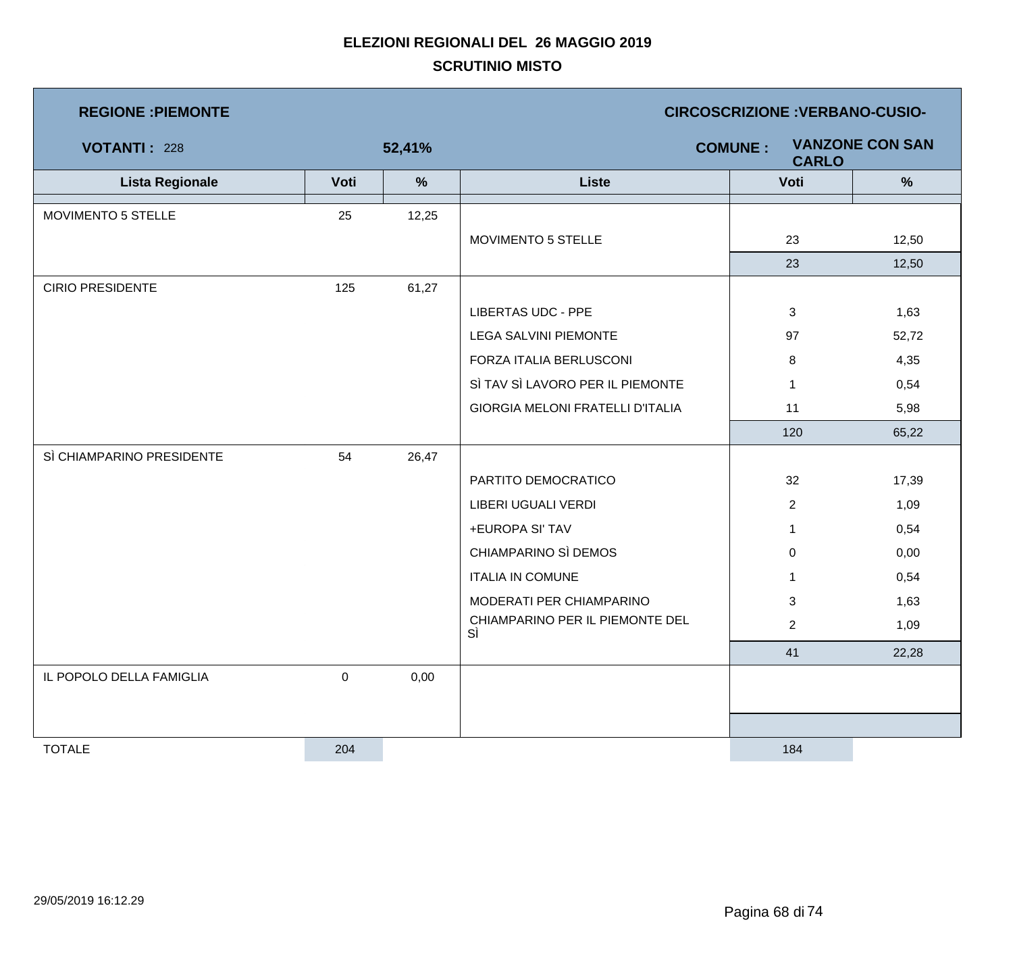| <b>REGIONE: PIEMONTE</b>  |             |               | <b>CIRCOSCRIZIONE : VERBANO-CUSIO-</b>                   |                |               |  |  |
|---------------------------|-------------|---------------|----------------------------------------------------------|----------------|---------------|--|--|
| <b>VOTANTI: 228</b>       |             | 52,41%        | <b>VANZONE CON SAN</b><br><b>COMUNE:</b><br><b>CARLO</b> |                |               |  |  |
| <b>Lista Regionale</b>    | Voti        | $\frac{9}{6}$ | <b>Liste</b>                                             | Voti           | $\frac{9}{6}$ |  |  |
| MOVIMENTO 5 STELLE        | 25          | 12,25         |                                                          |                |               |  |  |
|                           |             |               | MOVIMENTO 5 STELLE                                       | 23             | 12,50         |  |  |
|                           |             |               |                                                          | 23             | 12,50         |  |  |
| <b>CIRIO PRESIDENTE</b>   | 125         | 61,27         |                                                          |                |               |  |  |
|                           |             |               | <b>LIBERTAS UDC - PPE</b>                                | 3              | 1,63          |  |  |
|                           |             |               | <b>LEGA SALVINI PIEMONTE</b>                             | 97             | 52,72         |  |  |
|                           |             |               | FORZA ITALIA BERLUSCONI                                  | 8              | 4,35          |  |  |
|                           |             |               | SÌ TAV SÌ LAVORO PER IL PIEMONTE                         | $\mathbf 1$    | 0,54          |  |  |
|                           |             |               | <b>GIORGIA MELONI FRATELLI D'ITALIA</b>                  | 11             | 5,98          |  |  |
|                           |             |               |                                                          | 120            | 65,22         |  |  |
| SÌ CHIAMPARINO PRESIDENTE | 54          | 26,47         |                                                          |                |               |  |  |
|                           |             |               | PARTITO DEMOCRATICO                                      | 32             | 17,39         |  |  |
|                           |             |               | LIBERI UGUALI VERDI                                      | $\overline{2}$ | 1,09          |  |  |
|                           |             |               | +EUROPA SI' TAV                                          | $\mathbf 1$    | 0,54          |  |  |
|                           |             |               | CHIAMPARINO SÌ DEMOS                                     | 0              | 0,00          |  |  |
|                           |             |               | <b>ITALIA IN COMUNE</b>                                  | $\mathbf{1}$   | 0,54          |  |  |
|                           |             |               | MODERATI PER CHIAMPARINO                                 | 3              | 1,63          |  |  |
|                           |             |               | CHIAMPARINO PER IL PIEMONTE DEL<br>SÌ                    | $\overline{2}$ | 1,09          |  |  |
|                           |             |               |                                                          | 41             | 22,28         |  |  |
| IL POPOLO DELLA FAMIGLIA  | $\mathbf 0$ | 0,00          |                                                          |                |               |  |  |
|                           |             |               |                                                          |                |               |  |  |
|                           |             |               |                                                          |                |               |  |  |
| <b>TOTALE</b>             | 204         |               |                                                          | 184            |               |  |  |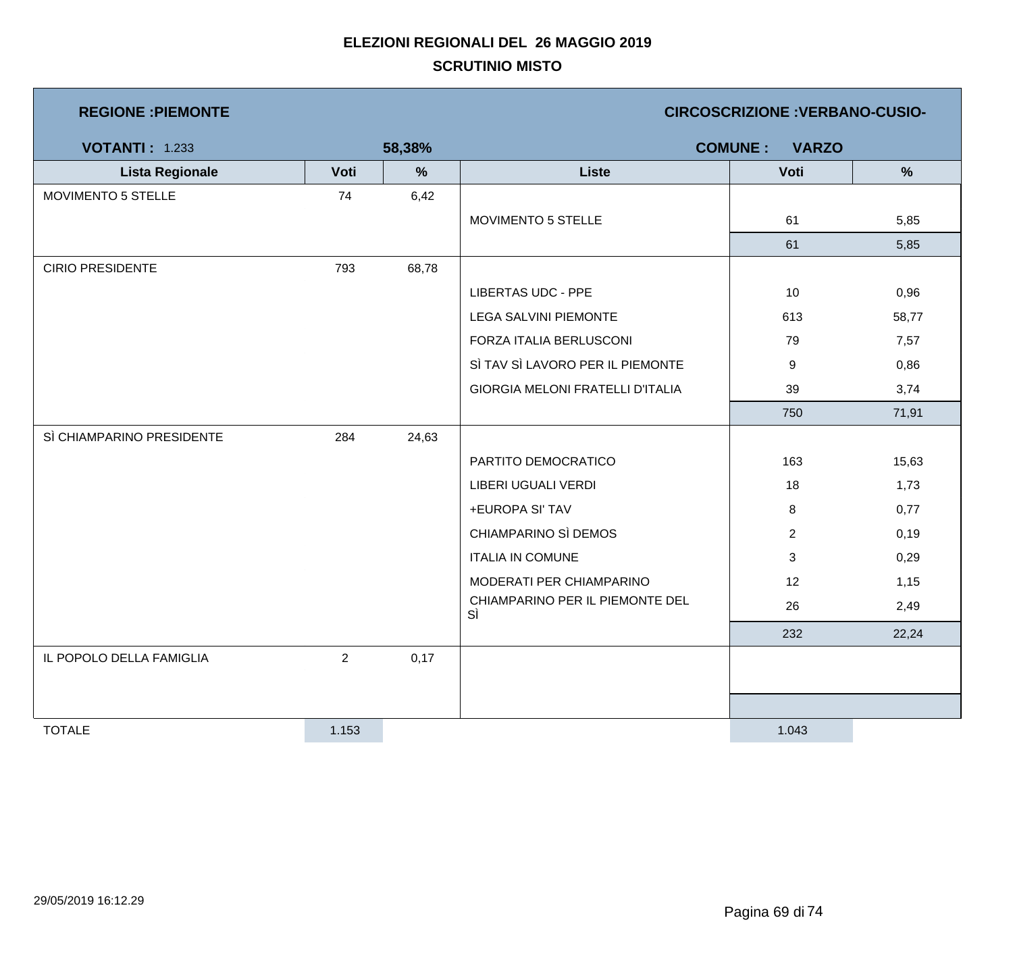| <b>REGIONE: PIEMONTE</b>  |                |        | <b>CIRCOSCRIZIONE: VERBANO-CUSIO-</b> |                |               |  |  |
|---------------------------|----------------|--------|---------------------------------------|----------------|---------------|--|--|
| <b>VOTANTI: 1.233</b>     |                | 58,38% | <b>COMUNE:</b><br><b>VARZO</b>        |                |               |  |  |
| <b>Lista Regionale</b>    | Voti           | %      | <b>Liste</b>                          | Voti           | $\frac{9}{6}$ |  |  |
| MOVIMENTO 5 STELLE        | 74             | 6,42   |                                       |                |               |  |  |
|                           |                |        | MOVIMENTO 5 STELLE                    | 61             | 5,85          |  |  |
|                           |                |        |                                       | 61             | 5,85          |  |  |
| <b>CIRIO PRESIDENTE</b>   | 793            | 68,78  |                                       |                |               |  |  |
|                           |                |        | <b>LIBERTAS UDC - PPE</b>             | 10             | 0,96          |  |  |
|                           |                |        | <b>LEGA SALVINI PIEMONTE</b>          | 613            | 58,77         |  |  |
|                           |                |        | FORZA ITALIA BERLUSCONI               | 79             | 7,57          |  |  |
|                           |                |        | SÌ TAV SÌ LAVORO PER IL PIEMONTE      | 9              | 0,86          |  |  |
|                           |                |        | GIORGIA MELONI FRATELLI D'ITALIA      | 39             | 3,74          |  |  |
|                           |                |        |                                       | 750            | 71,91         |  |  |
| SÌ CHIAMPARINO PRESIDENTE | 284            | 24,63  |                                       |                |               |  |  |
|                           |                |        | PARTITO DEMOCRATICO                   | 163            | 15,63         |  |  |
|                           |                |        | LIBERI UGUALI VERDI                   | 18             | 1,73          |  |  |
|                           |                |        | +EUROPA SI' TAV                       | 8              | 0,77          |  |  |
|                           |                |        | CHIAMPARINO SÌ DEMOS                  | $\overline{2}$ | 0,19          |  |  |
|                           |                |        | <b>ITALIA IN COMUNE</b>               | 3              | 0,29          |  |  |
|                           |                |        | MODERATI PER CHIAMPARINO              | 12             | 1,15          |  |  |
|                           |                |        | CHIAMPARINO PER IL PIEMONTE DEL<br>SÌ | 26             | 2,49          |  |  |
|                           |                |        |                                       | 232            | 22,24         |  |  |
| IL POPOLO DELLA FAMIGLIA  | $\overline{2}$ | 0,17   |                                       |                |               |  |  |
|                           |                |        |                                       |                |               |  |  |
|                           |                |        |                                       |                |               |  |  |
| <b>TOTALE</b>             | 1.153          |        |                                       | 1.043          |               |  |  |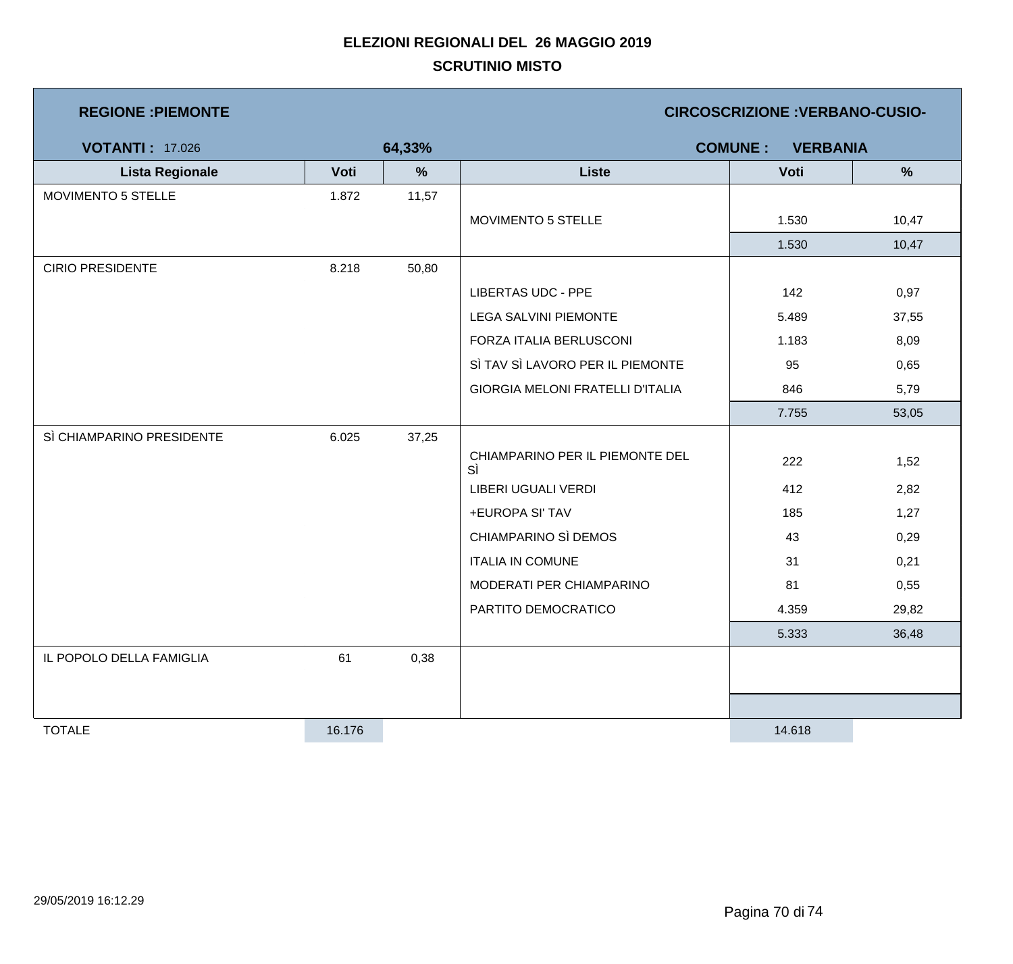| <b>REGIONE: PIEMONTE</b>  |        |        | <b>CIRCOSCRIZIONE : VERBANO-CUSIO-</b>  |        |               |  |
|---------------------------|--------|--------|-----------------------------------------|--------|---------------|--|
| <b>VOTANTI: 17.026</b>    |        | 64,33% | <b>COMUNE:</b><br><b>VERBANIA</b>       |        |               |  |
| <b>Lista Regionale</b>    | Voti   | %      | <b>Liste</b>                            | Voti   | $\frac{9}{6}$ |  |
| MOVIMENTO 5 STELLE        | 1.872  | 11,57  |                                         |        |               |  |
|                           |        |        | MOVIMENTO 5 STELLE                      | 1.530  | 10,47         |  |
|                           |        |        |                                         | 1.530  | 10,47         |  |
| <b>CIRIO PRESIDENTE</b>   | 8.218  | 50,80  |                                         |        |               |  |
|                           |        |        | <b>LIBERTAS UDC - PPE</b>               | 142    | 0,97          |  |
|                           |        |        | <b>LEGA SALVINI PIEMONTE</b>            | 5.489  | 37,55         |  |
|                           |        |        | FORZA ITALIA BERLUSCONI                 | 1.183  | 8,09          |  |
|                           |        |        | SÌ TAV SÌ LAVORO PER IL PIEMONTE        | 95     | 0,65          |  |
|                           |        |        | <b>GIORGIA MELONI FRATELLI D'ITALIA</b> | 846    | 5,79          |  |
|                           |        |        |                                         | 7.755  | 53,05         |  |
| SÌ CHIAMPARINO PRESIDENTE | 6.025  | 37,25  |                                         |        |               |  |
|                           |        |        | CHIAMPARINO PER IL PIEMONTE DEL<br>SÌ   | 222    | 1,52          |  |
|                           |        |        | LIBERI UGUALI VERDI                     | 412    | 2,82          |  |
|                           |        |        | +EUROPA SI' TAV                         | 185    | 1,27          |  |
|                           |        |        | CHIAMPARINO SÌ DEMOS                    | 43     | 0,29          |  |
|                           |        |        | <b>ITALIA IN COMUNE</b>                 | 31     | 0,21          |  |
|                           |        |        | MODERATI PER CHIAMPARINO                | 81     | 0,55          |  |
|                           |        |        | PARTITO DEMOCRATICO                     | 4.359  | 29,82         |  |
|                           |        |        |                                         | 5.333  | 36,48         |  |
| IL POPOLO DELLA FAMIGLIA  | 61     | 0,38   |                                         |        |               |  |
|                           |        |        |                                         |        |               |  |
|                           |        |        |                                         |        |               |  |
| <b>TOTALE</b>             | 16.176 |        |                                         | 14.618 |               |  |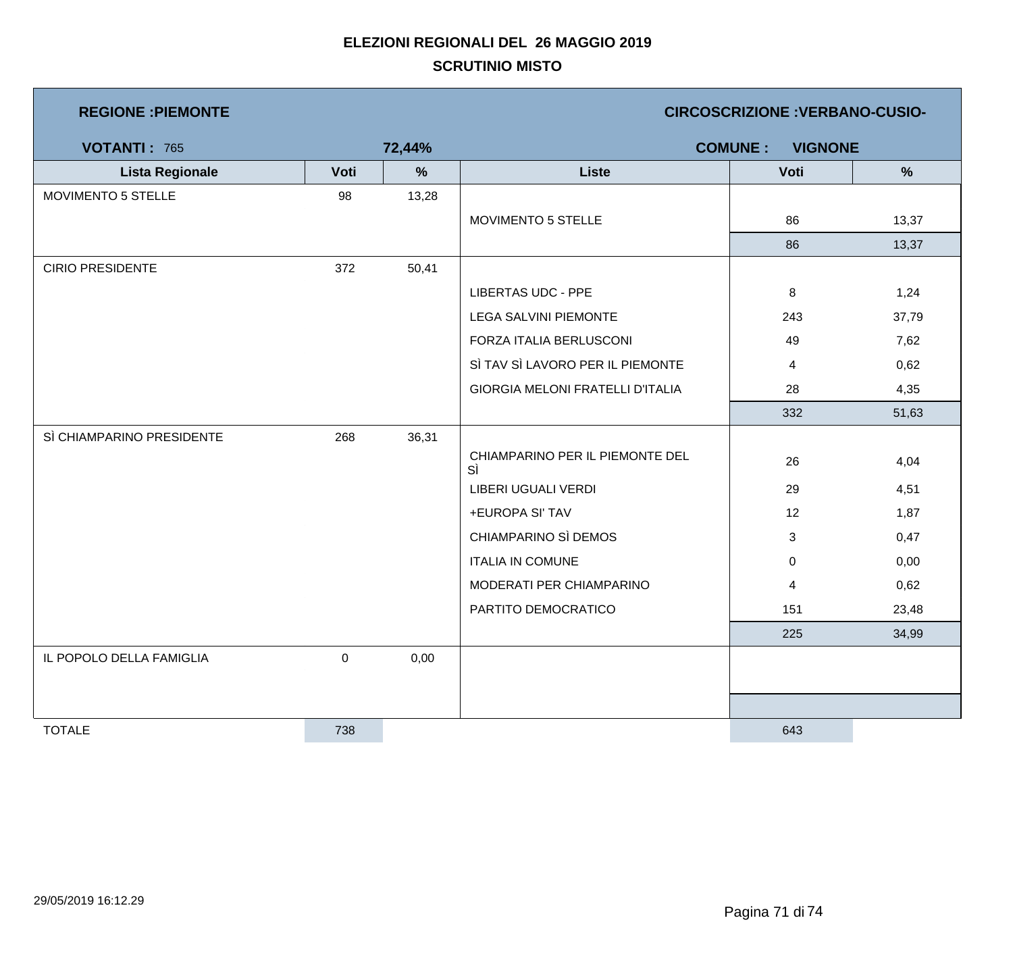| <b>REGIONE : PIEMONTE</b> |           |        | <b>CIRCOSCRIZIONE: VERBANO-CUSIO-</b>   |             |               |  |  |
|---------------------------|-----------|--------|-----------------------------------------|-------------|---------------|--|--|
| <b>VOTANTI: 765</b>       |           | 72,44% | <b>COMUNE:</b><br><b>VIGNONE</b>        |             |               |  |  |
| <b>Lista Regionale</b>    | Voti      | %      | <b>Liste</b>                            | Voti        | $\frac{9}{6}$ |  |  |
| MOVIMENTO 5 STELLE        | 98        | 13,28  |                                         |             |               |  |  |
|                           |           |        | MOVIMENTO 5 STELLE                      | 86          | 13,37         |  |  |
|                           |           |        |                                         | 86          | 13,37         |  |  |
| <b>CIRIO PRESIDENTE</b>   | 372       | 50,41  |                                         |             |               |  |  |
|                           |           |        | <b>LIBERTAS UDC - PPE</b>               | 8           | 1,24          |  |  |
|                           |           |        | <b>LEGA SALVINI PIEMONTE</b>            | 243         | 37,79         |  |  |
|                           |           |        | FORZA ITALIA BERLUSCONI                 | 49          | 7,62          |  |  |
|                           |           |        | SÌ TAV SÌ LAVORO PER IL PIEMONTE        | 4           | 0,62          |  |  |
|                           |           |        | <b>GIORGIA MELONI FRATELLI D'ITALIA</b> | 28          | 4,35          |  |  |
|                           |           |        |                                         | 332         | 51,63         |  |  |
| SÌ CHIAMPARINO PRESIDENTE | 268       | 36,31  |                                         |             |               |  |  |
|                           |           |        | CHIAMPARINO PER IL PIEMONTE DEL<br>SÌ   | 26          | 4,04          |  |  |
|                           |           |        | LIBERI UGUALI VERDI                     | 29          | 4,51          |  |  |
|                           |           |        | +EUROPA SI' TAV                         | 12          | 1,87          |  |  |
|                           |           |        | CHIAMPARINO SÌ DEMOS                    | 3           | 0,47          |  |  |
|                           |           |        | <b>ITALIA IN COMUNE</b>                 | $\mathbf 0$ | 0,00          |  |  |
|                           |           |        | MODERATI PER CHIAMPARINO                | 4           | 0,62          |  |  |
|                           |           |        | PARTITO DEMOCRATICO                     | 151         | 23,48         |  |  |
|                           |           |        |                                         | 225         | 34,99         |  |  |
| IL POPOLO DELLA FAMIGLIA  | $\pmb{0}$ | 0,00   |                                         |             |               |  |  |
|                           |           |        |                                         |             |               |  |  |
|                           |           |        |                                         |             |               |  |  |
| <b>TOTALE</b>             | 738       |        |                                         | 643         |               |  |  |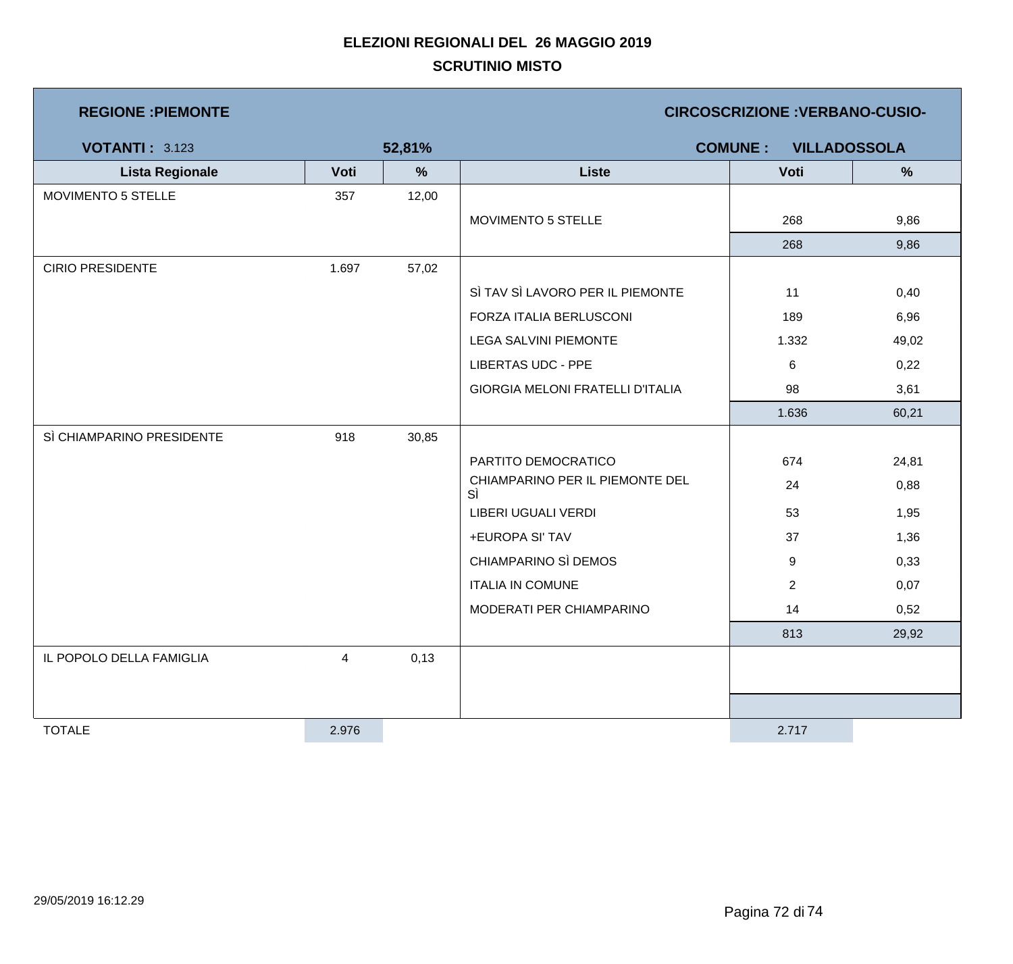| <b>REGIONE : PIEMONTE</b> |       |        | <b>CIRCOSCRIZIONE : VERBANO-CUSIO-</b>  |                                       |       |  |
|---------------------------|-------|--------|-----------------------------------------|---------------------------------------|-------|--|
| <b>VOTANTI: 3.123</b>     |       | 52,81% |                                         | <b>COMUNE:</b><br><b>VILLADOSSOLA</b> |       |  |
| <b>Lista Regionale</b>    | Voti  | %      | <b>Liste</b>                            | Voti                                  | %     |  |
| <b>MOVIMENTO 5 STELLE</b> | 357   | 12,00  |                                         |                                       |       |  |
|                           |       |        | MOVIMENTO 5 STELLE                      | 268                                   | 9,86  |  |
|                           |       |        |                                         | 268                                   | 9,86  |  |
| <b>CIRIO PRESIDENTE</b>   | 1.697 | 57,02  |                                         |                                       |       |  |
|                           |       |        | SÌ TAV SÌ LAVORO PER IL PIEMONTE        | 11                                    | 0,40  |  |
|                           |       |        | FORZA ITALIA BERLUSCONI                 | 189                                   | 6,96  |  |
|                           |       |        | <b>LEGA SALVINI PIEMONTE</b>            | 1.332                                 | 49,02 |  |
|                           |       |        | <b>LIBERTAS UDC - PPE</b>               | $\,6\,$                               | 0,22  |  |
|                           |       |        | <b>GIORGIA MELONI FRATELLI D'ITALIA</b> | 98                                    | 3,61  |  |
|                           |       |        |                                         | 1.636                                 | 60,21 |  |
| SÌ CHIAMPARINO PRESIDENTE | 918   | 30,85  |                                         |                                       |       |  |
|                           |       |        | PARTITO DEMOCRATICO                     | 674                                   | 24,81 |  |
|                           |       |        | CHIAMPARINO PER IL PIEMONTE DEL<br>SÌ   | 24                                    | 0,88  |  |
|                           |       |        | LIBERI UGUALI VERDI                     | 53                                    | 1,95  |  |
|                           |       |        | +EUROPA SI' TAV                         | 37                                    | 1,36  |  |
|                           |       |        | CHIAMPARINO SÌ DEMOS                    | 9                                     | 0,33  |  |
|                           |       |        | <b>ITALIA IN COMUNE</b>                 | $\overline{2}$                        | 0,07  |  |
|                           |       |        | MODERATI PER CHIAMPARINO                | 14                                    | 0,52  |  |
|                           |       |        |                                         | 813                                   | 29,92 |  |
| IL POPOLO DELLA FAMIGLIA  | 4     | 0,13   |                                         |                                       |       |  |
|                           |       |        |                                         |                                       |       |  |
|                           |       |        |                                         |                                       |       |  |
| <b>TOTALE</b>             | 2.976 |        |                                         | 2.717                                 |       |  |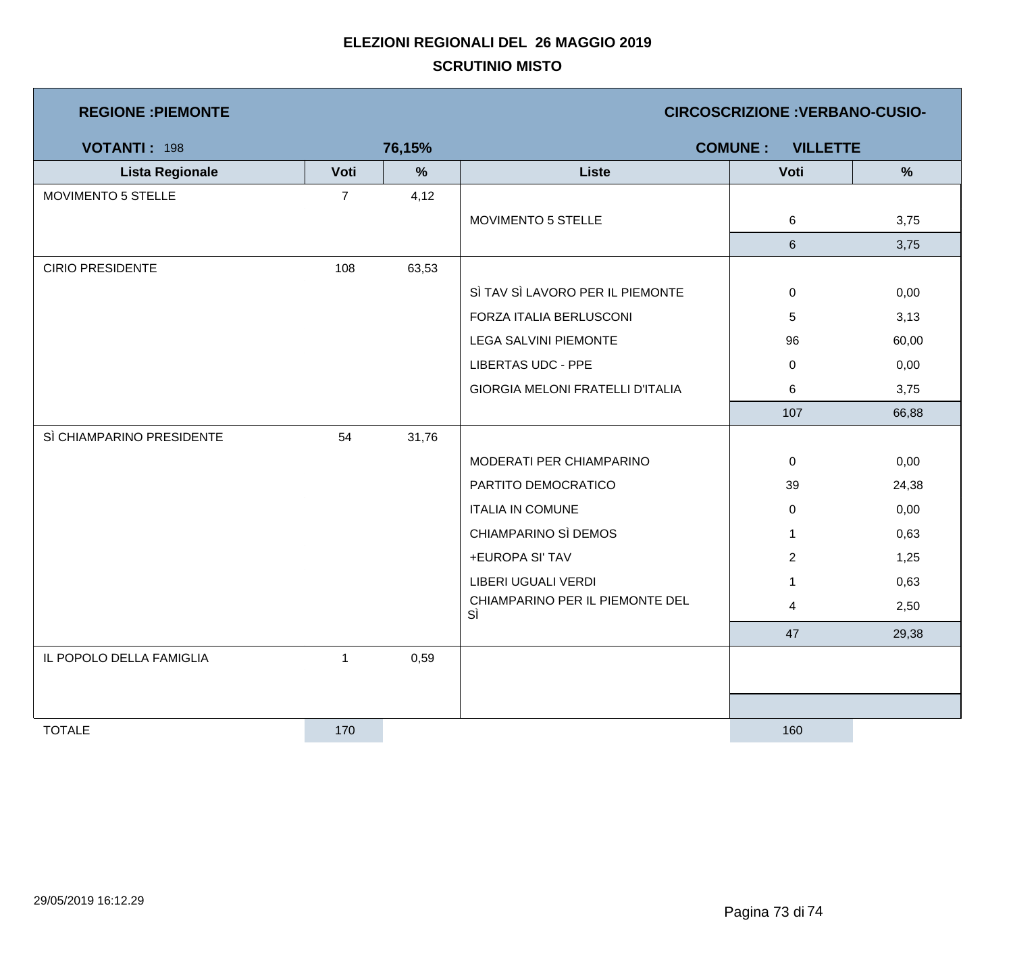## **SCRUTINIO MISTO ELEZIONI REGIONALI DEL 26 MAGGIO 2019**

| <b>REGIONE : PIEMONTE</b> |                |        | <b>CIRCOSCRIZIONE: VERBANO-CUSIO-</b>   |                |               |  |
|---------------------------|----------------|--------|-----------------------------------------|----------------|---------------|--|
| <b>VOTANTI: 198</b>       |                | 76,15% | <b>COMUNE:</b><br><b>VILLETTE</b>       |                |               |  |
| <b>Lista Regionale</b>    | Voti           | %      | <b>Liste</b>                            | Voti           | $\frac{9}{6}$ |  |
| MOVIMENTO 5 STELLE        | $\overline{7}$ | 4,12   |                                         |                |               |  |
|                           |                |        | MOVIMENTO 5 STELLE                      | 6              | 3,75          |  |
|                           |                |        |                                         | $6\phantom{.}$ | 3,75          |  |
| <b>CIRIO PRESIDENTE</b>   | 108            | 63,53  |                                         |                |               |  |
|                           |                |        | SÌ TAV SÌ LAVORO PER IL PIEMONTE        | 0              | 0,00          |  |
|                           |                |        | FORZA ITALIA BERLUSCONI                 | 5              | 3,13          |  |
|                           |                |        | <b>LEGA SALVINI PIEMONTE</b>            | 96             | 60,00         |  |
|                           |                |        | <b>LIBERTAS UDC - PPE</b>               | 0              | 0,00          |  |
|                           |                |        | <b>GIORGIA MELONI FRATELLI D'ITALIA</b> | 6              | 3,75          |  |
|                           |                |        |                                         | 107            | 66,88         |  |
| SÌ CHIAMPARINO PRESIDENTE | 54             | 31,76  |                                         |                |               |  |
|                           |                |        | MODERATI PER CHIAMPARINO                | 0              | 0,00          |  |
|                           |                |        | PARTITO DEMOCRATICO                     | 39             | 24,38         |  |
|                           |                |        | <b>ITALIA IN COMUNE</b>                 | 0              | 0,00          |  |
|                           |                |        | CHIAMPARINO SÌ DEMOS                    | $\mathbf{1}$   | 0,63          |  |
|                           |                |        | +EUROPA SI' TAV                         | $\overline{2}$ | 1,25          |  |
|                           |                |        | LIBERI UGUALI VERDI                     | $\mathbf{1}$   | 0,63          |  |
|                           |                |        | CHIAMPARINO PER IL PIEMONTE DEL<br>SÌ   | $\overline{4}$ | 2,50          |  |
|                           |                |        |                                         | 47             | 29,38         |  |
| IL POPOLO DELLA FAMIGLIA  | $\mathbf{1}$   | 0,59   |                                         |                |               |  |
|                           |                |        |                                         |                |               |  |
|                           |                |        |                                         |                |               |  |
| <b>TOTALE</b>             | 170            |        |                                         | 160            |               |  |